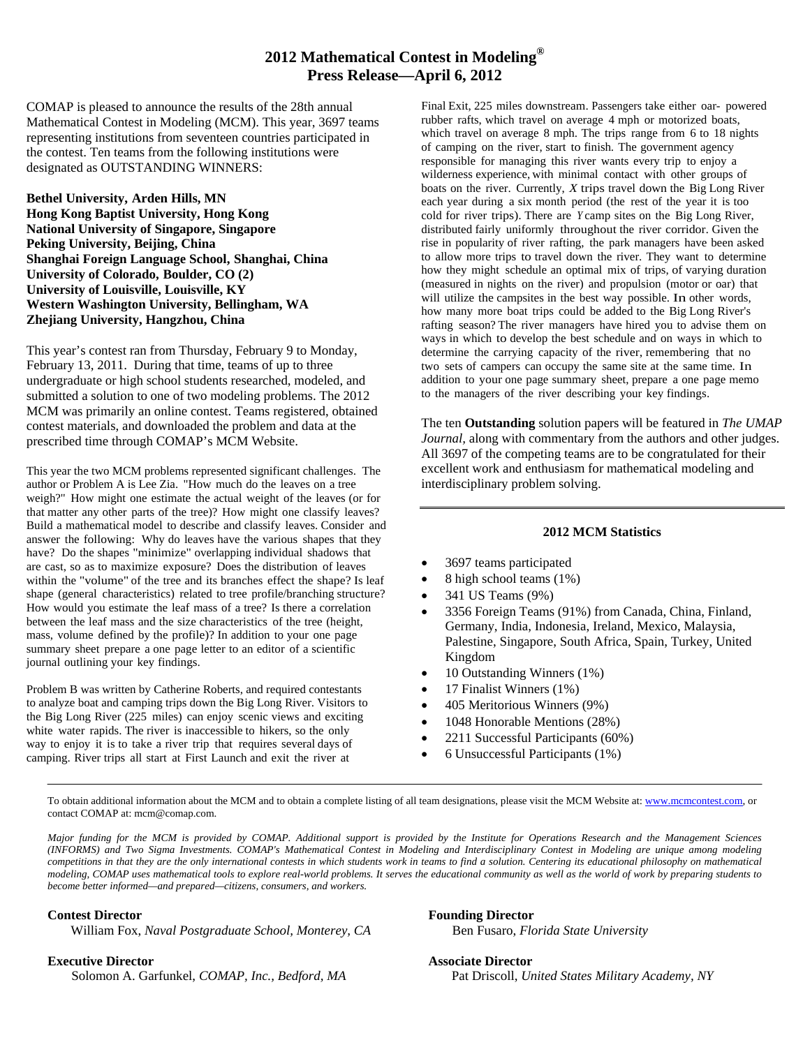#### **2012 Mathematical Contest in Modeling® Press Release—April 6, 2012**

COMAP is pleased to announce the results of the 28th annual Mathematical Contest in Modeling (MCM). This year, 3697 teams representing institutions from seventeen countries participated in the contest. Ten teams from the following institutions were designated as OUTSTANDING WINNERS:

**Bethel University, Arden Hills, MN Hong Kong Baptist University, Hong Kong National University of Singapore, Singapore Peking University, Beijing, China Shanghai Foreign Language School, Shanghai, China University of Colorado, Boulder, CO (2) University of Louisville, Louisville, KY Western Washington University, Bellingham, WA Zhejiang University, Hangzhou, China** 

This year's contest ran from Thursday, February 9 to Monday, February 13, 2011. During that time, teams of up to three undergraduate or high school students researched, modeled, and submitted a solution to one of two modeling problems. The 2012 MCM was primarily an online contest. Teams registered, obtained contest materials, and downloaded the problem and data at the prescribed time through COMAP's MCM Website.

This year the two MCM problems represented significant challenges. The author or Problem A is Lee Zia."How much do the leaves on a tree weigh?'' How might one estimate the actual weight of the leaves (or for that matter any other parts of the tree)? How might one classify leaves? Build a mathematical model to describe and classify leaves. Consider and answer the following: Why do leaves have the various shapes that they have? Do the shapes "minimize" overlapping individual shadows that are cast, so as to maximize exposure? Does the distribution of leaves within the "volume" of the tree and its branches effect the shape? Is leaf shape (general characteristics) related to tree profile/branching structure? How would you estimate the leaf mass of a tree? Is there a correlation between the leaf mass and the size characteristics of the tree (height, mass, volume defined by the profile)? In addition to your one page summary sheet prepare a one page letter to an editor of a scientific journal outlining your key findings.

Problem B was written by Catherine Roberts, and required contestants to analyze boat and camping trips down the Big Long River. Visitors to the Big Long River (225 miles) can enjoy scenic views and exciting white water rapids. The river is inaccessible to hikers, so the only way to enjoy it is to take a river trip that requires several days of camping. River trips all start at First Launch and exit the river at

Final Exit, 225 miles downstream. Passengers take either oar- powered rubber rafts, which travel on average 4 mph or motorized boats, which travel on average 8 mph. The trips range from 6 to 18 nights of camping on the river, start to finish. The government agency responsible for managing this river wants every trip to enjoy a wilderness experience, with minimal contact with other groups of boats on the river. Currently, *X* trips travel down the Big Long River each year during a six month period (the rest of the year it is too cold for river trips). There are *Y* camp sites on the Big Long River, distributed fairly uniformly throughout the river corridor. Given the rise in popularity of river rafting, the park managers have been asked to allow more trips to travel down the river. They want to determine how they might schedule an optimal mix of trips, of varying duration (measured in nights on the river) and propulsion (motor or oar) that will utilize the campsites in the best way possible. In other words, how many more boat trips could be added to the Big Long River's rafting season? The river managers have hired you to advise them on ways in which to develop the best schedule and on ways in which to determine the carrying capacity of the river, remembering that no two sets of campers can occupy the same site at the same time. In addition to your one page summary sheet, prepare a one page memo to the managers of the river describing your key findings.

The ten **Outstanding** solution papers will be featured in *The UMAP Journal,* along with commentary from the authors and other judges. All 3697 of the competing teams are to be congratulated for their excellent work and enthusiasm for mathematical modeling and interdisciplinary problem solving.

#### **2012 MCM Statistics**

- 3697 teams participated
- 8 high school teams (1%)
- 341 US Teams (9%)
- 3356 Foreign Teams (91%) from Canada, China, Finland, Germany, India, Indonesia, Ireland, Mexico, Malaysia, Palestine, Singapore, South Africa, Spain, Turkey, United Kingdom
- 10 Outstanding Winners (1%)
- 17 Finalist Winners (1%)
- 405 Meritorious Winners (9%)
- 1048 Honorable Mentions (28%)
- 2211 Successful Participants (60%)
- 6 Unsuccessful Participants (1%)

To obtain additional information about the MCM and to obtain a complete listing of all team designations, please visit the MCM Website at: www.mcmcontest.com, or contact COMAP at: mcm@comap.com.

*Major funding for the MCM is provided by COMAP. Additional support is provided by the Institute for Operations Research and the Management Sciences (INFORMS) and Two Sigma Investments. COMAP's Mathematical Contest in Modeling and Interdisciplinary Contest in Modeling are unique among modeling competitions in that they are the only international contests in which students work in teams to find a solution. Centering its educational philosophy on mathematical modeling, COMAP uses mathematical tools to explore real-world problems. It serves the educational community as well as the world of work by preparing students to become better informed—and prepared—citizens, consumers, and workers.* 

#### **Contest Director**

William Fox, *Naval Postgraduate School, Monterey, CA*

**Executive Director**  Solomon A. Garfunkel, *COMAP, Inc., Bedford, MA*  **Founding Director** 

Ben Fusaro, *Florida State University*

**Associate Director**  Pat Driscoll, *United States Military Academy, NY*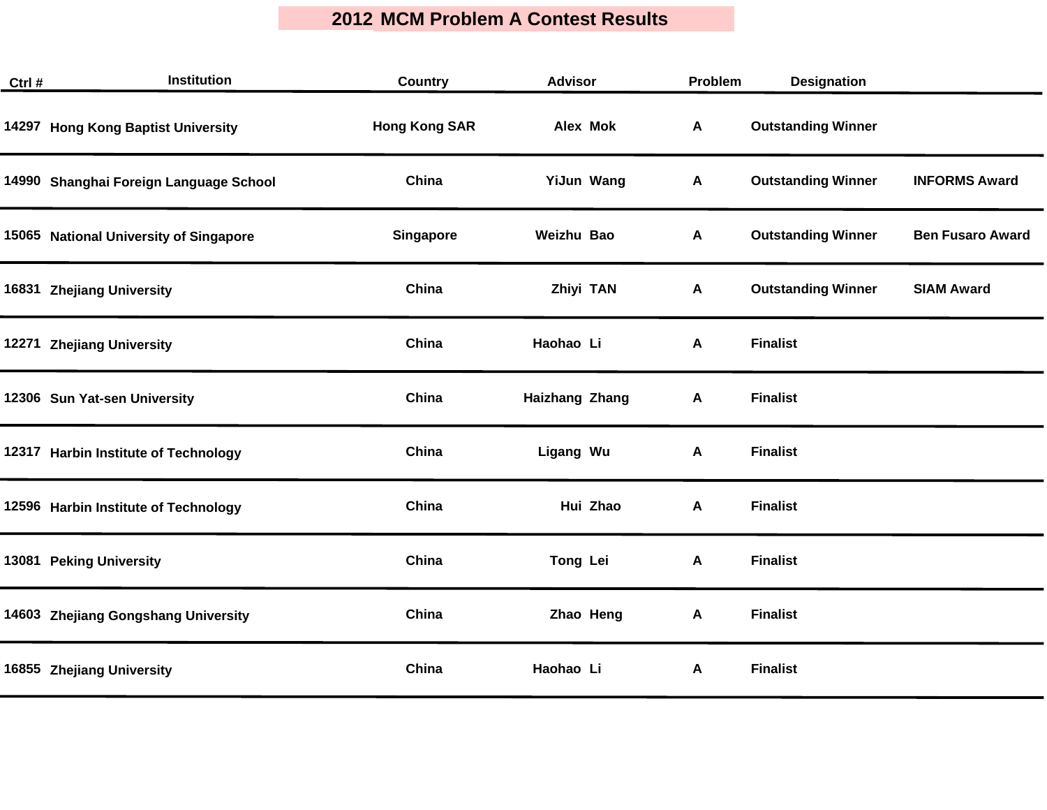n.

| Ctrl # | <b>Institution</b>                     | <b>Country</b>       | <b>Advisor</b>  | Problem      | <b>Designation</b>        |                         |
|--------|----------------------------------------|----------------------|-----------------|--------------|---------------------------|-------------------------|
|        | 14297 Hong Kong Baptist University     | <b>Hong Kong SAR</b> | <b>Alex Mok</b> | $\mathsf{A}$ | <b>Outstanding Winner</b> |                         |
|        | 14990 Shanghai Foreign Language School | China                | YiJun Wang      | A            | <b>Outstanding Winner</b> | <b>INFORMS Award</b>    |
|        | 15065 National University of Singapore | <b>Singapore</b>     | Weizhu Bao      | A            | <b>Outstanding Winner</b> | <b>Ben Fusaro Award</b> |
|        | 16831 Zhejiang University              | China                | Zhiyi TAN       | $\mathsf{A}$ | <b>Outstanding Winner</b> | <b>SIAM Award</b>       |
|        | 12271 Zhejiang University              | China                | Haohao Li       | A            | <b>Finalist</b>           |                         |
|        | 12306 Sun Yat-sen University           | China                | Haizhang Zhang  | A            | <b>Finalist</b>           |                         |
|        | 12317 Harbin Institute of Technology   | China                | Ligang Wu       | A            | <b>Finalist</b>           |                         |
|        | 12596 Harbin Institute of Technology   | China                | Hui Zhao        | A            | <b>Finalist</b>           |                         |
|        | 13081 Peking University                | China                | <b>Tong Lei</b> | A            | <b>Finalist</b>           |                         |
|        | 14603 Zhejiang Gongshang University    | China                | Zhao Heng       | A            | <b>Finalist</b>           |                         |
|        | 16855 Zhejiang University              | China                | Haohao Li       | A            | <b>Finalist</b>           |                         |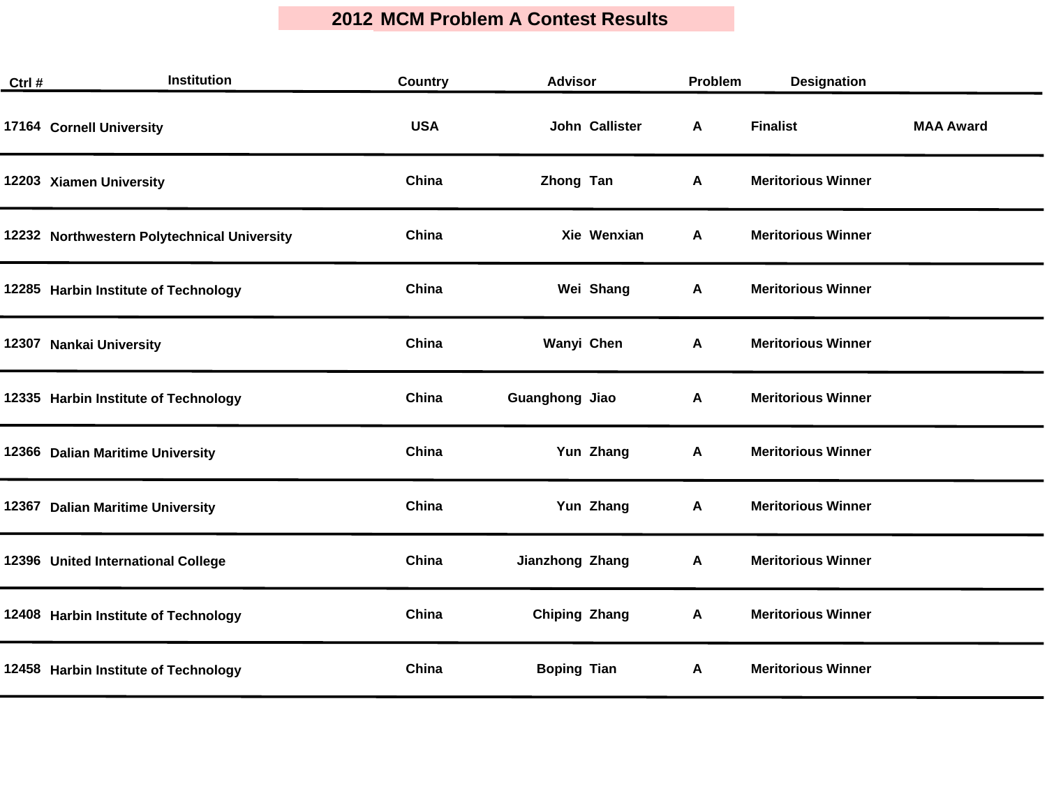| Ctrl # | Institution                                 | <b>Country</b> | <b>Advisor</b>        | Problem      | <b>Designation</b>        |                  |
|--------|---------------------------------------------|----------------|-----------------------|--------------|---------------------------|------------------|
|        | 17164 Cornell University                    | <b>USA</b>     | John Callister        | $\mathsf{A}$ | <b>Finalist</b>           | <b>MAA Award</b> |
|        | 12203 Xiamen University                     | China          | Zhong Tan             | A            | <b>Meritorious Winner</b> |                  |
|        | 12232 Northwestern Polytechnical University | China          | Xie Wenxian           | A            | <b>Meritorious Winner</b> |                  |
|        | 12285 Harbin Institute of Technology        | China          | Wei Shang             | $\mathsf{A}$ | <b>Meritorious Winner</b> |                  |
|        | 12307 Nankai University                     | China          | Wanyi Chen            | $\mathsf{A}$ | <b>Meritorious Winner</b> |                  |
|        | 12335 Harbin Institute of Technology        | China          | <b>Guanghong Jiao</b> | $\mathsf{A}$ | <b>Meritorious Winner</b> |                  |
|        | 12366 Dalian Maritime University            | China          | Yun Zhang             | A            | <b>Meritorious Winner</b> |                  |
|        | 12367 Dalian Maritime University            | China          | Yun Zhang             | $\mathsf{A}$ | <b>Meritorious Winner</b> |                  |
|        | 12396 United International College          | China          | Jianzhong Zhang       | $\mathsf{A}$ | <b>Meritorious Winner</b> |                  |
|        | 12408 Harbin Institute of Technology        | China          | <b>Chiping Zhang</b>  | $\mathsf{A}$ | <b>Meritorious Winner</b> |                  |
|        | 12458 Harbin Institute of Technology        | China          | <b>Boping Tian</b>    | A            | <b>Meritorious Winner</b> |                  |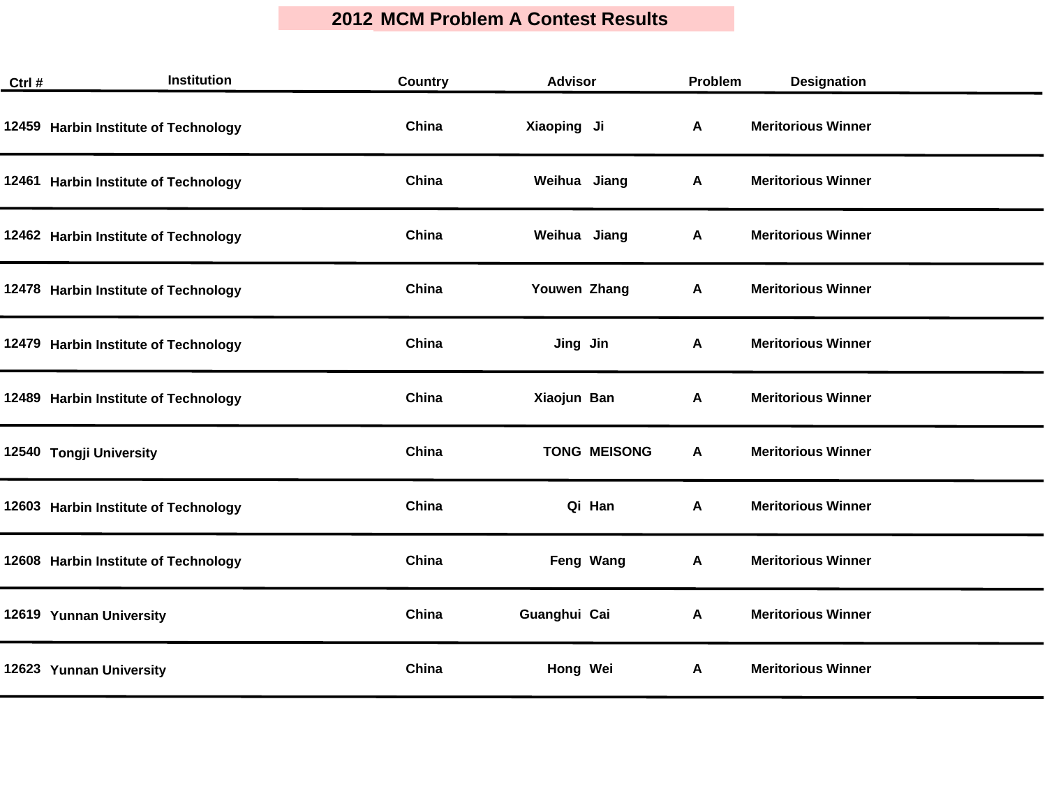| Ctrl # | Institution                          | <b>Country</b> | <b>Advisor</b>      | Problem      | <b>Designation</b>        |
|--------|--------------------------------------|----------------|---------------------|--------------|---------------------------|
|        | 12459 Harbin Institute of Technology | China          | Xiaoping Ji         | $\mathsf{A}$ | <b>Meritorious Winner</b> |
|        | 12461 Harbin Institute of Technology | China          | Weihua Jiang        | A            | <b>Meritorious Winner</b> |
|        | 12462 Harbin Institute of Technology | China          | Weihua Jiang        | A            | <b>Meritorious Winner</b> |
|        | 12478 Harbin Institute of Technology | China          | Youwen Zhang        | $\mathsf{A}$ | <b>Meritorious Winner</b> |
|        | 12479 Harbin Institute of Technology | China          | Jing Jin            | $\mathsf{A}$ | <b>Meritorious Winner</b> |
|        | 12489 Harbin Institute of Technology | China          | Xiaojun Ban         | A            | <b>Meritorious Winner</b> |
|        | 12540 Tongji University              | China          | <b>TONG MEISONG</b> | A            | <b>Meritorious Winner</b> |
|        | 12603 Harbin Institute of Technology | China          | Qi Han              | Α            | <b>Meritorious Winner</b> |
|        | 12608 Harbin Institute of Technology | China          | Feng Wang           | $\mathsf{A}$ | <b>Meritorious Winner</b> |
|        | 12619 Yunnan University              | China          | Guanghui Cai        | $\mathsf{A}$ | <b>Meritorious Winner</b> |
|        | 12623 Yunnan University              | China          | Hong Wei            | $\mathsf{A}$ | <b>Meritorious Winner</b> |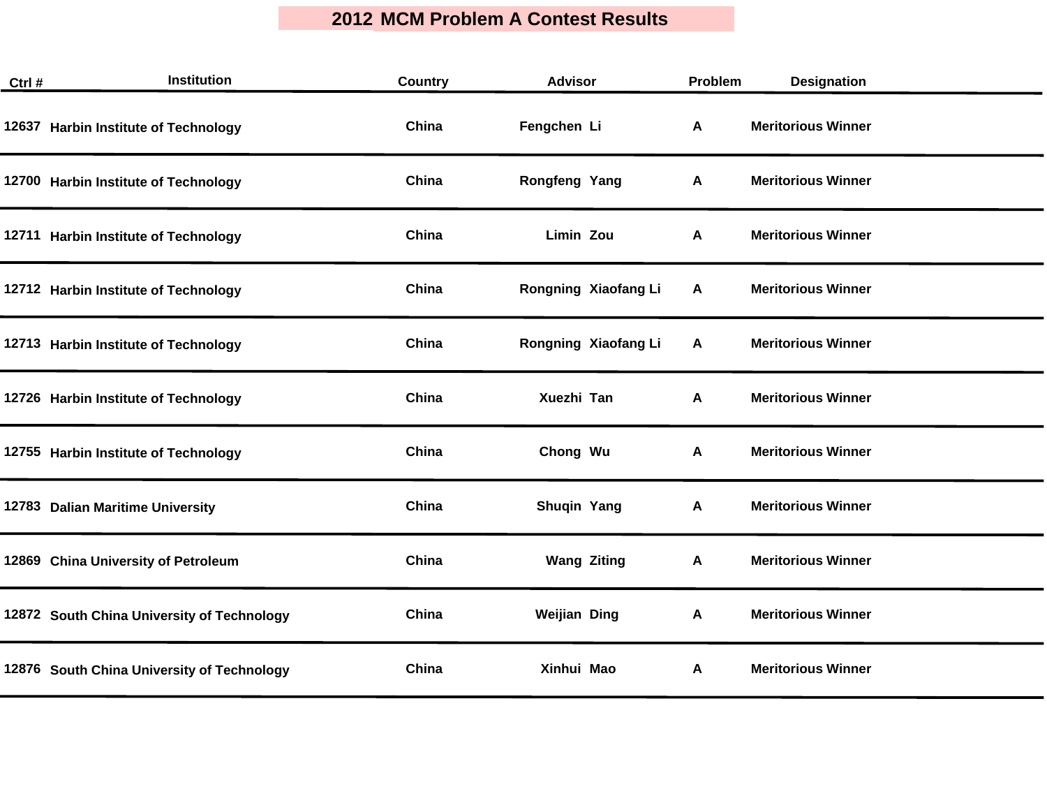| Ctrl # | Institution                                | <b>Country</b> | <b>Advisor</b>       | Problem      | <b>Designation</b>        |
|--------|--------------------------------------------|----------------|----------------------|--------------|---------------------------|
|        | 12637 Harbin Institute of Technology       | China          | Fengchen Li          | $\mathsf{A}$ | <b>Meritorious Winner</b> |
|        | 12700 Harbin Institute of Technology       | China          | Rongfeng Yang        | A            | <b>Meritorious Winner</b> |
|        | 12711 Harbin Institute of Technology       | China          | Limin Zou            | A            | <b>Meritorious Winner</b> |
|        | 12712 Harbin Institute of Technology       | China          | Rongning Xiaofang Li | A            | <b>Meritorious Winner</b> |
|        | 12713 Harbin Institute of Technology       | China          | Rongning Xiaofang Li | A            | <b>Meritorious Winner</b> |
|        | 12726 Harbin Institute of Technology       | China          | Xuezhi Tan           | A            | <b>Meritorious Winner</b> |
|        | 12755 Harbin Institute of Technology       | China          | Chong Wu             | A            | <b>Meritorious Winner</b> |
|        | 12783 Dalian Maritime University           | China          | Shuqin Yang          | A            | <b>Meritorious Winner</b> |
|        | 12869 China University of Petroleum        | China          | <b>Wang Ziting</b>   | A            | <b>Meritorious Winner</b> |
|        | 12872 South China University of Technology | China          | <b>Weijian Ding</b>  | A            | <b>Meritorious Winner</b> |
|        | 12876 South China University of Technology | China          | Xinhui Mao           | A            | <b>Meritorious Winner</b> |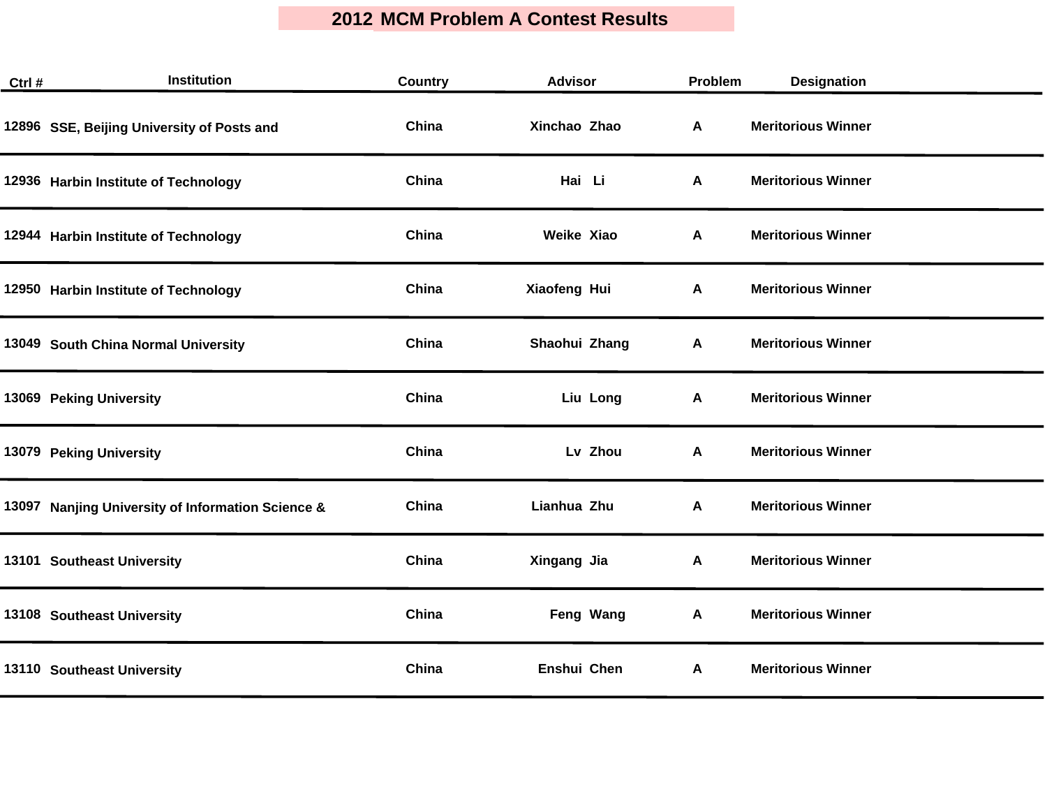| Ctrl # | Institution                                       | <b>Country</b> | <b>Advisor</b> | Problem      | <b>Designation</b>        |  |
|--------|---------------------------------------------------|----------------|----------------|--------------|---------------------------|--|
|        | 12896 SSE, Beijing University of Posts and        | China          | Xinchao Zhao   | $\mathsf{A}$ | <b>Meritorious Winner</b> |  |
|        | 12936 Harbin Institute of Technology              | China          | Hai Li         | A            | <b>Meritorious Winner</b> |  |
|        | 12944 Harbin Institute of Technology              | China          | Weike Xiao     | A            | <b>Meritorious Winner</b> |  |
|        | 12950 Harbin Institute of Technology              | China          | Xiaofeng Hui   | $\mathsf{A}$ | <b>Meritorious Winner</b> |  |
|        | 13049 South China Normal University               | China          | Shaohui Zhang  | A            | <b>Meritorious Winner</b> |  |
|        | 13069 Peking University                           | China          | Liu Long       | A            | <b>Meritorious Winner</b> |  |
|        | 13079 Peking University                           | China          | Lv Zhou        | A            | <b>Meritorious Winner</b> |  |
|        | 13097 Nanjing University of Information Science & | China          | Lianhua Zhu    | A            | <b>Meritorious Winner</b> |  |
|        | 13101 Southeast University                        | China          | Xingang Jia    | $\mathsf{A}$ | <b>Meritorious Winner</b> |  |
|        | 13108 Southeast University                        | China          | Feng Wang      | A            | <b>Meritorious Winner</b> |  |
|        | 13110 Southeast University                        | China          | Enshui Chen    | A            | <b>Meritorious Winner</b> |  |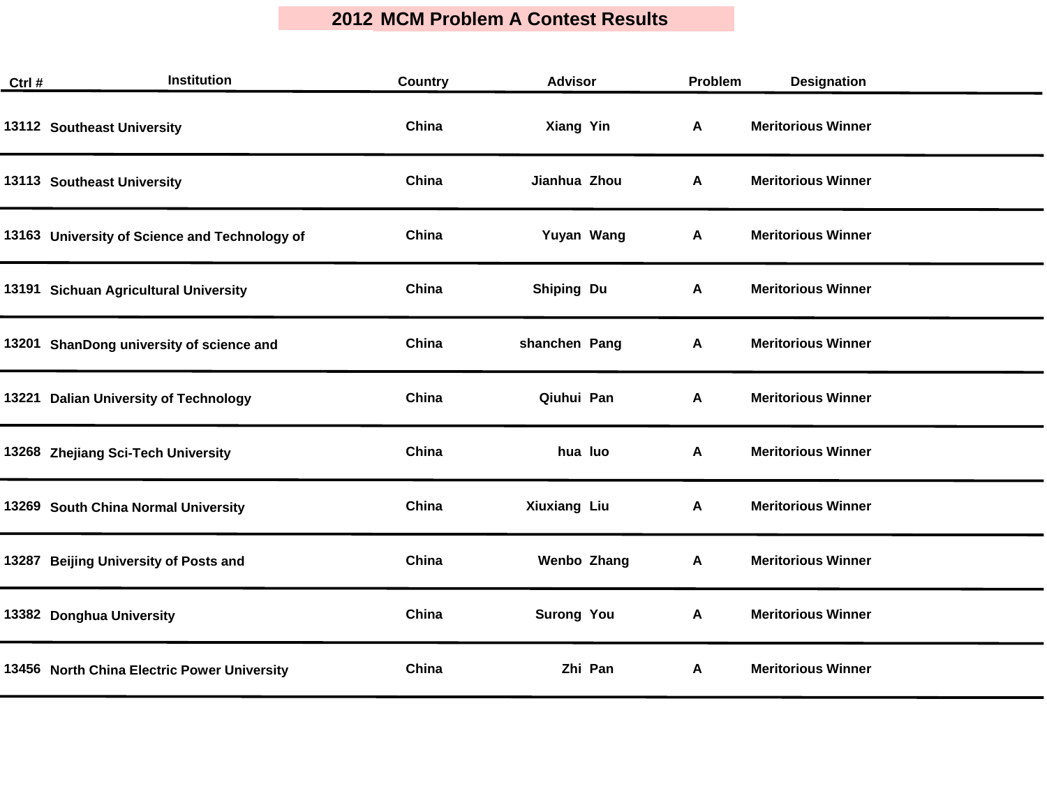| Ctrl # | <b>Institution</b>                            | <b>Country</b> | <b>Advisor</b>     |         | Problem      | <b>Designation</b>        |  |
|--------|-----------------------------------------------|----------------|--------------------|---------|--------------|---------------------------|--|
|        | 13112 Southeast University                    | China          | Xiang Yin          |         | $\mathsf{A}$ | <b>Meritorious Winner</b> |  |
|        | 13113 Southeast University                    | China          | Jianhua Zhou       |         | A            | <b>Meritorious Winner</b> |  |
|        | 13163 University of Science and Technology of | China          | Yuyan Wang         |         | A            | <b>Meritorious Winner</b> |  |
|        | 13191 Sichuan Agricultural University         | China          | <b>Shiping Du</b>  |         | A            | <b>Meritorious Winner</b> |  |
|        | 13201 ShanDong university of science and      | China          | shanchen Pang      |         | $\mathsf{A}$ | <b>Meritorious Winner</b> |  |
|        | 13221 Dalian University of Technology         | China          | Qiuhui Pan         |         | $\mathsf{A}$ | <b>Meritorious Winner</b> |  |
|        | 13268 Zhejiang Sci-Tech University            | China          | hua luo            |         | $\mathsf{A}$ | <b>Meritorious Winner</b> |  |
|        | 13269 South China Normal University           | China          | Xiuxiang Liu       |         | $\mathsf{A}$ | <b>Meritorious Winner</b> |  |
| 13287  | <b>Beijing University of Posts and</b>        | China          | <b>Wenbo Zhang</b> |         | $\mathsf{A}$ | <b>Meritorious Winner</b> |  |
|        | 13382 Donghua University                      | China          | <b>Surong You</b>  |         | $\mathsf{A}$ | <b>Meritorious Winner</b> |  |
|        | 13456 North China Electric Power University   | China          |                    | Zhi Pan | $\mathsf{A}$ | <b>Meritorious Winner</b> |  |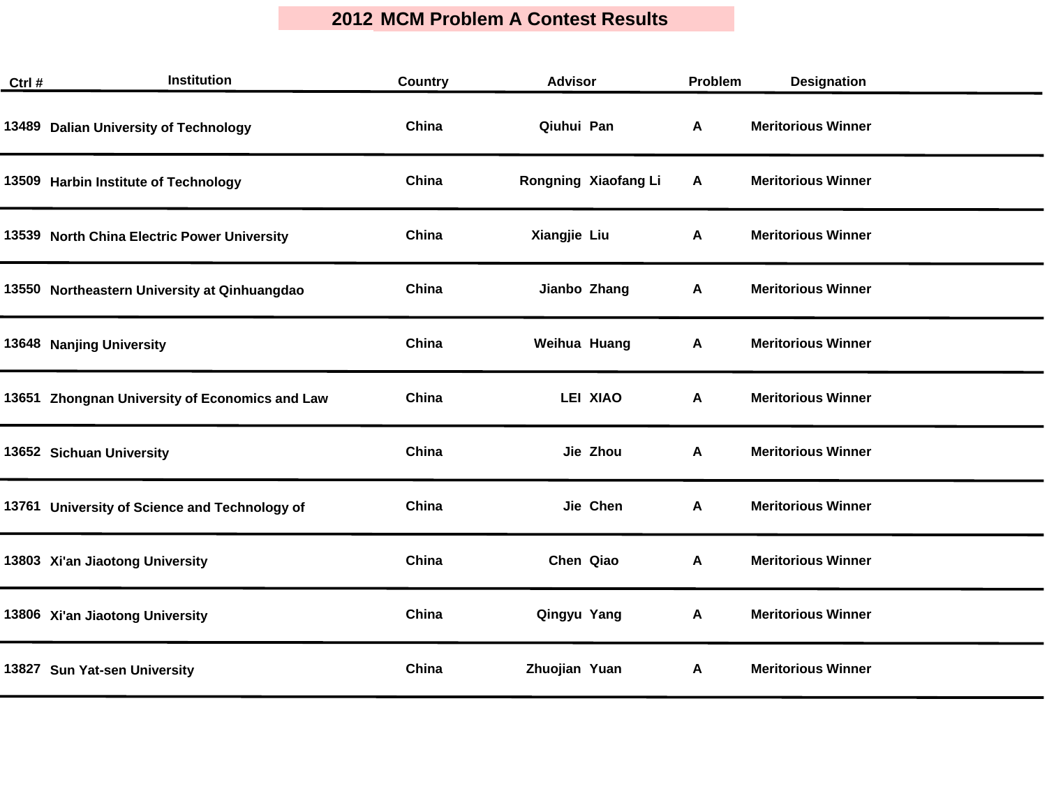| Ctrl # | <b>Institution</b>                             | <b>Country</b> | <b>Advisor</b>       | Problem      | <b>Designation</b>        |  |
|--------|------------------------------------------------|----------------|----------------------|--------------|---------------------------|--|
|        | 13489 Dalian University of Technology          | China          | Qiuhui Pan           | $\mathsf{A}$ | <b>Meritorious Winner</b> |  |
|        | 13509 Harbin Institute of Technology           | China          | Rongning Xiaofang Li | A            | <b>Meritorious Winner</b> |  |
|        | 13539 North China Electric Power University    | China          | Xiangjie Liu         | A            | <b>Meritorious Winner</b> |  |
|        | 13550 Northeastern University at Qinhuangdao   | China          | Jianbo Zhang         | $\mathsf{A}$ | <b>Meritorious Winner</b> |  |
|        | 13648 Nanjing University                       | China          | Weihua Huang         | A            | <b>Meritorious Winner</b> |  |
|        | 13651 Zhongnan University of Economics and Law | China          | <b>LEI XIAO</b>      | A            | <b>Meritorious Winner</b> |  |
|        | 13652 Sichuan University                       | China          | Jie Zhou             | A            | <b>Meritorious Winner</b> |  |
|        | 13761 University of Science and Technology of  | China          | Jie Chen             | A            | <b>Meritorious Winner</b> |  |
|        | 13803 Xi'an Jiaotong University                | China          | Chen Qiao            | A            | <b>Meritorious Winner</b> |  |
|        | 13806 Xi'an Jiaotong University                | China          | Qingyu Yang          | A            | <b>Meritorious Winner</b> |  |
|        | 13827 Sun Yat-sen University                   | China          | Zhuojian Yuan        | Α            | <b>Meritorious Winner</b> |  |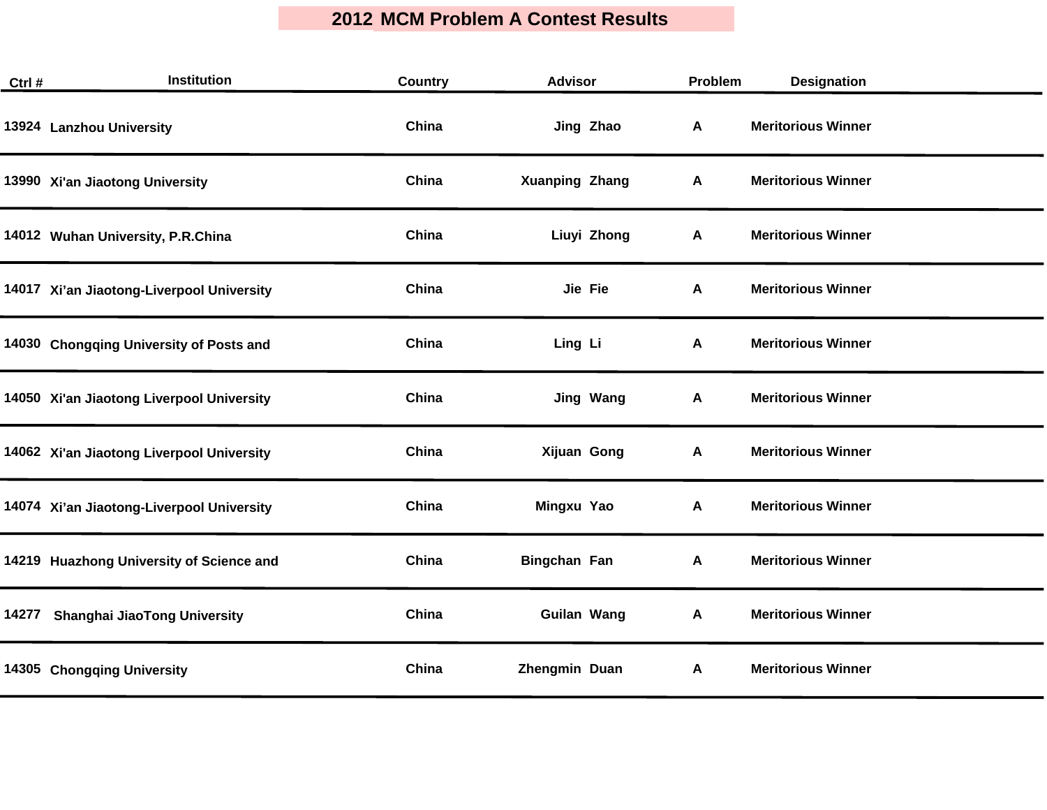| Ctrl # | Institution                               | <b>Country</b> | <b>Advisor</b>        | Problem      | <b>Designation</b>        |  |
|--------|-------------------------------------------|----------------|-----------------------|--------------|---------------------------|--|
|        | 13924 Lanzhou University                  | China          | Jing Zhao             | $\mathsf{A}$ | <b>Meritorious Winner</b> |  |
|        | 13990 Xi'an Jiaotong University           | China          | <b>Xuanping Zhang</b> | A            | <b>Meritorious Winner</b> |  |
|        | 14012 Wuhan University, P.R.China         | China          | Liuyi Zhong           | A            | <b>Meritorious Winner</b> |  |
|        | 14017 Xi'an Jiaotong-Liverpool University | China          | Jie Fie               | $\mathsf{A}$ | <b>Meritorious Winner</b> |  |
|        | 14030 Chongqing University of Posts and   | China          | Ling Li               | $\mathsf{A}$ | <b>Meritorious Winner</b> |  |
|        | 14050 Xi'an Jiaotong Liverpool University | China          | <b>Jing Wang</b>      | $\mathsf{A}$ | <b>Meritorious Winner</b> |  |
|        | 14062 Xi'an Jiaotong Liverpool University | China          | Xijuan Gong           | Α            | <b>Meritorious Winner</b> |  |
|        | 14074 Xi'an Jiaotong-Liverpool University | China          | Mingxu Yao            | $\mathsf{A}$ | <b>Meritorious Winner</b> |  |
|        | 14219 Huazhong University of Science and  | China          | Bingchan Fan          | $\mathsf{A}$ | <b>Meritorious Winner</b> |  |
| 14277  | <b>Shanghai JiaoTong University</b>       | China          | <b>Guilan Wang</b>    | $\mathsf{A}$ | <b>Meritorious Winner</b> |  |
|        | 14305 Chongqing University                | China          | Zhengmin Duan         | A            | <b>Meritorious Winner</b> |  |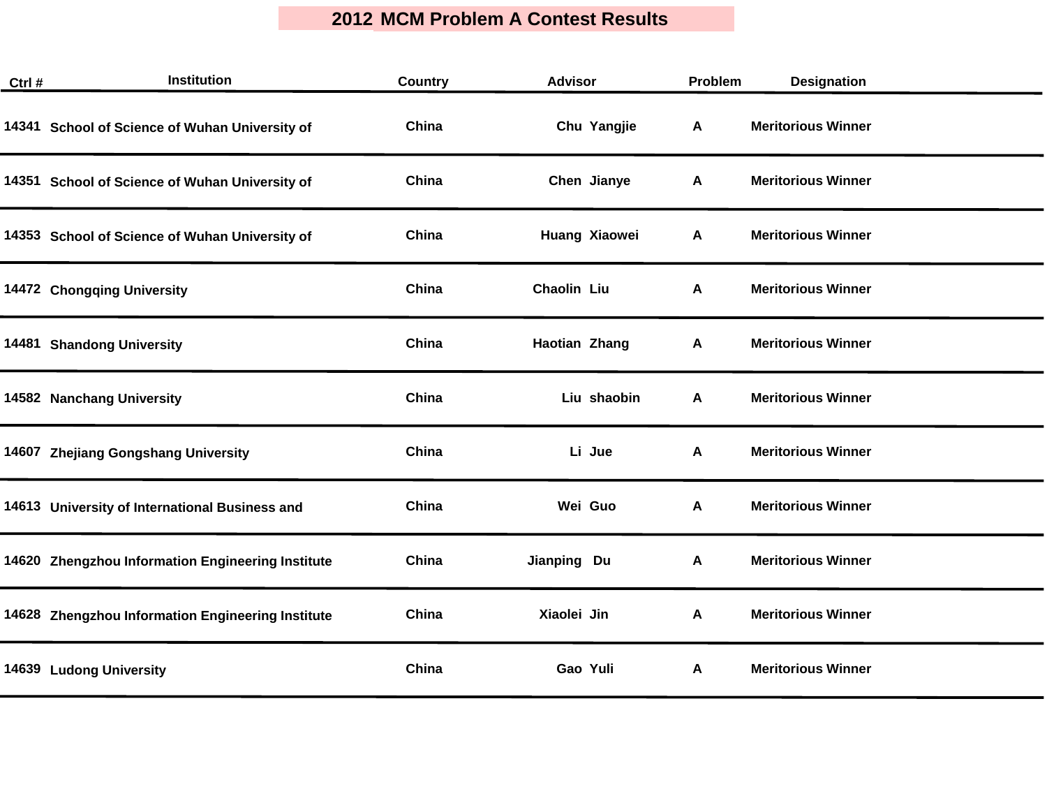| Ctrl # | Institution                                       | <b>Country</b> | <b>Advisor</b> | Problem      | <b>Designation</b>        |  |
|--------|---------------------------------------------------|----------------|----------------|--------------|---------------------------|--|
|        | 14341 School of Science of Wuhan University of    | China          | Chu Yangjie    | $\mathsf{A}$ | <b>Meritorious Winner</b> |  |
|        | 14351 School of Science of Wuhan University of    | China          | Chen Jianye    | A            | <b>Meritorious Winner</b> |  |
|        | 14353 School of Science of Wuhan University of    | China          | Huang Xiaowei  | A            | <b>Meritorious Winner</b> |  |
|        | <b>14472 Chongqing University</b>                 | China          | Chaolin Liu    | A            | <b>Meritorious Winner</b> |  |
|        | 14481 Shandong University                         | China          | Haotian Zhang  | A            | <b>Meritorious Winner</b> |  |
|        | 14582 Nanchang University                         | China          | Liu shaobin    | A            | <b>Meritorious Winner</b> |  |
|        | 14607 Zhejiang Gongshang University               | China          | Li Jue         | A            | <b>Meritorious Winner</b> |  |
|        | 14613 University of International Business and    | China          | Wei Guo        | A            | <b>Meritorious Winner</b> |  |
|        | 14620 Zhengzhou Information Engineering Institute | China          | Jianping Du    | A            | <b>Meritorious Winner</b> |  |
|        | 14628 Zhengzhou Information Engineering Institute | China          | Xiaolei Jin    | A            | <b>Meritorious Winner</b> |  |
|        | 14639 Ludong University                           | China          | Gao Yuli       | A            | <b>Meritorious Winner</b> |  |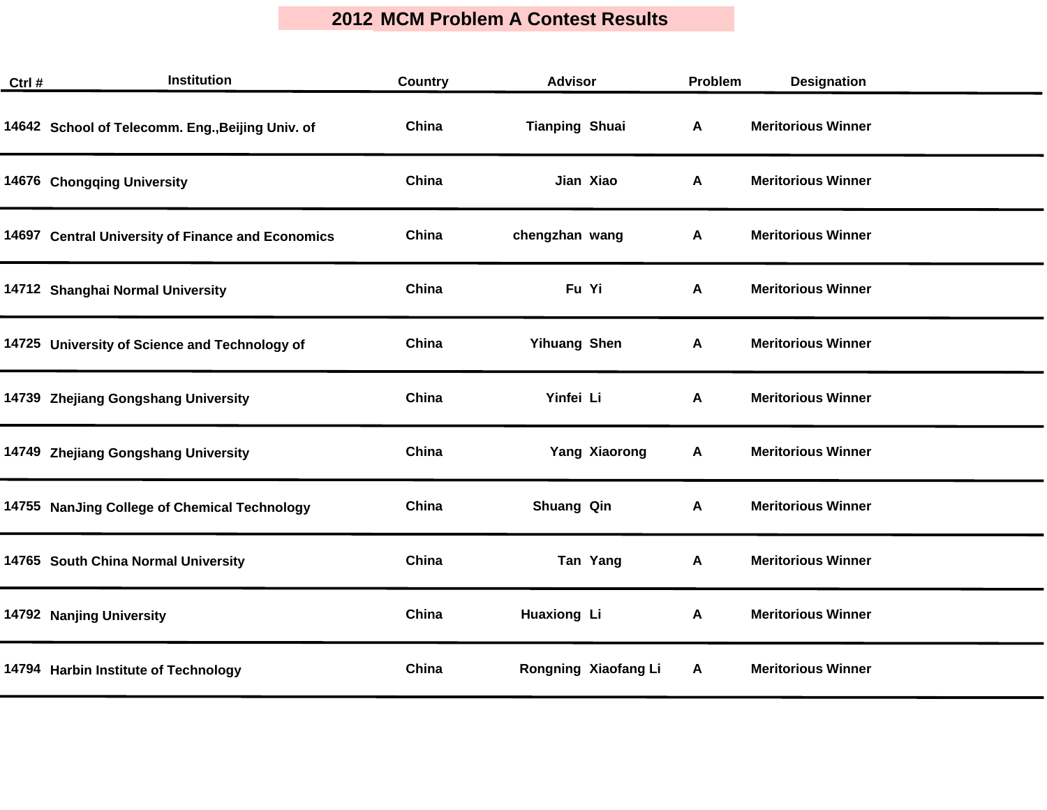| Ctrl # | Institution                                       | <b>Country</b> | <b>Advisor</b>        |                      | Problem      | <b>Designation</b>        |  |
|--------|---------------------------------------------------|----------------|-----------------------|----------------------|--------------|---------------------------|--|
|        | 14642 School of Telecomm. Eng., Beijing Univ. of  | China          | <b>Tianping Shuai</b> |                      | $\mathsf{A}$ | <b>Meritorious Winner</b> |  |
|        | 14676 Chongqing University                        | China          | Jian Xiao             |                      | A            | <b>Meritorious Winner</b> |  |
|        | 14697 Central University of Finance and Economics | China          | chengzhan wang        |                      | A            | <b>Meritorious Winner</b> |  |
|        | 14712 Shanghai Normal University                  | China          | Fu Yi                 |                      | $\mathsf{A}$ | <b>Meritorious Winner</b> |  |
|        | 14725 University of Science and Technology of     | China          | <b>Yihuang Shen</b>   |                      | $\mathsf{A}$ | <b>Meritorious Winner</b> |  |
|        | 14739 Zhejiang Gongshang University               | China          | Yinfei Li             |                      | A            | <b>Meritorious Winner</b> |  |
|        | 14749 Zhejiang Gongshang University               | China          |                       | Yang Xiaorong        | A            | <b>Meritorious Winner</b> |  |
|        | 14755 NanJing College of Chemical Technology      | China          | Shuang Qin            |                      | $\mathsf{A}$ | <b>Meritorious Winner</b> |  |
|        | 14765 South China Normal University               | China          |                       | Tan Yang             | A            | <b>Meritorious Winner</b> |  |
|        | 14792 Nanjing University                          | China          | <b>Huaxiong Li</b>    |                      | $\mathsf{A}$ | <b>Meritorious Winner</b> |  |
|        | 14794 Harbin Institute of Technology              | China          |                       | Rongning Xiaofang Li | Α            | <b>Meritorious Winner</b> |  |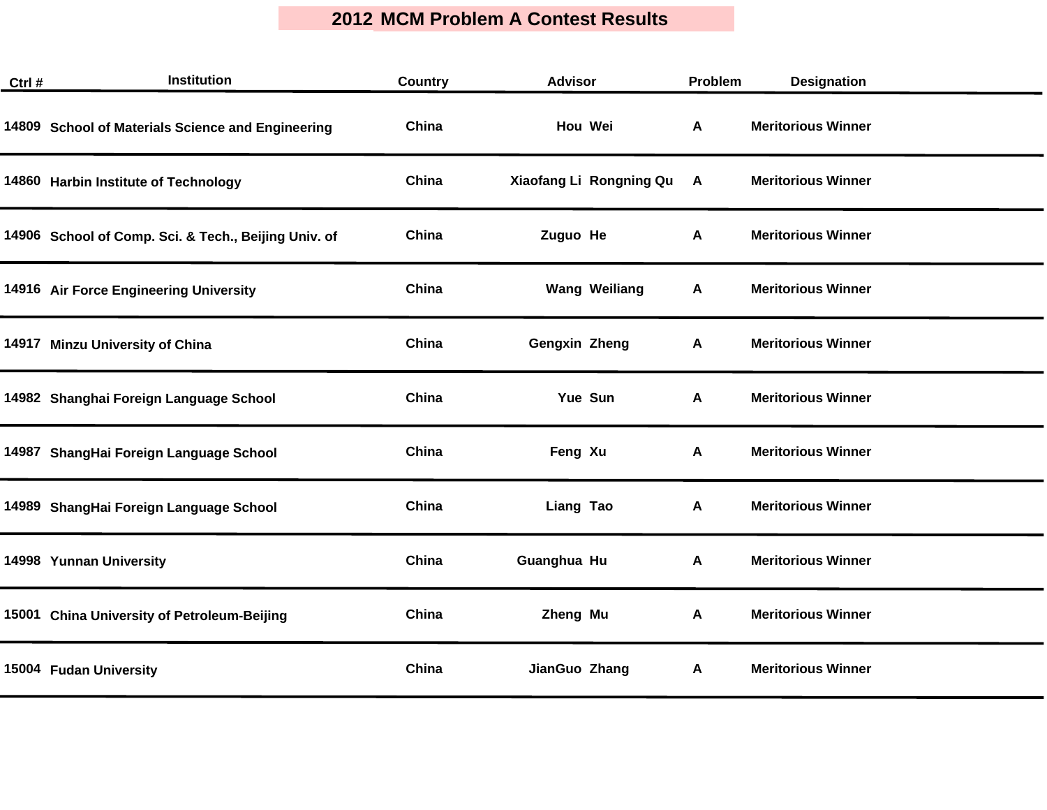| Ctrl # | Institution                                          | <b>Country</b> | <b>Advisor</b>          | Problem        | <b>Designation</b>        |
|--------|------------------------------------------------------|----------------|-------------------------|----------------|---------------------------|
|        | 14809 School of Materials Science and Engineering    | China          | Hou Wei                 | $\mathsf{A}$   | <b>Meritorious Winner</b> |
|        | 14860 Harbin Institute of Technology                 | China          | Xiaofang Li Rongning Qu | $\overline{A}$ | <b>Meritorious Winner</b> |
|        | 14906 School of Comp. Sci. & Tech., Beijing Univ. of | China          | Zuguo He                | A              | <b>Meritorious Winner</b> |
|        | 14916 Air Force Engineering University               | China          | <b>Wang Weiliang</b>    | $\mathsf{A}$   | <b>Meritorious Winner</b> |
|        | 14917 Minzu University of China                      | China          | <b>Gengxin Zheng</b>    | $\mathsf{A}$   | <b>Meritorious Winner</b> |
|        | 14982 Shanghai Foreign Language School               | China          | Yue Sun                 | A              | <b>Meritorious Winner</b> |
|        | 14987 ShangHai Foreign Language School               | China          | Feng Xu                 | A              | <b>Meritorious Winner</b> |
|        | 14989 ShangHai Foreign Language School               | China          | Liang Tao               | $\mathsf{A}$   | <b>Meritorious Winner</b> |
|        | 14998 Yunnan University                              | China          | Guanghua Hu             | A              | <b>Meritorious Winner</b> |
|        | 15001 China University of Petroleum-Beijing          | China          | Zheng Mu                | $\mathsf{A}$   | <b>Meritorious Winner</b> |
|        | 15004 Fudan University                               | China          | JianGuo Zhang           | Α              | <b>Meritorious Winner</b> |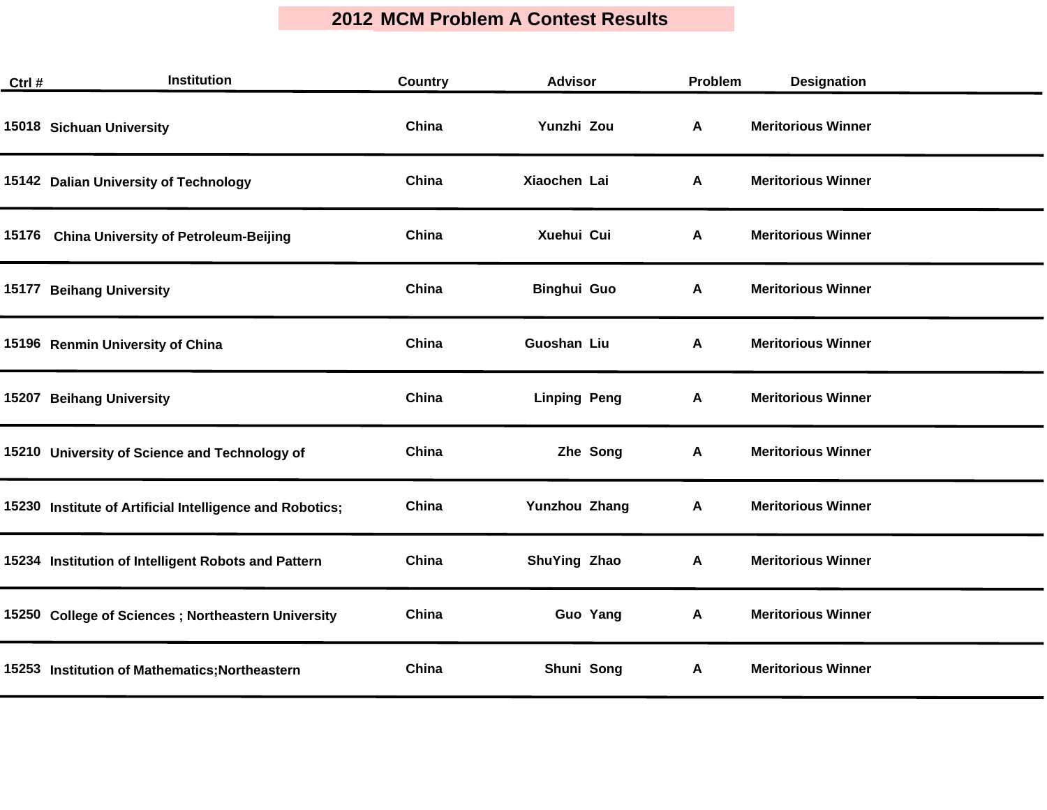n.

| Ctrl # | <b>Institution</b>                                       | <b>Country</b> | <b>Advisor</b>      |          | Problem      | <b>Designation</b>        |  |
|--------|----------------------------------------------------------|----------------|---------------------|----------|--------------|---------------------------|--|
|        | 15018 Sichuan University                                 | China          | Yunzhi Zou          |          | A            | <b>Meritorious Winner</b> |  |
|        | 15142 Dalian University of Technology                    | China          | Xiaochen Lai        |          | A            | <b>Meritorious Winner</b> |  |
|        | 15176 China University of Petroleum-Beijing              | China          | Xuehui Cui          |          | A            | <b>Meritorious Winner</b> |  |
|        | 15177 Beihang University                                 | China          | <b>Binghui Guo</b>  |          | A            | <b>Meritorious Winner</b> |  |
|        | 15196 Renmin University of China                         | China          | Guoshan Liu         |          | $\mathsf{A}$ | <b>Meritorious Winner</b> |  |
|        | 15207 Beihang University                                 | China          | <b>Linping Peng</b> |          | A            | <b>Meritorious Winner</b> |  |
|        | 15210 University of Science and Technology of            | China          |                     | Zhe Song | A            | <b>Meritorious Winner</b> |  |
|        | 15230 Institute of Artificial Intelligence and Robotics; | China          | Yunzhou Zhang       |          | A            | <b>Meritorious Winner</b> |  |
|        | 15234 Institution of Intelligent Robots and Pattern      | China          | ShuYing Zhao        |          | $\mathbf{A}$ | <b>Meritorious Winner</b> |  |
|        | 15250 College of Sciences; Northeastern University       | China          |                     | Guo Yang | $\mathsf{A}$ | <b>Meritorious Winner</b> |  |
|        | 15253 Institution of Mathematics; Northeastern           | China          | Shuni Song          |          | A            | <b>Meritorious Winner</b> |  |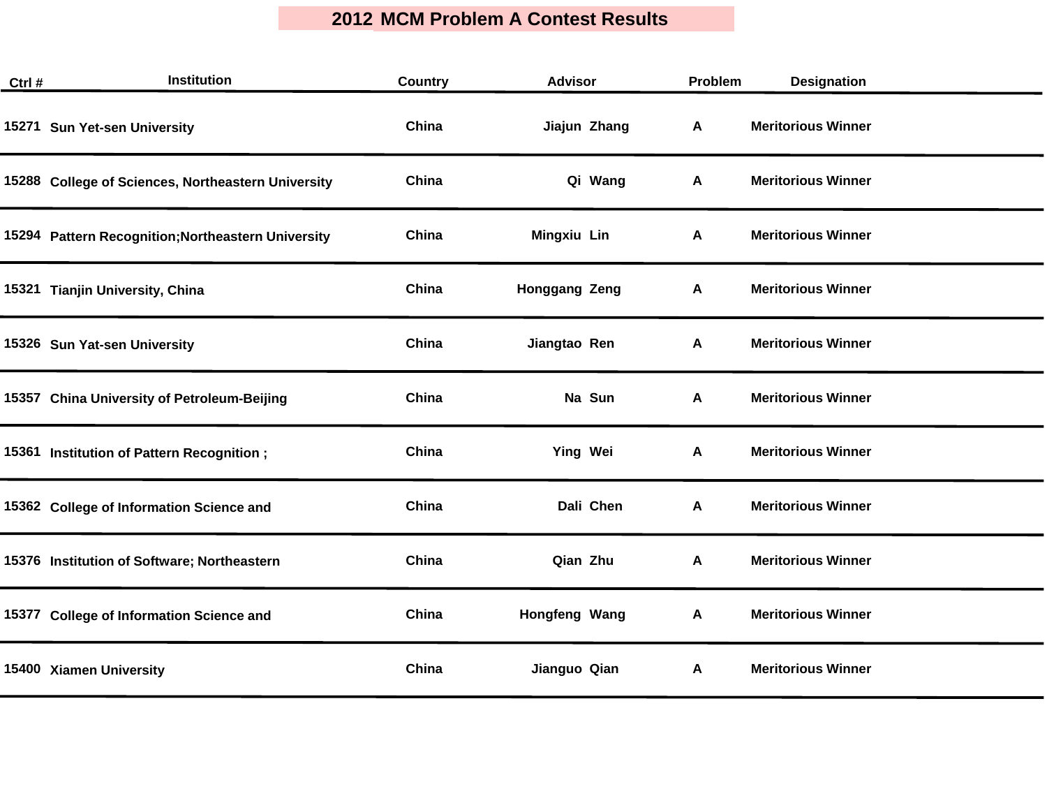| Ctrl # | <b>Institution</b>                                 | <b>Country</b> | <b>Advisor</b> |         | Problem      | <b>Designation</b>        |  |
|--------|----------------------------------------------------|----------------|----------------|---------|--------------|---------------------------|--|
|        | 15271 Sun Yet-sen University                       | China          | Jiajun Zhang   |         | $\mathsf{A}$ | <b>Meritorious Winner</b> |  |
|        | 15288 College of Sciences, Northeastern University | China          |                | Qi Wang | A            | <b>Meritorious Winner</b> |  |
|        | 15294 Pattern Recognition; Northeastern University | China          | Mingxiu Lin    |         | $\mathsf{A}$ | <b>Meritorious Winner</b> |  |
|        | 15321 Tianjin University, China                    | China          | Honggang Zeng  |         | A            | <b>Meritorious Winner</b> |  |
|        | 15326 Sun Yat-sen University                       | China          | Jiangtao Ren   |         | $\mathsf{A}$ | <b>Meritorious Winner</b> |  |
|        | 15357 China University of Petroleum-Beijing        | China          | Na Sun         |         | $\mathsf{A}$ | <b>Meritorious Winner</b> |  |
|        | 15361 Institution of Pattern Recognition;          | China          | Ying Wei       |         | A            | <b>Meritorious Winner</b> |  |
|        | 15362 College of Information Science and           | China          | Dali Chen      |         | $\mathsf{A}$ | <b>Meritorious Winner</b> |  |
|        | 15376 Institution of Software; Northeastern        | China          | Qian Zhu       |         | $\mathsf{A}$ | <b>Meritorious Winner</b> |  |
|        | 15377 College of Information Science and           | China          | Hongfeng Wang  |         | $\mathsf{A}$ | <b>Meritorious Winner</b> |  |
|        | 15400 Xiamen University                            | China          | Jianguo Qian   |         | A            | <b>Meritorious Winner</b> |  |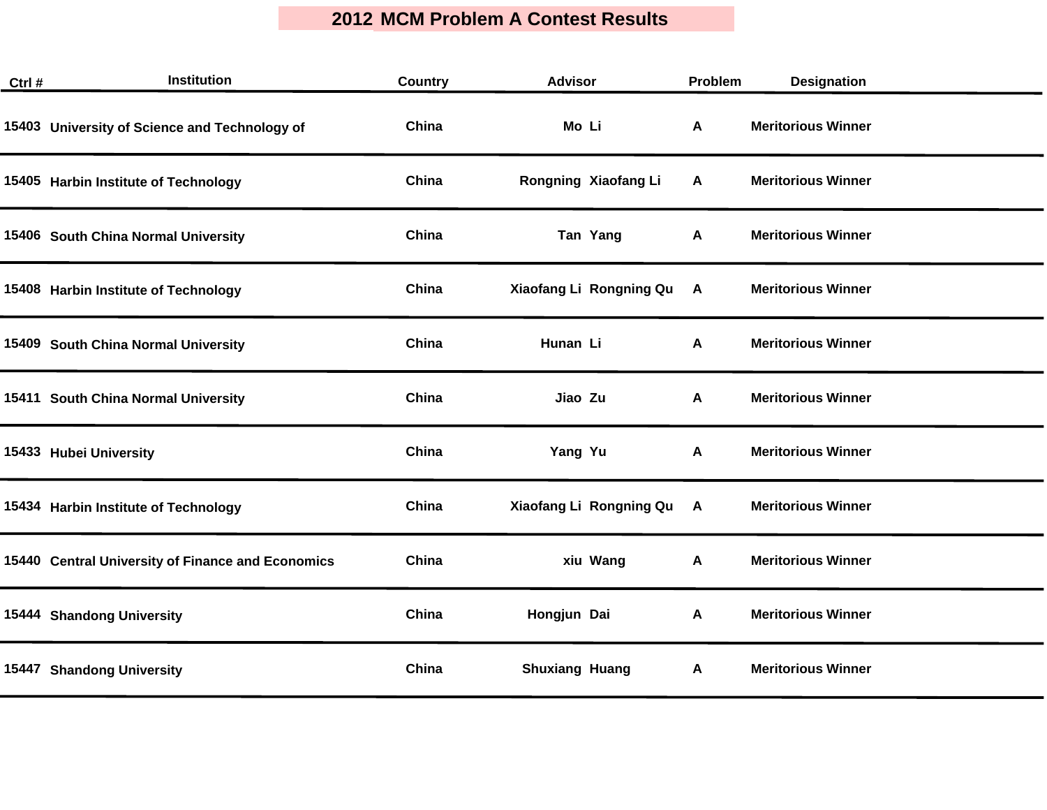| Ctrl # | <b>Institution</b>                                | <b>Country</b> | <b>Advisor</b>        |                         | Problem      | <b>Designation</b>        |  |
|--------|---------------------------------------------------|----------------|-----------------------|-------------------------|--------------|---------------------------|--|
|        | 15403 University of Science and Technology of     | China          | Mo Li                 |                         | $\mathsf{A}$ | <b>Meritorious Winner</b> |  |
|        | 15405 Harbin Institute of Technology              | China          | Rongning Xiaofang Li  |                         | A            | <b>Meritorious Winner</b> |  |
|        | 15406 South China Normal University               | China          | Tan Yang              |                         | A            | <b>Meritorious Winner</b> |  |
|        | 15408 Harbin Institute of Technology              | China          |                       | Xiaofang Li Rongning Qu | <b>A</b>     | <b>Meritorious Winner</b> |  |
|        | 15409 South China Normal University               | China          | Hunan Li              |                         | $\mathsf{A}$ | <b>Meritorious Winner</b> |  |
|        | 15411 South China Normal University               | China          | Jiao Zu               |                         | A            | <b>Meritorious Winner</b> |  |
|        | 15433 Hubei University                            | China          | Yang Yu               |                         | A            | <b>Meritorious Winner</b> |  |
|        | 15434 Harbin Institute of Technology              | China          |                       | Xiaofang Li Rongning Qu | <b>A</b>     | <b>Meritorious Winner</b> |  |
|        | 15440 Central University of Finance and Economics | China          |                       | xiu Wang                | A            | <b>Meritorious Winner</b> |  |
|        | 15444 Shandong University                         | China          | Hongjun Dai           |                         | A            | <b>Meritorious Winner</b> |  |
|        | 15447 Shandong University                         | China          | <b>Shuxiang Huang</b> |                         | A            | <b>Meritorious Winner</b> |  |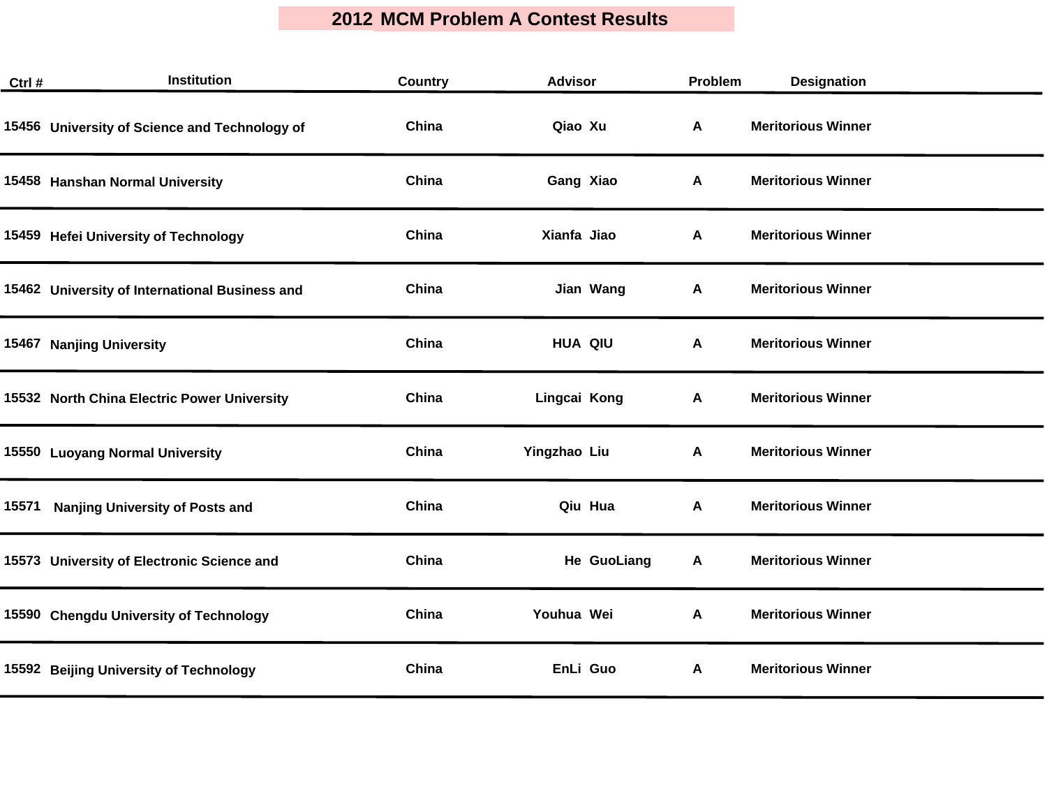| Ctrl # | <b>Institution</b>                             | <b>Country</b> | <b>Advisor</b> | Problem          | <b>Designation</b>        |  |
|--------|------------------------------------------------|----------------|----------------|------------------|---------------------------|--|
|        | 15456 University of Science and Technology of  | China          | Qiao Xu        | $\mathsf{A}$     | <b>Meritorious Winner</b> |  |
|        | 15458 Hanshan Normal University                | China          | Gang Xiao      | A                | <b>Meritorious Winner</b> |  |
|        | 15459 Hefei University of Technology           | China          | Xianfa Jiao    | A                | <b>Meritorious Winner</b> |  |
|        | 15462 University of International Business and | China          | Jian Wang      | $\mathsf{A}$     | <b>Meritorious Winner</b> |  |
|        | 15467 Nanjing University                       | China          | <b>HUA QIU</b> | $\mathsf{A}$     | <b>Meritorious Winner</b> |  |
|        | 15532 North China Electric Power University    | China          | Lingcai Kong   | A                | <b>Meritorious Winner</b> |  |
|        | 15550 Luoyang Normal University                | China          | Yingzhao Liu   | A                | <b>Meritorious Winner</b> |  |
| 15571  | <b>Nanjing University of Posts and</b>         | China          | Qiu Hua        | A                | <b>Meritorious Winner</b> |  |
|        | 15573 University of Electronic Science and     | China          |                | He GuoLiang<br>A | <b>Meritorious Winner</b> |  |
|        | 15590 Chengdu University of Technology         | China          | Youhua Wei     | A                | <b>Meritorious Winner</b> |  |
|        | 15592 Beijing University of Technology         | China          | EnLi Guo       | A                | <b>Meritorious Winner</b> |  |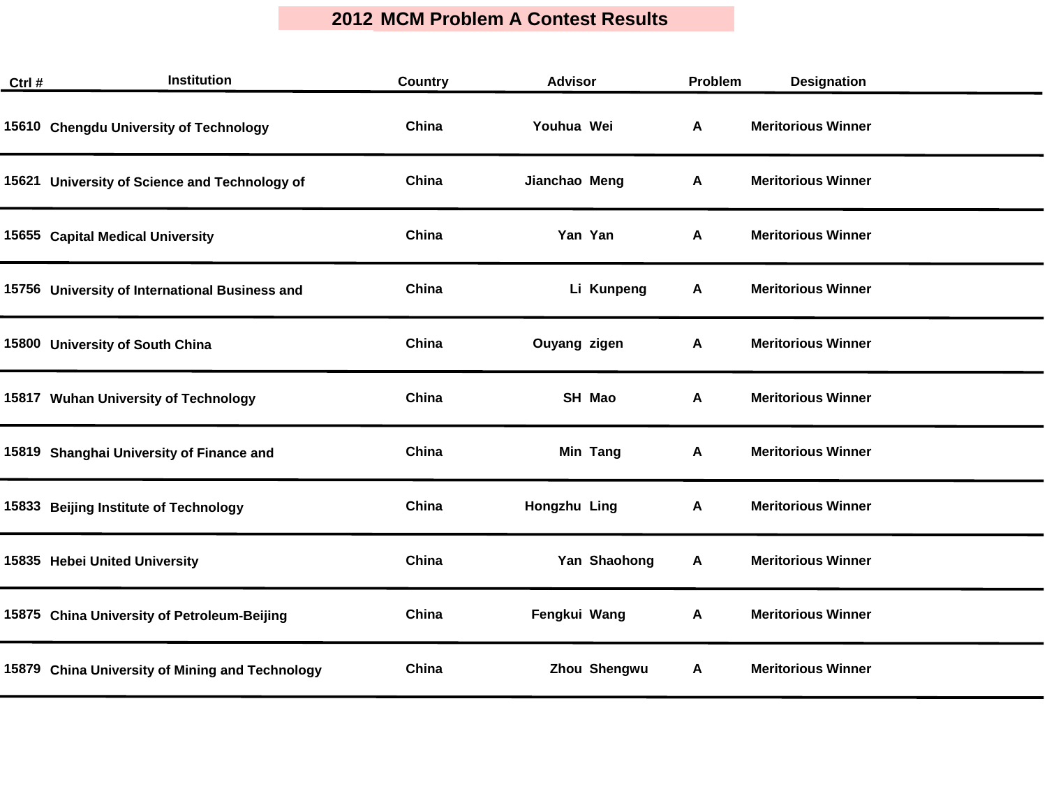| Ctrl # | <b>Institution</b>                              | <b>Country</b> | <b>Advisor</b> | Problem         | <b>Designation</b>        |  |
|--------|-------------------------------------------------|----------------|----------------|-----------------|---------------------------|--|
|        | 15610 Chengdu University of Technology          | China          | Youhua Wei     | $\mathsf{A}$    | <b>Meritorious Winner</b> |  |
|        | 15621 University of Science and Technology of   | China          | Jianchao Meng  | A               | <b>Meritorious Winner</b> |  |
|        | 15655 Capital Medical University                | China          | Yan Yan        | A               | <b>Meritorious Winner</b> |  |
|        | 15756 University of International Business and  | China          |                | Li Kunpeng<br>A | <b>Meritorious Winner</b> |  |
|        | 15800 University of South China                 | China          | Ouyang zigen   | $\mathsf{A}$    | <b>Meritorious Winner</b> |  |
|        | 15817 Wuhan University of Technology            | China          | SH Mao         | A               | <b>Meritorious Winner</b> |  |
|        | 15819 Shanghai University of Finance and        | China          | Min Tang       | A               | <b>Meritorious Winner</b> |  |
|        | 15833 Beijing Institute of Technology           | China          | Hongzhu Ling   | $\mathsf{A}$    | <b>Meritorious Winner</b> |  |
|        | 15835 Hebei United University                   | China          | Yan Shaohong   | A               | <b>Meritorious Winner</b> |  |
|        | 15875 China University of Petroleum-Beijing     | China          | Fengkui Wang   | A               | <b>Meritorious Winner</b> |  |
|        | 15879 China University of Mining and Technology | China          | Zhou Shengwu   | Α               | <b>Meritorious Winner</b> |  |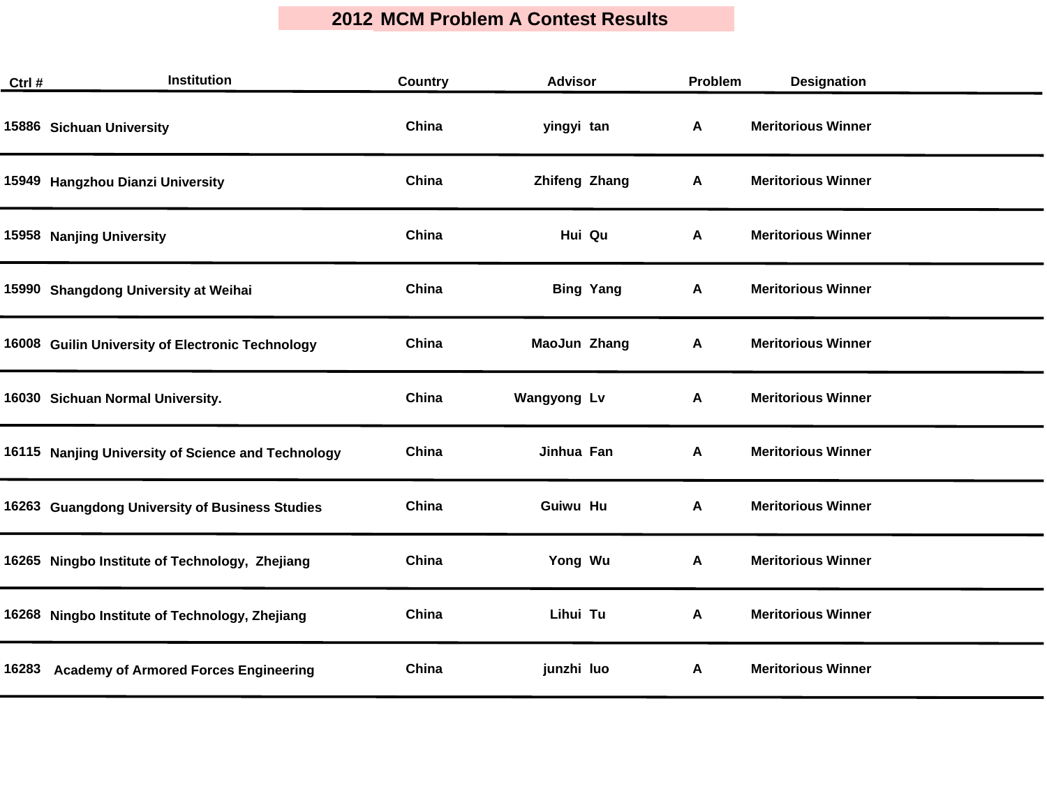| Ctrl # | <b>Institution</b>                                 | <b>Country</b> | <b>Advisor</b>     | Problem      | <b>Designation</b>        |  |
|--------|----------------------------------------------------|----------------|--------------------|--------------|---------------------------|--|
|        | 15886 Sichuan University                           | China          | yingyi tan         | $\mathsf{A}$ | <b>Meritorious Winner</b> |  |
|        | 15949 Hangzhou Dianzi University                   | China          | Zhifeng Zhang      | A            | <b>Meritorious Winner</b> |  |
|        | 15958 Nanjing University                           | China          | Hui Qu             | $\mathsf{A}$ | <b>Meritorious Winner</b> |  |
|        | 15990 Shangdong University at Weihai               | China          | <b>Bing Yang</b>   | A            | <b>Meritorious Winner</b> |  |
|        | 16008 Guilin University of Electronic Technology   | China          | MaoJun Zhang       | A            | <b>Meritorious Winner</b> |  |
|        | 16030 Sichuan Normal University.                   | China          | <b>Wangyong Lv</b> | $\mathsf{A}$ | <b>Meritorious Winner</b> |  |
|        | 16115 Nanjing University of Science and Technology | China          | Jinhua Fan         | A            | <b>Meritorious Winner</b> |  |
|        | 16263 Guangdong University of Business Studies     | China          | Guiwu Hu           | $\mathsf{A}$ | <b>Meritorious Winner</b> |  |
|        | 16265 Ningbo Institute of Technology, Zhejiang     | China          | Yong Wu            | $\mathsf{A}$ | <b>Meritorious Winner</b> |  |
|        | 16268 Ningbo Institute of Technology, Zhejiang     | China          | Lihui Tu           | $\mathsf{A}$ | <b>Meritorious Winner</b> |  |
| 16283  | <b>Academy of Armored Forces Engineering</b>       | China          | junzhi luo         | $\mathsf{A}$ | <b>Meritorious Winner</b> |  |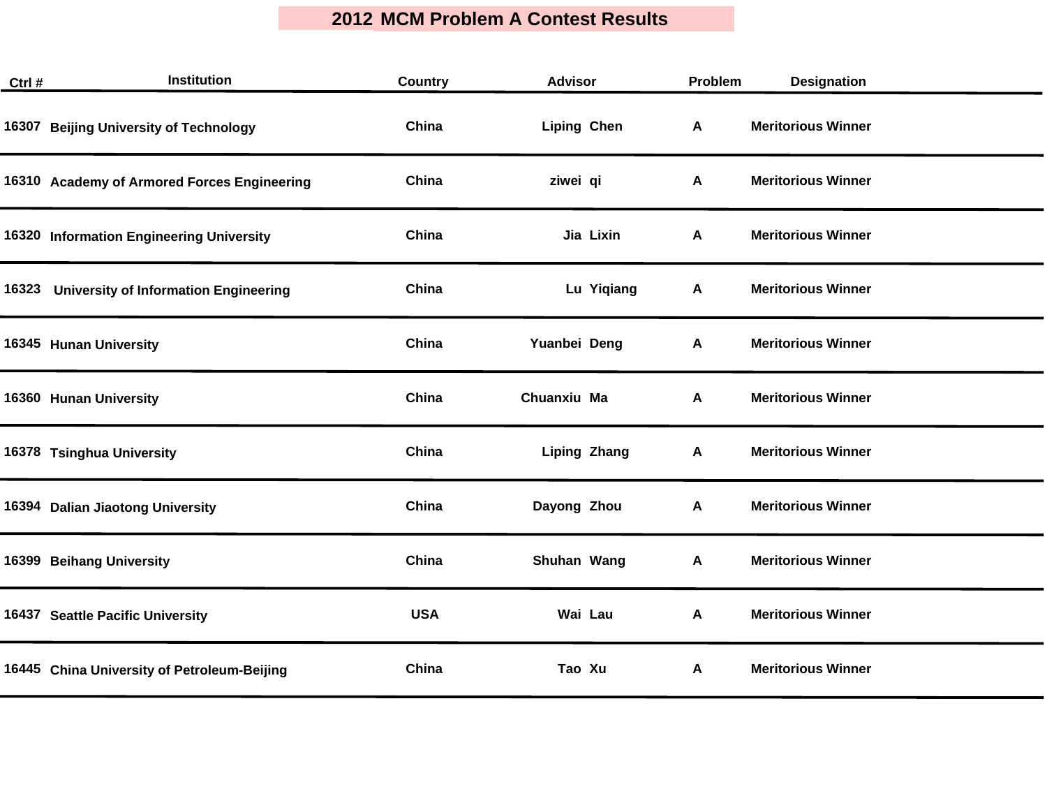| Ctrl # | <b>Institution</b>                          | <b>Country</b> | <b>Advisor</b>     | Problem      | <b>Designation</b>        |  |
|--------|---------------------------------------------|----------------|--------------------|--------------|---------------------------|--|
|        | 16307 Beijing University of Technology      | China          | <b>Liping Chen</b> | $\mathsf{A}$ | <b>Meritorious Winner</b> |  |
|        | 16310 Academy of Armored Forces Engineering | China          | ziwei qi           | A            | <b>Meritorious Winner</b> |  |
|        | 16320 Information Engineering University    | China          | Jia Lixin          | $\mathsf{A}$ | <b>Meritorious Winner</b> |  |
|        | 16323 University of Information Engineering | China          | Lu Yiqiang         | A            | <b>Meritorious Winner</b> |  |
|        | 16345 Hunan University                      | China          | Yuanbei Deng       | $\mathsf{A}$ | <b>Meritorious Winner</b> |  |
|        | 16360 Hunan University                      | China          | Chuanxiu Ma        | A            | <b>Meritorious Winner</b> |  |
|        | 16378 Tsinghua University                   | China          | Liping Zhang       | Α            | <b>Meritorious Winner</b> |  |
|        | 16394 Dalian Jiaotong University            | China          | Dayong Zhou        | A            | <b>Meritorious Winner</b> |  |
|        | 16399 Beihang University                    | China          | Shuhan Wang        | $\mathsf{A}$ | <b>Meritorious Winner</b> |  |
|        | 16437 Seattle Pacific University            | <b>USA</b>     | Wai Lau            | A            | <b>Meritorious Winner</b> |  |
|        | 16445 China University of Petroleum-Beijing | China          | Tao Xu             | $\mathsf{A}$ | <b>Meritorious Winner</b> |  |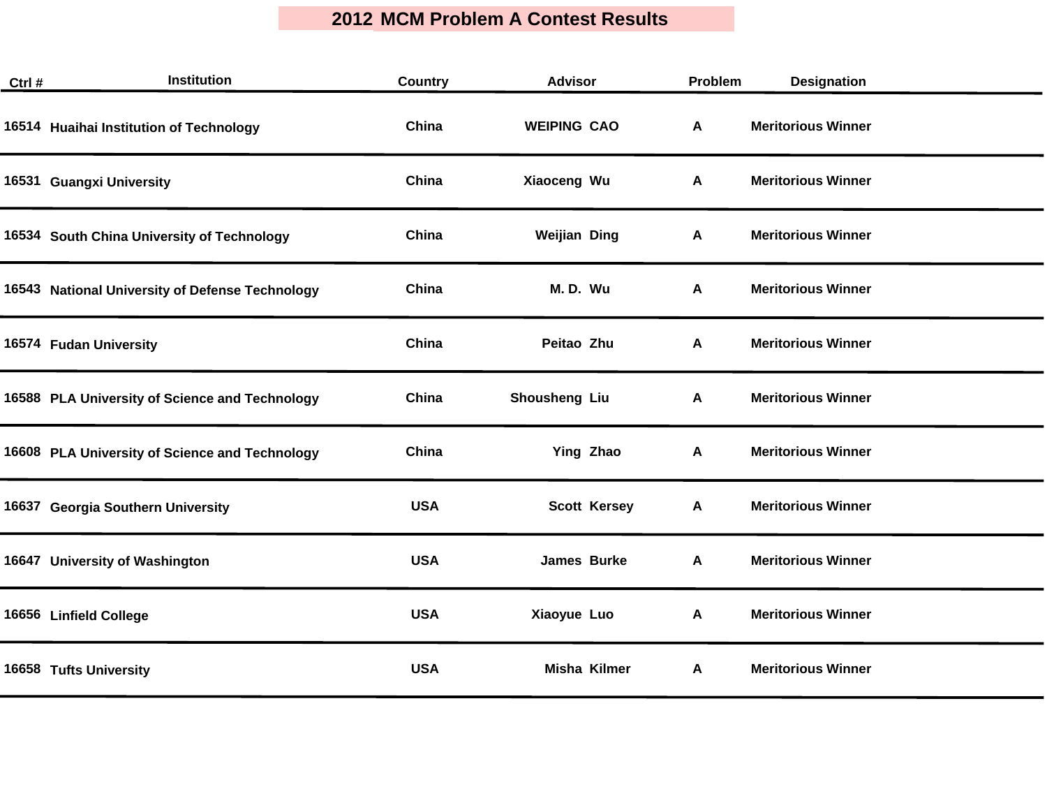| Ctrl # | <b>Institution</b>                              | <b>Country</b> | <b>Advisor</b>      |                     | Problem      | <b>Designation</b>        |  |
|--------|-------------------------------------------------|----------------|---------------------|---------------------|--------------|---------------------------|--|
|        | 16514 Huaihai Institution of Technology         | China          | <b>WEIPING CAO</b>  |                     | $\mathsf{A}$ | <b>Meritorious Winner</b> |  |
|        | 16531 Guangxi University                        | China          | Xiaoceng Wu         |                     | A            | <b>Meritorious Winner</b> |  |
|        | 16534 South China University of Technology      | China          | <b>Weijian Ding</b> |                     | A            | <b>Meritorious Winner</b> |  |
|        | 16543 National University of Defense Technology | China          | M.D. Wu             |                     | A            | <b>Meritorious Winner</b> |  |
|        | 16574 Fudan University                          | China          | Peitao Zhu          |                     | A            | <b>Meritorious Winner</b> |  |
|        | 16588 PLA University of Science and Technology  | China          | Shousheng Liu       |                     | A            | <b>Meritorious Winner</b> |  |
|        | 16608 PLA University of Science and Technology  | China          |                     | Ying Zhao           | A            | <b>Meritorious Winner</b> |  |
|        | 16637 Georgia Southern University               | <b>USA</b>     |                     | <b>Scott Kersey</b> | A            | <b>Meritorious Winner</b> |  |
|        | 16647 University of Washington                  | <b>USA</b>     | James Burke         |                     | A            | <b>Meritorious Winner</b> |  |
|        | 16656 Linfield College                          | <b>USA</b>     | Xiaoyue Luo         |                     | A            | <b>Meritorious Winner</b> |  |
|        | 16658 Tufts University                          | <b>USA</b>     |                     | <b>Misha Kilmer</b> | A            | <b>Meritorious Winner</b> |  |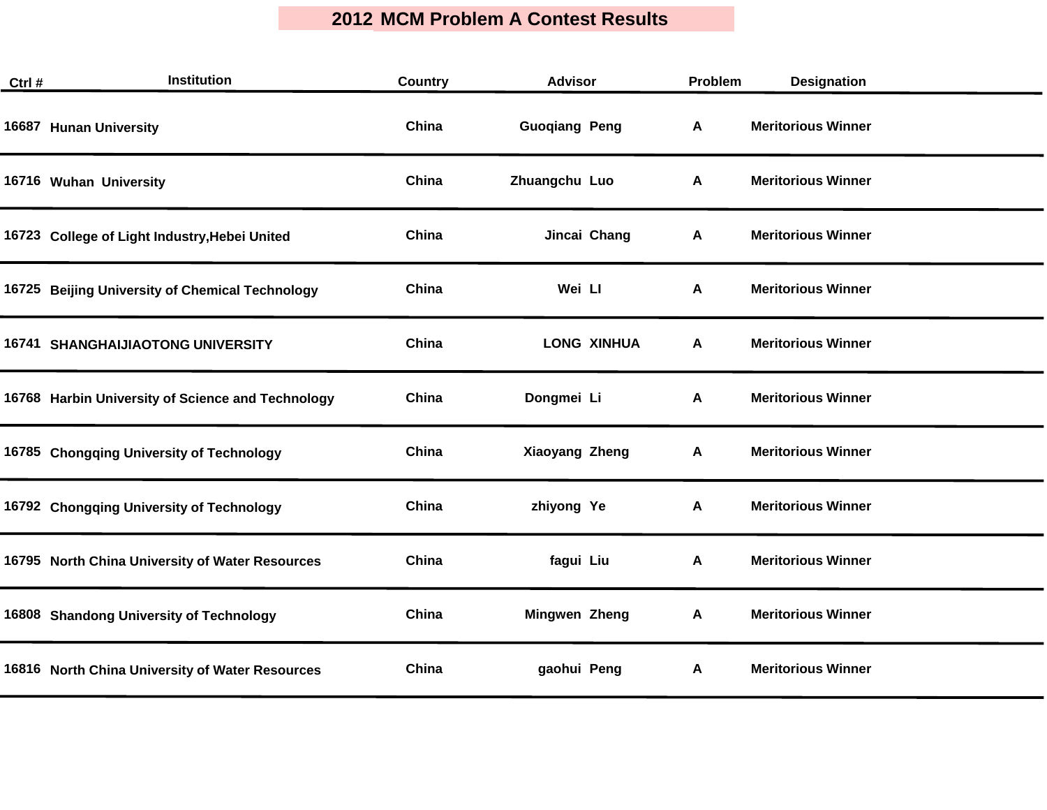| Ctrl # | Institution                                       | <b>Country</b> | <b>Advisor</b>        |              | Problem | <b>Designation</b>        |  |
|--------|---------------------------------------------------|----------------|-----------------------|--------------|---------|---------------------------|--|
|        | 16687 Hunan University                            | China          | <b>Guoqiang Peng</b>  | $\mathsf{A}$ |         | <b>Meritorious Winner</b> |  |
|        | 16716 Wuhan University                            | China          | Zhuangchu Luo         | A            |         | <b>Meritorious Winner</b> |  |
|        | 16723 College of Light Industry, Hebei United     | China          | Jincai Chang          | A            |         | <b>Meritorious Winner</b> |  |
|        | 16725 Beijing University of Chemical Technology   | China          | Wei LI                | $\mathsf{A}$ |         | <b>Meritorious Winner</b> |  |
|        | <b>16741 SHANGHAIJIAOTONG UNIVERSITY</b>          | China          | <b>LONG XINHUA</b>    | $\mathsf{A}$ |         | <b>Meritorious Winner</b> |  |
|        | 16768 Harbin University of Science and Technology | China          | Dongmei Li            | $\mathsf{A}$ |         | <b>Meritorious Winner</b> |  |
|        | 16785 Chongqing University of Technology          | China          | <b>Xiaoyang Zheng</b> | A            |         | <b>Meritorious Winner</b> |  |
|        | 16792 Chongqing University of Technology          | China          | zhiyong Ye            | $\mathsf{A}$ |         | <b>Meritorious Winner</b> |  |
|        | 16795 North China University of Water Resources   | China          | fagui Liu             | $\mathsf{A}$ |         | <b>Meritorious Winner</b> |  |
|        | 16808 Shandong University of Technology           | China          | Mingwen Zheng         | $\mathsf{A}$ |         | <b>Meritorious Winner</b> |  |
|        | 16816 North China University of Water Resources   | China          | gaohui Peng           | A            |         | <b>Meritorious Winner</b> |  |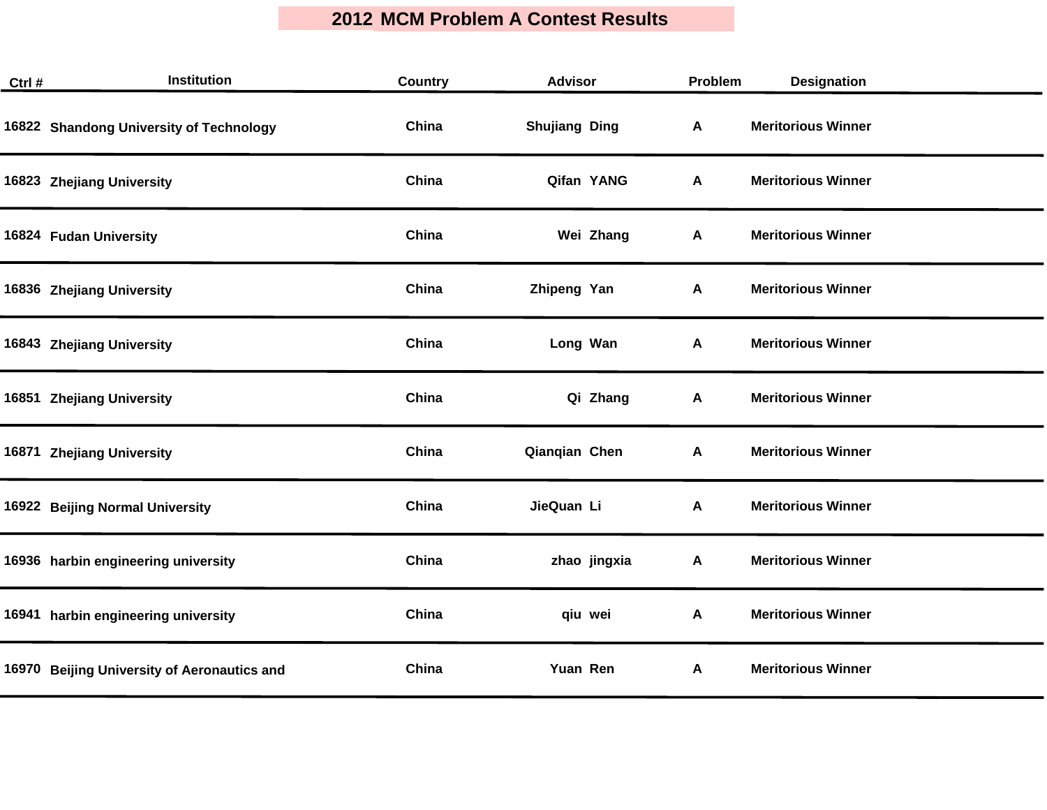| Ctrl # | Institution                                  | <b>Country</b> | <b>Advisor</b>       | Problem      | <b>Designation</b>        |  |
|--------|----------------------------------------------|----------------|----------------------|--------------|---------------------------|--|
|        | 16822 Shandong University of Technology      | China          | <b>Shujiang Ding</b> | $\mathsf{A}$ | <b>Meritorious Winner</b> |  |
|        | 16823 Zhejiang University                    | China          | Qifan YANG           | A            | <b>Meritorious Winner</b> |  |
|        | 16824 Fudan University                       | China          | Wei Zhang            | A            | <b>Meritorious Winner</b> |  |
|        | 16836 Zhejiang University                    | China          | Zhipeng Yan          | A            | <b>Meritorious Winner</b> |  |
|        | 16843 Zhejiang University                    | China          | Long Wan             | $\mathsf{A}$ | <b>Meritorious Winner</b> |  |
|        | 16851 Zhejiang University                    | China          | Qi Zhang             | A            | <b>Meritorious Winner</b> |  |
|        | 16871 Zhejiang University                    | China          | Qianqian Chen        | A            | <b>Meritorious Winner</b> |  |
|        | 16922 Beijing Normal University              | China          | JieQuan Li           | A            | <b>Meritorious Winner</b> |  |
|        | 16936 harbin engineering university          | China          | zhao jingxia         | A            | <b>Meritorious Winner</b> |  |
|        | 16941 harbin engineering university          | China          | qiu wei              | A            | <b>Meritorious Winner</b> |  |
| 16970  | <b>Beijing University of Aeronautics and</b> | China          | Yuan Ren             | A            | <b>Meritorious Winner</b> |  |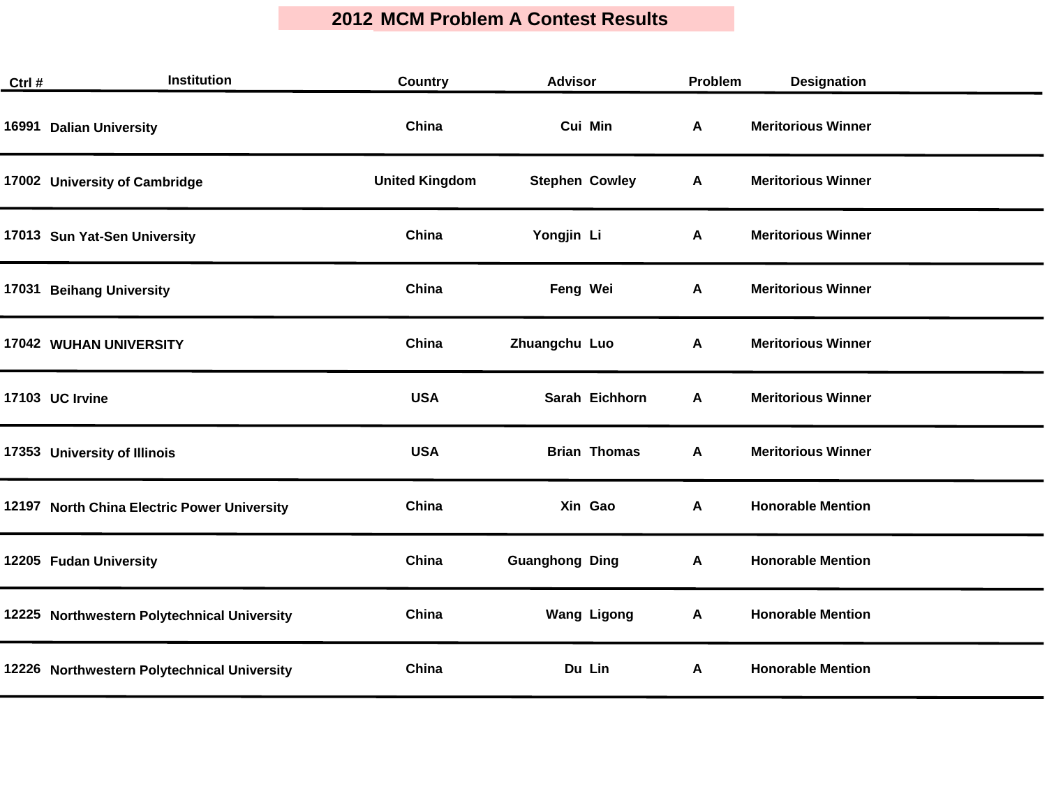| Ctrl # | <b>Institution</b>                          | <b>Country</b>        | <b>Advisor</b>        |                     | Problem      | <b>Designation</b>        |
|--------|---------------------------------------------|-----------------------|-----------------------|---------------------|--------------|---------------------------|
|        | 16991 Dalian University                     | China                 | Cui Min               |                     | $\mathsf{A}$ | <b>Meritorious Winner</b> |
|        | 17002 University of Cambridge               | <b>United Kingdom</b> | <b>Stephen Cowley</b> |                     | A            | <b>Meritorious Winner</b> |
|        | 17013 Sun Yat-Sen University                | China                 | Yongjin Li            |                     | $\mathsf{A}$ | <b>Meritorious Winner</b> |
|        | 17031 Beihang University                    | China                 | Feng Wei              |                     | $\mathsf{A}$ | <b>Meritorious Winner</b> |
|        | <b>17042 WUHAN UNIVERSITY</b>               | China                 | Zhuangchu Luo         |                     | $\mathsf{A}$ | <b>Meritorious Winner</b> |
|        | 17103 UC Irvine                             | <b>USA</b>            |                       | Sarah Eichhorn      | $\mathsf{A}$ | <b>Meritorious Winner</b> |
|        | 17353 University of Illinois                | <b>USA</b>            |                       | <b>Brian Thomas</b> | A            | <b>Meritorious Winner</b> |
|        | 12197 North China Electric Power University | China                 |                       | Xin Gao             | $\mathsf{A}$ | <b>Honorable Mention</b>  |
|        | 12205 Fudan University                      | China                 | <b>Guanghong Ding</b> |                     | $\mathsf{A}$ | <b>Honorable Mention</b>  |
|        | 12225 Northwestern Polytechnical University | China                 |                       | <b>Wang Ligong</b>  | $\mathsf{A}$ | <b>Honorable Mention</b>  |
|        | 12226 Northwestern Polytechnical University | China                 |                       | Du Lin              | $\mathsf{A}$ | <b>Honorable Mention</b>  |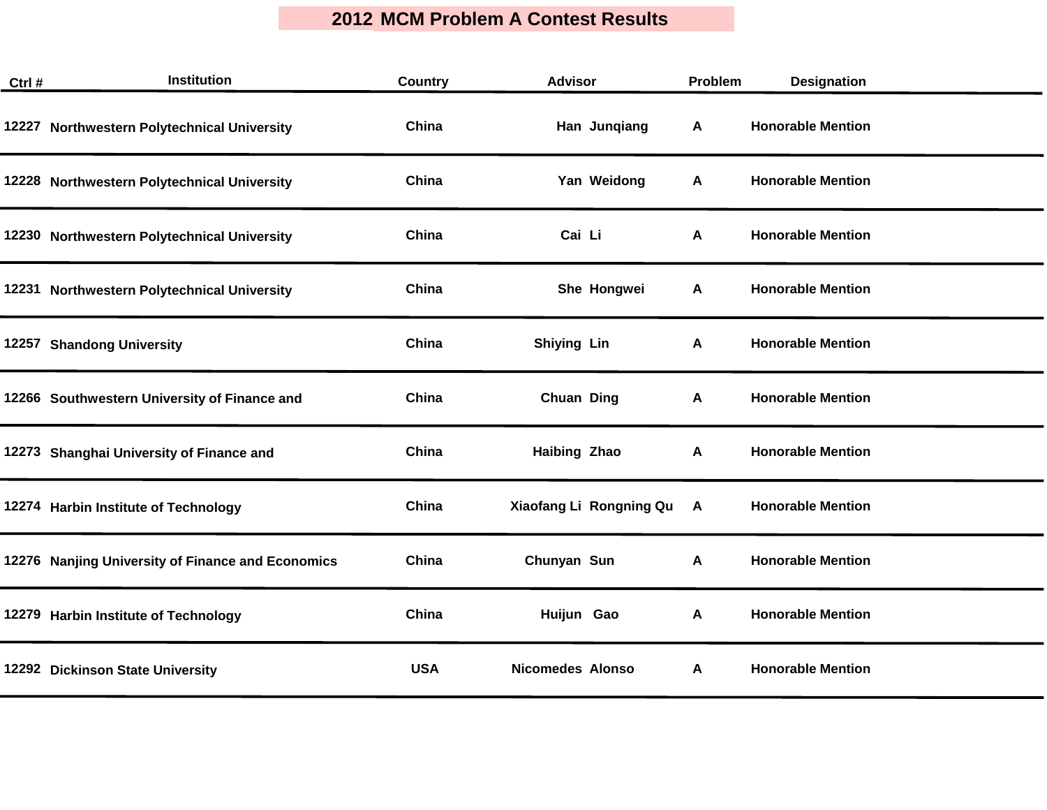| Ctrl # | <b>Institution</b>                                | <b>Country</b> | <b>Advisor</b>          | Problem      | <b>Designation</b>       |  |
|--------|---------------------------------------------------|----------------|-------------------------|--------------|--------------------------|--|
|        | 12227 Northwestern Polytechnical University       | China          | Han Junqiang            | $\mathsf{A}$ | <b>Honorable Mention</b> |  |
|        | 12228 Northwestern Polytechnical University       | China          | Yan Weidong             | A            | <b>Honorable Mention</b> |  |
|        | 12230 Northwestern Polytechnical University       | China          | Cai Li                  | A            | <b>Honorable Mention</b> |  |
|        | 12231 Northwestern Polytechnical University       | China          | She Hongwei             | $\mathsf{A}$ | <b>Honorable Mention</b> |  |
|        | 12257 Shandong University                         | China          | Shiying Lin             | $\mathsf{A}$ | <b>Honorable Mention</b> |  |
|        | 12266 Southwestern University of Finance and      | China          | <b>Chuan Ding</b>       | A            | <b>Honorable Mention</b> |  |
|        | 12273 Shanghai University of Finance and          | China          | Haibing Zhao            | A            | <b>Honorable Mention</b> |  |
|        | 12274 Harbin Institute of Technology              | China          | Xiaofang Li Rongning Qu | <b>A</b>     | <b>Honorable Mention</b> |  |
|        | 12276 Nanjing University of Finance and Economics | China          | Chunyan Sun             | $\mathsf{A}$ | <b>Honorable Mention</b> |  |
|        | 12279 Harbin Institute of Technology              | China          | Huijun Gao              | A            | <b>Honorable Mention</b> |  |
|        | 12292 Dickinson State University                  | <b>USA</b>     | <b>Nicomedes Alonso</b> | A            | <b>Honorable Mention</b> |  |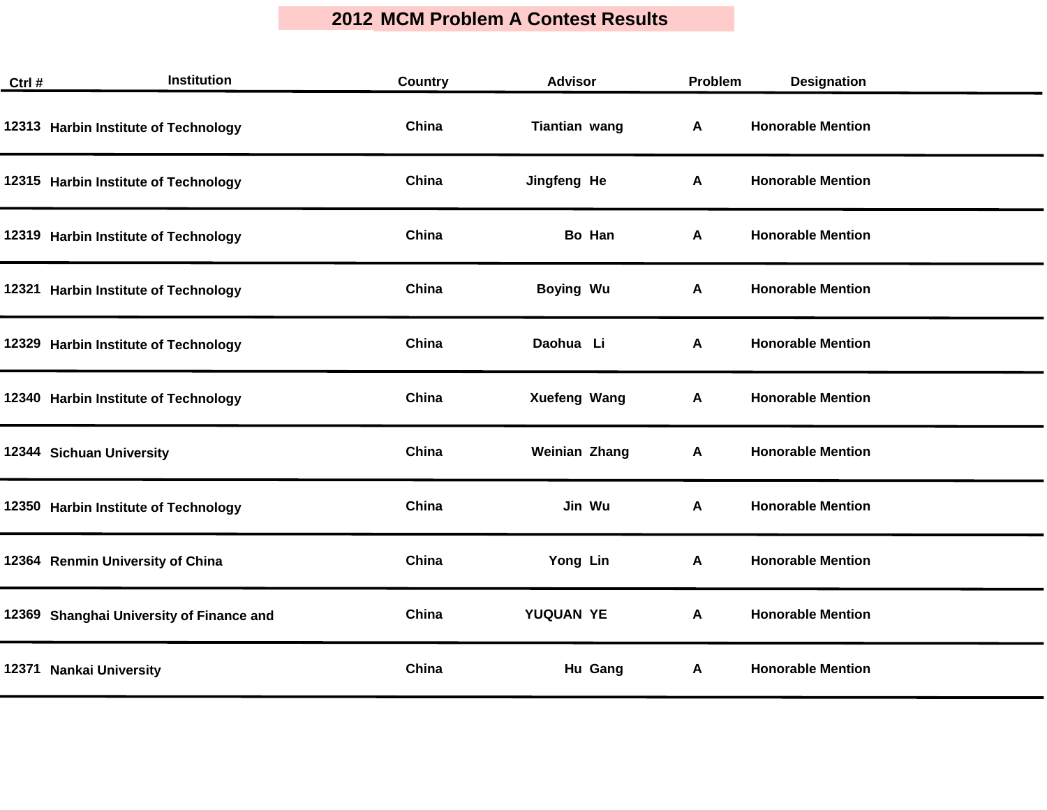| Ctrl # | Institution                              | <b>Country</b> | <b>Advisor</b>       | Problem      | <b>Designation</b>       |
|--------|------------------------------------------|----------------|----------------------|--------------|--------------------------|
|        | 12313 Harbin Institute of Technology     | China          | <b>Tiantian wang</b> | $\mathbf{A}$ | <b>Honorable Mention</b> |
|        | 12315 Harbin Institute of Technology     | China          | Jingfeng He          | A            | <b>Honorable Mention</b> |
|        | 12319 Harbin Institute of Technology     | China          | Bo Han               | A            | <b>Honorable Mention</b> |
|        | 12321 Harbin Institute of Technology     | China          | <b>Boying Wu</b>     | A            | <b>Honorable Mention</b> |
|        | 12329 Harbin Institute of Technology     | China          | Daohua Li            | A            | <b>Honorable Mention</b> |
|        | 12340 Harbin Institute of Technology     | China          | Xuefeng Wang         | A            | <b>Honorable Mention</b> |
|        | 12344 Sichuan University                 | China          | <b>Weinian Zhang</b> | A            | <b>Honorable Mention</b> |
|        | 12350 Harbin Institute of Technology     | China          | Jin Wu               | A            | <b>Honorable Mention</b> |
|        | 12364 Renmin University of China         | China          | Yong Lin             | A            | <b>Honorable Mention</b> |
|        | 12369 Shanghai University of Finance and | China          | YUQUAN YE            | A            | <b>Honorable Mention</b> |
|        | 12371 Nankai University                  | China          | Hu Gang              | Α            | <b>Honorable Mention</b> |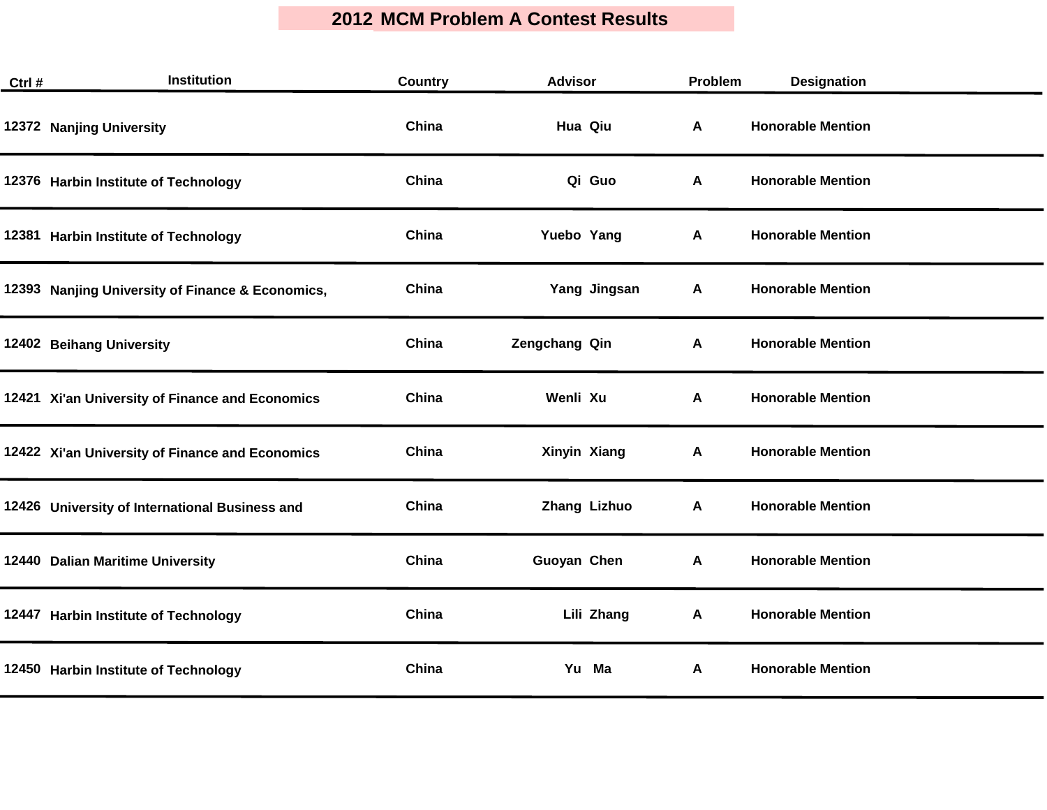| Ctrl # | Institution                                      | <b>Country</b> | <b>Advisor</b> |              | Problem      | <b>Designation</b>       |  |
|--------|--------------------------------------------------|----------------|----------------|--------------|--------------|--------------------------|--|
|        | 12372 Nanjing University                         | China          | Hua Qiu        |              | $\mathsf{A}$ | <b>Honorable Mention</b> |  |
|        | 12376 Harbin Institute of Technology             | China          |                | Qi Guo       | $\mathsf{A}$ | <b>Honorable Mention</b> |  |
|        | 12381 Harbin Institute of Technology             | China          | Yuebo Yang     |              | A            | <b>Honorable Mention</b> |  |
|        | 12393 Nanjing University of Finance & Economics, | China          |                | Yang Jingsan | A            | <b>Honorable Mention</b> |  |
|        | 12402 Beihang University                         | China          | Zengchang Qin  |              | A            | <b>Honorable Mention</b> |  |
|        | 12421 Xi'an University of Finance and Economics  | China          | Wenli Xu       |              | A            | <b>Honorable Mention</b> |  |
|        | 12422 Xi'an University of Finance and Economics  | China          | Xinyin Xiang   |              | A            | <b>Honorable Mention</b> |  |
|        | 12426 University of International Business and   | China          |                | Zhang Lizhuo | A            | <b>Honorable Mention</b> |  |
|        | 12440 Dalian Maritime University                 | China          | Guoyan Chen    |              | $\mathsf{A}$ | <b>Honorable Mention</b> |  |
|        | 12447 Harbin Institute of Technology             | China          |                | Lili Zhang   | $\mathsf{A}$ | <b>Honorable Mention</b> |  |
|        | 12450 Harbin Institute of Technology             | China          |                | Yu Ma        | $\mathsf{A}$ | <b>Honorable Mention</b> |  |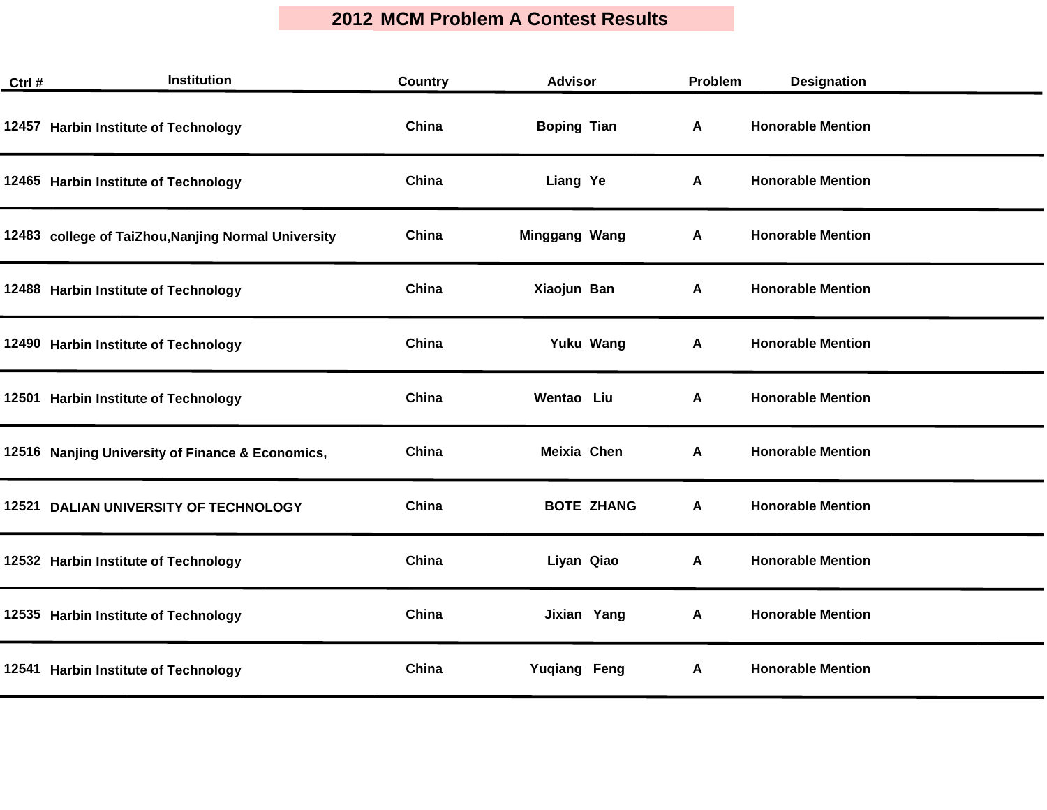| Ctrl # | Institution                                         | <b>Country</b> | <b>Advisor</b>      | Problem      | <b>Designation</b>       |  |
|--------|-----------------------------------------------------|----------------|---------------------|--------------|--------------------------|--|
|        | 12457 Harbin Institute of Technology                | China          | <b>Boping Tian</b>  | $\mathsf{A}$ | <b>Honorable Mention</b> |  |
|        | 12465 Harbin Institute of Technology                | China          | Liang Ye            | A            | <b>Honorable Mention</b> |  |
|        | 12483 college of TaiZhou, Nanjing Normal University | China          | Minggang Wang       | A            | <b>Honorable Mention</b> |  |
|        | 12488 Harbin Institute of Technology                | China          | Xiaojun Ban         | $\mathsf{A}$ | <b>Honorable Mention</b> |  |
|        | 12490 Harbin Institute of Technology                | China          | Yuku Wang           | $\mathsf{A}$ | <b>Honorable Mention</b> |  |
|        | 12501 Harbin Institute of Technology                | China          | Wentao Liu          | $\mathsf{A}$ | <b>Honorable Mention</b> |  |
|        | 12516 Nanjing University of Finance & Economics,    | China          | Meixia Chen         | A            | <b>Honorable Mention</b> |  |
|        | 12521 DALIAN UNIVERSITY OF TECHNOLOGY               | China          | <b>BOTE ZHANG</b>   | $\mathsf{A}$ | <b>Honorable Mention</b> |  |
|        | 12532 Harbin Institute of Technology                | China          | Liyan Qiao          | $\mathsf{A}$ | <b>Honorable Mention</b> |  |
|        | 12535 Harbin Institute of Technology                | China          | Jixian Yang         | A            | <b>Honorable Mention</b> |  |
|        | 12541 Harbin Institute of Technology                | China          | <b>Yuqiang Feng</b> | A            | <b>Honorable Mention</b> |  |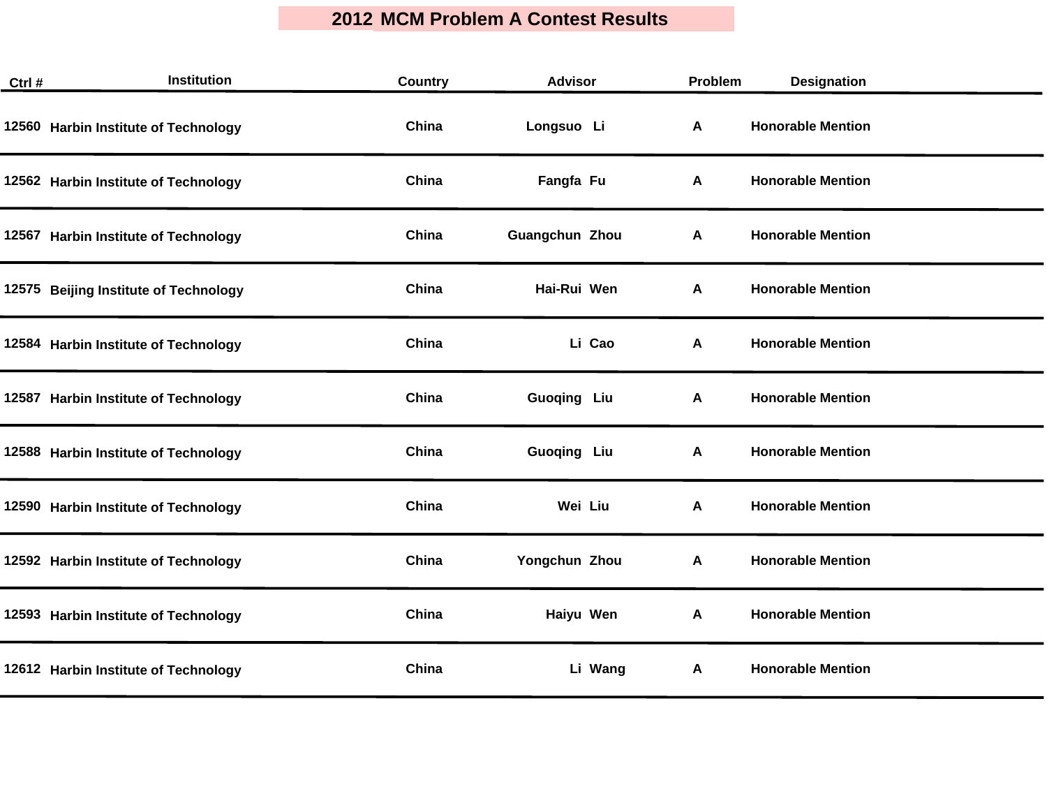| Ctrl # | Institution                           | <b>Country</b> | <b>Advisor</b>     | Problem      | <b>Designation</b>       |  |
|--------|---------------------------------------|----------------|--------------------|--------------|--------------------------|--|
|        | 12560 Harbin Institute of Technology  | China          | Longsuo Li         | $\mathsf{A}$ | <b>Honorable Mention</b> |  |
|        | 12562 Harbin Institute of Technology  | China          | Fangfa Fu          | A            | <b>Honorable Mention</b> |  |
|        | 12567 Harbin Institute of Technology  | China          | Guangchun Zhou     | A            | <b>Honorable Mention</b> |  |
|        | 12575 Beijing Institute of Technology | China          | Hai-Rui Wen        | A            | <b>Honorable Mention</b> |  |
|        | 12584 Harbin Institute of Technology  | China          | Li Cao             | $\mathsf{A}$ | <b>Honorable Mention</b> |  |
|        | 12587 Harbin Institute of Technology  | China          | <b>Guoqing Liu</b> | A            | <b>Honorable Mention</b> |  |
|        | 12588 Harbin Institute of Technology  | China          | <b>Guoqing Liu</b> | Α            | <b>Honorable Mention</b> |  |
|        | 12590 Harbin Institute of Technology  | China          | Wei Liu            | A            | <b>Honorable Mention</b> |  |
|        | 12592 Harbin Institute of Technology  | China          | Yongchun Zhou      | A            | <b>Honorable Mention</b> |  |
|        | 12593 Harbin Institute of Technology  | China          | Haiyu Wen          | A            | <b>Honorable Mention</b> |  |
|        | 12612 Harbin Institute of Technology  | China          | Li Wang            | A            | <b>Honorable Mention</b> |  |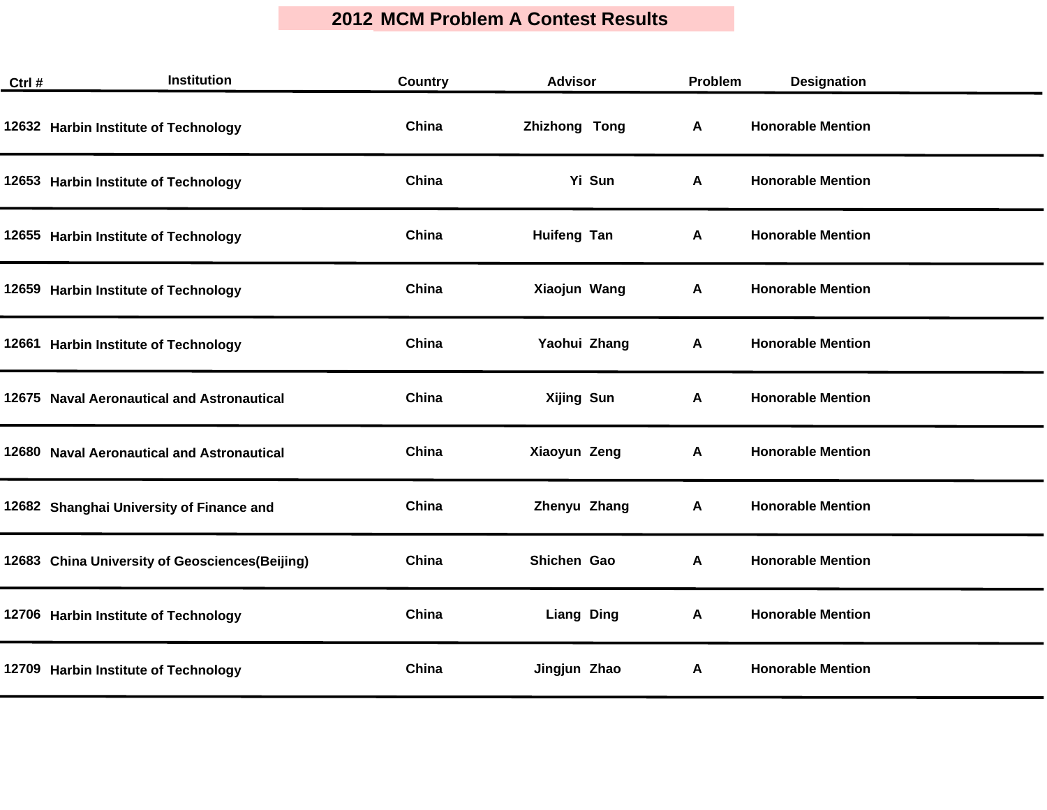| Ctrl # | Institution                                    | <b>Country</b> | <b>Advisor</b>    | Problem      | <b>Designation</b>       |  |
|--------|------------------------------------------------|----------------|-------------------|--------------|--------------------------|--|
|        | 12632 Harbin Institute of Technology           | China          | Zhizhong Tong     | $\mathsf{A}$ | <b>Honorable Mention</b> |  |
|        | 12653 Harbin Institute of Technology           | China          | Yi Sun            | A            | <b>Honorable Mention</b> |  |
|        | 12655 Harbin Institute of Technology           | China          | Huifeng Tan       | A            | <b>Honorable Mention</b> |  |
|        | 12659 Harbin Institute of Technology           | China          | Xiaojun Wang      | A            | <b>Honorable Mention</b> |  |
|        | 12661 Harbin Institute of Technology           | China          | Yaohui Zhang      | $\mathsf{A}$ | <b>Honorable Mention</b> |  |
|        | 12675 Naval Aeronautical and Astronautical     | China          | <b>Xijing Sun</b> | $\mathsf{A}$ | <b>Honorable Mention</b> |  |
|        | 12680 Naval Aeronautical and Astronautical     | China          | Xiaoyun Zeng      | A            | <b>Honorable Mention</b> |  |
|        | 12682 Shanghai University of Finance and       | China          | Zhenyu Zhang      | A            | <b>Honorable Mention</b> |  |
|        | 12683 China University of Geosciences(Beijing) | China          | Shichen Gao       | A            | <b>Honorable Mention</b> |  |
|        | 12706 Harbin Institute of Technology           | China          | <b>Liang Ding</b> | $\mathsf{A}$ | <b>Honorable Mention</b> |  |
|        | 12709 Harbin Institute of Technology           | China          | Jingjun Zhao      | A            | <b>Honorable Mention</b> |  |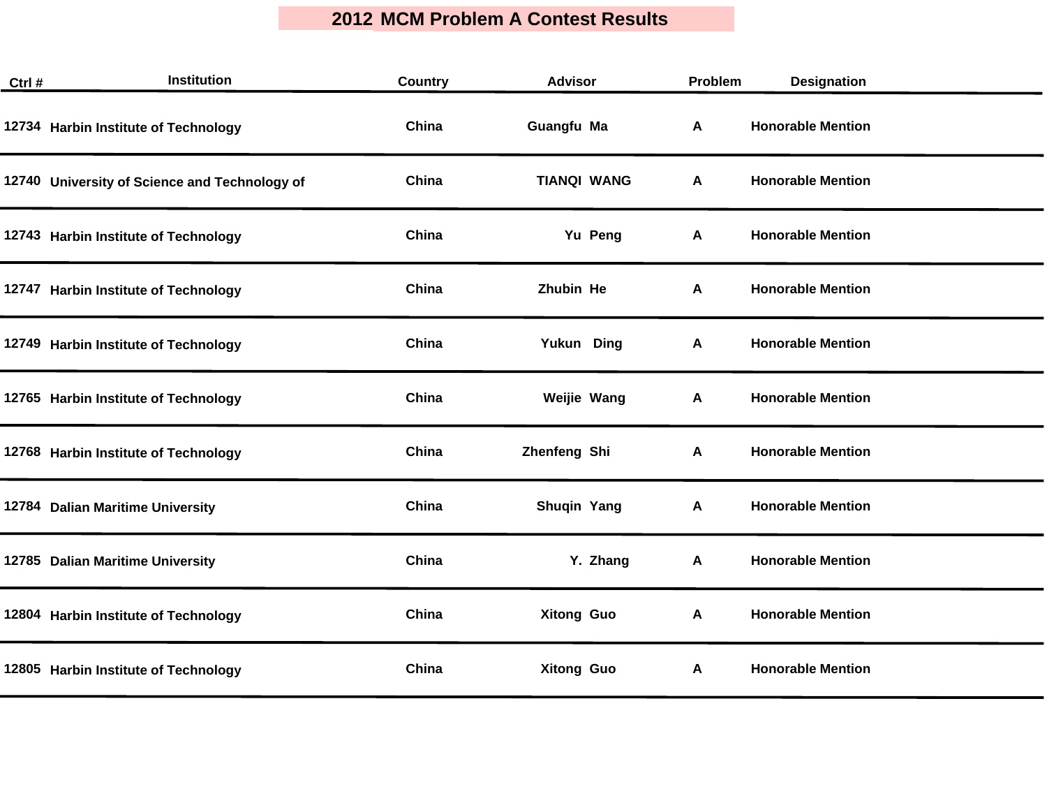| Ctrl # | Institution                                   | <b>Country</b> | <b>Advisor</b>     | Problem      | <b>Designation</b>       |  |
|--------|-----------------------------------------------|----------------|--------------------|--------------|--------------------------|--|
|        | 12734 Harbin Institute of Technology          | China          | Guangfu Ma         | $\mathsf{A}$ | <b>Honorable Mention</b> |  |
|        | 12740 University of Science and Technology of | China          | <b>TIANQI WANG</b> | A            | <b>Honorable Mention</b> |  |
|        | 12743 Harbin Institute of Technology          | China          | Yu Peng            | Α            | <b>Honorable Mention</b> |  |
|        | 12747 Harbin Institute of Technology          | China          | Zhubin He          | A            | <b>Honorable Mention</b> |  |
|        | 12749 Harbin Institute of Technology          | China          | Yukun Ding         | $\mathsf{A}$ | <b>Honorable Mention</b> |  |
|        | 12765 Harbin Institute of Technology          | China          | Weijie Wang        | A            | <b>Honorable Mention</b> |  |
|        | 12768 Harbin Institute of Technology          | China          | Zhenfeng Shi       | A            | <b>Honorable Mention</b> |  |
|        | 12784 Dalian Maritime University              | China          | Shuqin Yang        | A            | <b>Honorable Mention</b> |  |
|        | 12785 Dalian Maritime University              | China          | Y. Zhang           | A            | <b>Honorable Mention</b> |  |
|        | 12804 Harbin Institute of Technology          | China          | <b>Xitong Guo</b>  | A            | <b>Honorable Mention</b> |  |
|        | 12805 Harbin Institute of Technology          | China          | <b>Xitong Guo</b>  | Α            | <b>Honorable Mention</b> |  |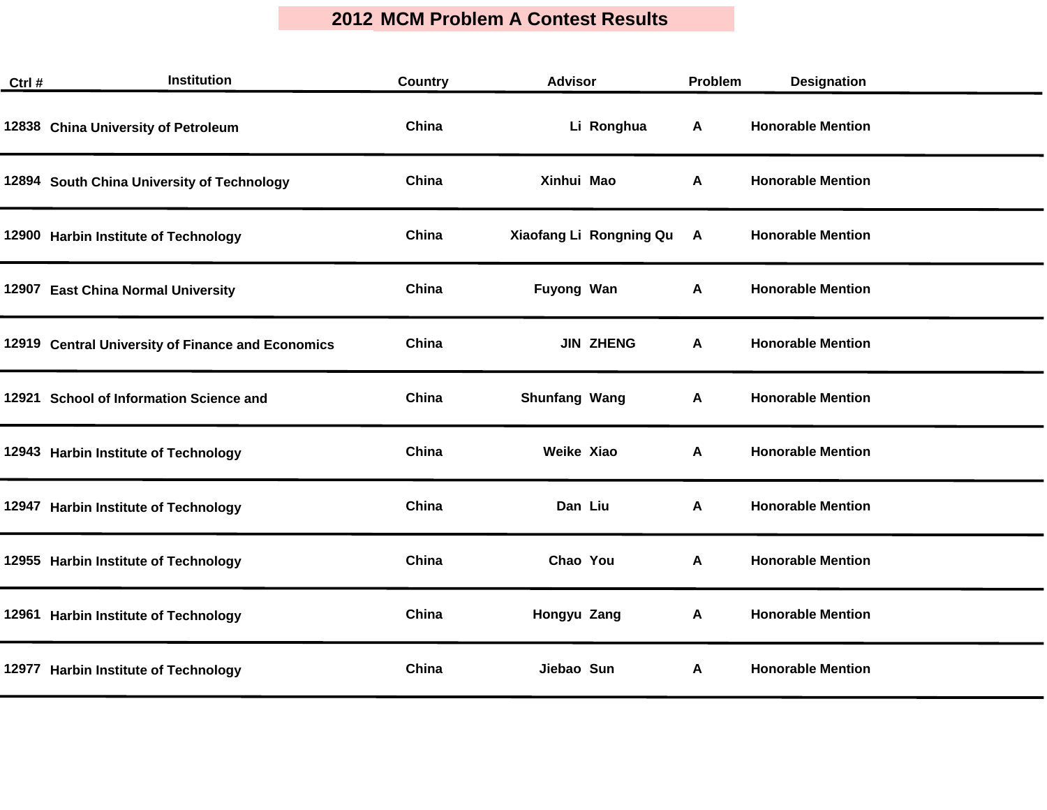| Ctrl # | <b>Institution</b>                                | <b>Country</b> | <b>Advisor</b>       |                         | Problem      | <b>Designation</b>       |  |
|--------|---------------------------------------------------|----------------|----------------------|-------------------------|--------------|--------------------------|--|
|        | 12838 China University of Petroleum               | China          |                      | Li Ronghua              | $\mathsf{A}$ | <b>Honorable Mention</b> |  |
|        | 12894 South China University of Technology        | China          | Xinhui Mao           |                         | $\mathsf{A}$ | <b>Honorable Mention</b> |  |
|        | 12900 Harbin Institute of Technology              | China          |                      | Xiaofang Li Rongning Qu | <b>A</b>     | <b>Honorable Mention</b> |  |
|        | 12907 East China Normal University                | China          | Fuyong Wan           |                         | A            | <b>Honorable Mention</b> |  |
|        | 12919 Central University of Finance and Economics | China          |                      | <b>JIN ZHENG</b>        | $\mathsf{A}$ | <b>Honorable Mention</b> |  |
|        | 12921 School of Information Science and           | China          | <b>Shunfang Wang</b> |                         | A            | <b>Honorable Mention</b> |  |
|        | 12943 Harbin Institute of Technology              | China          | Weike Xiao           |                         | A            | <b>Honorable Mention</b> |  |
|        | 12947 Harbin Institute of Technology              | China          | Dan Liu              |                         | $\mathsf{A}$ | <b>Honorable Mention</b> |  |
|        | 12955 Harbin Institute of Technology              | China          | Chao You             |                         | $\mathsf{A}$ | <b>Honorable Mention</b> |  |
|        | 12961 Harbin Institute of Technology              | China          | Hongyu Zang          |                         | A            | <b>Honorable Mention</b> |  |
|        | 12977 Harbin Institute of Technology              | China          | Jiebao Sun           |                         | A            | <b>Honorable Mention</b> |  |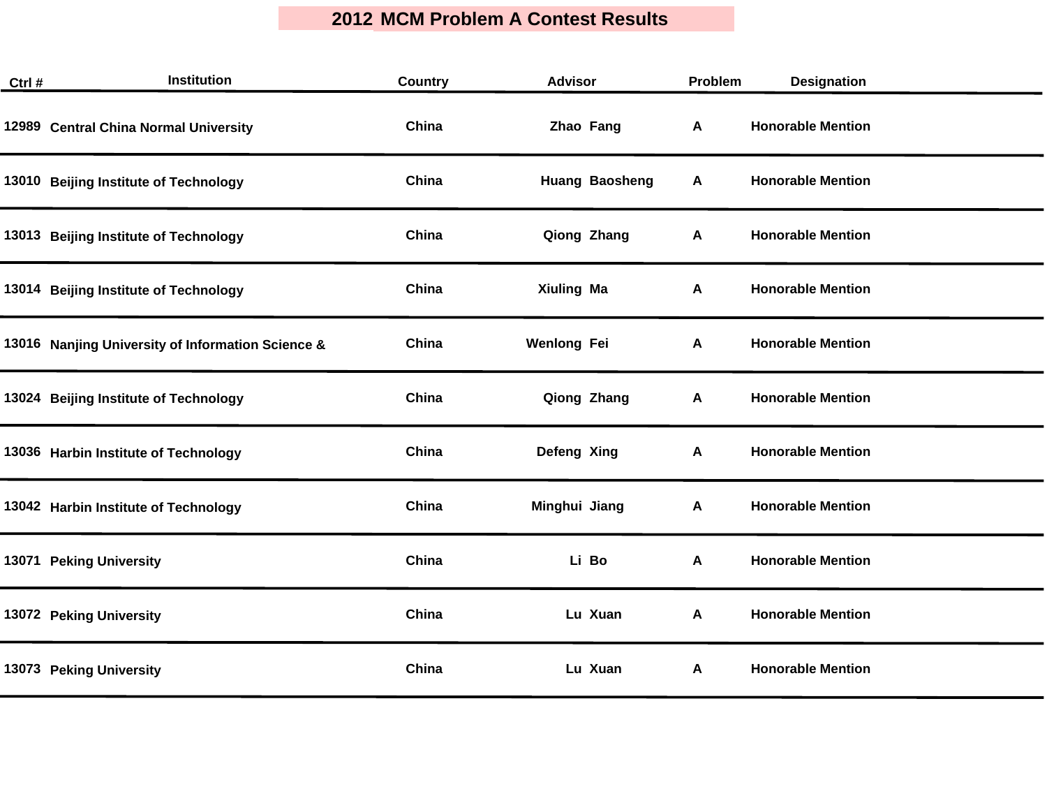| Ctrl # | Institution                                       | <b>Country</b> | <b>Advisor</b>        | Problem      | <b>Designation</b>       |  |
|--------|---------------------------------------------------|----------------|-----------------------|--------------|--------------------------|--|
|        | 12989 Central China Normal University             | China          | Zhao Fang             | $\mathsf{A}$ | <b>Honorable Mention</b> |  |
|        | 13010 Beijing Institute of Technology             | China          | <b>Huang Baosheng</b> | A            | <b>Honorable Mention</b> |  |
|        | 13013 Beijing Institute of Technology             | China          | Qiong Zhang           | A            | <b>Honorable Mention</b> |  |
|        | 13014 Beijing Institute of Technology             | China          | <b>Xiuling Ma</b>     | A            | <b>Honorable Mention</b> |  |
|        | 13016 Nanjing University of Information Science & | China          | <b>Wenlong Fei</b>    | $\mathsf{A}$ | <b>Honorable Mention</b> |  |
|        | 13024 Beijing Institute of Technology             | China          | Qiong Zhang           | A            | <b>Honorable Mention</b> |  |
|        | 13036 Harbin Institute of Technology              | China          | Defeng Xing           | A            | <b>Honorable Mention</b> |  |
|        | 13042 Harbin Institute of Technology              | China          | Minghui Jiang         | A            | <b>Honorable Mention</b> |  |
| 13071  | <b>Peking University</b>                          | China          | Li Bo                 | A            | <b>Honorable Mention</b> |  |
|        | 13072 Peking University                           | China          | Lu Xuan               | A            | <b>Honorable Mention</b> |  |
|        | 13073 Peking University                           | China          | Lu Xuan               | A            | <b>Honorable Mention</b> |  |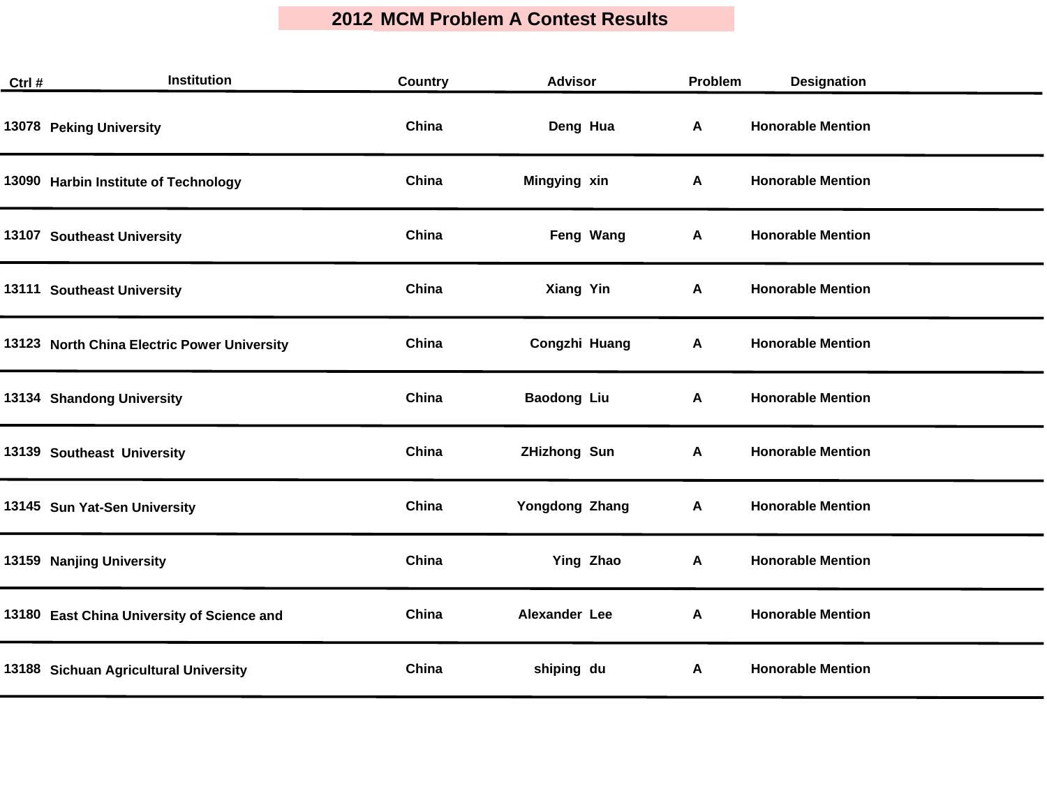| Ctrl # | <b>Institution</b>                          | <b>Country</b> | <b>Advisor</b>      | Problem      | <b>Designation</b>       |  |
|--------|---------------------------------------------|----------------|---------------------|--------------|--------------------------|--|
|        | 13078 Peking University                     | China          | Deng Hua            | $\mathsf{A}$ | <b>Honorable Mention</b> |  |
|        | 13090 Harbin Institute of Technology        | China          | <b>Mingying xin</b> | A            | <b>Honorable Mention</b> |  |
|        | 13107 Southeast University                  | China          | Feng Wang           | A            | <b>Honorable Mention</b> |  |
|        | 13111 Southeast University                  | China          | Xiang Yin           | A            | <b>Honorable Mention</b> |  |
|        | 13123 North China Electric Power University | China          | Congzhi Huang       | $\mathsf{A}$ | <b>Honorable Mention</b> |  |
|        | 13134 Shandong University                   | China          | <b>Baodong Liu</b>  | $\mathsf{A}$ | <b>Honorable Mention</b> |  |
|        | 13139 Southeast University                  | China          | <b>ZHizhong Sun</b> | A            | <b>Honorable Mention</b> |  |
|        | 13145 Sun Yat-Sen University                | China          | Yongdong Zhang      | A            | <b>Honorable Mention</b> |  |
|        | 13159 Nanjing University                    | China          | Ying Zhao           | $\mathsf{A}$ | <b>Honorable Mention</b> |  |
|        | 13180 East China University of Science and  | China          | Alexander Lee       | A            | <b>Honorable Mention</b> |  |
|        | 13188 Sichuan Agricultural University       | China          | shiping du          | $\mathsf{A}$ | <b>Honorable Mention</b> |  |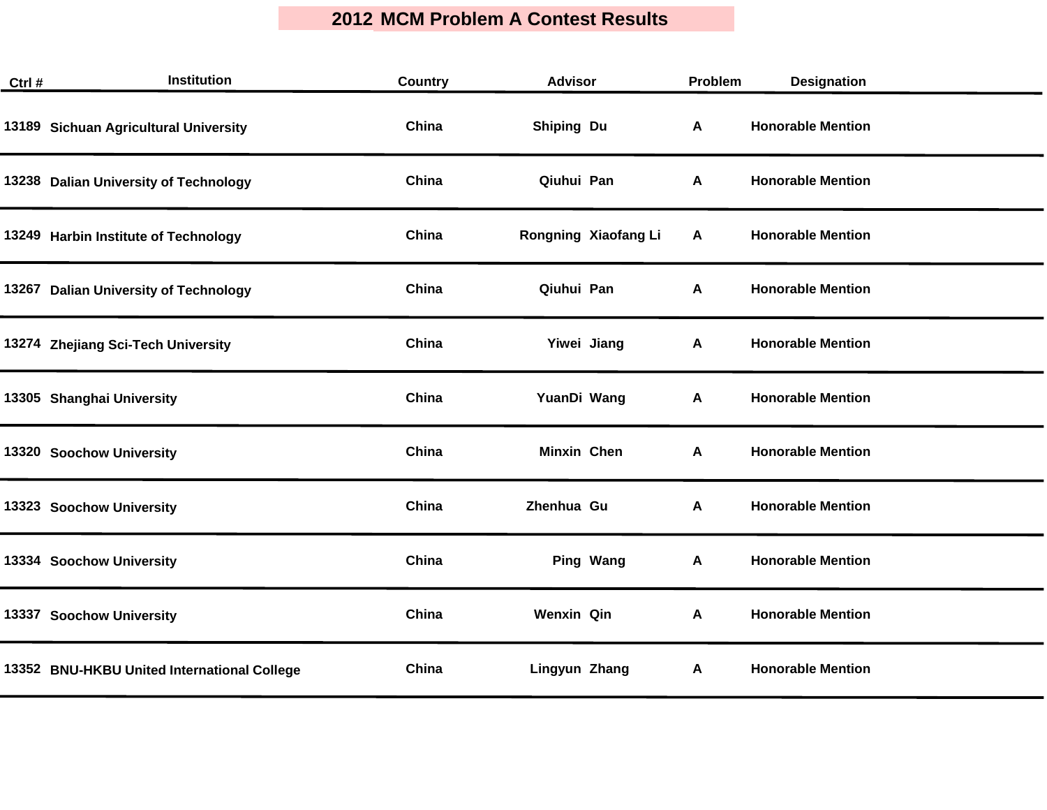| Ctrl # | <b>Institution</b>                          | <b>Country</b> | <b>Advisor</b>       | Problem      | <b>Designation</b>       |  |
|--------|---------------------------------------------|----------------|----------------------|--------------|--------------------------|--|
|        | 13189 Sichuan Agricultural University       | China          | Shiping Du           | $\mathsf{A}$ | <b>Honorable Mention</b> |  |
|        | 13238 Dalian University of Technology       | China          | Qiuhui Pan           | A            | <b>Honorable Mention</b> |  |
|        | 13249 Harbin Institute of Technology        | China          | Rongning Xiaofang Li | $\mathsf{A}$ | <b>Honorable Mention</b> |  |
|        | 13267 Dalian University of Technology       | China          | Qiuhui Pan           | $\mathsf{A}$ | <b>Honorable Mention</b> |  |
|        | 13274 Zhejiang Sci-Tech University          | China          | Yiwei Jiang          | $\mathsf{A}$ | <b>Honorable Mention</b> |  |
|        | 13305 Shanghai University                   | China          | YuanDi Wang          | A            | <b>Honorable Mention</b> |  |
|        | 13320 Soochow University                    | China          | Minxin Chen          | A            | <b>Honorable Mention</b> |  |
|        | 13323 Soochow University                    | China          | Zhenhua Gu           | $\mathsf{A}$ | <b>Honorable Mention</b> |  |
|        | 13334 Soochow University                    | China          | Ping Wang            | A            | <b>Honorable Mention</b> |  |
|        | 13337 Soochow University                    | China          | <b>Wenxin Qin</b>    | A            | <b>Honorable Mention</b> |  |
|        | 13352 BNU-HKBU United International College | China          | Lingyun Zhang        | Α            | <b>Honorable Mention</b> |  |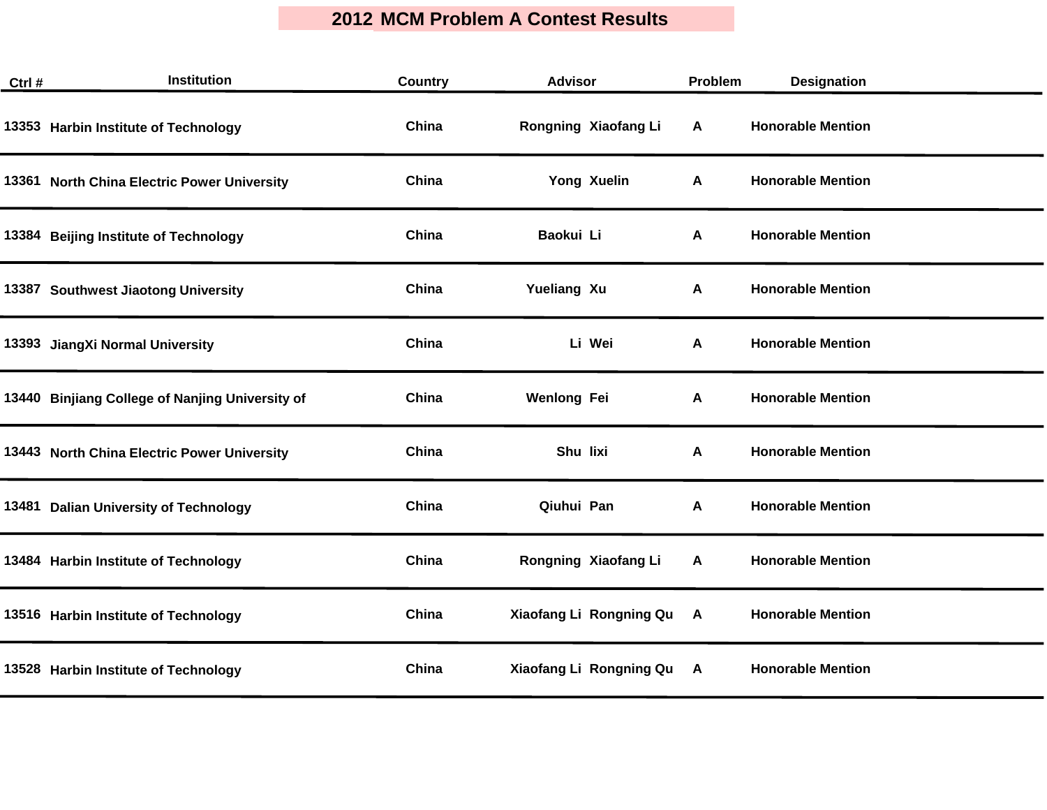| Ctrl # | <b>Institution</b>                              | <b>Country</b> | <b>Advisor</b>       |                         | Problem      | <b>Designation</b>       |  |
|--------|-------------------------------------------------|----------------|----------------------|-------------------------|--------------|--------------------------|--|
|        | 13353 Harbin Institute of Technology            | China          | Rongning Xiaofang Li |                         | $\mathsf{A}$ | <b>Honorable Mention</b> |  |
|        | 13361 North China Electric Power University     | China          | Yong Xuelin          |                         | A            | <b>Honorable Mention</b> |  |
|        | 13384 Beijing Institute of Technology           | China          | Baokui Li            |                         | A            | <b>Honorable Mention</b> |  |
|        | 13387 Southwest Jiaotong University             | China          | Yueliang Xu          |                         | $\mathsf{A}$ | <b>Honorable Mention</b> |  |
|        | 13393 JiangXi Normal University                 | China          |                      | Li Wei                  | $\mathsf{A}$ | <b>Honorable Mention</b> |  |
|        | 13440 Binjiang College of Nanjing University of | China          | <b>Wenlong Fei</b>   |                         | A            | <b>Honorable Mention</b> |  |
|        | 13443 North China Electric Power University     | China          | Shu lixi             |                         | A            | <b>Honorable Mention</b> |  |
|        | 13481 Dalian University of Technology           | China          | Qiuhui Pan           |                         | A            | <b>Honorable Mention</b> |  |
|        | 13484 Harbin Institute of Technology            | China          |                      | Rongning Xiaofang Li    | A            | <b>Honorable Mention</b> |  |
|        | 13516 Harbin Institute of Technology            | China          |                      | Xiaofang Li Rongning Qu | <b>A</b>     | <b>Honorable Mention</b> |  |
|        | 13528 Harbin Institute of Technology            | China          |                      | Xiaofang Li Rongning Qu | <b>A</b>     | <b>Honorable Mention</b> |  |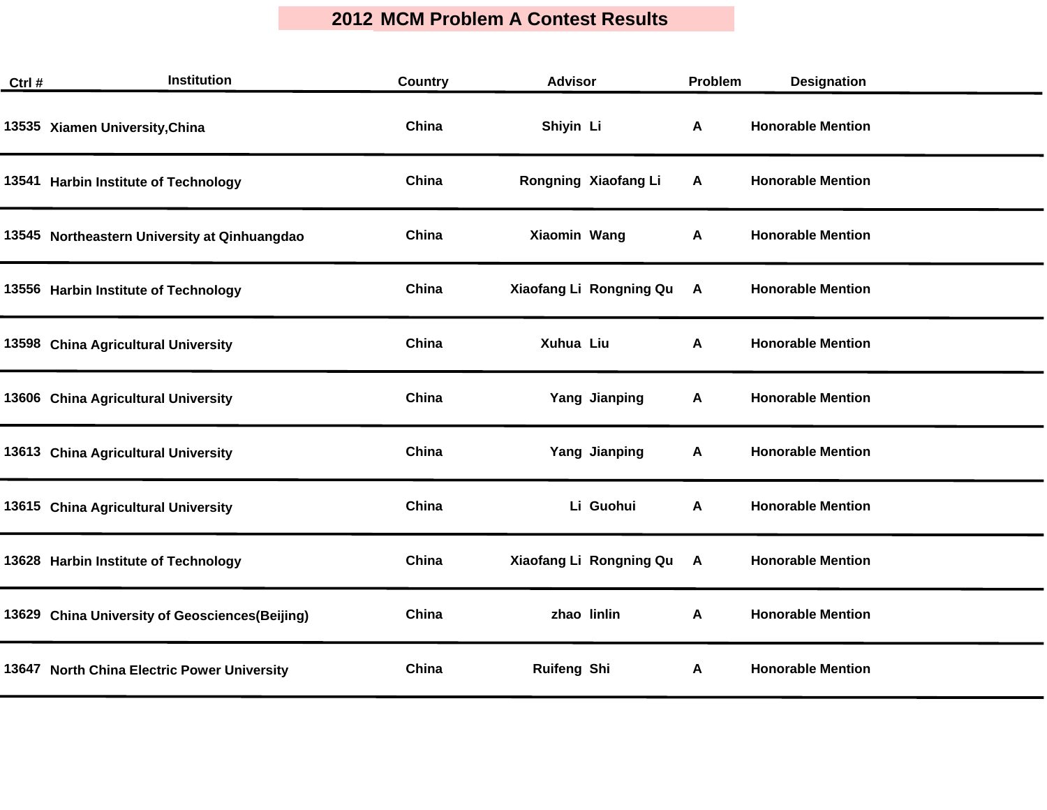| Ctrl # | Institution                                    | <b>Country</b> | <b>Advisor</b>          | Problem        | <b>Designation</b>       |  |
|--------|------------------------------------------------|----------------|-------------------------|----------------|--------------------------|--|
|        | 13535 Xiamen University, China                 | China          | Shiyin Li               | $\mathbf{A}$   | <b>Honorable Mention</b> |  |
|        | 13541 Harbin Institute of Technology           | China          | Rongning Xiaofang Li    | A              | <b>Honorable Mention</b> |  |
|        | 13545 Northeastern University at Qinhuangdao   | China          | Xiaomin Wang            | A              | <b>Honorable Mention</b> |  |
|        | 13556 Harbin Institute of Technology           | China          | Xiaofang Li Rongning Qu | <b>A</b>       | <b>Honorable Mention</b> |  |
|        | 13598 China Agricultural University            | China          | Xuhua Liu               | $\mathsf{A}$   | <b>Honorable Mention</b> |  |
|        | 13606 China Agricultural University            | China          | <b>Yang Jianping</b>    | A              | <b>Honorable Mention</b> |  |
|        | 13613 China Agricultural University            | China          | <b>Yang Jianping</b>    | A              | <b>Honorable Mention</b> |  |
|        | 13615 China Agricultural University            | China          | Li Guohui               | Α              | <b>Honorable Mention</b> |  |
|        | 13628 Harbin Institute of Technology           | China          | Xiaofang Li Rongning Qu | $\overline{A}$ | <b>Honorable Mention</b> |  |
|        | 13629 China University of Geosciences(Beijing) | China          | zhao linlin             | A              | <b>Honorable Mention</b> |  |
|        | 13647 North China Electric Power University    | China          | <b>Ruifeng Shi</b>      | A              | <b>Honorable Mention</b> |  |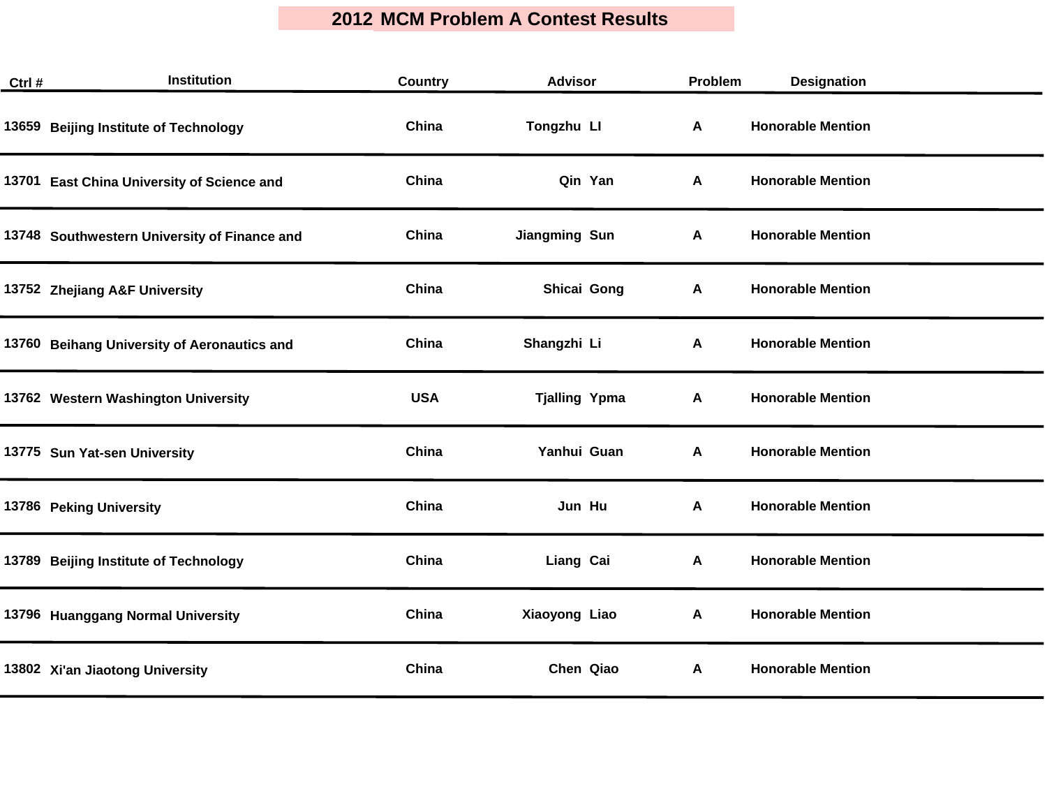| Ctrl # | Institution                                  | <b>Country</b> | <b>Advisor</b>       | Problem      | <b>Designation</b>       |  |
|--------|----------------------------------------------|----------------|----------------------|--------------|--------------------------|--|
|        | 13659 Beijing Institute of Technology        | China          | Tongzhu Ll           | $\mathsf{A}$ | <b>Honorable Mention</b> |  |
|        | 13701 East China University of Science and   | China          | Qin Yan              | A            | <b>Honorable Mention</b> |  |
|        | 13748 Southwestern University of Finance and | China          | <b>Jiangming Sun</b> | A            | <b>Honorable Mention</b> |  |
|        | 13752 Zhejiang A&F University                | China          | Shicai Gong          | $\mathsf{A}$ | <b>Honorable Mention</b> |  |
|        | 13760 Beihang University of Aeronautics and  | China          | Shangzhi Li          | $\mathsf{A}$ | <b>Honorable Mention</b> |  |
|        | 13762 Western Washington University          | <b>USA</b>     | <b>Tjalling Ypma</b> | A            | <b>Honorable Mention</b> |  |
|        | 13775 Sun Yat-sen University                 | China          | Yanhui Guan          | A            | <b>Honorable Mention</b> |  |
|        | 13786 Peking University                      | China          | Jun Hu               | Α            | <b>Honorable Mention</b> |  |
|        | 13789 Beijing Institute of Technology        | China          | Liang Cai            | $\mathsf{A}$ | <b>Honorable Mention</b> |  |
|        | 13796 Huanggang Normal University            | China          | Xiaoyong Liao        | $\mathsf{A}$ | <b>Honorable Mention</b> |  |
|        | 13802 Xi'an Jiaotong University              | China          | Chen Qiao            | A            | <b>Honorable Mention</b> |  |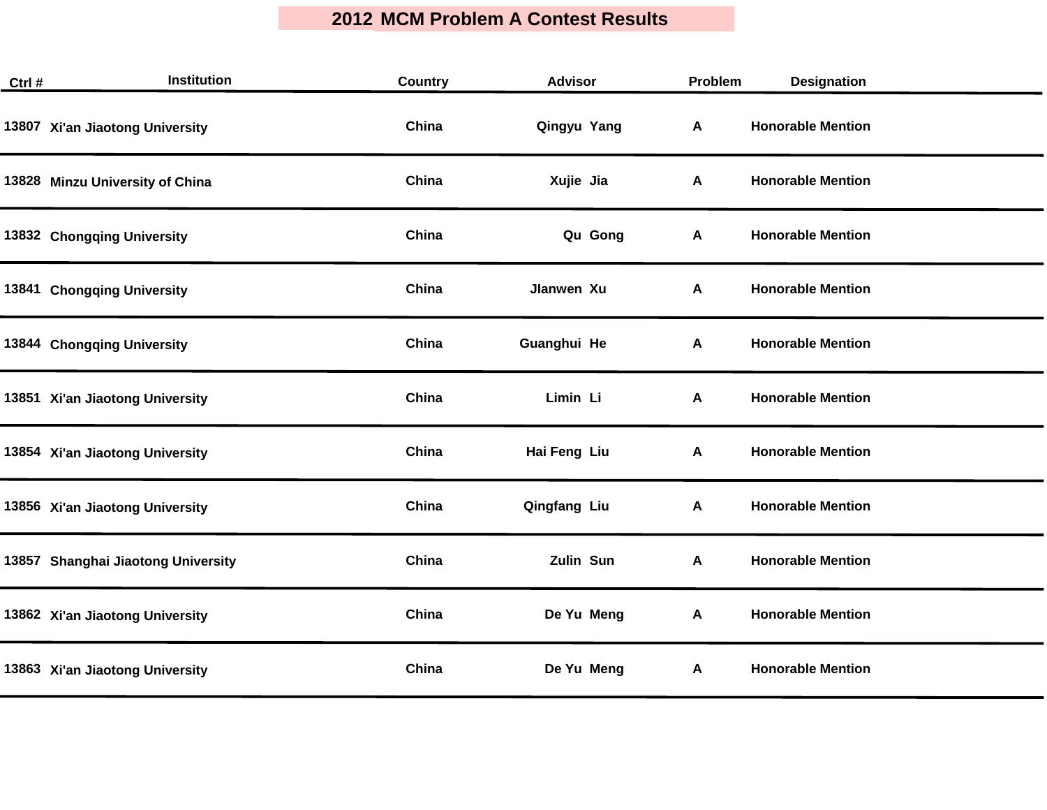| Ctrl # | Institution                        | <b>Country</b> | <b>Advisor</b> | Problem      | <b>Designation</b>       |  |
|--------|------------------------------------|----------------|----------------|--------------|--------------------------|--|
|        | 13807 Xi'an Jiaotong University    | China          | Qingyu Yang    | $\mathsf{A}$ | <b>Honorable Mention</b> |  |
|        | 13828 Minzu University of China    | China          | Xujie Jia      | $\mathsf{A}$ | <b>Honorable Mention</b> |  |
|        | 13832 Chongqing University         | China          | Qu Gong        | $\mathsf{A}$ | <b>Honorable Mention</b> |  |
|        | 13841 Chongqing University         | China          | Jlanwen Xu     | $\mathsf{A}$ | <b>Honorable Mention</b> |  |
|        | 13844 Chongqing University         | China          | Guanghui He    | $\mathsf{A}$ | <b>Honorable Mention</b> |  |
|        | 13851 Xi'an Jiaotong University    | China          | Limin Li       | $\mathsf{A}$ | <b>Honorable Mention</b> |  |
|        | 13854 Xi'an Jiaotong University    | China          | Hai Feng Liu   | A            | <b>Honorable Mention</b> |  |
|        | 13856 Xi'an Jiaotong University    | China          | Qingfang Liu   | $\mathsf{A}$ | <b>Honorable Mention</b> |  |
|        | 13857 Shanghai Jiaotong University | China          | Zulin Sun      | $\mathsf{A}$ | <b>Honorable Mention</b> |  |
|        | 13862 Xi'an Jiaotong University    | China          | De Yu Meng     | $\mathsf{A}$ | <b>Honorable Mention</b> |  |
|        | 13863 Xi'an Jiaotong University    | China          | De Yu Meng     | A            | <b>Honorable Mention</b> |  |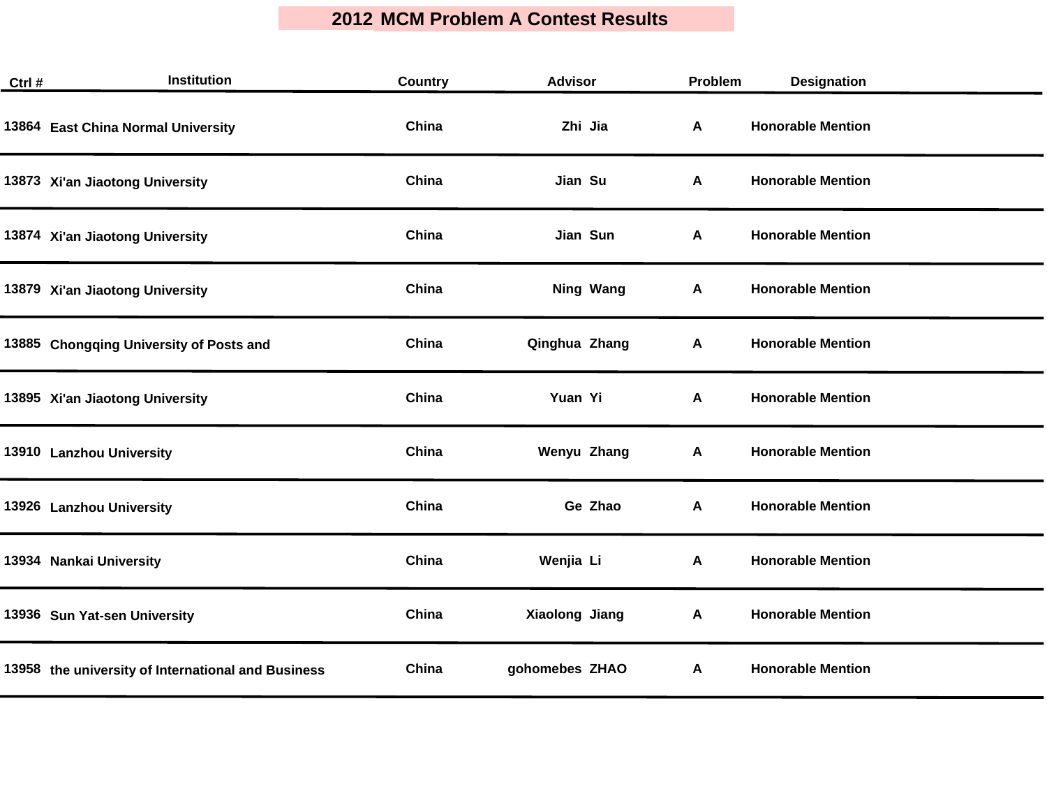| Ctrl # | Institution                                        | <b>Country</b> | <b>Advisor</b> |         | Problem      | <b>Designation</b>       |  |
|--------|----------------------------------------------------|----------------|----------------|---------|--------------|--------------------------|--|
|        | 13864 East China Normal University                 | China          | Zhi Jia        |         | $\mathsf{A}$ | <b>Honorable Mention</b> |  |
|        | 13873 Xi'an Jiaotong University                    | China          | Jian Su        |         | A            | <b>Honorable Mention</b> |  |
|        | 13874 Xi'an Jiaotong University                    | China          | Jian Sun       |         | A            | <b>Honorable Mention</b> |  |
|        | 13879 Xi'an Jiaotong University                    | China          | Ning Wang      |         | $\mathsf{A}$ | <b>Honorable Mention</b> |  |
|        | 13885 Chongqing University of Posts and            | China          | Qinghua Zhang  |         | $\mathsf{A}$ | <b>Honorable Mention</b> |  |
|        | 13895 Xi'an Jiaotong University                    | China          | Yuan Yi        |         | A            | <b>Honorable Mention</b> |  |
|        | 13910 Lanzhou University                           | China          | Wenyu Zhang    |         | A            | <b>Honorable Mention</b> |  |
|        | 13926 Lanzhou University                           | China          |                | Ge Zhao | $\mathsf{A}$ | <b>Honorable Mention</b> |  |
|        | 13934 Nankai University                            | China          | Wenjia Li      |         | $\mathsf{A}$ | <b>Honorable Mention</b> |  |
|        | 13936 Sun Yat-sen University                       | China          | Xiaolong Jiang |         | A            | <b>Honorable Mention</b> |  |
|        | 13958 the university of International and Business | China          | gohomebes ZHAO |         | $\mathsf{A}$ | <b>Honorable Mention</b> |  |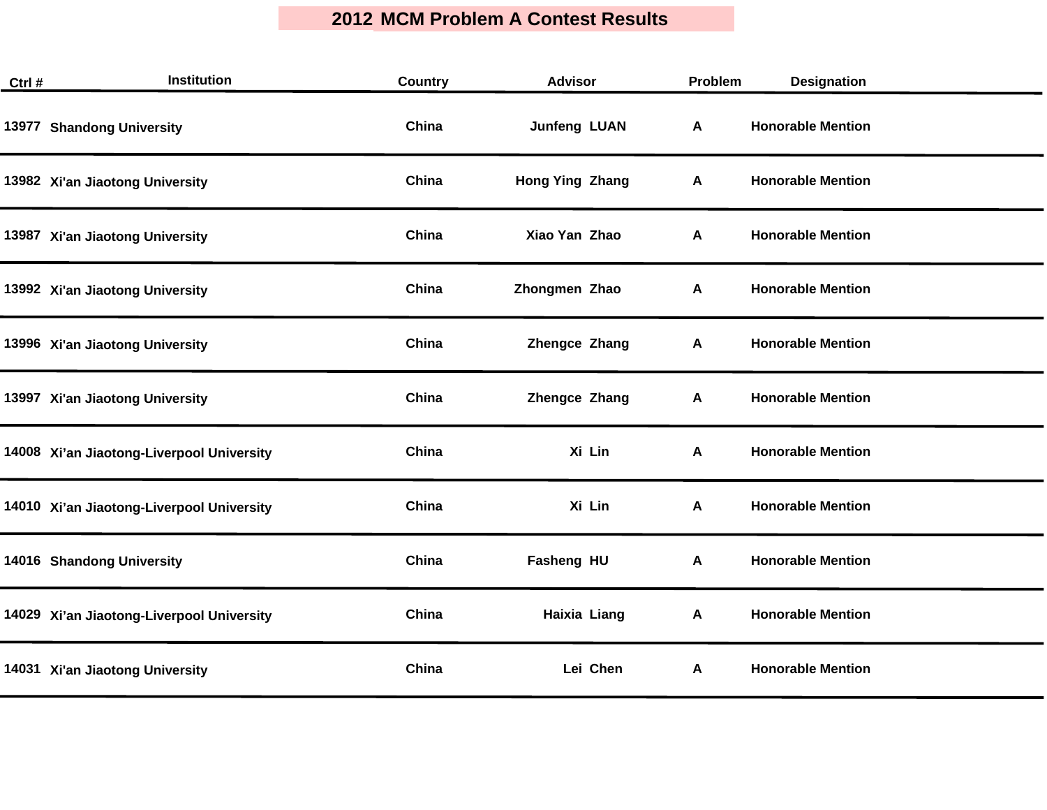| Ctrl # | Institution                               | <b>Country</b> | <b>Advisor</b>      | Problem      | <b>Designation</b>       |  |
|--------|-------------------------------------------|----------------|---------------------|--------------|--------------------------|--|
|        | 13977 Shandong University                 | China          | <b>Junfeng LUAN</b> | $\mathsf{A}$ | <b>Honorable Mention</b> |  |
|        | 13982 Xi'an Jiaotong University           | China          | Hong Ying Zhang     | Α            | <b>Honorable Mention</b> |  |
|        | 13987 Xi'an Jiaotong University           | China          | Xiao Yan Zhao       | $\mathsf{A}$ | <b>Honorable Mention</b> |  |
|        | 13992 Xi'an Jiaotong University           | China          | Zhongmen Zhao       | $\mathsf{A}$ | <b>Honorable Mention</b> |  |
|        | 13996 Xi'an Jiaotong University           | China          | Zhengce Zhang       | $\mathsf{A}$ | <b>Honorable Mention</b> |  |
|        | 13997 Xi'an Jiaotong University           | China          | Zhengce Zhang       | $\mathsf{A}$ | <b>Honorable Mention</b> |  |
|        | 14008 Xi'an Jiaotong-Liverpool University | China          | Xi Lin              | A            | <b>Honorable Mention</b> |  |
|        | 14010 Xi'an Jiaotong-Liverpool University | China          | Xi Lin              | A            | <b>Honorable Mention</b> |  |
|        | 14016 Shandong University                 | China          | Fasheng HU          | $\mathsf{A}$ | <b>Honorable Mention</b> |  |
|        | 14029 Xi'an Jiaotong-Liverpool University | China          | <b>Haixia Liang</b> | $\mathsf{A}$ | <b>Honorable Mention</b> |  |
|        | 14031 Xi'an Jiaotong University           | China          | Lei Chen            | $\mathsf{A}$ | <b>Honorable Mention</b> |  |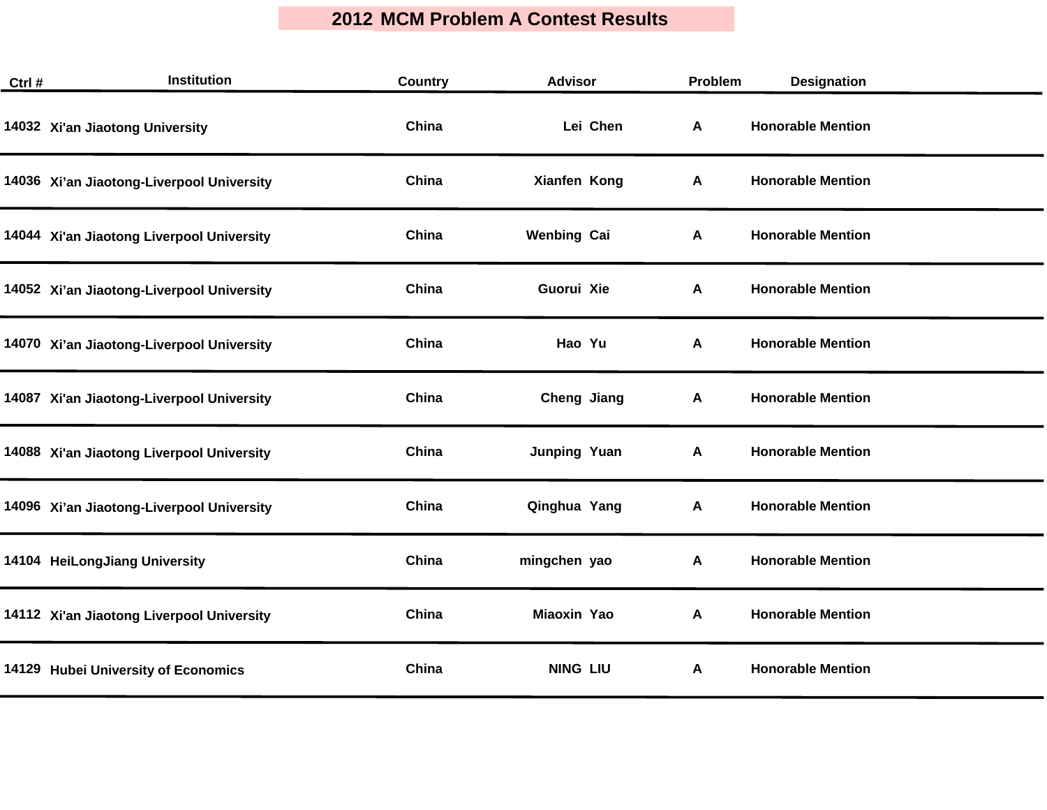| Ctrl # | Institution                               | <b>Country</b> | <b>Advisor</b>     | Problem      | <b>Designation</b>       |  |
|--------|-------------------------------------------|----------------|--------------------|--------------|--------------------------|--|
|        | 14032 Xi'an Jiaotong University           | China          | Lei Chen           | $\mathsf{A}$ | <b>Honorable Mention</b> |  |
|        | 14036 Xi'an Jiaotong-Liverpool University | China          | Xianfen Kong       | A            | <b>Honorable Mention</b> |  |
|        | 14044 Xi'an Jiaotong Liverpool University | China          | <b>Wenbing Cai</b> | A            | <b>Honorable Mention</b> |  |
|        | 14052 Xi'an Jiaotong-Liverpool University | China          | Guorui Xie         | A            | <b>Honorable Mention</b> |  |
|        | 14070 Xi'an Jiaotong-Liverpool University | China          | Hao Yu             | $\mathsf{A}$ | <b>Honorable Mention</b> |  |
|        | 14087 Xi'an Jiaotong-Liverpool University | China          | <b>Cheng Jiang</b> | $\mathsf{A}$ | <b>Honorable Mention</b> |  |
|        | 14088 Xi'an Jiaotong Liverpool University | China          | Junping Yuan       | A            | <b>Honorable Mention</b> |  |
|        | 14096 Xi'an Jiaotong-Liverpool University | China          | Qinghua Yang       | Α            | <b>Honorable Mention</b> |  |
|        | 14104 HeiLongJiang University             | China          | mingchen yao       | $\mathsf{A}$ | <b>Honorable Mention</b> |  |
|        | 14112 Xi'an Jiaotong Liverpool University | China          | Miaoxin Yao        | A            | <b>Honorable Mention</b> |  |
|        | 14129 Hubei University of Economics       | China          | <b>NING LIU</b>    | $\mathsf{A}$ | <b>Honorable Mention</b> |  |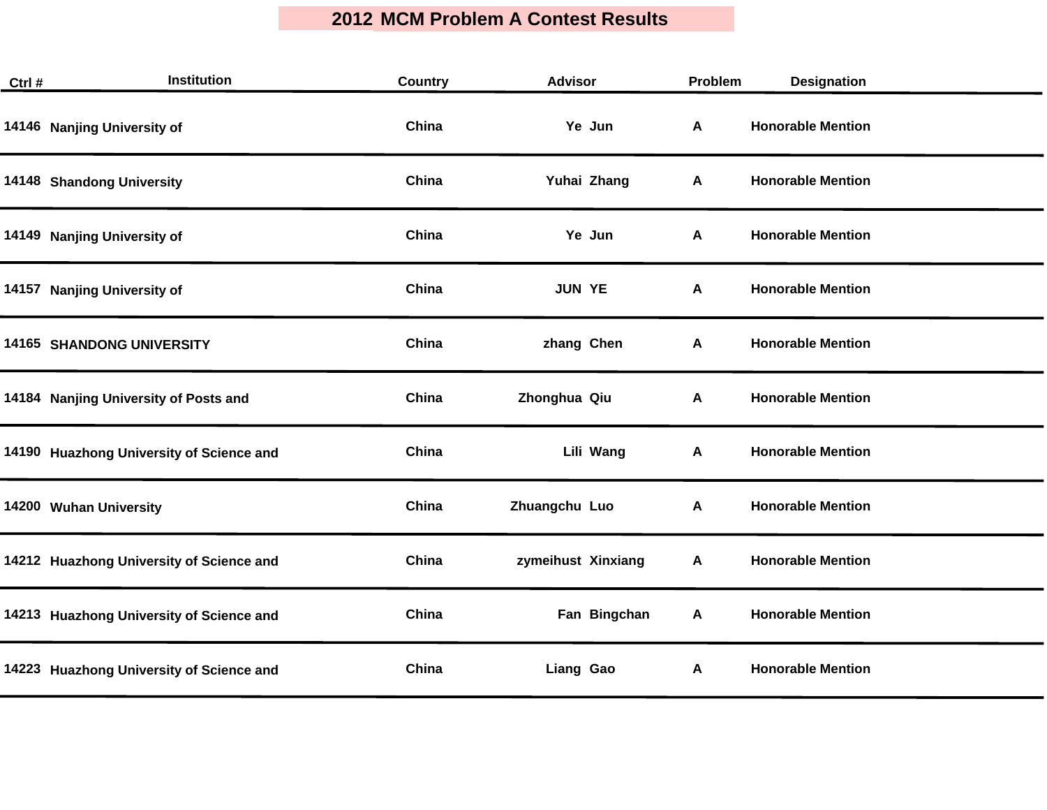| Ctrl # | <b>Institution</b>                       | <b>Country</b> | <b>Advisor</b>     |              | Problem      | <b>Designation</b>       |  |
|--------|------------------------------------------|----------------|--------------------|--------------|--------------|--------------------------|--|
|        | 14146 Nanjing University of              | China          |                    | Ye Jun       | $\mathsf{A}$ | <b>Honorable Mention</b> |  |
|        | 14148 Shandong University                | China          |                    | Yuhai Zhang  | A            | <b>Honorable Mention</b> |  |
|        | 14149 Nanjing University of              | China          |                    | Ye Jun       | $\mathsf{A}$ | <b>Honorable Mention</b> |  |
|        | 14157 Nanjing University of              | China          | <b>JUN YE</b>      |              | $\mathsf{A}$ | <b>Honorable Mention</b> |  |
|        | <b>14165 SHANDONG UNIVERSITY</b>         | China          | zhang Chen         |              | $\mathsf{A}$ | <b>Honorable Mention</b> |  |
|        | 14184 Nanjing University of Posts and    | China          | Zhonghua Qiu       |              | $\mathsf{A}$ | <b>Honorable Mention</b> |  |
|        | 14190 Huazhong University of Science and | China          |                    | Lili Wang    | A            | <b>Honorable Mention</b> |  |
|        | 14200 Wuhan University                   | China          | Zhuangchu Luo      |              | $\mathsf{A}$ | <b>Honorable Mention</b> |  |
|        | 14212 Huazhong University of Science and | China          | zymeihust Xinxiang |              | $\mathsf{A}$ | <b>Honorable Mention</b> |  |
|        | 14213 Huazhong University of Science and | China          |                    | Fan Bingchan | $\mathsf{A}$ | <b>Honorable Mention</b> |  |
|        | 14223 Huazhong University of Science and | China          | <b>Liang Gao</b>   |              | $\mathsf{A}$ | <b>Honorable Mention</b> |  |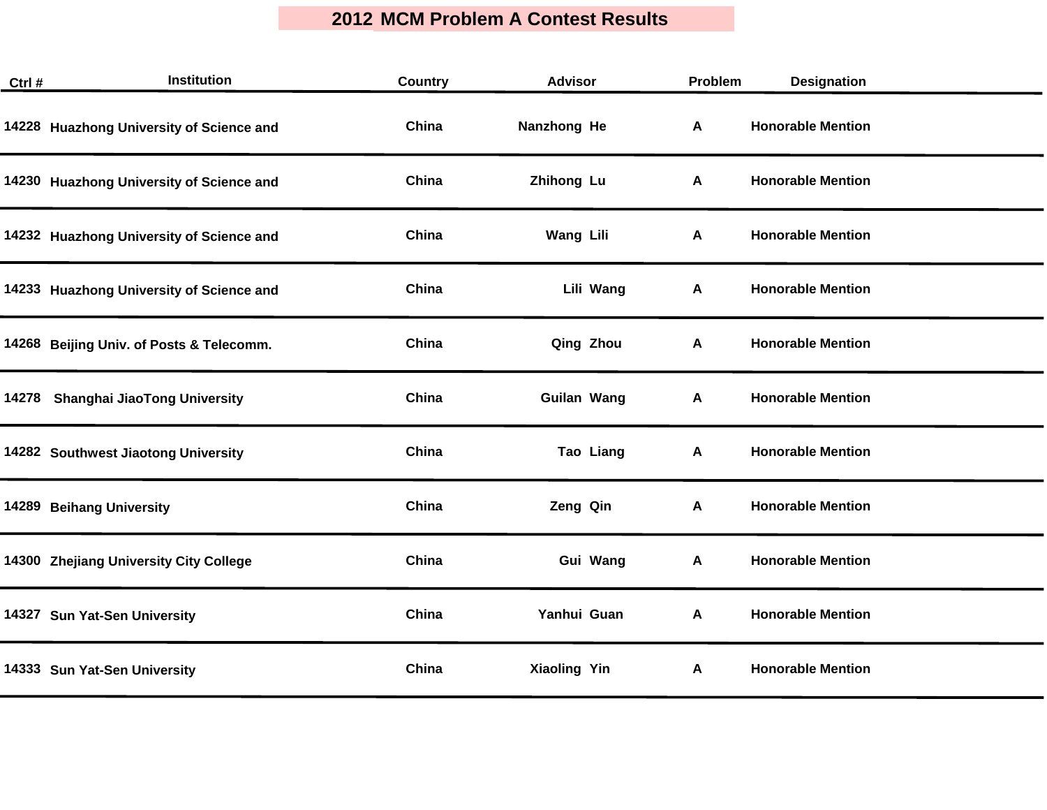| Ctrl # | <b>Institution</b>                       | <b>Country</b> | <b>Advisor</b>     | Problem      | <b>Designation</b>       |  |
|--------|------------------------------------------|----------------|--------------------|--------------|--------------------------|--|
|        | 14228 Huazhong University of Science and | China          | Nanzhong He        | $\mathsf{A}$ | <b>Honorable Mention</b> |  |
|        | 14230 Huazhong University of Science and | China          | Zhihong Lu         | A            | <b>Honorable Mention</b> |  |
|        | 14232 Huazhong University of Science and | China          | <b>Wang Lili</b>   | A            | <b>Honorable Mention</b> |  |
|        | 14233 Huazhong University of Science and | China          | Lili Wang          | $\mathsf{A}$ | <b>Honorable Mention</b> |  |
|        | 14268 Beijing Univ. of Posts & Telecomm. | China          | Qing Zhou          | $\mathsf{A}$ | <b>Honorable Mention</b> |  |
| 14278  | <b>Shanghai JiaoTong University</b>      | China          | <b>Guilan Wang</b> | A            | <b>Honorable Mention</b> |  |
|        | 14282 Southwest Jiaotong University      | China          | <b>Tao Liang</b>   | A            | <b>Honorable Mention</b> |  |
|        | 14289 Beihang University                 | China          | Zeng Qin           | A            | <b>Honorable Mention</b> |  |
|        | 14300 Zhejiang University City College   | China          | Gui Wang           | A            | <b>Honorable Mention</b> |  |
|        | 14327 Sun Yat-Sen University             | China          | Yanhui Guan        | A            | <b>Honorable Mention</b> |  |
|        | 14333 Sun Yat-Sen University             | China          | Xiaoling Yin       | A            | <b>Honorable Mention</b> |  |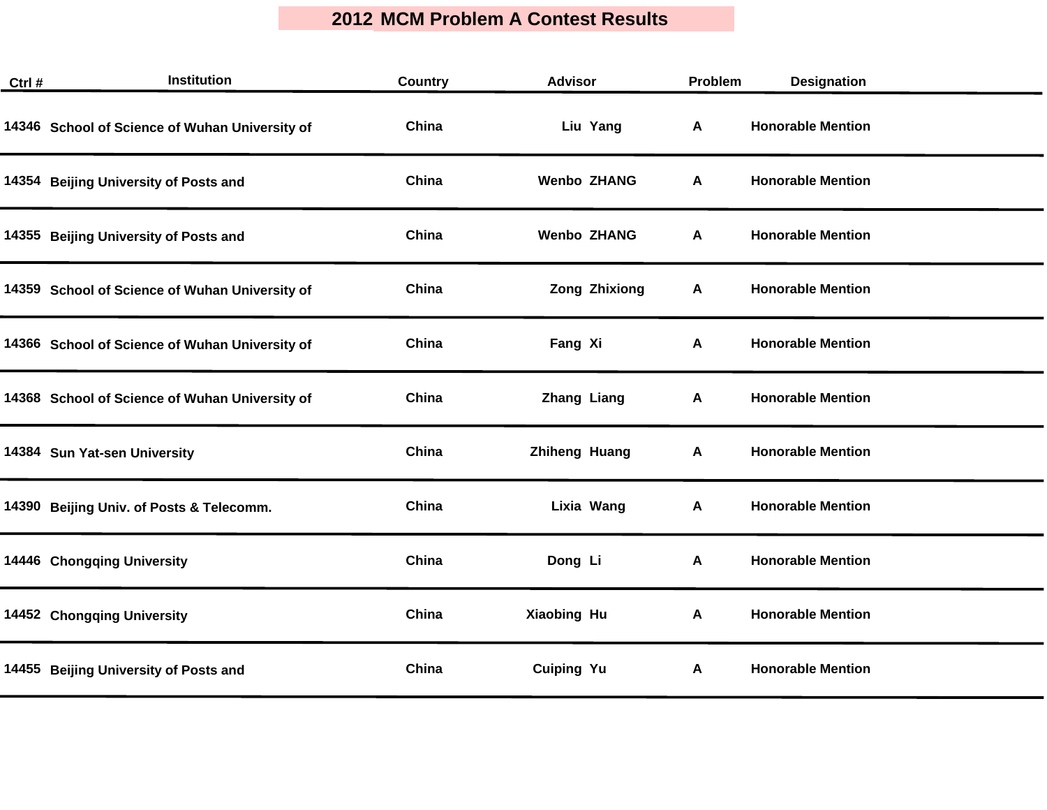| Ctrl # | <b>Institution</b>                             | <b>Country</b> | <b>Advisor</b>       | Problem      | <b>Designation</b>       |  |
|--------|------------------------------------------------|----------------|----------------------|--------------|--------------------------|--|
|        | 14346 School of Science of Wuhan University of | China          | Liu Yang             | $\mathsf{A}$ | <b>Honorable Mention</b> |  |
|        | 14354 Beijing University of Posts and          | China          | <b>Wenbo ZHANG</b>   | A            | <b>Honorable Mention</b> |  |
|        | 14355 Beijing University of Posts and          | China          | <b>Wenbo ZHANG</b>   | A            | <b>Honorable Mention</b> |  |
|        | 14359 School of Science of Wuhan University of | China          | Zong Zhixiong        | A            | <b>Honorable Mention</b> |  |
|        | 14366 School of Science of Wuhan University of | China          | Fang Xi              | $\mathsf{A}$ | <b>Honorable Mention</b> |  |
|        | 14368 School of Science of Wuhan University of | China          | <b>Zhang Liang</b>   | A            | <b>Honorable Mention</b> |  |
|        | 14384 Sun Yat-sen University                   | China          | <b>Zhiheng Huang</b> | A            | <b>Honorable Mention</b> |  |
|        | 14390 Beijing Univ. of Posts & Telecomm.       | China          | Lixia Wang           | $\mathsf{A}$ | <b>Honorable Mention</b> |  |
|        | <b>14446 Chongqing University</b>              | China          | Dong Li              | A            | <b>Honorable Mention</b> |  |
|        | <b>14452 Chongqing University</b>              | China          | Xiaobing Hu          | A            | <b>Honorable Mention</b> |  |
|        | 14455 Beijing University of Posts and          | China          | <b>Cuiping Yu</b>    | A            | <b>Honorable Mention</b> |  |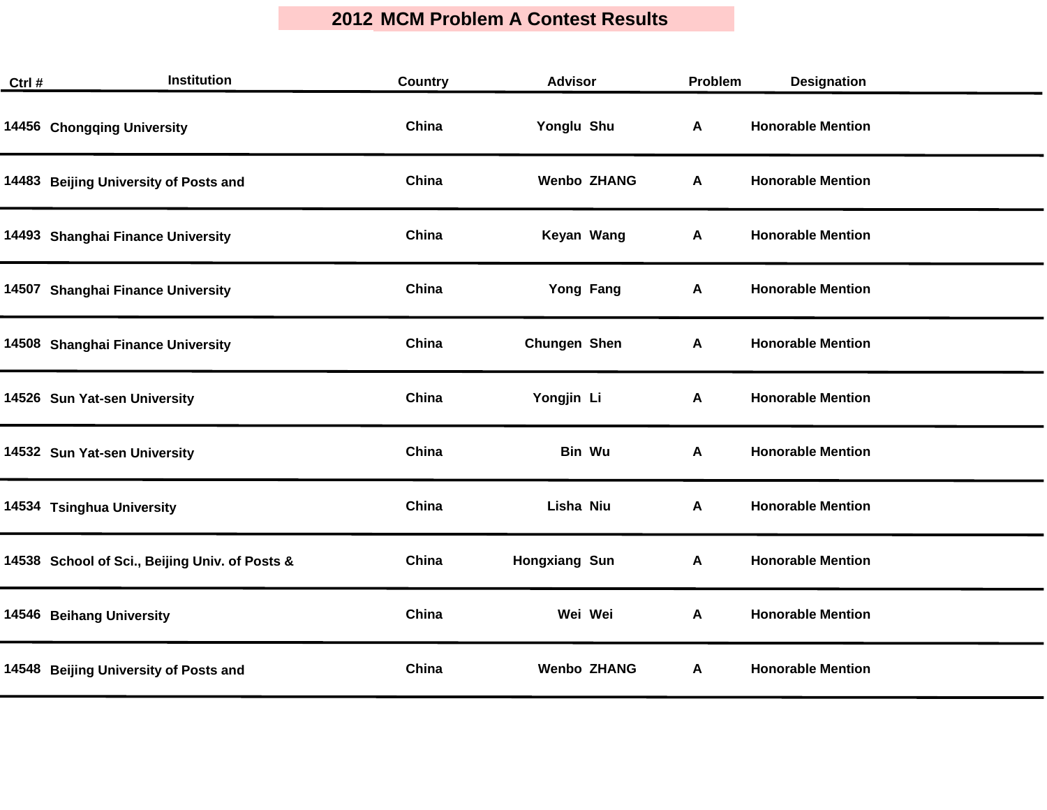| Ctrl # | <b>Institution</b>                             | <b>Country</b> | <b>Advisor</b>       | Problem      | <b>Designation</b>       |  |
|--------|------------------------------------------------|----------------|----------------------|--------------|--------------------------|--|
|        | 14456 Chongqing University                     | China          | Yonglu Shu           | $\mathsf{A}$ | <b>Honorable Mention</b> |  |
|        | 14483 Beijing University of Posts and          | China          | <b>Wenbo ZHANG</b>   | A            | <b>Honorable Mention</b> |  |
|        | 14493 Shanghai Finance University              | China          | Keyan Wang           | $\mathsf{A}$ | <b>Honorable Mention</b> |  |
|        | 14507 Shanghai Finance University              | China          | Yong Fang            | $\mathsf{A}$ | <b>Honorable Mention</b> |  |
|        | 14508 Shanghai Finance University              | China          | Chungen Shen         | $\mathsf{A}$ | <b>Honorable Mention</b> |  |
|        | 14526 Sun Yat-sen University                   | China          | Yongjin Li           | $\mathsf{A}$ | <b>Honorable Mention</b> |  |
|        | 14532 Sun Yat-sen University                   | China          | <b>Bin Wu</b>        | A            | <b>Honorable Mention</b> |  |
|        | 14534 Tsinghua University                      | China          | Lisha Niu            | $\mathsf{A}$ | <b>Honorable Mention</b> |  |
|        | 14538 School of Sci., Beijing Univ. of Posts & | China          | <b>Hongxiang Sun</b> | $\mathsf{A}$ | <b>Honorable Mention</b> |  |
|        | 14546 Beihang University                       | China          | Wei Wei              | $\mathsf{A}$ | <b>Honorable Mention</b> |  |
|        | 14548 Beijing University of Posts and          | China          | <b>Wenbo ZHANG</b>   | $\mathsf{A}$ | <b>Honorable Mention</b> |  |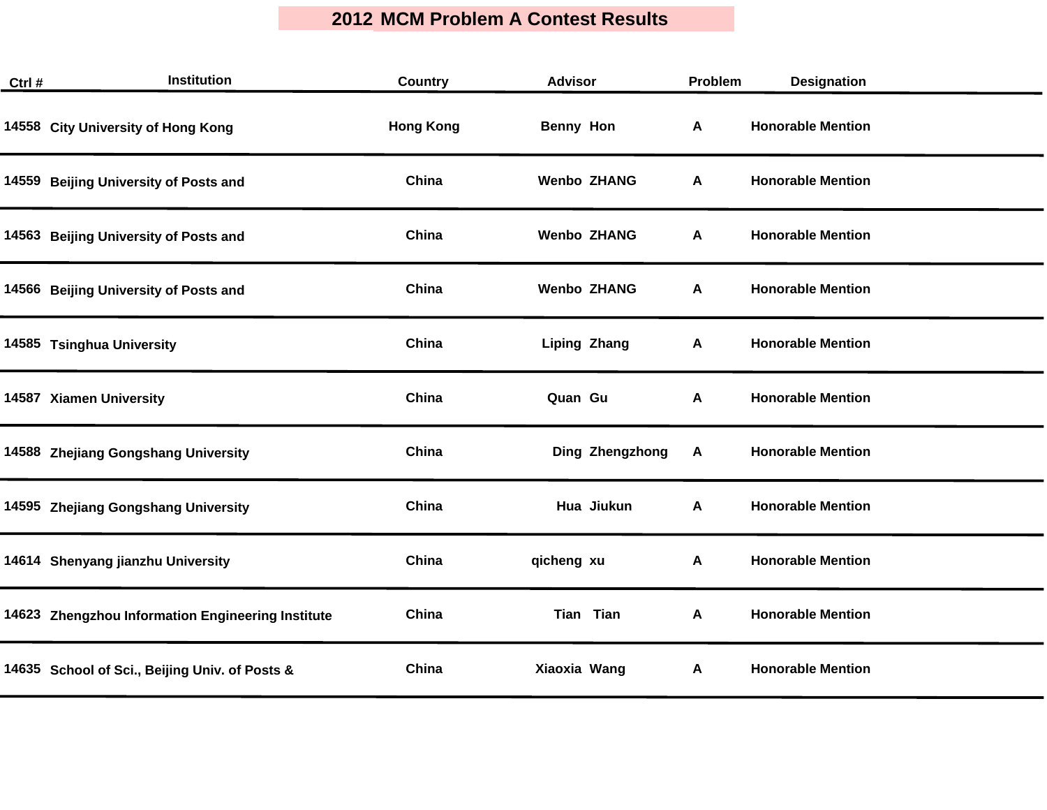| Ctrl # | Institution                                       | <b>Country</b>   | <b>Advisor</b>      | Problem      | <b>Designation</b>       |  |
|--------|---------------------------------------------------|------------------|---------------------|--------------|--------------------------|--|
|        | 14558 City University of Hong Kong                | <b>Hong Kong</b> | Benny Hon           | $\mathsf{A}$ | <b>Honorable Mention</b> |  |
|        | 14559 Beijing University of Posts and             | China            | <b>Wenbo ZHANG</b>  | A            | <b>Honorable Mention</b> |  |
|        | 14563 Beijing University of Posts and             | China            | <b>Wenbo ZHANG</b>  | A            | <b>Honorable Mention</b> |  |
|        | 14566 Beijing University of Posts and             | China            | <b>Wenbo ZHANG</b>  | A            | <b>Honorable Mention</b> |  |
|        | 14585 Tsinghua University                         | China            | <b>Liping Zhang</b> | $\mathsf{A}$ | <b>Honorable Mention</b> |  |
|        | 14587 Xiamen University                           | China            | Quan Gu             | A            | <b>Honorable Mention</b> |  |
|        | 14588 Zhejiang Gongshang University               | China            | Ding Zhengzhong     | A            | <b>Honorable Mention</b> |  |
|        | 14595 Zhejiang Gongshang University               | China            | Hua Jiukun          | $\mathsf{A}$ | <b>Honorable Mention</b> |  |
|        | 14614 Shenyang jianzhu University                 | China            | qicheng xu          | A            | <b>Honorable Mention</b> |  |
|        | 14623 Zhengzhou Information Engineering Institute | China            | Tian Tian           | A            | <b>Honorable Mention</b> |  |
|        | 14635 School of Sci., Beijing Univ. of Posts &    | China            | Xiaoxia Wang        | Α            | <b>Honorable Mention</b> |  |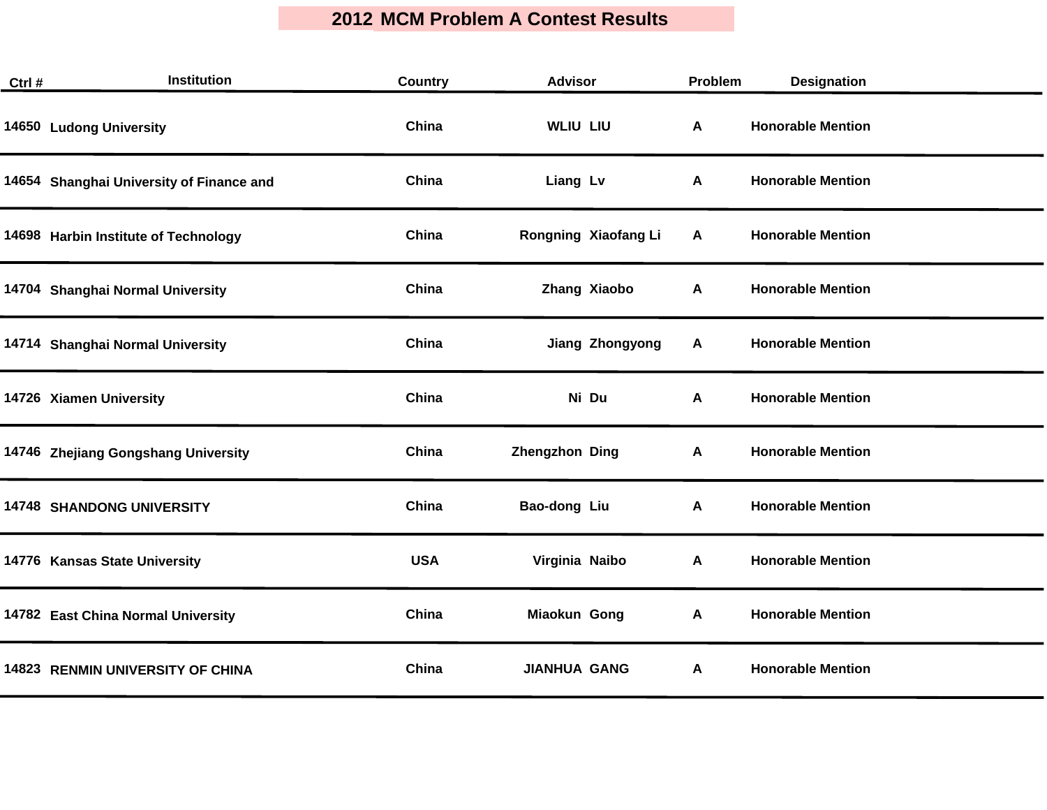| Ctrl # | Institution                              | <b>Country</b> | <b>Advisor</b>        |                 | Problem      | <b>Designation</b>       |  |
|--------|------------------------------------------|----------------|-----------------------|-----------------|--------------|--------------------------|--|
|        | 14650 Ludong University                  | China          | <b>WLIU LIU</b>       |                 | $\mathsf{A}$ | <b>Honorable Mention</b> |  |
|        | 14654 Shanghai University of Finance and | China          | Liang Lv              |                 | $\mathsf{A}$ | <b>Honorable Mention</b> |  |
|        | 14698 Harbin Institute of Technology     | China          | Rongning Xiaofang Li  |                 | A            | <b>Honorable Mention</b> |  |
|        | 14704 Shanghai Normal University         | China          | Zhang Xiaobo          |                 | A            | <b>Honorable Mention</b> |  |
|        | 14714 Shanghai Normal University         | China          |                       | Jiang Zhongyong | A            | <b>Honorable Mention</b> |  |
|        | 14726 Xiamen University                  | China          | Ni Du                 |                 | $\mathsf{A}$ | <b>Honorable Mention</b> |  |
|        | 14746 Zhejiang Gongshang University      | China          | <b>Zhengzhon Ding</b> |                 | Α            | <b>Honorable Mention</b> |  |
|        | <b>14748 SHANDONG UNIVERSITY</b>         | China          | Bao-dong Liu          |                 | A            | <b>Honorable Mention</b> |  |
|        | 14776 Kansas State University            | <b>USA</b>     | Virginia Naibo        |                 | $\mathsf{A}$ | <b>Honorable Mention</b> |  |
|        | 14782 East China Normal University       | China          | Miaokun Gong          |                 | $\mathsf{A}$ | <b>Honorable Mention</b> |  |
|        | <b>14823 RENMIN UNIVERSITY OF CHINA</b>  | China          | <b>JIANHUA GANG</b>   |                 | A            | <b>Honorable Mention</b> |  |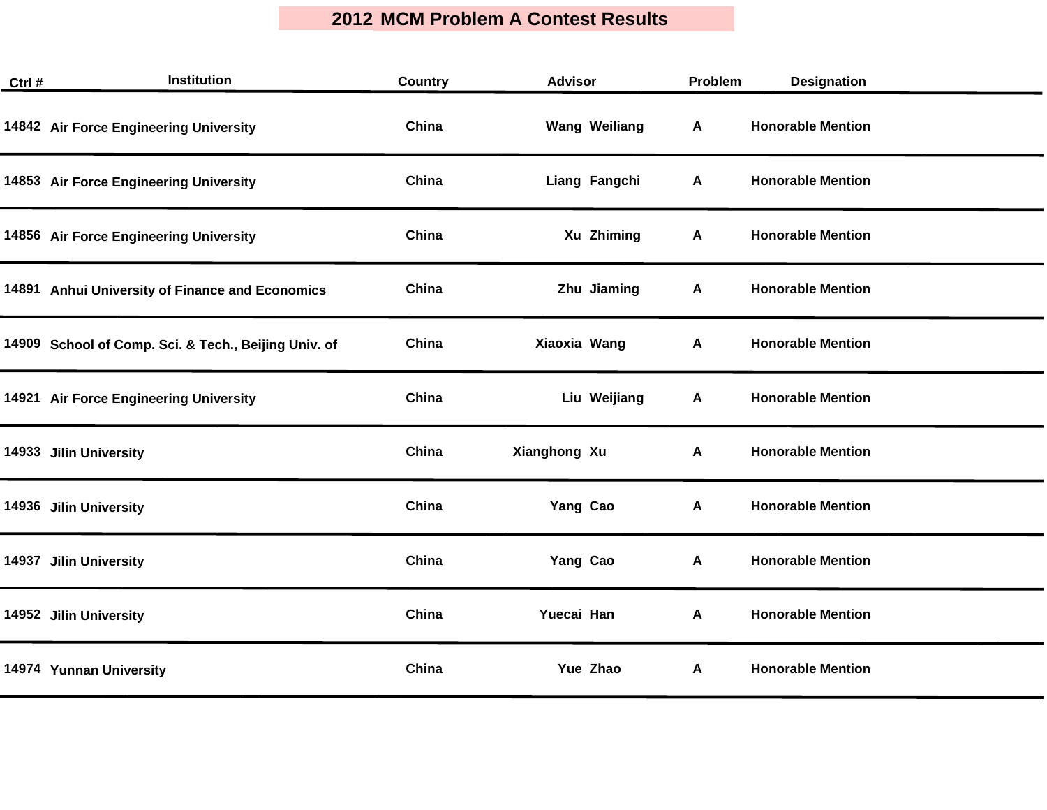| Ctrl # | <b>Institution</b>                                   | <b>Country</b> | <b>Advisor</b>       | Problem      | <b>Designation</b>       |  |
|--------|------------------------------------------------------|----------------|----------------------|--------------|--------------------------|--|
|        | 14842 Air Force Engineering University               | China          | <b>Wang Weiliang</b> | $\mathsf{A}$ | <b>Honorable Mention</b> |  |
|        | 14853 Air Force Engineering University               | China          | Liang Fangchi        | A            | <b>Honorable Mention</b> |  |
|        | 14856 Air Force Engineering University               | China          | Xu Zhiming           | A            | <b>Honorable Mention</b> |  |
|        | 14891 Anhui University of Finance and Economics      | China          | Zhu Jiaming          | A            | <b>Honorable Mention</b> |  |
|        | 14909 School of Comp. Sci. & Tech., Beijing Univ. of | China          | Xiaoxia Wang         | A            | <b>Honorable Mention</b> |  |
|        | 14921 Air Force Engineering University               | China          | Liu Weijiang         | A            | <b>Honorable Mention</b> |  |
|        | 14933 Jilin University                               | China          | Xianghong Xu         | A            | <b>Honorable Mention</b> |  |
|        | 14936 Jilin University                               | China          | Yang Cao             | A            | <b>Honorable Mention</b> |  |
|        | 14937 Jilin University                               | China          | Yang Cao             | $\mathsf{A}$ | <b>Honorable Mention</b> |  |
|        | 14952 Jilin University                               | China          | Yuecai Han           | A            | <b>Honorable Mention</b> |  |
|        | 14974 Yunnan University                              | China          | Yue Zhao             | A            | <b>Honorable Mention</b> |  |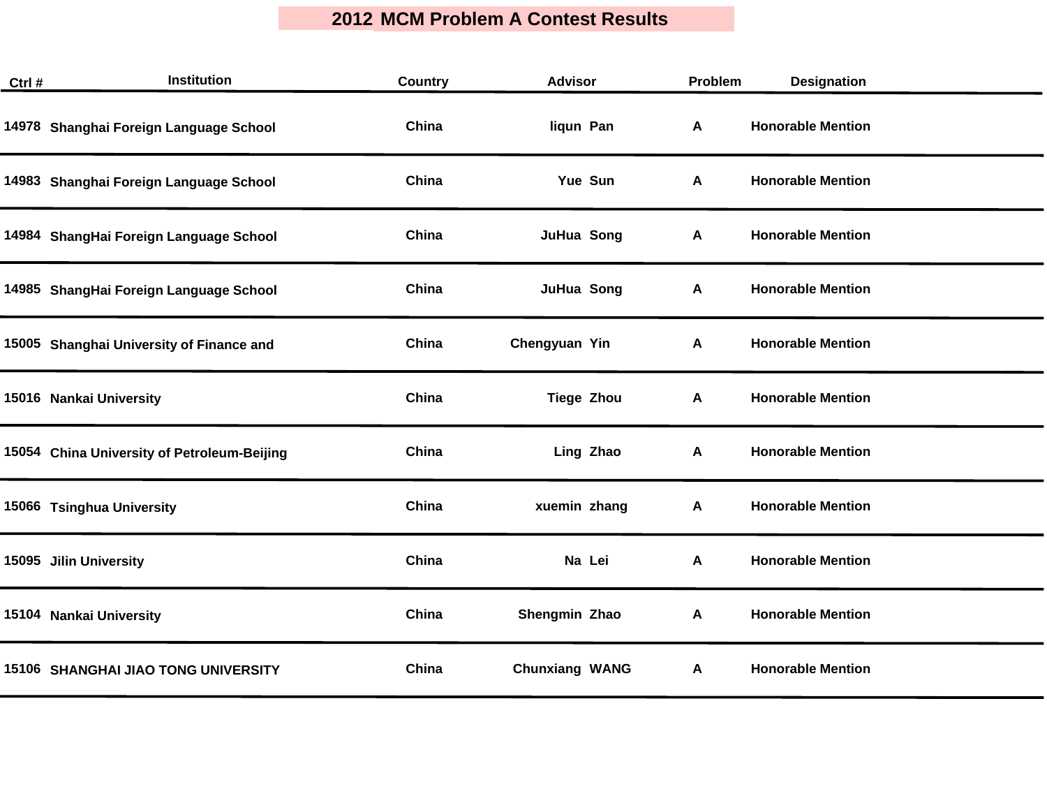| Ctrl # | Institution                                 | <b>Country</b> | <b>Advisor</b>        | Problem      | <b>Designation</b>       |  |
|--------|---------------------------------------------|----------------|-----------------------|--------------|--------------------------|--|
|        | 14978 Shanghai Foreign Language School      | China          | liqun Pan             | $\mathsf{A}$ | <b>Honorable Mention</b> |  |
|        | 14983 Shanghai Foreign Language School      | China          | Yue Sun               | A            | <b>Honorable Mention</b> |  |
|        | 14984 ShangHai Foreign Language School      | China          | JuHua Song            | A            | <b>Honorable Mention</b> |  |
|        | 14985 ShangHai Foreign Language School      | China          | JuHua Song            | A            | <b>Honorable Mention</b> |  |
|        | 15005 Shanghai University of Finance and    | China          | Chengyuan Yin         | $\mathsf{A}$ | <b>Honorable Mention</b> |  |
|        | 15016 Nankai University                     | China          | <b>Tiege Zhou</b>     | A            | <b>Honorable Mention</b> |  |
|        | 15054 China University of Petroleum-Beijing | China          | Ling Zhao             | A            | <b>Honorable Mention</b> |  |
|        | 15066 Tsinghua University                   | China          | xuemin zhang          | A            | <b>Honorable Mention</b> |  |
|        | 15095 Jilin University                      | China          | Na Lei                | A            | <b>Honorable Mention</b> |  |
|        | 15104 Nankai University                     | China          | Shengmin Zhao         | A            | <b>Honorable Mention</b> |  |
|        | <b>15106 SHANGHAI JIAO TONG UNIVERSITY</b>  | China          | <b>Chunxiang WANG</b> | A            | <b>Honorable Mention</b> |  |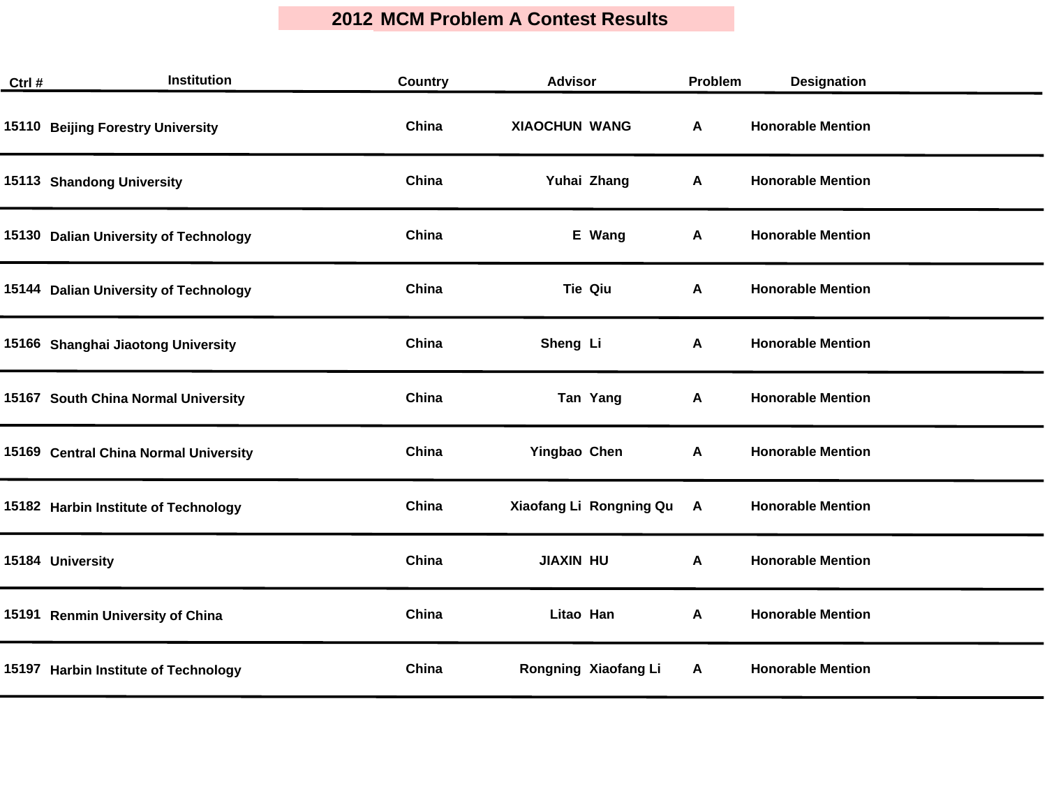| Ctrl # | Institution                           | <b>Country</b> | <b>Advisor</b>            | Problem      | <b>Designation</b>       |  |
|--------|---------------------------------------|----------------|---------------------------|--------------|--------------------------|--|
|        | 15110 Beijing Forestry University     | China          | <b>XIAOCHUN WANG</b>      | $\mathsf{A}$ | <b>Honorable Mention</b> |  |
|        | 15113 Shandong University             | China          | Yuhai Zhang               | A            | <b>Honorable Mention</b> |  |
|        | 15130 Dalian University of Technology | China          | E Wang                    | A            | <b>Honorable Mention</b> |  |
|        | 15144 Dalian University of Technology | China          | <b>Tie Qiu</b>            | $\mathsf{A}$ | <b>Honorable Mention</b> |  |
|        | 15166 Shanghai Jiaotong University    | China          | Sheng Li                  | $\mathsf{A}$ | <b>Honorable Mention</b> |  |
|        | 15167 South China Normal University   | China          | Tan Yang                  | $\mathsf{A}$ | <b>Honorable Mention</b> |  |
|        | 15169 Central China Normal University | China          | Yingbao Chen              | A            | <b>Honorable Mention</b> |  |
|        | 15182 Harbin Institute of Technology  | China          | Xiaofang Li Rongning Qu A |              | <b>Honorable Mention</b> |  |
|        | 15184 University                      | China          | <b>JIAXIN HU</b>          | $\mathbf{A}$ | <b>Honorable Mention</b> |  |
|        | 15191 Renmin University of China      | China          | Litao Han                 | $\mathsf{A}$ | <b>Honorable Mention</b> |  |
|        | 15197 Harbin Institute of Technology  | China          | Rongning Xiaofang Li      | A            | <b>Honorable Mention</b> |  |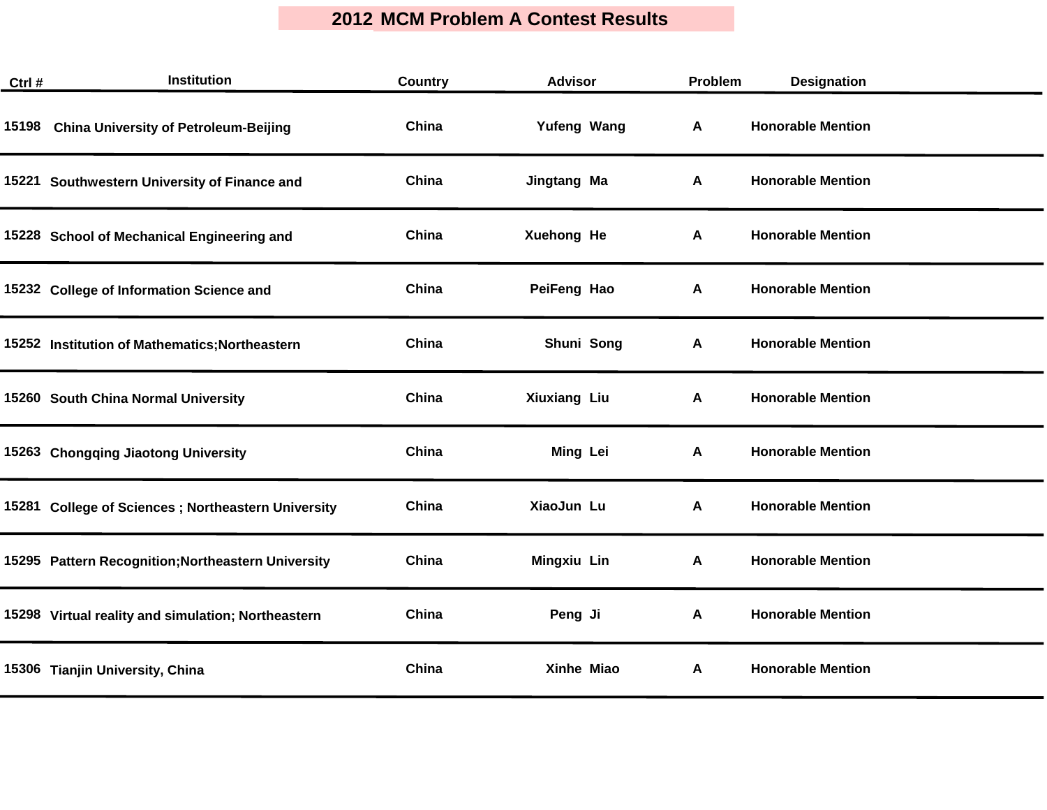| Ctrl # | <b>Institution</b>                                 | <b>Country</b> | <b>Advisor</b> | Problem      | <b>Designation</b>       |  |
|--------|----------------------------------------------------|----------------|----------------|--------------|--------------------------|--|
| 15198  | <b>China University of Petroleum-Beijing</b>       | China          | Yufeng Wang    | $\mathsf{A}$ | <b>Honorable Mention</b> |  |
|        | 15221 Southwestern University of Finance and       | China          | Jingtang Ma    | A            | <b>Honorable Mention</b> |  |
|        | 15228 School of Mechanical Engineering and         | China          | Xuehong He     | A            | <b>Honorable Mention</b> |  |
|        | 15232 College of Information Science and           | China          | PeiFeng Hao    | A            | <b>Honorable Mention</b> |  |
|        | 15252 Institution of Mathematics; Northeastern     | China          | Shuni Song     | $\mathsf{A}$ | <b>Honorable Mention</b> |  |
|        | 15260 South China Normal University                | China          | Xiuxiang Liu   | A            | <b>Honorable Mention</b> |  |
|        | 15263 Chongqing Jiaotong University                | China          | Ming Lei       | A            | <b>Honorable Mention</b> |  |
|        | 15281 College of Sciences; Northeastern University | China          | XiaoJun Lu     | $\mathsf{A}$ | <b>Honorable Mention</b> |  |
|        | 15295 Pattern Recognition; Northeastern University | China          | Mingxiu Lin    | A            | <b>Honorable Mention</b> |  |
|        | 15298 Virtual reality and simulation; Northeastern | China          | Peng Ji        | A            | <b>Honorable Mention</b> |  |
|        | 15306 Tianjin University, China                    | China          | Xinhe Miao     | A            | <b>Honorable Mention</b> |  |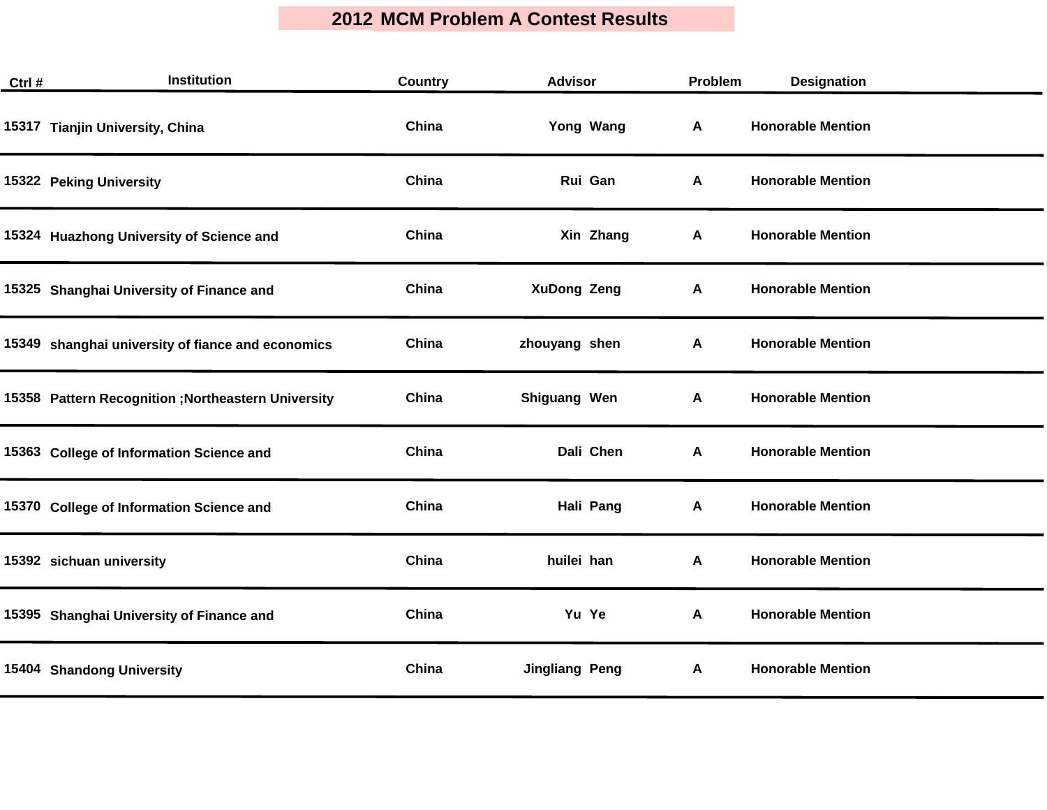| Ctrl # | <b>Institution</b>                                  | <b>Country</b> | <b>Advisor</b>        |           | Problem      | <b>Designation</b>       |  |
|--------|-----------------------------------------------------|----------------|-----------------------|-----------|--------------|--------------------------|--|
|        | 15317 Tianjin University, China                     | China          | Yong Wang             |           | $\mathsf{A}$ | <b>Honorable Mention</b> |  |
|        | 15322 Peking University                             | China          | Rui Gan               |           | A            | <b>Honorable Mention</b> |  |
|        | 15324 Huazhong University of Science and            | China          |                       | Xin Zhang | A            | <b>Honorable Mention</b> |  |
|        | 15325 Shanghai University of Finance and            | China          | <b>XuDong Zeng</b>    |           | A            | <b>Honorable Mention</b> |  |
|        | 15349 shanghai university of fiance and economics   | China          | zhouyang shen         |           | $\mathsf{A}$ | <b>Honorable Mention</b> |  |
|        | 15358 Pattern Recognition ; Northeastern University | China          | Shiguang Wen          |           | A            | <b>Honorable Mention</b> |  |
|        | 15363 College of Information Science and            | China          |                       | Dali Chen | Α            | <b>Honorable Mention</b> |  |
|        | 15370 College of Information Science and            | China          |                       | Hali Pang | $\mathsf{A}$ | <b>Honorable Mention</b> |  |
|        | 15392 sichuan university                            | China          | huilei han            |           | $\mathsf{A}$ | <b>Honorable Mention</b> |  |
|        | 15395 Shanghai University of Finance and            | China          | Yu Ye                 |           | A            | <b>Honorable Mention</b> |  |
|        | 15404 Shandong University                           | China          | <b>Jingliang Peng</b> |           | A            | <b>Honorable Mention</b> |  |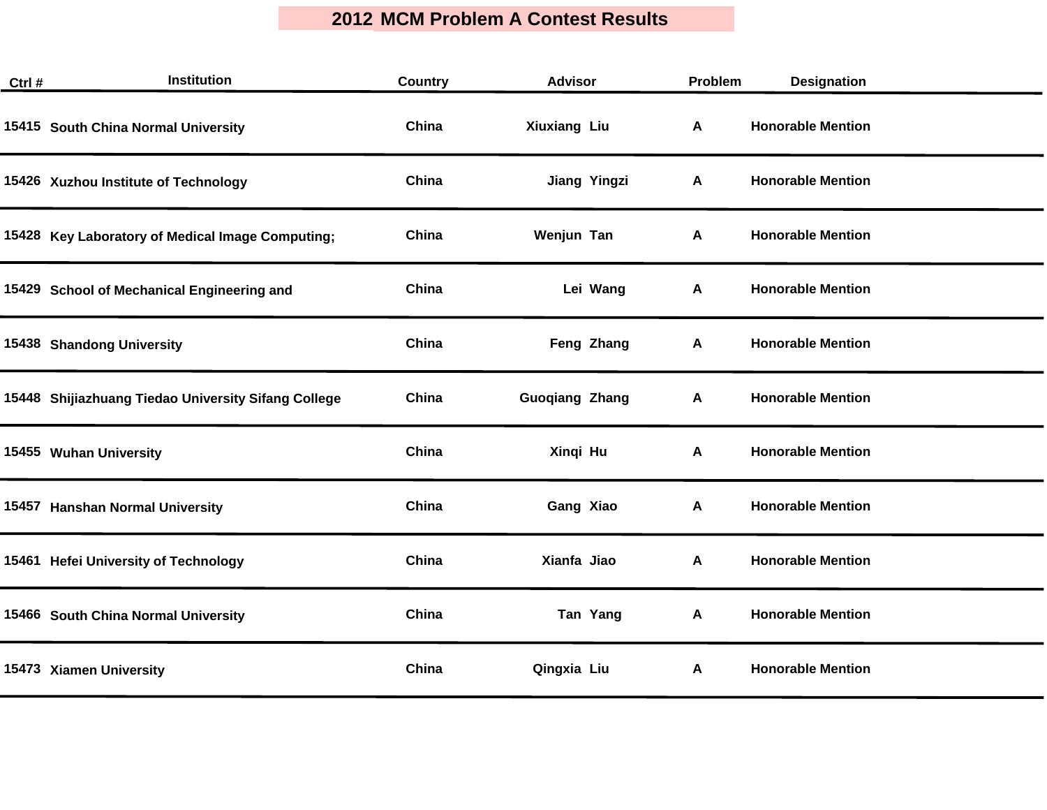| Ctrl # | Institution                                         | <b>Country</b> | <b>Advisor</b>        |          | Problem      | <b>Designation</b>       |  |
|--------|-----------------------------------------------------|----------------|-----------------------|----------|--------------|--------------------------|--|
|        | 15415 South China Normal University                 | China          | Xiuxiang Liu          |          | $\mathsf{A}$ | <b>Honorable Mention</b> |  |
|        | 15426 Xuzhou Institute of Technology                | China          | <b>Jiang Yingzi</b>   |          | Α            | <b>Honorable Mention</b> |  |
|        | 15428 Key Laboratory of Medical Image Computing;    | China          | Wenjun Tan            |          | A            | <b>Honorable Mention</b> |  |
|        | 15429 School of Mechanical Engineering and          | China          |                       | Lei Wang | A            | <b>Honorable Mention</b> |  |
|        | 15438 Shandong University                           | China          | Feng Zhang            |          | $\mathsf{A}$ | <b>Honorable Mention</b> |  |
|        | 15448 Shijiazhuang Tiedao University Sifang College | China          | <b>Guoqiang Zhang</b> |          | A            | <b>Honorable Mention</b> |  |
|        | 15455 Wuhan University                              | China          | Xingi Hu              |          | A            | <b>Honorable Mention</b> |  |
|        | 15457 Hanshan Normal University                     | China          | Gang Xiao             |          | $\mathsf{A}$ | <b>Honorable Mention</b> |  |
|        | 15461 Hefei University of Technology                | China          | Xianfa Jiao           |          | A            | <b>Honorable Mention</b> |  |
|        | 15466 South China Normal University                 | China          | Tan Yang              |          | A            | <b>Honorable Mention</b> |  |
|        | 15473 Xiamen University                             | China          | Qingxia Liu           |          | A            | <b>Honorable Mention</b> |  |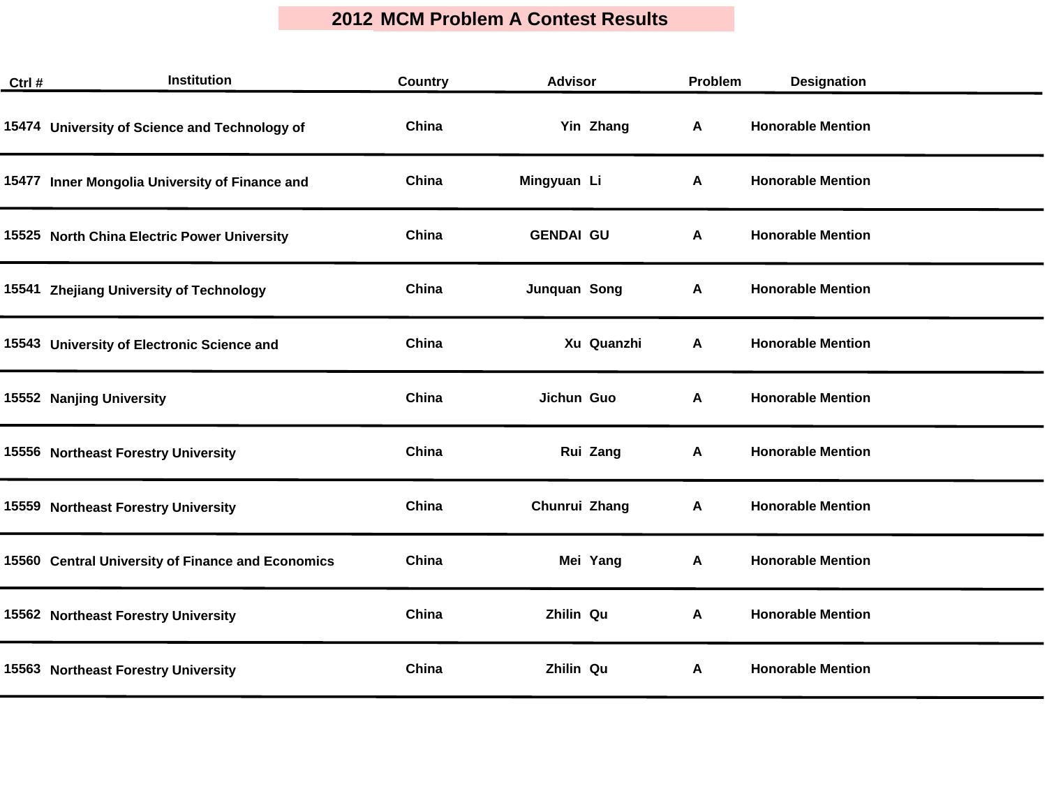| Ctrl # | <b>Institution</b>                                | <b>Country</b> | <b>Advisor</b>   | Problem      | <b>Designation</b>       |  |
|--------|---------------------------------------------------|----------------|------------------|--------------|--------------------------|--|
|        | 15474 University of Science and Technology of     | China          | Yin Zhang        | $\mathsf{A}$ | <b>Honorable Mention</b> |  |
|        | 15477 Inner Mongolia University of Finance and    | China          | Mingyuan Li      | A            | <b>Honorable Mention</b> |  |
|        | 15525 North China Electric Power University       | China          | <b>GENDAI GU</b> | A            | <b>Honorable Mention</b> |  |
|        | 15541 Zhejiang University of Technology           | China          | Junquan Song     | A            | <b>Honorable Mention</b> |  |
|        | 15543 University of Electronic Science and        | China          | Xu Quanzhi       | $\mathsf{A}$ | <b>Honorable Mention</b> |  |
|        | 15552 Nanjing University                          | China          | Jichun Guo       | A            | <b>Honorable Mention</b> |  |
|        | 15556 Northeast Forestry University               | China          | Rui Zang         | A            | <b>Honorable Mention</b> |  |
|        | 15559 Northeast Forestry University               | China          | Chunrui Zhang    | A            | <b>Honorable Mention</b> |  |
|        | 15560 Central University of Finance and Economics | China          | Mei Yang         | A            | <b>Honorable Mention</b> |  |
|        | 15562 Northeast Forestry University               | China          | Zhilin Qu        | A            | <b>Honorable Mention</b> |  |
|        | 15563 Northeast Forestry University               | China          | Zhilin Qu        | A            | <b>Honorable Mention</b> |  |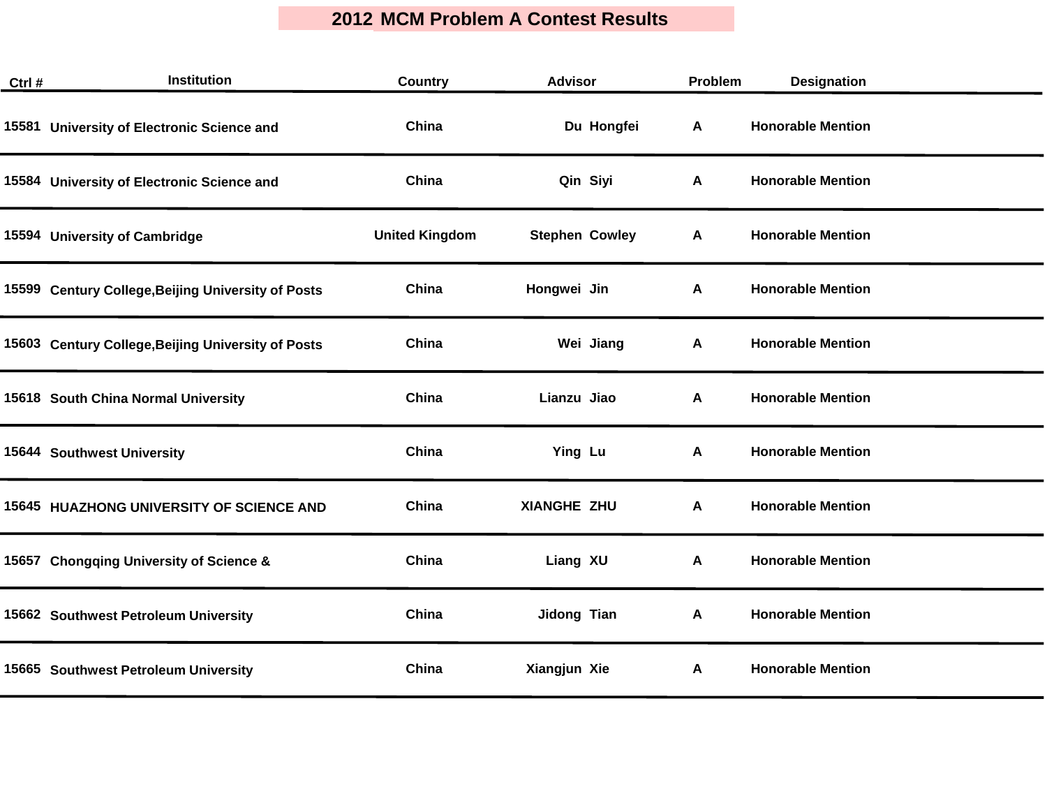| Ctrl # | <b>Institution</b>                                 | <b>Country</b>        | <b>Advisor</b>        | Problem      | <b>Designation</b>       |  |
|--------|----------------------------------------------------|-----------------------|-----------------------|--------------|--------------------------|--|
|        | 15581 University of Electronic Science and         | China                 | Du Hongfei            | $\mathsf{A}$ | <b>Honorable Mention</b> |  |
|        | 15584 University of Electronic Science and         | China                 | Qin Siyi              | A            | <b>Honorable Mention</b> |  |
|        | 15594 University of Cambridge                      | <b>United Kingdom</b> | <b>Stephen Cowley</b> | A            | <b>Honorable Mention</b> |  |
|        | 15599 Century College, Beijing University of Posts | China                 | Hongwei Jin           | A            | <b>Honorable Mention</b> |  |
|        | 15603 Century College, Beijing University of Posts | China                 | Wei Jiang             | $\mathsf{A}$ | <b>Honorable Mention</b> |  |
|        | 15618 South China Normal University                | China                 | Lianzu Jiao           | $\mathsf{A}$ | <b>Honorable Mention</b> |  |
|        | <b>15644 Southwest University</b>                  | China                 | <b>Ying Lu</b>        | A            | <b>Honorable Mention</b> |  |
|        | 15645 HUAZHONG UNIVERSITY OF SCIENCE AND           | China                 | <b>XIANGHE ZHU</b>    | $\mathsf{A}$ | <b>Honorable Mention</b> |  |
|        | 15657 Chongqing University of Science &            | China                 | Liang XU              | $\mathsf{A}$ | <b>Honorable Mention</b> |  |
|        | 15662 Southwest Petroleum University               | China                 | Jidong Tian           | $\mathsf{A}$ | <b>Honorable Mention</b> |  |
|        | 15665 Southwest Petroleum University               | China                 | Xiangjun Xie          | $\mathsf{A}$ | <b>Honorable Mention</b> |  |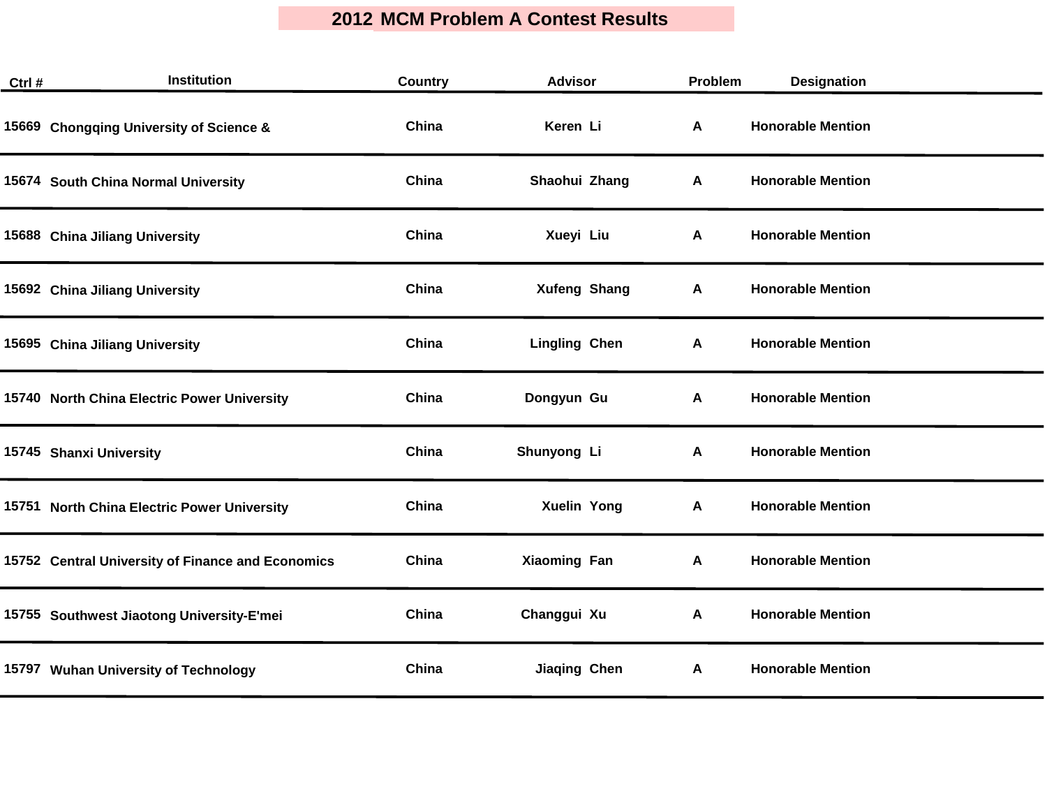| Ctrl # | <b>Institution</b>                                | <b>Country</b> | <b>Advisor</b>       | Problem      | <b>Designation</b>       |  |
|--------|---------------------------------------------------|----------------|----------------------|--------------|--------------------------|--|
|        | 15669 Chongqing University of Science &           | China          | Keren Li             | $\mathsf{A}$ | <b>Honorable Mention</b> |  |
|        | 15674 South China Normal University               | China          | Shaohui Zhang        | A            | <b>Honorable Mention</b> |  |
|        | 15688 China Jiliang University                    | China          | Xueyi Liu            | $\mathsf{A}$ | <b>Honorable Mention</b> |  |
|        | 15692 China Jiliang University                    | China          | <b>Xufeng Shang</b>  | $\mathsf{A}$ | <b>Honorable Mention</b> |  |
|        | 15695 China Jiliang University                    | China          | <b>Lingling Chen</b> | $\mathsf{A}$ | <b>Honorable Mention</b> |  |
|        | 15740 North China Electric Power University       | China          | Dongyun Gu           | $\mathsf{A}$ | <b>Honorable Mention</b> |  |
|        | 15745 Shanxi University                           | China          | Shunyong Li          | A            | <b>Honorable Mention</b> |  |
|        | 15751 North China Electric Power University       | China          | <b>Xuelin Yong</b>   | Α            | <b>Honorable Mention</b> |  |
|        | 15752 Central University of Finance and Economics | China          | Xiaoming Fan         | $\mathsf{A}$ | <b>Honorable Mention</b> |  |
|        | 15755 Southwest Jiaotong University-E'mei         | China          | Changgui Xu          | $\mathsf{A}$ | <b>Honorable Mention</b> |  |
|        | 15797 Wuhan University of Technology              | China          | Jiaqing Chen         | A            | <b>Honorable Mention</b> |  |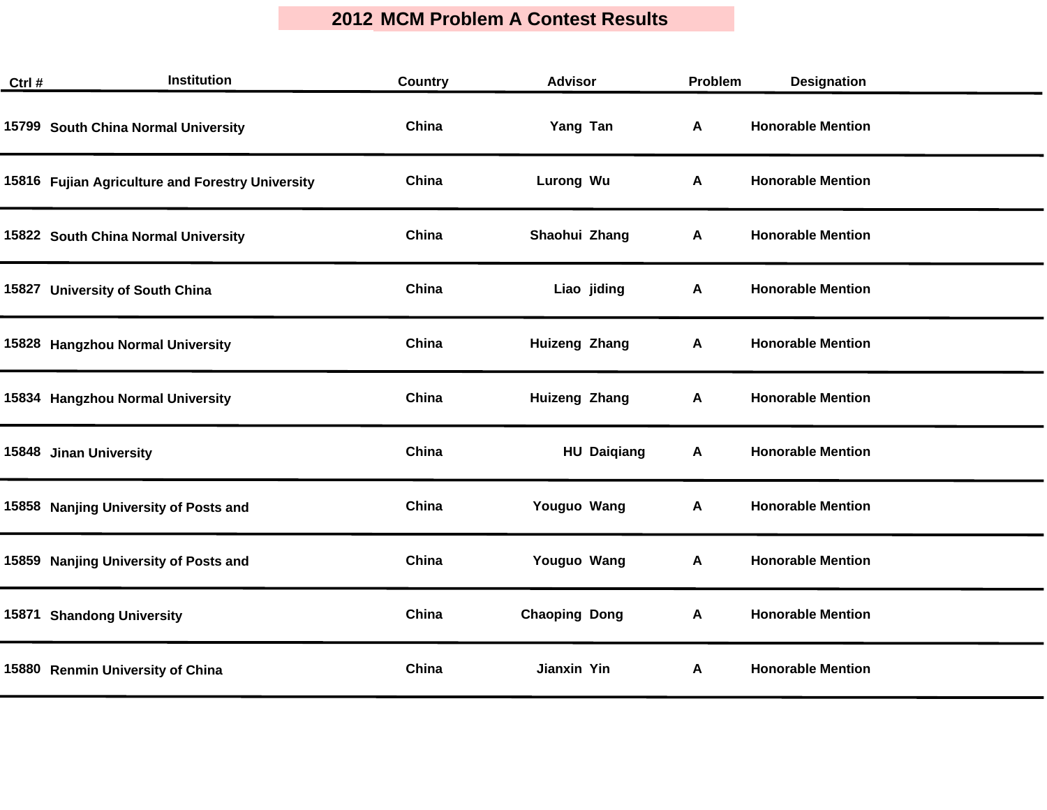| Ctrl # | <b>Institution</b>                               | <b>Country</b> | <b>Advisor</b>       | Problem                 | <b>Designation</b>       |  |
|--------|--------------------------------------------------|----------------|----------------------|-------------------------|--------------------------|--|
|        | 15799 South China Normal University              | China          | Yang Tan             | $\mathsf{A}$            | <b>Honorable Mention</b> |  |
|        | 15816 Fujian Agriculture and Forestry University | China          | Lurong Wu            | Α                       | <b>Honorable Mention</b> |  |
|        | 15822 South China Normal University              | China          | Shaohui Zhang        | A                       | <b>Honorable Mention</b> |  |
|        | 15827 University of South China                  | China          | Liao jiding          | A                       | <b>Honorable Mention</b> |  |
|        | 15828 Hangzhou Normal University                 | China          | Huizeng Zhang        | $\mathsf{A}$            | <b>Honorable Mention</b> |  |
|        | 15834 Hangzhou Normal University                 | China          | Huizeng Zhang        | $\mathsf{A}$            | <b>Honorable Mention</b> |  |
|        | 15848 Jinan University                           | China          |                      | <b>HU Daigiang</b><br>A | <b>Honorable Mention</b> |  |
|        | 15858 Nanjing University of Posts and            | China          | Youguo Wang          | A                       | <b>Honorable Mention</b> |  |
|        | 15859 Nanjing University of Posts and            | China          | Youguo Wang          | $\mathsf{A}$            | <b>Honorable Mention</b> |  |
|        | 15871 Shandong University                        | China          | <b>Chaoping Dong</b> | A                       | <b>Honorable Mention</b> |  |
|        | 15880 Renmin University of China                 | China          | Jianxin Yin          | $\mathsf{A}$            | <b>Honorable Mention</b> |  |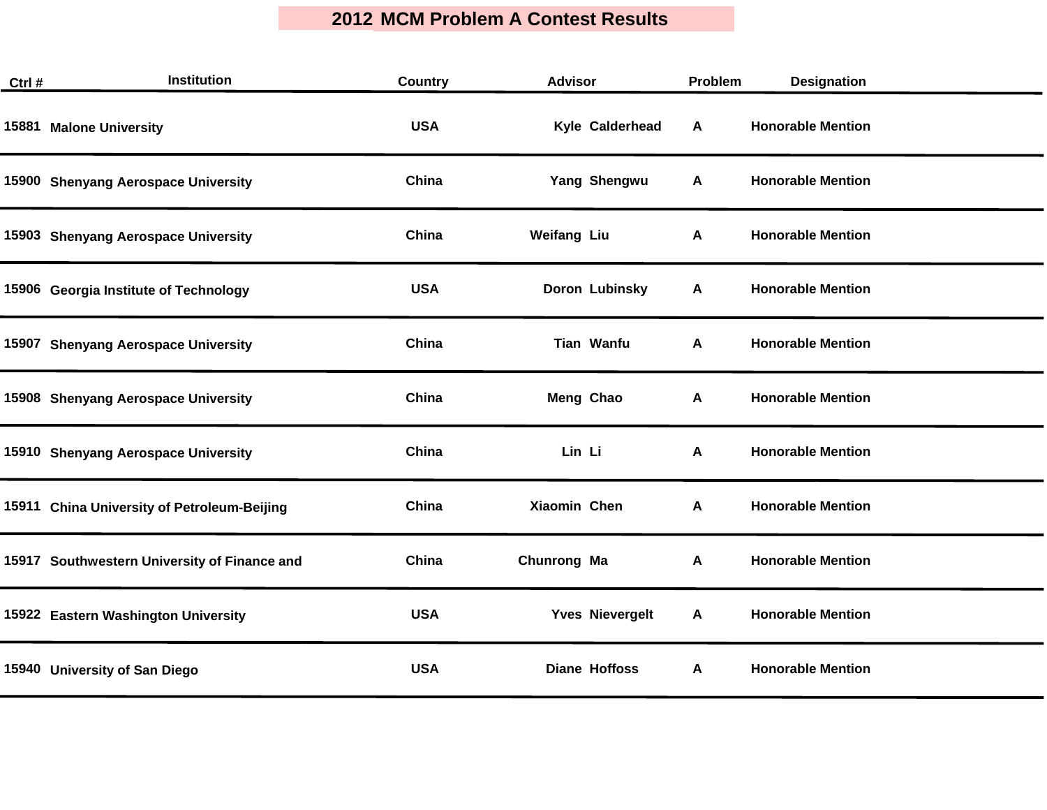| Ctrl # | <b>Institution</b>                           | <b>Country</b> | <b>Advisor</b>         | Problem      | <b>Designation</b>       |  |
|--------|----------------------------------------------|----------------|------------------------|--------------|--------------------------|--|
|        | 15881 Malone University                      | <b>USA</b>     | Kyle Calderhead        | $\mathsf{A}$ | <b>Honorable Mention</b> |  |
|        | 15900 Shenyang Aerospace University          | China          | Yang Shengwu           | A            | <b>Honorable Mention</b> |  |
|        | 15903 Shenyang Aerospace University          | China          | <b>Weifang Liu</b>     | A            | <b>Honorable Mention</b> |  |
|        | 15906 Georgia Institute of Technology        | <b>USA</b>     | Doron Lubinsky         | $\mathsf{A}$ | <b>Honorable Mention</b> |  |
|        | 15907 Shenyang Aerospace University          | China          | Tian Wanfu             | A            | <b>Honorable Mention</b> |  |
|        | 15908 Shenyang Aerospace University          | China          | Meng Chao              | $\mathsf{A}$ | <b>Honorable Mention</b> |  |
|        | 15910 Shenyang Aerospace University          | China          | Lin Li                 | A            | <b>Honorable Mention</b> |  |
|        | 15911 China University of Petroleum-Beijing  | China          | <b>Xiaomin Chen</b>    | A            | <b>Honorable Mention</b> |  |
|        | 15917 Southwestern University of Finance and | China          | Chunrong Ma            | $\mathsf{A}$ | <b>Honorable Mention</b> |  |
|        | 15922 Eastern Washington University          | <b>USA</b>     | <b>Yves Nievergelt</b> | A            | <b>Honorable Mention</b> |  |
|        | 15940 University of San Diego                | <b>USA</b>     | <b>Diane Hoffoss</b>   | A            | <b>Honorable Mention</b> |  |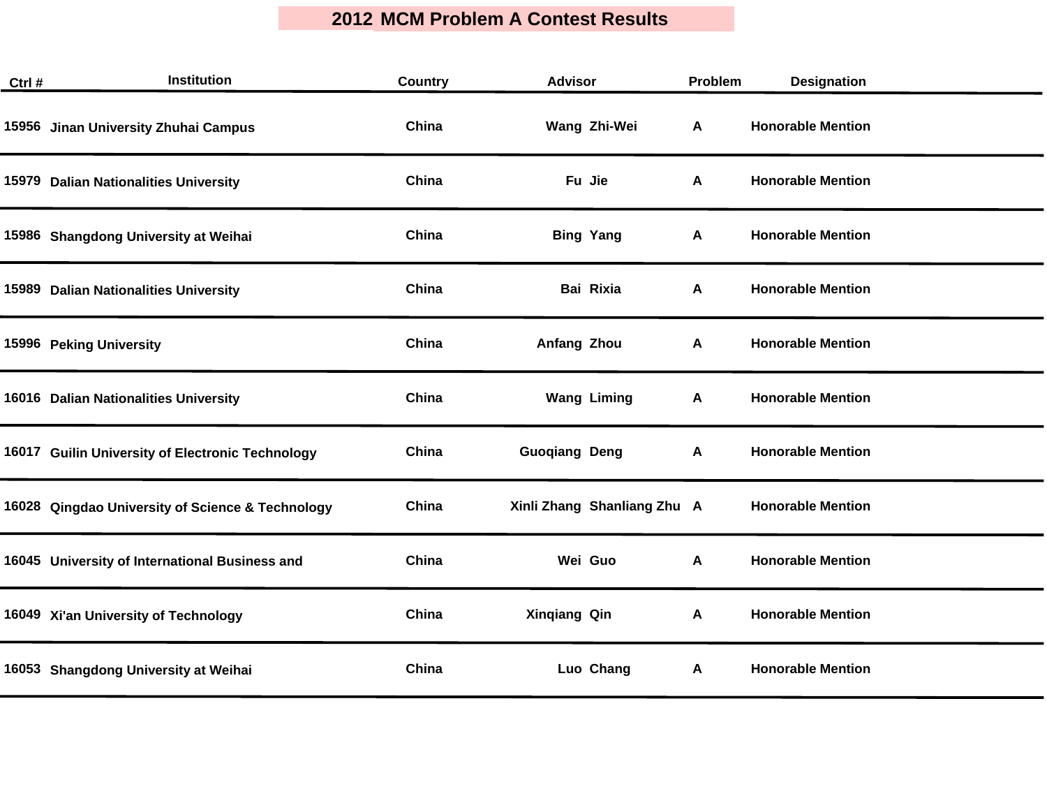| Ctrl # | Institution                                      | <b>Country</b> | <b>Advisor</b>       |                             | Problem      | <b>Designation</b>       |  |
|--------|--------------------------------------------------|----------------|----------------------|-----------------------------|--------------|--------------------------|--|
|        | 15956 Jinan University Zhuhai Campus             | China          |                      | Wang Zhi-Wei                | $\mathsf{A}$ | <b>Honorable Mention</b> |  |
|        | 15979 Dalian Nationalities University            | China          |                      | Fu Jie                      | A            | <b>Honorable Mention</b> |  |
|        | 15986 Shangdong University at Weihai             | China          |                      | <b>Bing Yang</b>            | A            | <b>Honorable Mention</b> |  |
|        | 15989 Dalian Nationalities University            | China          |                      | Bai Rixia                   | $\mathsf{A}$ | <b>Honorable Mention</b> |  |
|        | 15996 Peking University                          | China          | Anfang Zhou          |                             | $\mathsf{A}$ | <b>Honorable Mention</b> |  |
|        | 16016 Dalian Nationalities University            | China          |                      | <b>Wang Liming</b>          | A            | <b>Honorable Mention</b> |  |
|        | 16017 Guilin University of Electronic Technology | China          | <b>Guogiang Deng</b> |                             | A            | <b>Honorable Mention</b> |  |
|        | 16028 Qingdao University of Science & Technology | China          |                      | Xinli Zhang Shanliang Zhu A |              | <b>Honorable Mention</b> |  |
|        | 16045 University of International Business and   | China          |                      | Wei Guo                     | $\mathbf{A}$ | <b>Honorable Mention</b> |  |
|        | 16049 Xi'an University of Technology             | China          | <b>Xingiang Qin</b>  |                             | $\mathsf{A}$ | <b>Honorable Mention</b> |  |
|        | 16053 Shangdong University at Weihai             | China          |                      | Luo Chang                   | A            | <b>Honorable Mention</b> |  |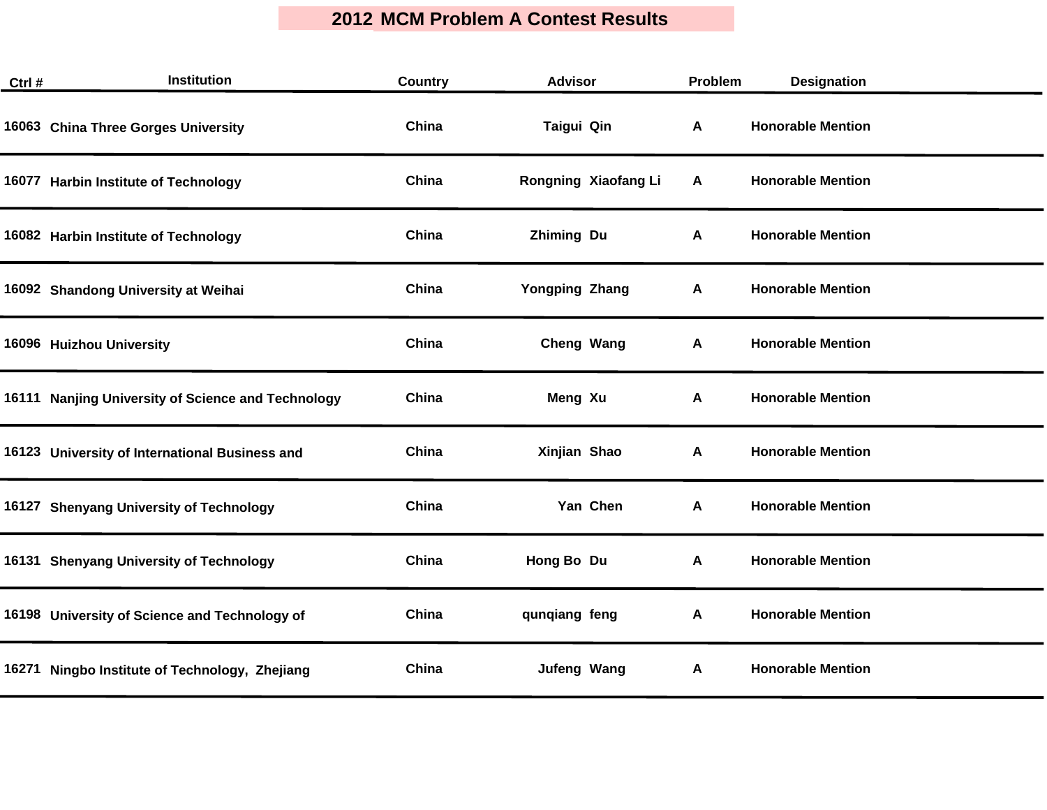| Ctrl # | Institution                                        | <b>Country</b> | <b>Advisor</b>       | Problem      | <b>Designation</b>       |  |
|--------|----------------------------------------------------|----------------|----------------------|--------------|--------------------------|--|
|        | 16063 China Three Gorges University                | China          | Taigui Qin           | $\mathsf{A}$ | <b>Honorable Mention</b> |  |
|        | 16077 Harbin Institute of Technology               | China          | Rongning Xiaofang Li | A            | <b>Honorable Mention</b> |  |
|        | 16082 Harbin Institute of Technology               | China          | <b>Zhiming Du</b>    | $\mathsf{A}$ | <b>Honorable Mention</b> |  |
|        | 16092 Shandong University at Weihai                | China          | Yongping Zhang       | $\mathsf{A}$ | <b>Honorable Mention</b> |  |
|        | 16096 Huizhou University                           | China          | Cheng Wang           | $\mathsf{A}$ | <b>Honorable Mention</b> |  |
|        | 16111 Nanjing University of Science and Technology | China          | Meng Xu              | $\mathsf{A}$ | <b>Honorable Mention</b> |  |
|        | 16123 University of International Business and     | China          | Xinjian Shao         | $\mathsf{A}$ | <b>Honorable Mention</b> |  |
|        | 16127 Shenyang University of Technology            | China          | Yan Chen             | $\mathsf{A}$ | <b>Honorable Mention</b> |  |
|        | 16131 Shenyang University of Technology            | China          | Hong Bo Du           | A            | <b>Honorable Mention</b> |  |
|        | 16198 University of Science and Technology of      | China          | qunqiang feng        | $\mathsf{A}$ | <b>Honorable Mention</b> |  |
|        | 16271 Ningbo Institute of Technology, Zhejiang     | China          | Jufeng Wang          | Α            | <b>Honorable Mention</b> |  |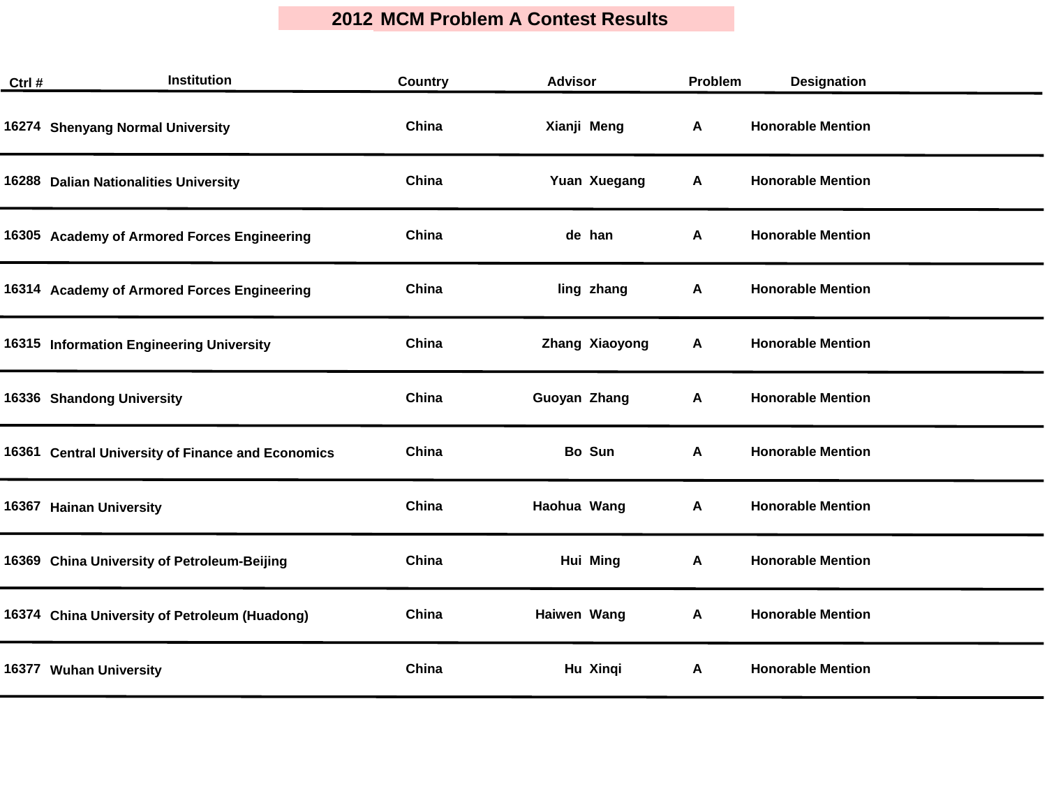| Ctrl # | Institution                                       | <b>Country</b> | <b>Advisor</b> | Problem      | <b>Designation</b>       |  |
|--------|---------------------------------------------------|----------------|----------------|--------------|--------------------------|--|
|        | 16274 Shenyang Normal University                  | China          | Xianji Meng    | $\mathbf{A}$ | <b>Honorable Mention</b> |  |
|        | 16288 Dalian Nationalities University             | China          | Yuan Xuegang   | A            | <b>Honorable Mention</b> |  |
|        | 16305 Academy of Armored Forces Engineering       | China          | de han         | A            | <b>Honorable Mention</b> |  |
|        | 16314 Academy of Armored Forces Engineering       | China          | ling zhang     | A            | <b>Honorable Mention</b> |  |
|        | 16315 Information Engineering University          | China          | Zhang Xiaoyong | A            | <b>Honorable Mention</b> |  |
|        | 16336 Shandong University                         | China          | Guoyan Zhang   | A            | <b>Honorable Mention</b> |  |
|        | 16361 Central University of Finance and Economics | China          | Bo Sun         | A            | <b>Honorable Mention</b> |  |
|        | 16367 Hainan University                           | China          | Haohua Wang    | A            | <b>Honorable Mention</b> |  |
|        | 16369 China University of Petroleum-Beijing       | China          | Hui Ming       | A            | <b>Honorable Mention</b> |  |
|        | 16374 China University of Petroleum (Huadong)     | China          | Haiwen Wang    | A            | <b>Honorable Mention</b> |  |
|        | 16377 Wuhan University                            | China          | Hu Xinqi       | A            | <b>Honorable Mention</b> |  |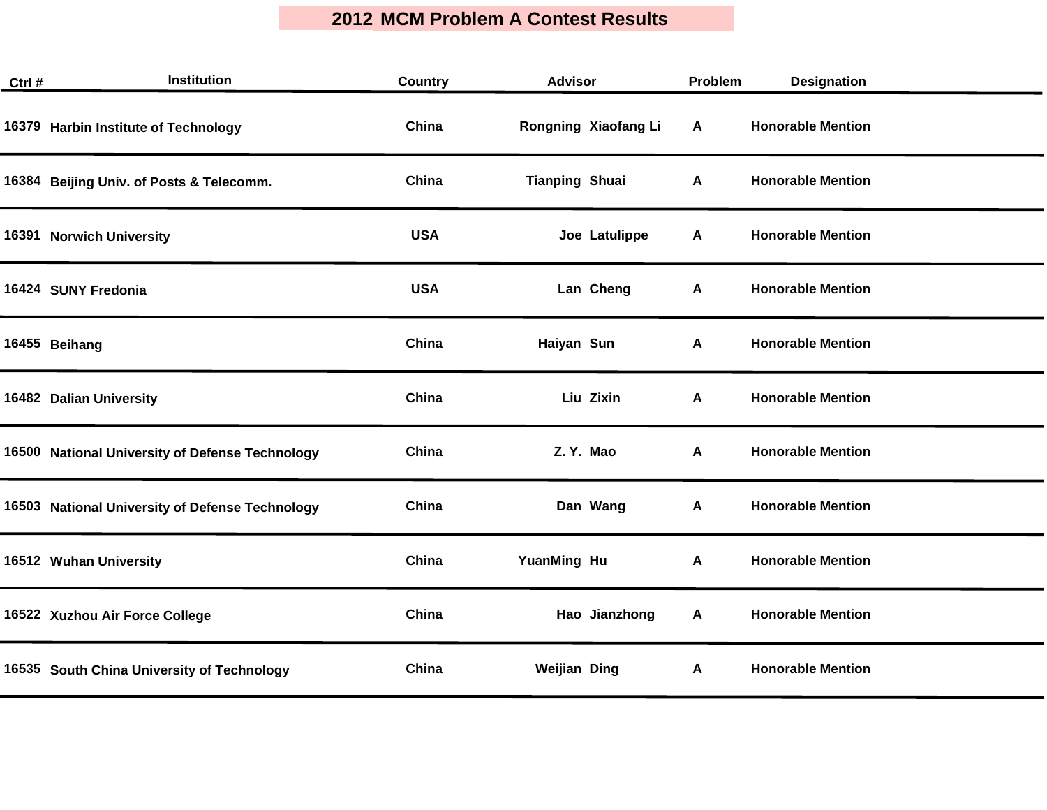| Ctrl # | <b>Institution</b>                              | <b>Country</b> | <b>Advisor</b>        |                      | Problem      | <b>Designation</b>       |  |
|--------|-------------------------------------------------|----------------|-----------------------|----------------------|--------------|--------------------------|--|
|        | 16379 Harbin Institute of Technology            | China          |                       | Rongning Xiaofang Li | $\mathsf{A}$ | <b>Honorable Mention</b> |  |
|        | 16384 Beijing Univ. of Posts & Telecomm.        | China          | <b>Tianping Shuai</b> |                      | A            | <b>Honorable Mention</b> |  |
|        | 16391 Norwich University                        | <b>USA</b>     |                       | Joe Latulippe        | A            | <b>Honorable Mention</b> |  |
|        | 16424 SUNY Fredonia                             | <b>USA</b>     |                       | Lan Cheng            | A            | <b>Honorable Mention</b> |  |
|        | 16455 Beihang                                   | China          | Haiyan Sun            |                      | $\mathsf{A}$ | <b>Honorable Mention</b> |  |
|        | 16482 Dalian University                         | China          |                       | Liu Zixin            | A            | <b>Honorable Mention</b> |  |
|        | 16500 National University of Defense Technology | China          |                       | Z.Y. Mao             | A            | <b>Honorable Mention</b> |  |
|        | 16503 National University of Defense Technology | China          |                       | Dan Wang             | A            | <b>Honorable Mention</b> |  |
|        | 16512 Wuhan University                          | China          | YuanMing Hu           |                      | $\mathsf{A}$ | <b>Honorable Mention</b> |  |
|        | 16522 Xuzhou Air Force College                  | China          |                       | Hao Jianzhong        | A            | <b>Honorable Mention</b> |  |
|        | 16535 South China University of Technology      | China          | <b>Weijian Ding</b>   |                      | A            | <b>Honorable Mention</b> |  |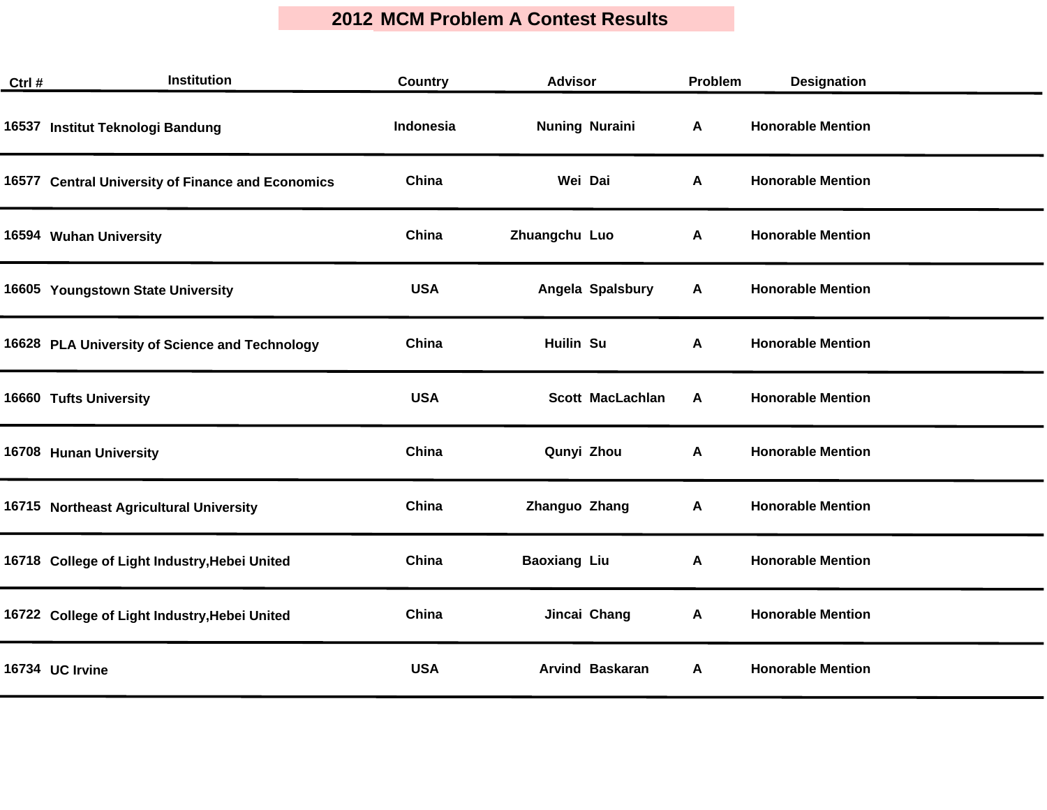| Ctrl # | <b>Institution</b>                                | Country    | <b>Advisor</b>         | Problem      | <b>Designation</b>       |  |
|--------|---------------------------------------------------|------------|------------------------|--------------|--------------------------|--|
|        | 16537 Institut Teknologi Bandung                  | Indonesia  | <b>Nuning Nuraini</b>  | $\mathsf{A}$ | <b>Honorable Mention</b> |  |
|        | 16577 Central University of Finance and Economics | China      | Wei Dai                | A            | <b>Honorable Mention</b> |  |
|        | 16594 Wuhan University                            | China      | Zhuangchu Luo          | A            | <b>Honorable Mention</b> |  |
|        | 16605 Youngstown State University                 | <b>USA</b> | Angela Spalsbury       | $\mathsf{A}$ | <b>Honorable Mention</b> |  |
|        | 16628 PLA University of Science and Technology    | China      | Huilin Su              | A            | <b>Honorable Mention</b> |  |
|        | 16660 Tufts University                            | <b>USA</b> | Scott MacLachlan       | A            | <b>Honorable Mention</b> |  |
|        | 16708 Hunan University                            | China      | Qunyi Zhou             | A            | <b>Honorable Mention</b> |  |
|        | 16715 Northeast Agricultural University           | China      | Zhanguo Zhang          | A            | <b>Honorable Mention</b> |  |
|        | 16718 College of Light Industry, Hebei United     | China      | <b>Baoxiang Liu</b>    | $\mathsf{A}$ | <b>Honorable Mention</b> |  |
|        | 16722 College of Light Industry, Hebei United     | China      | Jincai Chang           | A            | <b>Honorable Mention</b> |  |
|        | 16734 UC Irvine                                   | <b>USA</b> | <b>Arvind Baskaran</b> | A            | <b>Honorable Mention</b> |  |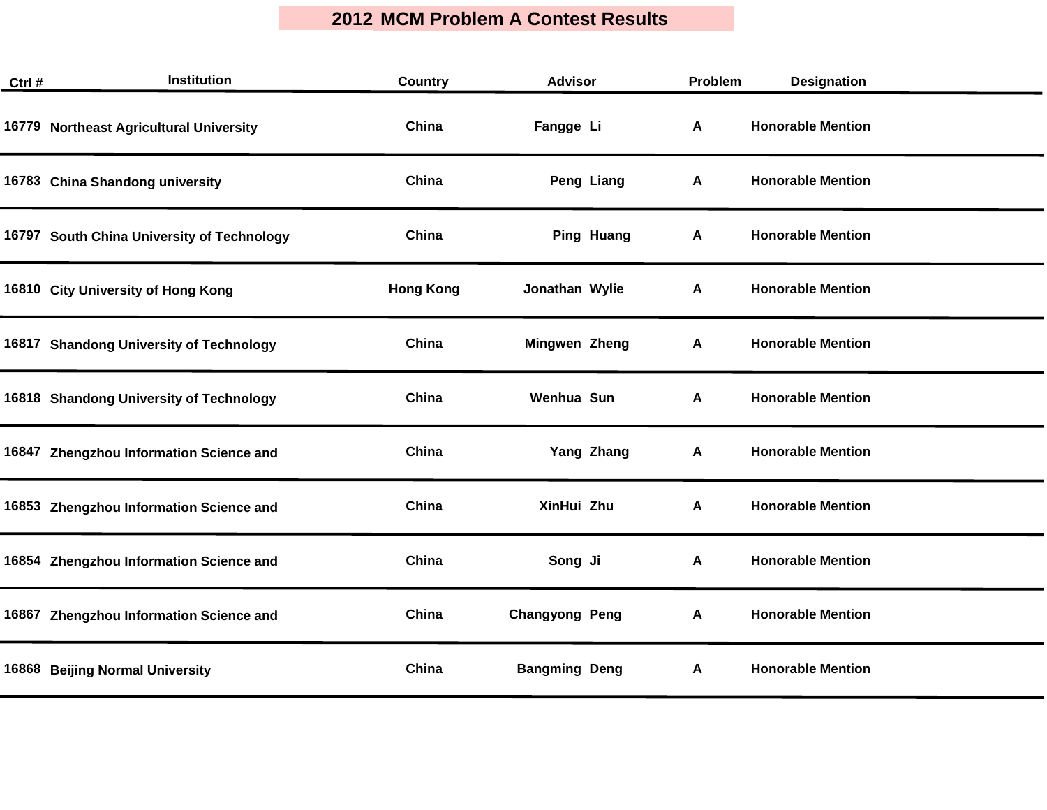| Ctrl # | Institution                                | <b>Country</b>   | <b>Advisor</b>        | Problem      | <b>Designation</b>       |  |
|--------|--------------------------------------------|------------------|-----------------------|--------------|--------------------------|--|
|        | 16779 Northeast Agricultural University    | China            | Fangge Li             | $\mathsf{A}$ | <b>Honorable Mention</b> |  |
|        | 16783 China Shandong university            | China            | Peng Liang            | A            | <b>Honorable Mention</b> |  |
|        | 16797 South China University of Technology | China            | <b>Ping Huang</b>     | A            | <b>Honorable Mention</b> |  |
|        | 16810 City University of Hong Kong         | <b>Hong Kong</b> | Jonathan Wylie        | $\mathsf{A}$ | <b>Honorable Mention</b> |  |
|        | 16817 Shandong University of Technology    | China            | Mingwen Zheng         | $\mathsf{A}$ | <b>Honorable Mention</b> |  |
|        | 16818 Shandong University of Technology    | China            | Wenhua Sun            | A            | <b>Honorable Mention</b> |  |
|        | 16847 Zhengzhou Information Science and    | China            | Yang Zhang            | A            | <b>Honorable Mention</b> |  |
|        | 16853 Zhengzhou Information Science and    | China            | XinHui Zhu            | A            | <b>Honorable Mention</b> |  |
|        | 16854 Zhengzhou Information Science and    | China            | Song Ji               | $\mathsf{A}$ | <b>Honorable Mention</b> |  |
|        | 16867 Zhengzhou Information Science and    | China            | <b>Changyong Peng</b> | A            | <b>Honorable Mention</b> |  |
|        | 16868 Beijing Normal University            | China            | <b>Bangming Deng</b>  | A            | <b>Honorable Mention</b> |  |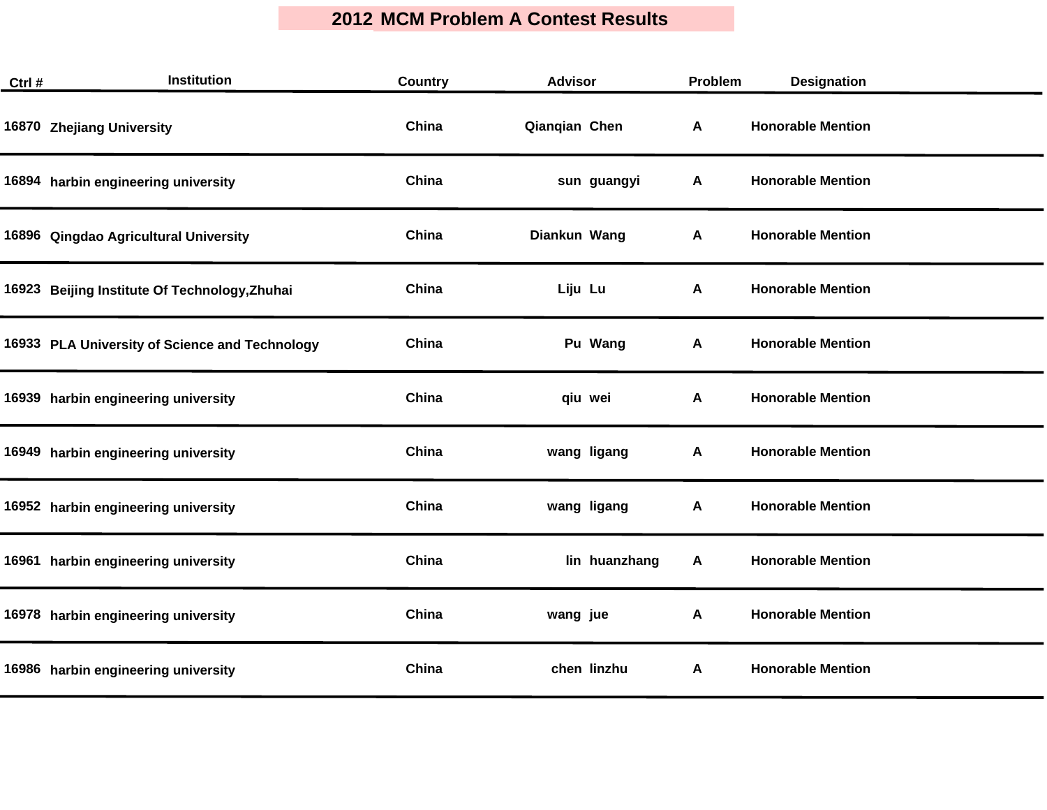| Ctrl # | <b>Institution</b>                             | <b>Country</b> | <b>Advisor</b> | Problem                       | <b>Designation</b>       |  |
|--------|------------------------------------------------|----------------|----------------|-------------------------------|--------------------------|--|
|        | 16870 Zhejiang University                      | China          | Qianqian Chen  | $\mathsf{A}$                  | <b>Honorable Mention</b> |  |
|        | 16894 harbin engineering university            | China          | sun guangyi    | A                             | <b>Honorable Mention</b> |  |
|        | 16896 Qingdao Agricultural University          | China          | Diankun Wang   | A                             | <b>Honorable Mention</b> |  |
|        | 16923 Beijing Institute Of Technology, Zhuhai  | China          | Liju Lu        | A                             | <b>Honorable Mention</b> |  |
|        | 16933 PLA University of Science and Technology | China          | Pu Wang        | $\mathsf{A}$                  | <b>Honorable Mention</b> |  |
|        | 16939 harbin engineering university            | China          | qiu wei        | $\mathsf{A}$                  | <b>Honorable Mention</b> |  |
|        | 16949 harbin engineering university            | China          | wang ligang    | A                             | <b>Honorable Mention</b> |  |
|        | 16952 harbin engineering university            | China          | wang ligang    | A                             | <b>Honorable Mention</b> |  |
|        | 16961 harbin engineering university            | China          |                | lin huanzhang<br>$\mathsf{A}$ | <b>Honorable Mention</b> |  |
|        | 16978 harbin engineering university            | China          | wang jue       | $\mathsf{A}$                  | <b>Honorable Mention</b> |  |
|        | 16986 harbin engineering university            | China          | chen linzhu    | $\mathsf{A}$                  | <b>Honorable Mention</b> |  |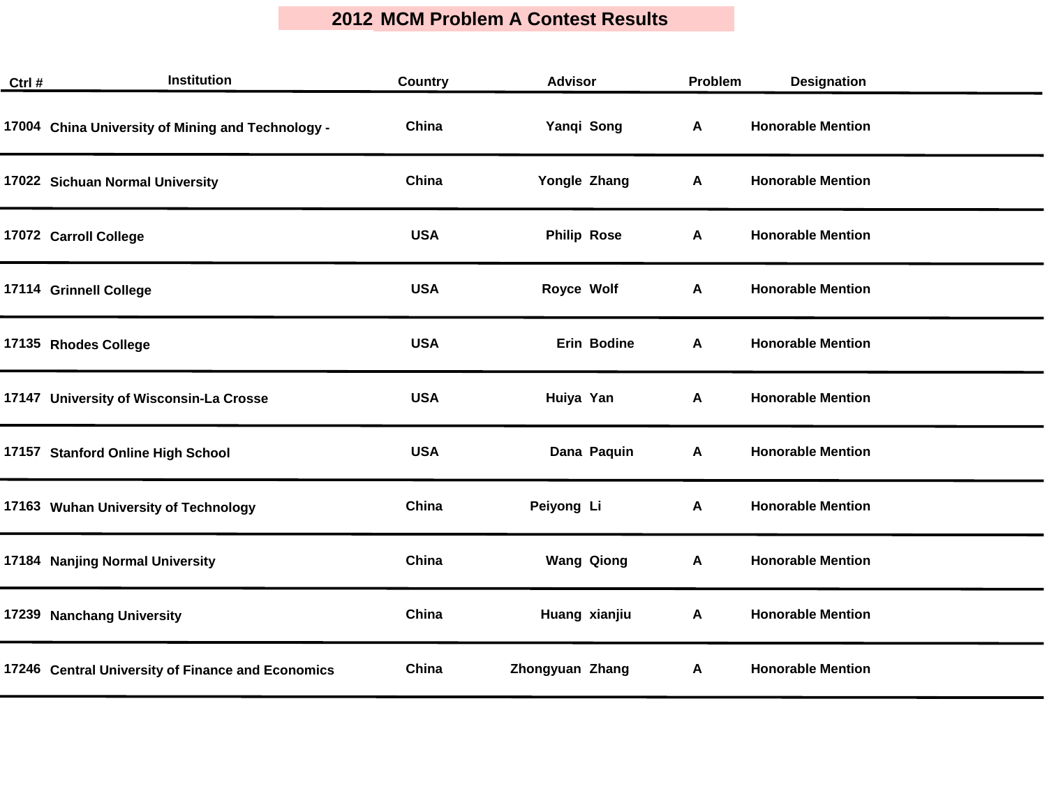| Ctrl # | <b>Institution</b>                                | Country    | <b>Advisor</b>     | Problem      | <b>Designation</b>       |  |
|--------|---------------------------------------------------|------------|--------------------|--------------|--------------------------|--|
|        | 17004 China University of Mining and Technology - | China      | Yangi Song         | $\mathsf{A}$ | <b>Honorable Mention</b> |  |
|        | 17022 Sichuan Normal University                   | China      | Yongle Zhang       | A            | <b>Honorable Mention</b> |  |
|        | 17072 Carroll College                             | <b>USA</b> | <b>Philip Rose</b> | A            | <b>Honorable Mention</b> |  |
|        | 17114 Grinnell College                            | <b>USA</b> | Royce Wolf         | A            | <b>Honorable Mention</b> |  |
|        | 17135 Rhodes College                              | <b>USA</b> | Erin Bodine        | A            | <b>Honorable Mention</b> |  |
|        | 17147 University of Wisconsin-La Crosse           | <b>USA</b> | Huiya Yan          | A            | <b>Honorable Mention</b> |  |
|        | 17157 Stanford Online High School                 | <b>USA</b> | Dana Paquin        | A            | <b>Honorable Mention</b> |  |
|        | 17163 Wuhan University of Technology              | China      | Peiyong Li         | $\mathsf{A}$ | <b>Honorable Mention</b> |  |
|        | 17184 Nanjing Normal University                   | China      | <b>Wang Qiong</b>  | A            | <b>Honorable Mention</b> |  |
|        | 17239 Nanchang University                         | China      | Huang xianjiu      | A            | <b>Honorable Mention</b> |  |
|        | 17246 Central University of Finance and Economics | China      | Zhongyuan Zhang    | A            | <b>Honorable Mention</b> |  |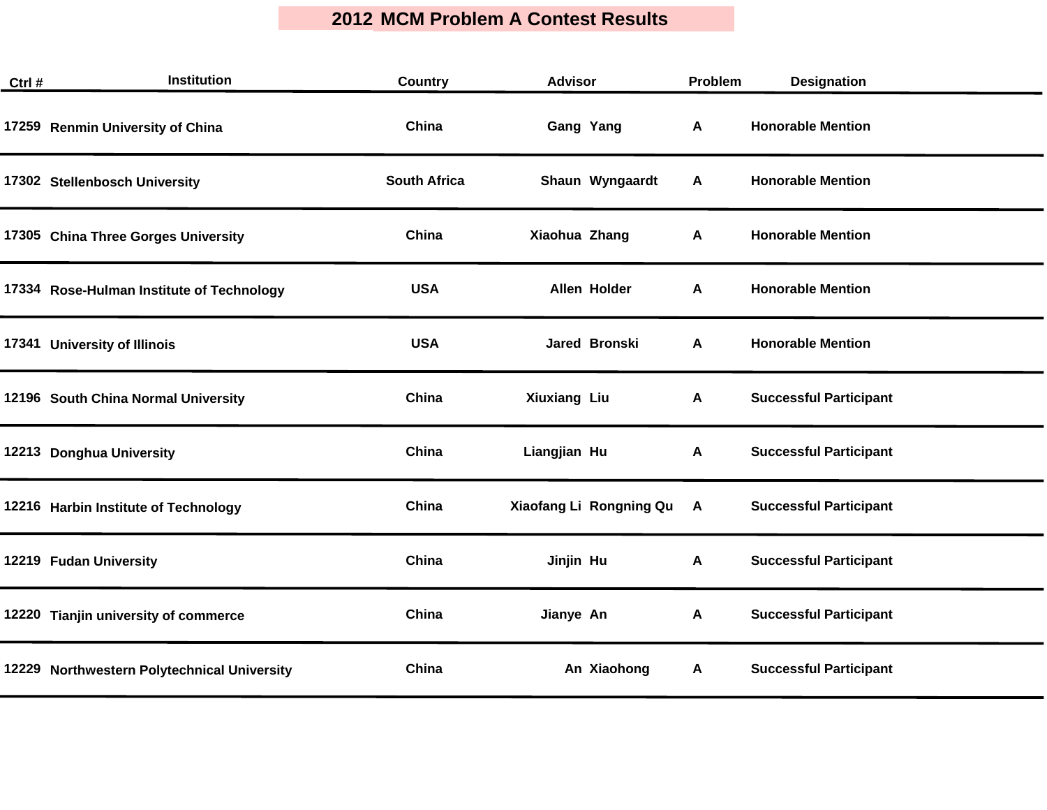| Ctrl # | <b>Institution</b>                          | <b>Country</b>      | <b>Advisor</b>          |                  | Problem | <b>Designation</b>            |
|--------|---------------------------------------------|---------------------|-------------------------|------------------|---------|-------------------------------|
|        | 17259 Renmin University of China            | China               | Gang Yang               | $\mathsf{A}$     |         | <b>Honorable Mention</b>      |
|        | 17302 Stellenbosch University               | <b>South Africa</b> | Shaun Wyngaardt         | A                |         | <b>Honorable Mention</b>      |
|        | 17305 China Three Gorges University         | China               | Xiaohua Zhang           | A                |         | <b>Honorable Mention</b>      |
|        | 17334 Rose-Hulman Institute of Technology   | <b>USA</b>          | Allen Holder            | $\mathsf{A}$     |         | <b>Honorable Mention</b>      |
|        | 17341 University of Illinois                | <b>USA</b>          | <b>Jared Bronski</b>    | A                |         | <b>Honorable Mention</b>      |
|        | 12196 South China Normal University         | China               | Xiuxiang Liu            | $\mathsf{A}$     |         | <b>Successful Participant</b> |
|        | 12213 Donghua University                    | China               | Liangjian Hu            | $\mathsf{A}$     |         | <b>Successful Participant</b> |
|        | 12216 Harbin Institute of Technology        | China               | Xiaofang Li Rongning Qu | <b>A</b>         |         | <b>Successful Participant</b> |
|        | 12219 Fudan University                      | China               | Jinjin Hu               | $\mathsf{A}$     |         | <b>Successful Participant</b> |
|        | 12220 Tianjin university of commerce        | China               | Jianye An               | $\mathsf{A}$     |         | <b>Successful Participant</b> |
|        | 12229 Northwestern Polytechnical University | China               |                         | An Xiaohong<br>Α |         | <b>Successful Participant</b> |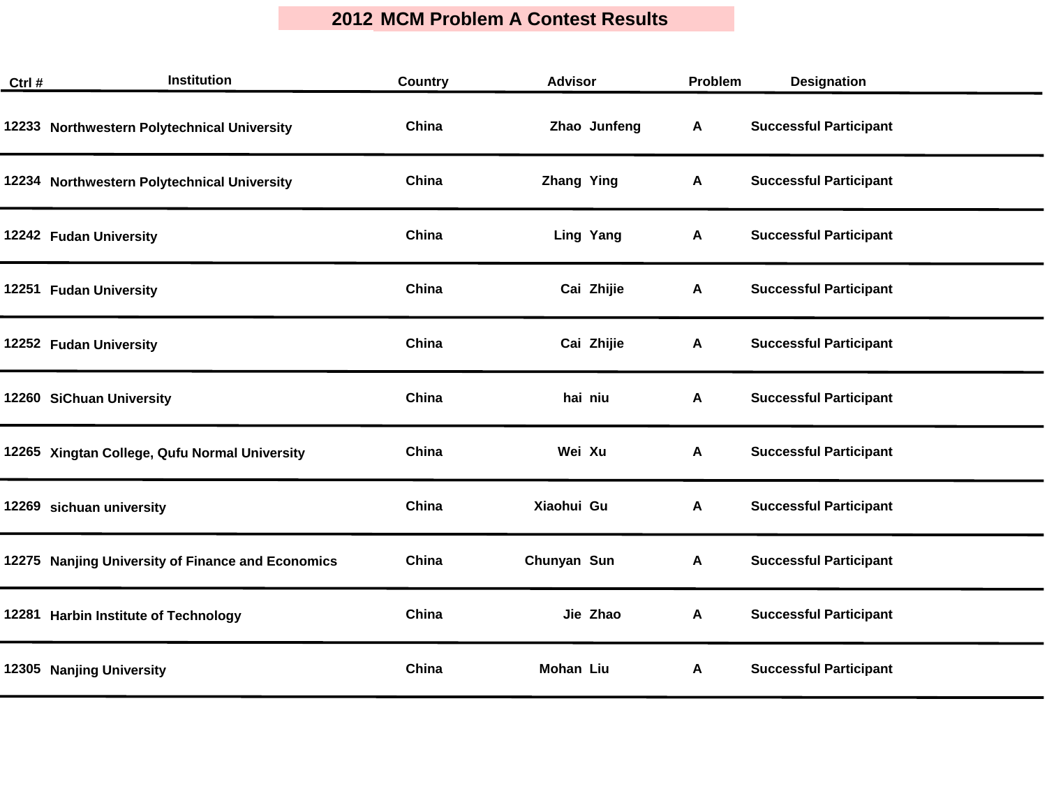| Ctrl # | <b>Institution</b>                                | <b>Country</b> | <b>Advisor</b> | Problem      | <b>Designation</b>            |  |
|--------|---------------------------------------------------|----------------|----------------|--------------|-------------------------------|--|
|        | 12233 Northwestern Polytechnical University       | China          | Zhao Junfeng   | $\mathsf{A}$ | <b>Successful Participant</b> |  |
|        | 12234 Northwestern Polytechnical University       | China          | Zhang Ying     | A            | <b>Successful Participant</b> |  |
|        | 12242 Fudan University                            | China          | Ling Yang      | A            | <b>Successful Participant</b> |  |
|        | 12251 Fudan University                            | China          | Cai Zhijie     | A            | <b>Successful Participant</b> |  |
|        | 12252 Fudan University                            | China          | Cai Zhijie     | $\mathsf{A}$ | <b>Successful Participant</b> |  |
|        | 12260 SiChuan University                          | China          | hai niu        | A            | <b>Successful Participant</b> |  |
|        | 12265 Xingtan College, Qufu Normal University     | China          | Wei Xu         | A            | <b>Successful Participant</b> |  |
|        | 12269 sichuan university                          | China          | Xiaohui Gu     | A            | <b>Successful Participant</b> |  |
|        | 12275 Nanjing University of Finance and Economics | China          | Chunyan Sun    | $\mathsf{A}$ | <b>Successful Participant</b> |  |
|        | 12281 Harbin Institute of Technology              | China          | Jie Zhao       | $\mathsf{A}$ | <b>Successful Participant</b> |  |
|        | 12305 Nanjing University                          | China          | Mohan Liu      | A            | <b>Successful Participant</b> |  |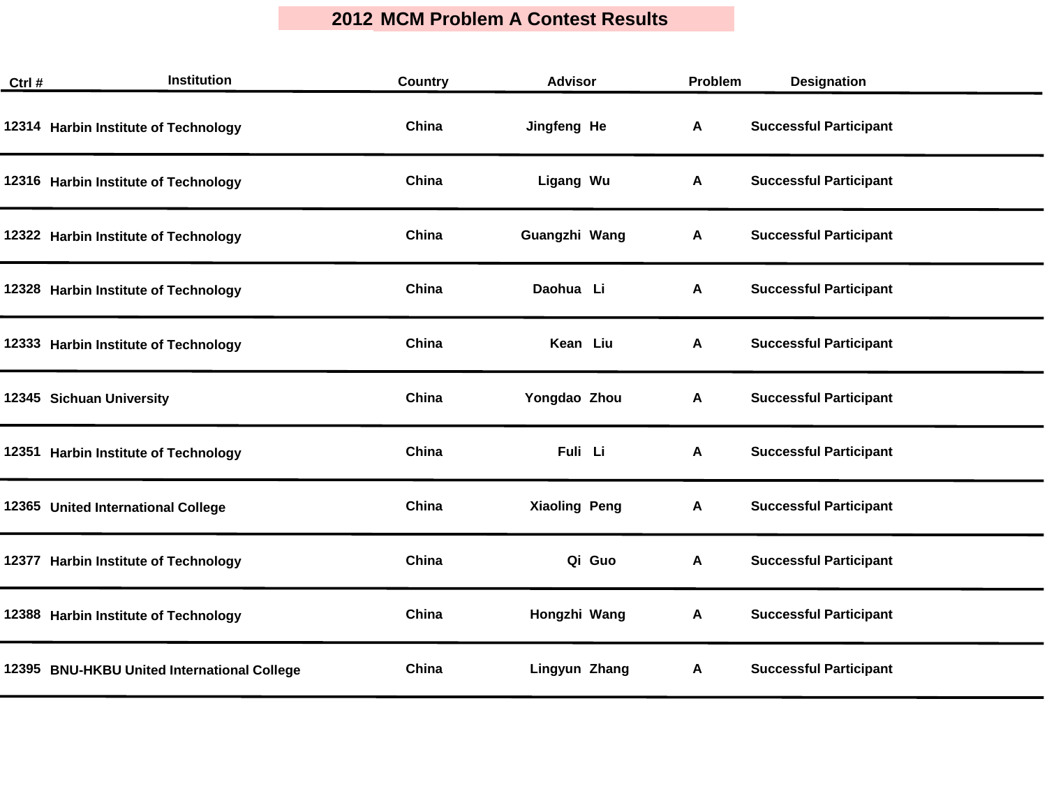| Ctrl # | <b>Institution</b>                          | <b>Country</b> | <b>Advisor</b>       | Problem      | <b>Designation</b>            |
|--------|---------------------------------------------|----------------|----------------------|--------------|-------------------------------|
|        | 12314 Harbin Institute of Technology        | China          | Jingfeng He          | $\mathsf{A}$ | <b>Successful Participant</b> |
|        | 12316 Harbin Institute of Technology        | China          | Ligang Wu            | A            | <b>Successful Participant</b> |
|        | 12322 Harbin Institute of Technology        | China          | Guangzhi Wang        | A            | <b>Successful Participant</b> |
|        | 12328 Harbin Institute of Technology        | China          | Daohua Li            | $\mathsf{A}$ | <b>Successful Participant</b> |
|        | 12333 Harbin Institute of Technology        | China          | Kean Liu             | $\mathsf{A}$ | <b>Successful Participant</b> |
|        | 12345 Sichuan University                    | China          | Yongdao Zhou         | $\mathsf{A}$ | <b>Successful Participant</b> |
|        | 12351 Harbin Institute of Technology        | China          | Fuli Li              | A            | <b>Successful Participant</b> |
|        | 12365 United International College          | China          | <b>Xiaoling Peng</b> | A            | <b>Successful Participant</b> |
|        | 12377 Harbin Institute of Technology        | China          | Qi Guo               | $\mathsf{A}$ | <b>Successful Participant</b> |
|        | 12388 Harbin Institute of Technology        | China          | Hongzhi Wang         | $\mathsf{A}$ | <b>Successful Participant</b> |
|        | 12395 BNU-HKBU United International College | China          | Lingyun Zhang        | A            | <b>Successful Participant</b> |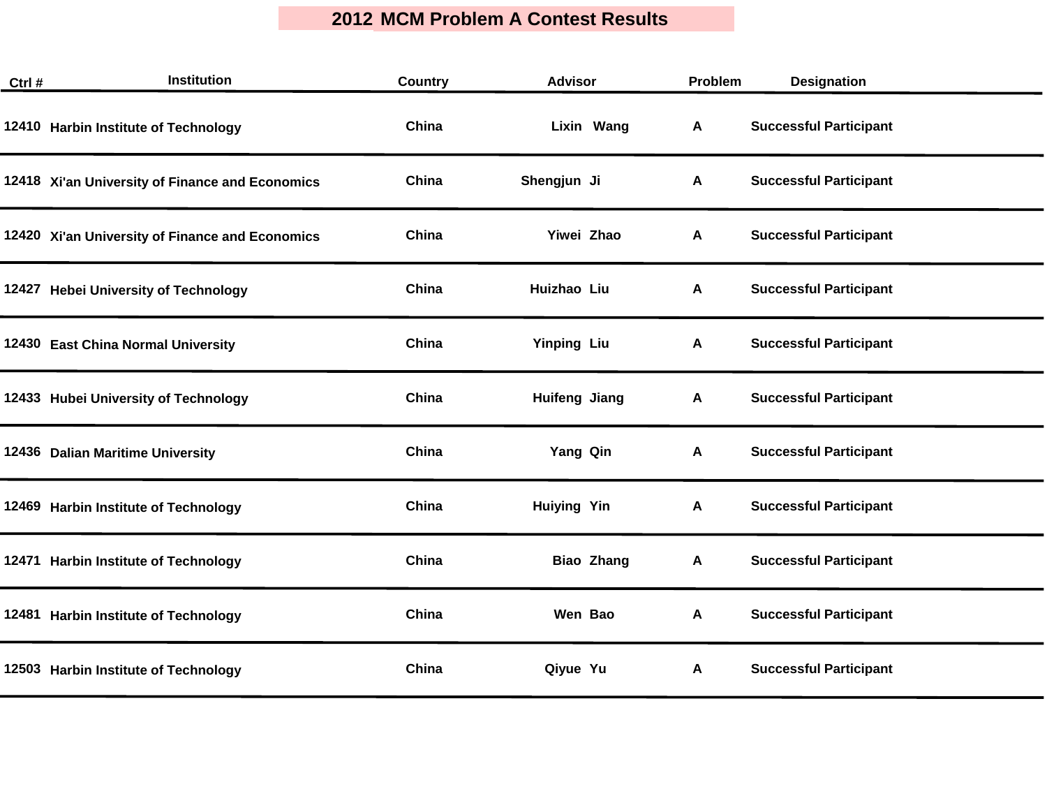| Ctrl # | <b>Institution</b>                              | <b>Country</b> | <b>Advisor</b>       | Problem      | <b>Designation</b>            |  |
|--------|-------------------------------------------------|----------------|----------------------|--------------|-------------------------------|--|
|        | 12410 Harbin Institute of Technology            | China          | Lixin Wang           | $\mathsf{A}$ | <b>Successful Participant</b> |  |
|        | 12418 Xi'an University of Finance and Economics | China          | Shengjun Ji          | $\mathsf{A}$ | <b>Successful Participant</b> |  |
|        | 12420 Xi'an University of Finance and Economics | China          | Yiwei Zhao           | $\mathsf{A}$ | <b>Successful Participant</b> |  |
|        | 12427 Hebei University of Technology            | China          | Huizhao Liu          | $\mathsf{A}$ | <b>Successful Participant</b> |  |
|        | 12430 East China Normal University              | China          | <b>Yinping Liu</b>   | $\mathsf{A}$ | <b>Successful Participant</b> |  |
|        | 12433 Hubei University of Technology            | China          | <b>Huifeng Jiang</b> | $\mathsf{A}$ | <b>Successful Participant</b> |  |
|        | 12436 Dalian Maritime University                | China          | Yang Qin             | $\mathsf{A}$ | <b>Successful Participant</b> |  |
|        | 12469 Harbin Institute of Technology            | China          | <b>Huiying Yin</b>   | $\mathsf{A}$ | <b>Successful Participant</b> |  |
|        | 12471 Harbin Institute of Technology            | China          | <b>Biao Zhang</b>    | A            | <b>Successful Participant</b> |  |
|        | 12481 Harbin Institute of Technology            | China          | Wen Bao              | $\mathsf{A}$ | <b>Successful Participant</b> |  |
|        | 12503 Harbin Institute of Technology            | China          | Qiyue Yu             | A            | <b>Successful Participant</b> |  |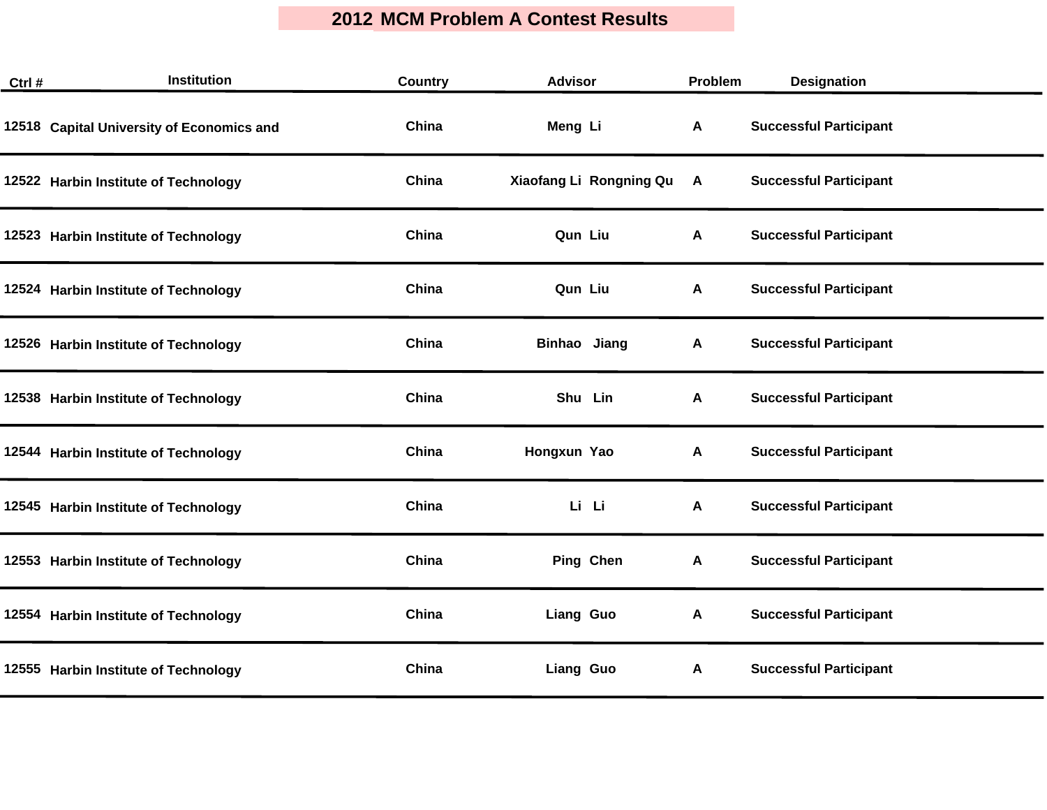| Ctrl # | <b>Institution</b>                        | <b>Country</b> | <b>Advisor</b>          | Problem      | <b>Designation</b>            |  |
|--------|-------------------------------------------|----------------|-------------------------|--------------|-------------------------------|--|
|        | 12518 Capital University of Economics and | China          | Meng Li                 | $\mathsf{A}$ | <b>Successful Participant</b> |  |
|        | 12522 Harbin Institute of Technology      | China          | Xiaofang Li Rongning Qu | $\mathsf{A}$ | <b>Successful Participant</b> |  |
|        | 12523 Harbin Institute of Technology      | China          | Qun Liu                 | A            | <b>Successful Participant</b> |  |
|        | 12524 Harbin Institute of Technology      | China          | Qun Liu                 | $\mathsf{A}$ | <b>Successful Participant</b> |  |
|        | 12526 Harbin Institute of Technology      | China          | <b>Binhao Jiang</b>     | $\mathsf{A}$ | <b>Successful Participant</b> |  |
|        | 12538 Harbin Institute of Technology      | China          | Shu Lin                 | A            | <b>Successful Participant</b> |  |
|        | 12544 Harbin Institute of Technology      | China          | Hongxun Yao             | A            | <b>Successful Participant</b> |  |
|        | 12545 Harbin Institute of Technology      | China          | Li Li                   | $\mathsf{A}$ | <b>Successful Participant</b> |  |
|        | 12553 Harbin Institute of Technology      | China          | Ping Chen               | $\mathsf{A}$ | <b>Successful Participant</b> |  |
|        | 12554 Harbin Institute of Technology      | China          | <b>Liang Guo</b>        | A            | <b>Successful Participant</b> |  |
|        | 12555 Harbin Institute of Technology      | China          | <b>Liang Guo</b>        | A            | <b>Successful Participant</b> |  |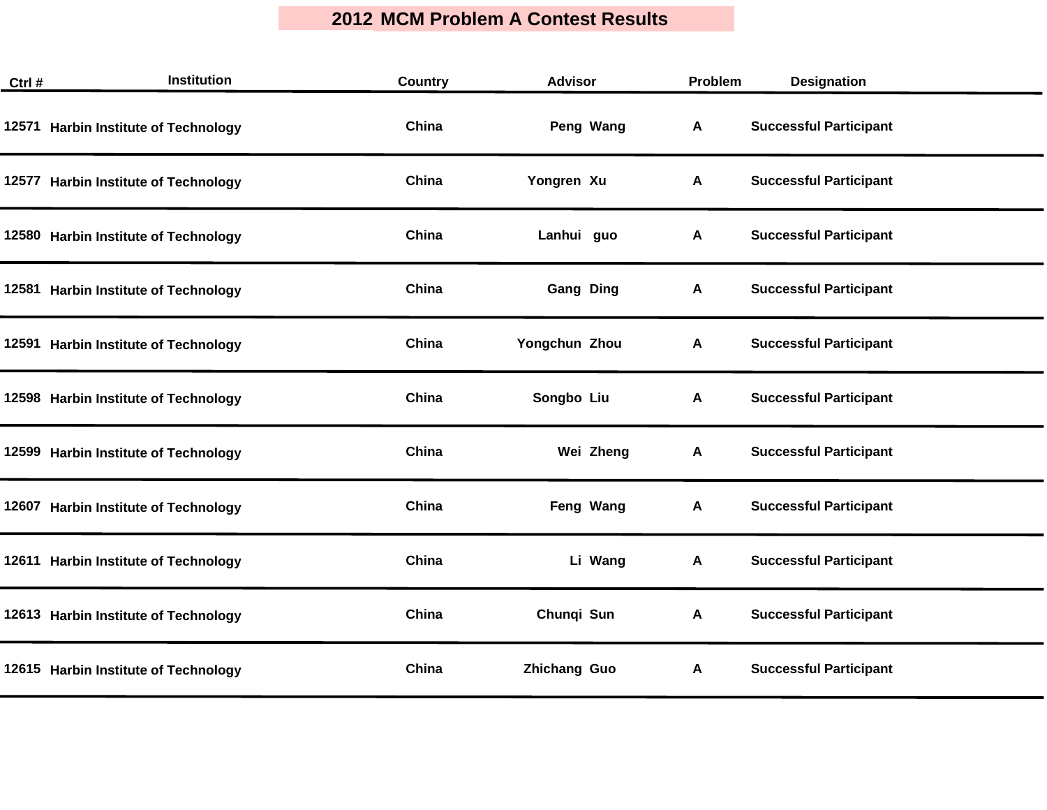| Ctrl # | <b>Institution</b>                   | <b>Country</b> | <b>Advisor</b>      | Problem      | <b>Designation</b>            |  |
|--------|--------------------------------------|----------------|---------------------|--------------|-------------------------------|--|
|        | 12571 Harbin Institute of Technology | China          | Peng Wang           | $\mathsf{A}$ | <b>Successful Participant</b> |  |
|        | 12577 Harbin Institute of Technology | China          | Yongren Xu          | A            | <b>Successful Participant</b> |  |
|        | 12580 Harbin Institute of Technology | China          | Lanhui guo          | $\mathsf{A}$ | <b>Successful Participant</b> |  |
|        | 12581 Harbin Institute of Technology | China          | <b>Gang Ding</b>    | $\mathsf{A}$ | <b>Successful Participant</b> |  |
|        | 12591 Harbin Institute of Technology | China          | Yongchun Zhou       | $\mathsf{A}$ | <b>Successful Participant</b> |  |
|        | 12598 Harbin Institute of Technology | China          | Songbo Liu          | $\mathsf{A}$ | <b>Successful Participant</b> |  |
|        | 12599 Harbin Institute of Technology | China          | Wei Zheng           | A            | <b>Successful Participant</b> |  |
|        | 12607 Harbin Institute of Technology | China          | Feng Wang           | $\mathsf{A}$ | <b>Successful Participant</b> |  |
|        | 12611 Harbin Institute of Technology | China          | Li Wang             | $\mathsf{A}$ | <b>Successful Participant</b> |  |
|        | 12613 Harbin Institute of Technology | China          | Chunqi Sun          | $\mathsf{A}$ | <b>Successful Participant</b> |  |
|        | 12615 Harbin Institute of Technology | China          | <b>Zhichang Guo</b> | A            | <b>Successful Participant</b> |  |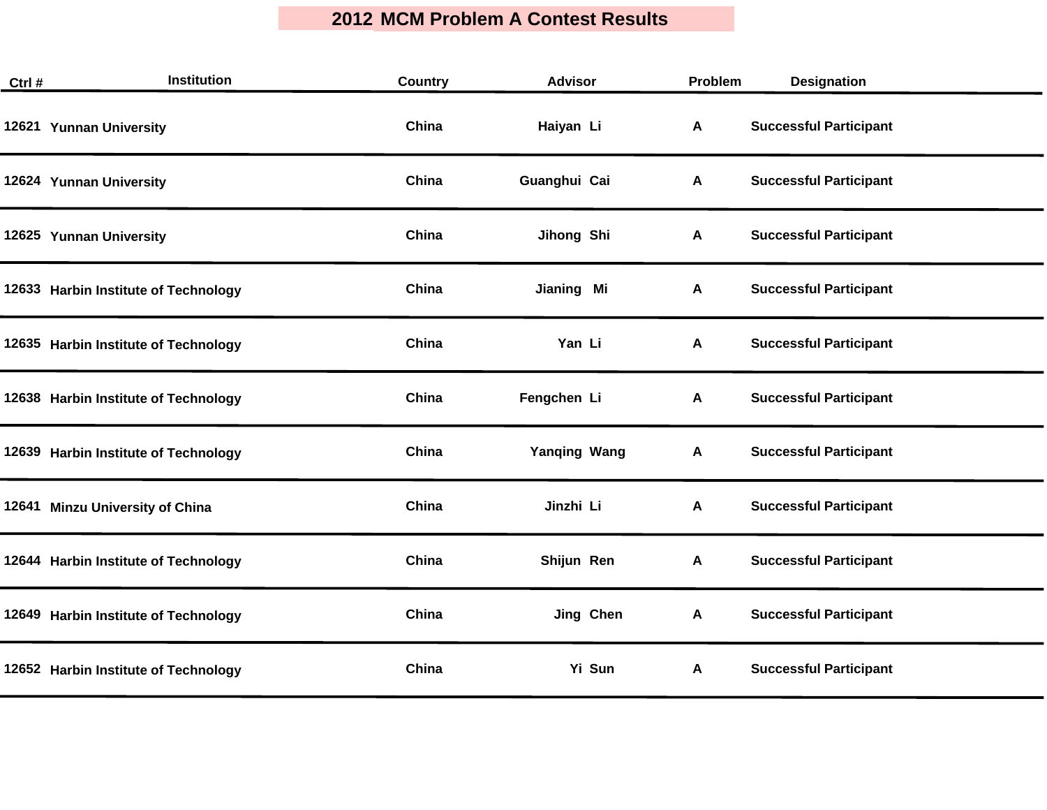| Ctrl # | Institution                          | <b>Country</b> | <b>Advisor</b>      | <b>Problem</b> | <b>Designation</b>            |
|--------|--------------------------------------|----------------|---------------------|----------------|-------------------------------|
|        | 12621 Yunnan University              | China          | Haiyan Li           | $\mathsf{A}$   | <b>Successful Participant</b> |
|        | 12624 Yunnan University              | China          | Guanghui Cai        | $\mathsf{A}$   | <b>Successful Participant</b> |
|        | 12625 Yunnan University              | China          | Jihong Shi          | A              | <b>Successful Participant</b> |
|        | 12633 Harbin Institute of Technology | China          | Jianing Mi          | $\mathsf{A}$   | <b>Successful Participant</b> |
|        | 12635 Harbin Institute of Technology | China          | Yan Li              | $\mathsf{A}$   | <b>Successful Participant</b> |
|        | 12638 Harbin Institute of Technology | China          | Fengchen Li         | $\mathsf{A}$   | <b>Successful Participant</b> |
|        | 12639 Harbin Institute of Technology | China          | <b>Yanqing Wang</b> | A              | <b>Successful Participant</b> |
|        | 12641 Minzu University of China      | China          | Jinzhi Li           | $\mathsf{A}$   | <b>Successful Participant</b> |
|        | 12644 Harbin Institute of Technology | China          | Shijun Ren          | $\mathsf{A}$   | <b>Successful Participant</b> |
|        | 12649 Harbin Institute of Technology | China          | Jing Chen           | $\mathsf{A}$   | <b>Successful Participant</b> |
|        | 12652 Harbin Institute of Technology | China          | Yi Sun              | $\mathsf{A}$   | <b>Successful Participant</b> |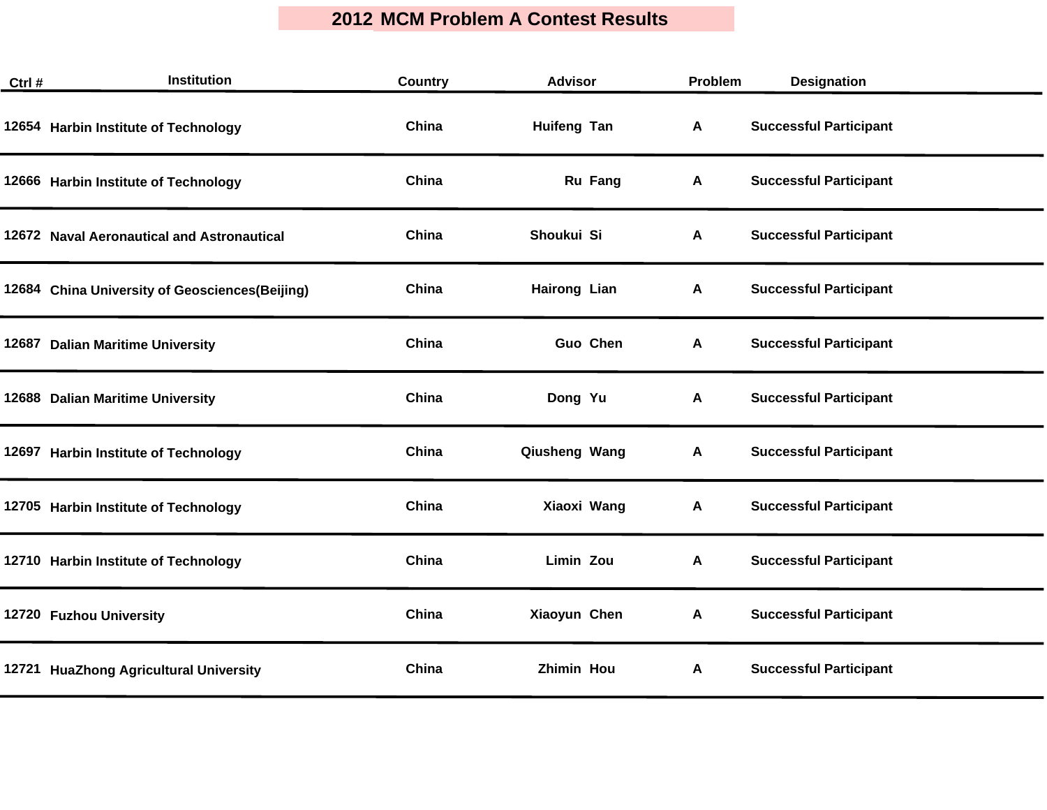| Ctrl # | <b>Institution</b>                             | <b>Country</b> | <b>Advisor</b>      | <b>Problem</b> | <b>Designation</b>            |  |
|--------|------------------------------------------------|----------------|---------------------|----------------|-------------------------------|--|
|        | 12654 Harbin Institute of Technology           | China          | Huifeng Tan         | $\mathsf{A}$   | <b>Successful Participant</b> |  |
|        | 12666 Harbin Institute of Technology           | China          | Ru Fang             | A              | <b>Successful Participant</b> |  |
|        | 12672 Naval Aeronautical and Astronautical     | China          | Shoukui Si          | A              | <b>Successful Participant</b> |  |
|        | 12684 China University of Geosciences(Beijing) | China          | <b>Hairong Lian</b> | $\mathsf{A}$   | <b>Successful Participant</b> |  |
|        | 12687 Dalian Maritime University               | China          | Guo Chen            | $\mathsf{A}$   | <b>Successful Participant</b> |  |
|        | 12688 Dalian Maritime University               | China          | Dong Yu             | $\mathsf{A}$   | <b>Successful Participant</b> |  |
|        | 12697 Harbin Institute of Technology           | China          | Qiusheng Wang       | A              | <b>Successful Participant</b> |  |
|        | 12705 Harbin Institute of Technology           | China          | Xiaoxi Wang         | $\mathsf{A}$   | <b>Successful Participant</b> |  |
|        | 12710 Harbin Institute of Technology           | China          | Limin Zou           | $\mathsf{A}$   | <b>Successful Participant</b> |  |
|        | 12720 Fuzhou University                        | China          | Xiaoyun Chen        | $\mathsf{A}$   | <b>Successful Participant</b> |  |
|        | 12721 HuaZhong Agricultural University         | China          | Zhimin Hou          | A              | <b>Successful Participant</b> |  |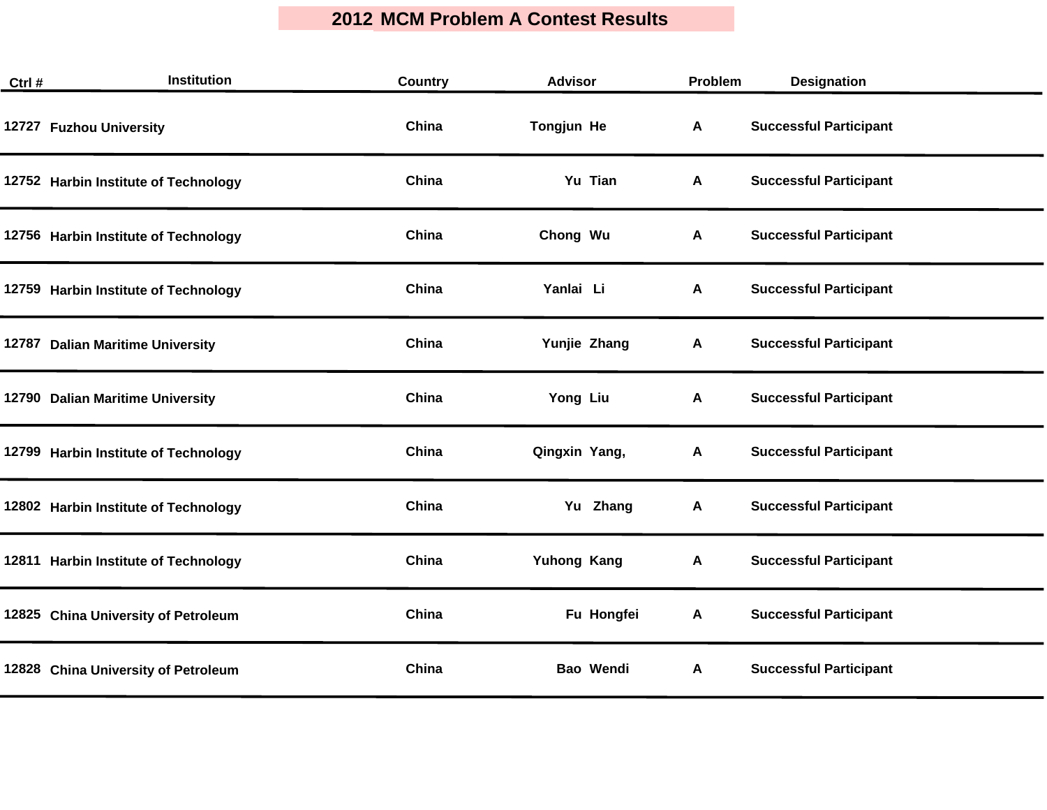| Ctrl # | Institution                          | <b>Country</b> | <b>Advisor</b> | Problem      | <b>Designation</b>            |
|--------|--------------------------------------|----------------|----------------|--------------|-------------------------------|
|        | 12727 Fuzhou University              | China          | Tongjun He     | $\mathsf{A}$ | <b>Successful Participant</b> |
|        | 12752 Harbin Institute of Technology | China          | Yu Tian        | A            | <b>Successful Participant</b> |
|        | 12756 Harbin Institute of Technology | China          | Chong Wu       | A            | <b>Successful Participant</b> |
|        | 12759 Harbin Institute of Technology | China          | Yanlai Li      | $\mathsf{A}$ | <b>Successful Participant</b> |
|        | 12787 Dalian Maritime University     | China          | Yunjie Zhang   | $\mathsf{A}$ | <b>Successful Participant</b> |
|        | 12790 Dalian Maritime University     | China          | Yong Liu       | A            | <b>Successful Participant</b> |
|        | 12799 Harbin Institute of Technology | China          | Qingxin Yang,  | A            | <b>Successful Participant</b> |
|        | 12802 Harbin Institute of Technology | China          | Yu Zhang       | A            | <b>Successful Participant</b> |
|        | 12811 Harbin Institute of Technology | China          | Yuhong Kang    | A            | <b>Successful Participant</b> |
|        | 12825 China University of Petroleum  | China          | Fu Hongfei     | A            | <b>Successful Participant</b> |
|        | 12828 China University of Petroleum  | China          | Bao Wendi      | A            | <b>Successful Participant</b> |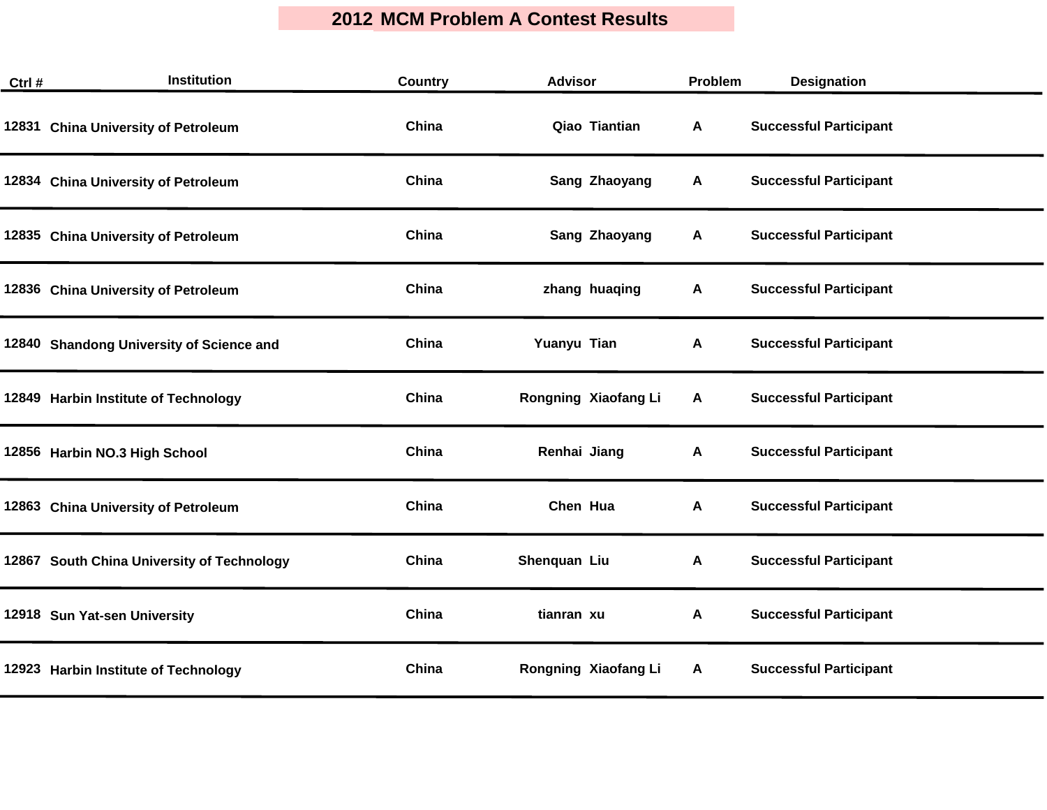| Ctrl # | <b>Institution</b>                         | <b>Country</b> | <b>Advisor</b>       | Problem      | <b>Designation</b>            |
|--------|--------------------------------------------|----------------|----------------------|--------------|-------------------------------|
|        | 12831 China University of Petroleum        | China          | Qiao Tiantian        | $\mathsf{A}$ | <b>Successful Participant</b> |
|        | 12834 China University of Petroleum        | China          | Sang Zhaoyang        | A            | <b>Successful Participant</b> |
|        | 12835 China University of Petroleum        | China          | Sang Zhaoyang        | A            | <b>Successful Participant</b> |
|        | 12836 China University of Petroleum        | China          | zhang huaqing        | A            | <b>Successful Participant</b> |
|        | 12840 Shandong University of Science and   | China          | Yuanyu Tian          | $\mathsf{A}$ | <b>Successful Participant</b> |
|        | 12849 Harbin Institute of Technology       | China          | Rongning Xiaofang Li | A            | <b>Successful Participant</b> |
|        | 12856 Harbin NO.3 High School              | China          | Renhai Jiang         | A            | <b>Successful Participant</b> |
|        | 12863 China University of Petroleum        | China          | Chen Hua             | $\mathsf{A}$ | <b>Successful Participant</b> |
|        | 12867 South China University of Technology | China          | Shenquan Liu         | $\mathsf{A}$ | <b>Successful Participant</b> |
|        | 12918 Sun Yat-sen University               | China          | tianran xu           | A            | <b>Successful Participant</b> |
|        | 12923 Harbin Institute of Technology       | China          | Rongning Xiaofang Li | $\mathsf{A}$ | <b>Successful Participant</b> |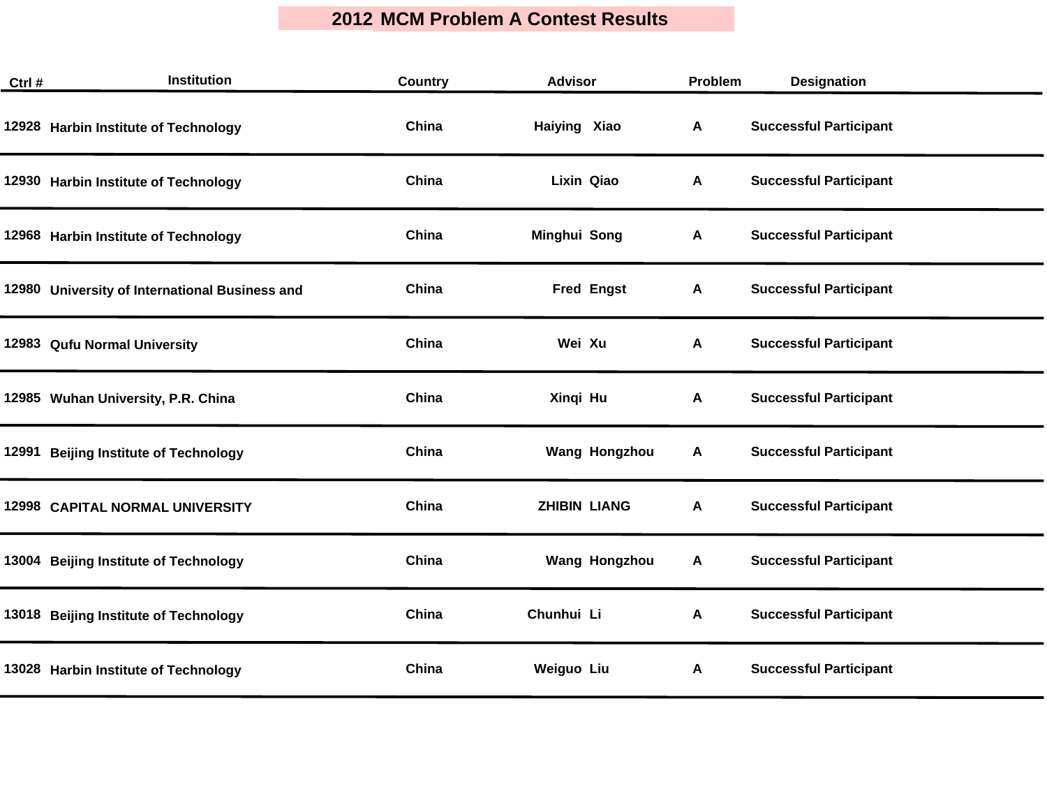| Ctrl # | <b>Institution</b>                             | <b>Country</b> | <b>Advisor</b>       | Problem      | <b>Designation</b>            |
|--------|------------------------------------------------|----------------|----------------------|--------------|-------------------------------|
|        | 12928 Harbin Institute of Technology           | China          | Haiying Xiao         | $\mathsf{A}$ | <b>Successful Participant</b> |
|        | 12930 Harbin Institute of Technology           | China          | <b>Lixin Qiao</b>    | A            | <b>Successful Participant</b> |
|        | 12968 Harbin Institute of Technology           | China          | Minghui Song         | $\mathsf{A}$ | <b>Successful Participant</b> |
|        | 12980 University of International Business and | China          | <b>Fred Engst</b>    | $\mathsf{A}$ | <b>Successful Participant</b> |
|        | 12983 Qufu Normal University                   | China          | Wei Xu               | $\mathsf{A}$ | <b>Successful Participant</b> |
|        | 12985 Wuhan University, P.R. China             | China          | Xinqi Hu             | $\mathsf{A}$ | <b>Successful Participant</b> |
| 12991  | <b>Beijing Institute of Technology</b>         | China          | Wang Hongzhou        | A            | <b>Successful Participant</b> |
|        | <b>12998 CAPITAL NORMAL UNIVERSITY</b>         | China          | <b>ZHIBIN LIANG</b>  | $\mathsf{A}$ | <b>Successful Participant</b> |
| 13004  | <b>Beijing Institute of Technology</b>         | China          | <b>Wang Hongzhou</b> | $\mathsf{A}$ | <b>Successful Participant</b> |
|        | 13018 Beijing Institute of Technology          | China          | Chunhui Li           | A            | <b>Successful Participant</b> |
|        | 13028 Harbin Institute of Technology           | China          | Weiguo Liu           | A            | <b>Successful Participant</b> |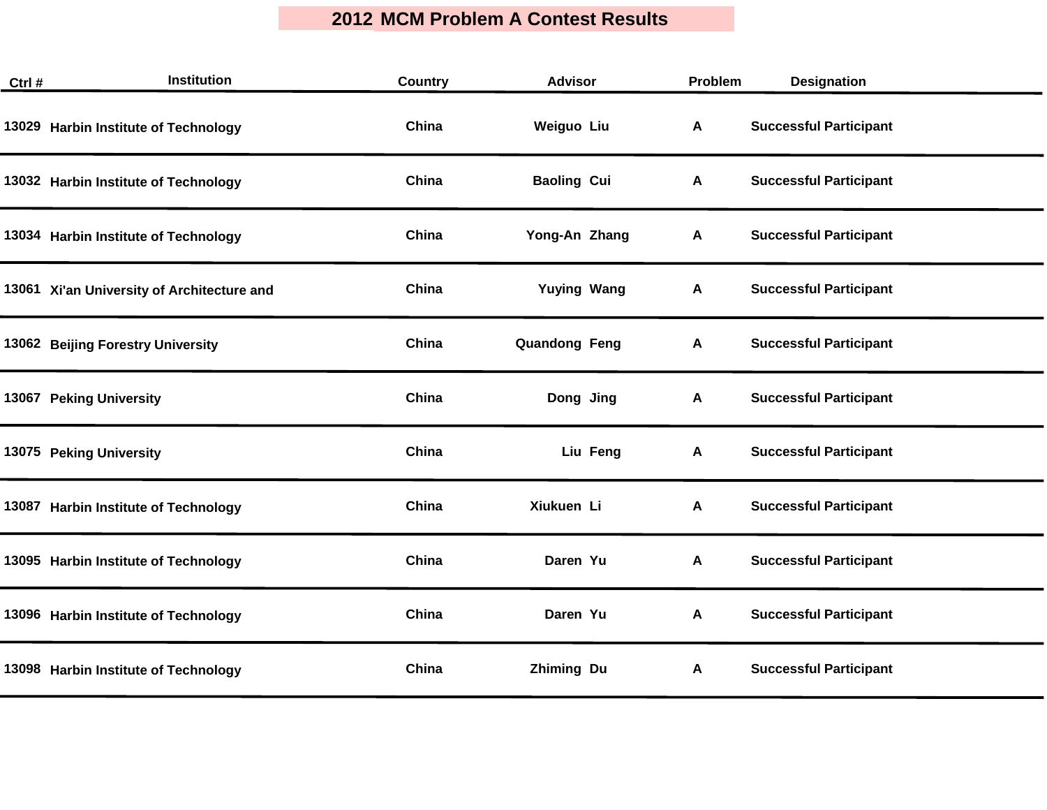| Ctrl # | <b>Institution</b>                         | <b>Country</b> | <b>Advisor</b>       | Problem      | <b>Designation</b>            |  |
|--------|--------------------------------------------|----------------|----------------------|--------------|-------------------------------|--|
|        | 13029 Harbin Institute of Technology       | China          | <b>Weiguo Liu</b>    | $\mathsf{A}$ | <b>Successful Participant</b> |  |
|        | 13032 Harbin Institute of Technology       | China          | <b>Baoling Cui</b>   | $\mathsf{A}$ | <b>Successful Participant</b> |  |
|        | 13034 Harbin Institute of Technology       | China          | Yong-An Zhang        | $\mathsf{A}$ | <b>Successful Participant</b> |  |
|        | 13061 Xi'an University of Architecture and | China          | <b>Yuying Wang</b>   | $\mathsf{A}$ | <b>Successful Participant</b> |  |
|        | 13062 Beijing Forestry University          | China          | <b>Quandong Feng</b> | $\mathsf{A}$ | <b>Successful Participant</b> |  |
|        | 13067 Peking University                    | China          | Dong Jing            | $\mathsf{A}$ | <b>Successful Participant</b> |  |
|        | 13075 Peking University                    | China          | Liu Feng             | $\mathsf{A}$ | <b>Successful Participant</b> |  |
|        | 13087 Harbin Institute of Technology       | China          | Xiukuen Li           | $\mathsf{A}$ | <b>Successful Participant</b> |  |
|        | 13095 Harbin Institute of Technology       | China          | Daren Yu             | $\mathsf{A}$ | <b>Successful Participant</b> |  |
|        | 13096 Harbin Institute of Technology       | China          | Daren Yu             | $\mathsf{A}$ | <b>Successful Participant</b> |  |
|        | 13098 Harbin Institute of Technology       | China          | <b>Zhiming Du</b>    | Α            | <b>Successful Participant</b> |  |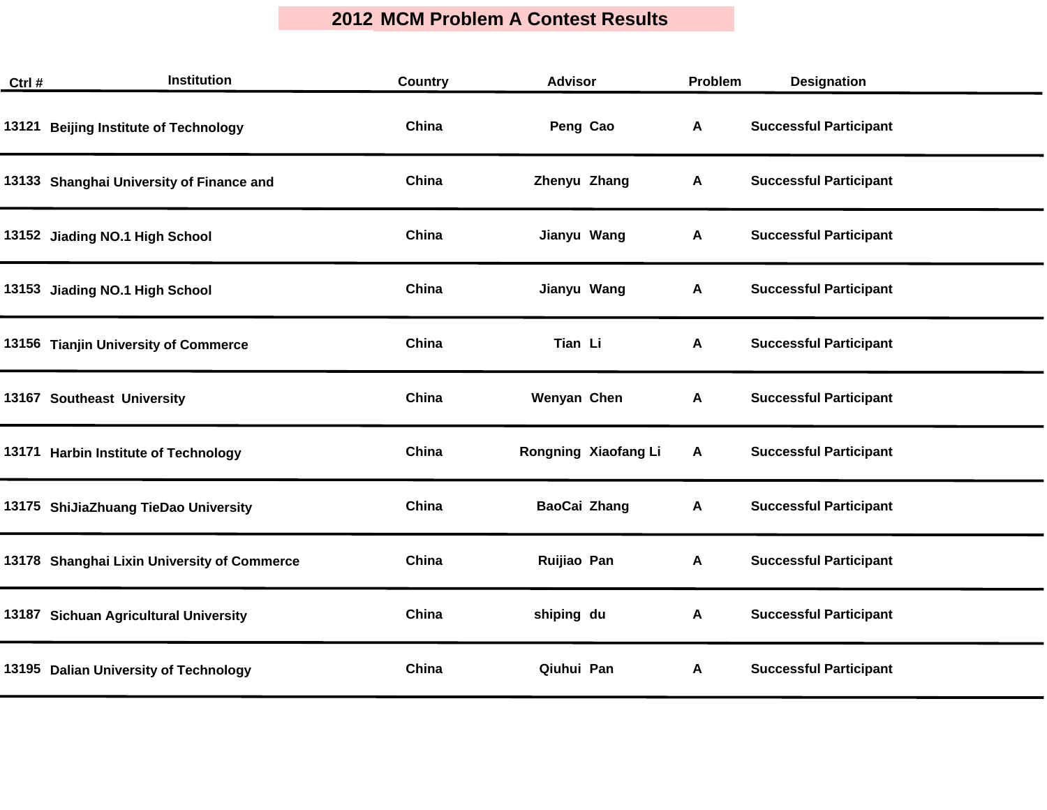| Ctrl # | <b>Institution</b>                          | <b>Country</b> | <b>Advisor</b>       | Problem      | <b>Designation</b>            |
|--------|---------------------------------------------|----------------|----------------------|--------------|-------------------------------|
|        | 13121 Beijing Institute of Technology       | China          | Peng Cao             | $\mathsf{A}$ | <b>Successful Participant</b> |
|        | 13133 Shanghai University of Finance and    | China          | Zhenyu Zhang         | A            | <b>Successful Participant</b> |
|        | 13152 Jiading NO.1 High School              | China          | Jianyu Wang          | $\mathsf{A}$ | <b>Successful Participant</b> |
|        | 13153 Jiading NO.1 High School              | China          | Jianyu Wang          | $\mathsf{A}$ | <b>Successful Participant</b> |
|        | 13156 Tianjin University of Commerce        | China          | Tian Li              | $\mathsf{A}$ | <b>Successful Participant</b> |
|        | 13167 Southeast University                  | China          | Wenyan Chen          | $\mathsf{A}$ | <b>Successful Participant</b> |
|        | 13171 Harbin Institute of Technology        | China          | Rongning Xiaofang Li | A            | <b>Successful Participant</b> |
|        | 13175 ShiJiaZhuang TieDao University        | China          | BaoCai Zhang         | $\mathsf{A}$ | <b>Successful Participant</b> |
|        | 13178 Shanghai Lixin University of Commerce | China          | Ruijiao Pan          | $\mathsf{A}$ | <b>Successful Participant</b> |
|        | 13187 Sichuan Agricultural University       | China          | shiping du           | $\mathsf{A}$ | <b>Successful Participant</b> |
|        | 13195 Dalian University of Technology       | China          | Qiuhui Pan           | A            | <b>Successful Participant</b> |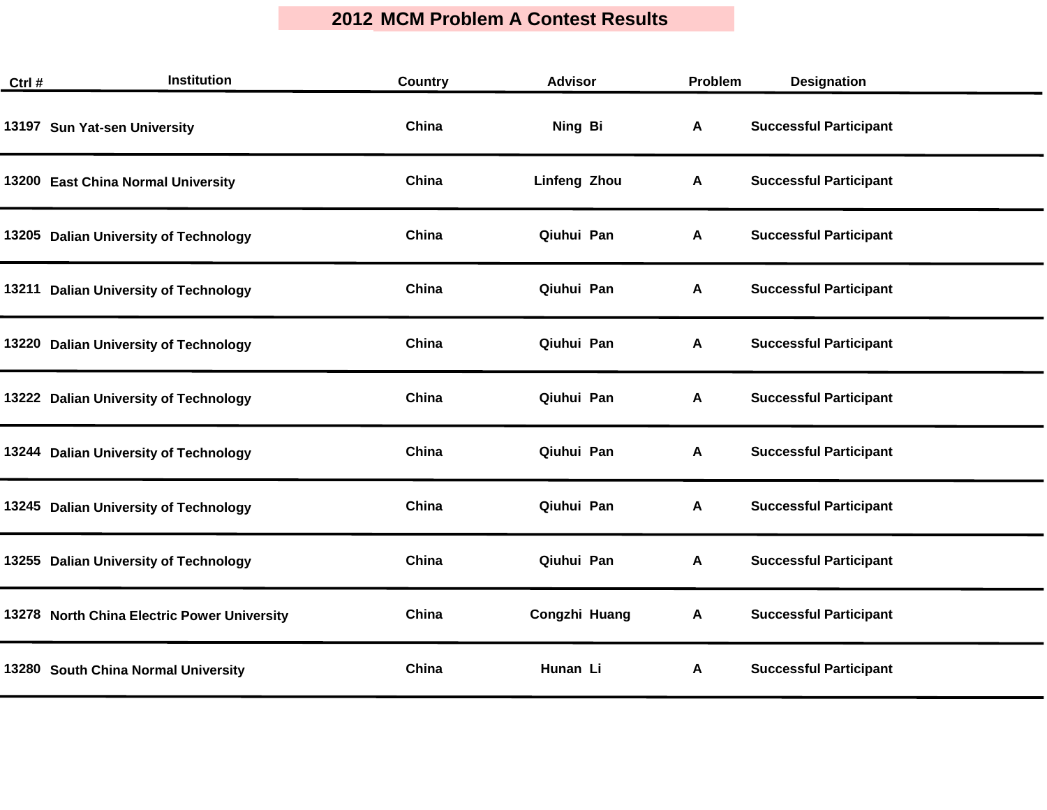| Ctrl # | <b>Institution</b>                          | <b>Country</b> | <b>Advisor</b>      | Problem      | <b>Designation</b>            |
|--------|---------------------------------------------|----------------|---------------------|--------------|-------------------------------|
|        | 13197 Sun Yat-sen University                | China          | Ning Bi             | $\mathsf{A}$ | <b>Successful Participant</b> |
|        | 13200 East China Normal University          | China          | <b>Linfeng Zhou</b> | A            | <b>Successful Participant</b> |
|        | 13205 Dalian University of Technology       | China          | Qiuhui Pan          | A            | <b>Successful Participant</b> |
|        | 13211 Dalian University of Technology       | China          | Qiuhui Pan          | A            | <b>Successful Participant</b> |
|        | 13220 Dalian University of Technology       | China          | Qiuhui Pan          | $\mathsf{A}$ | <b>Successful Participant</b> |
|        | 13222 Dalian University of Technology       | China          | Qiuhui Pan          | A            | <b>Successful Participant</b> |
|        | 13244 Dalian University of Technology       | China          | Qiuhui Pan          | A            | <b>Successful Participant</b> |
|        | 13245 Dalian University of Technology       | China          | Qiuhui Pan          | A            | <b>Successful Participant</b> |
|        | 13255 Dalian University of Technology       | China          | Qiuhui Pan          | $\mathsf{A}$ | <b>Successful Participant</b> |
|        | 13278 North China Electric Power University | China          | Congzhi Huang       | $\mathsf{A}$ | <b>Successful Participant</b> |
|        | 13280 South China Normal University         | China          | Hunan Li            | A            | <b>Successful Participant</b> |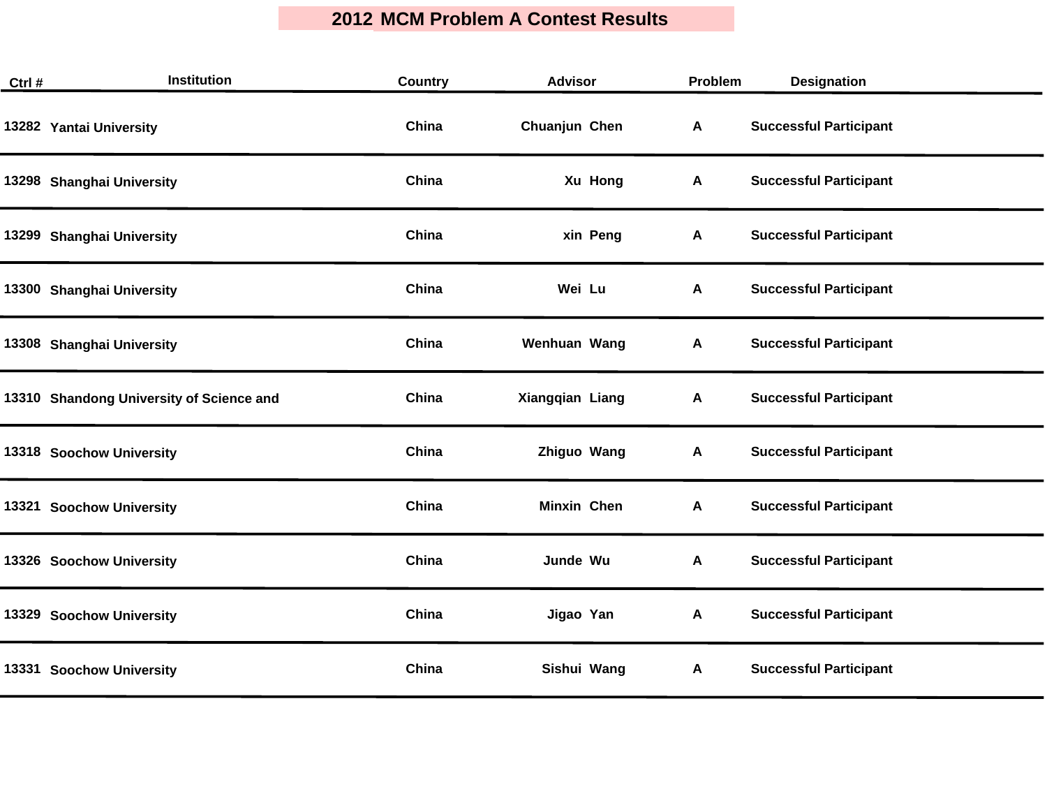| Ctrl # | <b>Institution</b>                       | <b>Country</b> | <b>Advisor</b>  |          | Problem      | <b>Designation</b>            |  |
|--------|------------------------------------------|----------------|-----------------|----------|--------------|-------------------------------|--|
|        | 13282 Yantai University                  | China          | Chuanjun Chen   |          | $\mathsf{A}$ | <b>Successful Participant</b> |  |
|        | 13298 Shanghai University                | China          |                 | Xu Hong  | A            | <b>Successful Participant</b> |  |
|        | 13299 Shanghai University                | China          |                 | xin Peng | A            | <b>Successful Participant</b> |  |
|        | 13300 Shanghai University                | China          | Wei Lu          |          | $\mathsf{A}$ | <b>Successful Participant</b> |  |
|        | 13308 Shanghai University                | China          | Wenhuan Wang    |          | $\mathsf{A}$ | <b>Successful Participant</b> |  |
|        | 13310 Shandong University of Science and | China          | Xiangqian Liang |          | $\mathsf{A}$ | <b>Successful Participant</b> |  |
|        | 13318 Soochow University                 | China          | Zhiguo Wang     |          | A            | <b>Successful Participant</b> |  |
|        | 13321 Soochow University                 | China          | Minxin Chen     |          | $\mathsf{A}$ | <b>Successful Participant</b> |  |
|        | 13326 Soochow University                 | China          | Junde Wu        |          | $\mathsf{A}$ | <b>Successful Participant</b> |  |
|        | 13329 Soochow University                 | China          | Jigao Yan       |          | $\mathsf{A}$ | <b>Successful Participant</b> |  |
|        | 13331 Soochow University                 | China          | Sishui Wang     |          | A            | <b>Successful Participant</b> |  |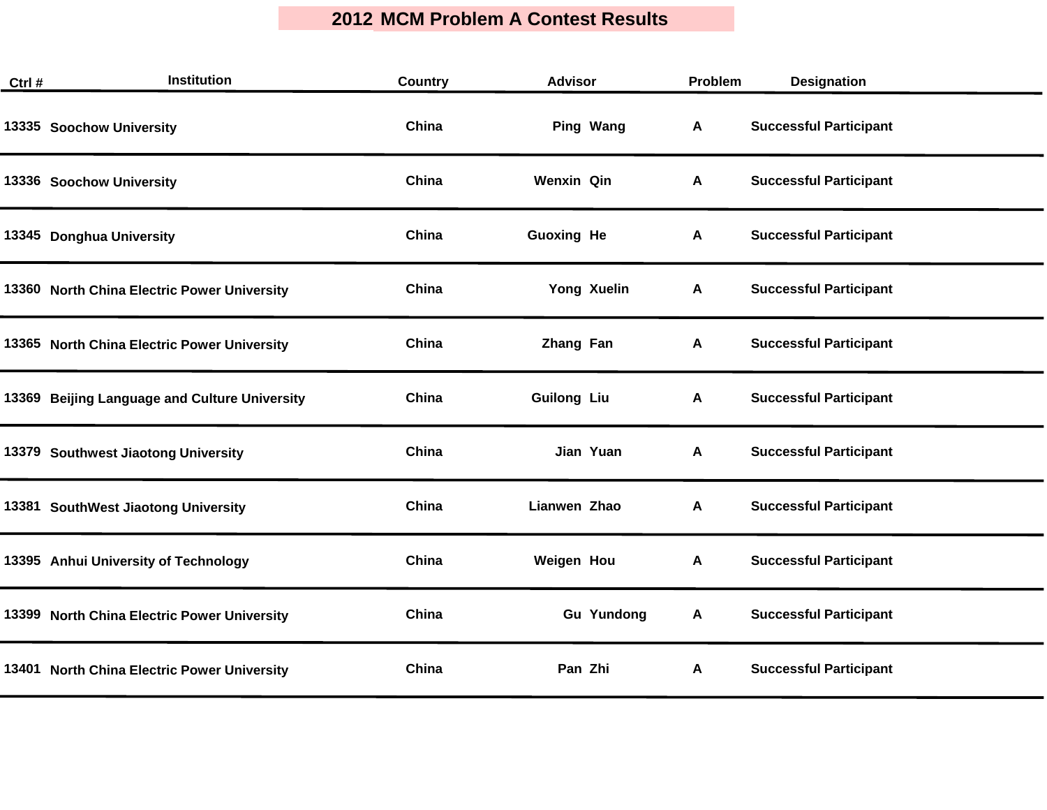| Ctrl # | <b>Institution</b>                            | <b>Country</b> | <b>Advisor</b>     |                                   | Problem | <b>Designation</b>            |  |
|--------|-----------------------------------------------|----------------|--------------------|-----------------------------------|---------|-------------------------------|--|
|        | 13335 Soochow University                      | China          | Ping Wang          | $\mathsf{A}$                      |         | <b>Successful Participant</b> |  |
|        | 13336 Soochow University                      | China          | <b>Wenxin Qin</b>  | A                                 |         | <b>Successful Participant</b> |  |
|        | 13345 Donghua University                      | China          | <b>Guoxing He</b>  | A                                 |         | <b>Successful Participant</b> |  |
|        | 13360 North China Electric Power University   | China          | Yong Xuelin        | $\mathsf{A}$                      |         | <b>Successful Participant</b> |  |
|        | 13365 North China Electric Power University   | China          | Zhang Fan          | $\mathsf{A}$                      |         | <b>Successful Participant</b> |  |
|        | 13369 Beijing Language and Culture University | China          | <b>Guilong Liu</b> | $\mathsf{A}$                      |         | <b>Successful Participant</b> |  |
|        | 13379 Southwest Jiaotong University           | China          | Jian Yuan          | A                                 |         | <b>Successful Participant</b> |  |
|        | 13381 SouthWest Jiaotong University           | China          | Lianwen Zhao       | A                                 |         | <b>Successful Participant</b> |  |
|        | 13395 Anhui University of Technology          | China          | Weigen Hou         | $\mathsf{A}$                      |         | <b>Successful Participant</b> |  |
|        | 13399 North China Electric Power University   | China          |                    | <b>Gu Yundong</b><br>$\mathsf{A}$ |         | <b>Successful Participant</b> |  |
|        | 13401 North China Electric Power University   | China          | Pan Zhi            | $\mathsf{A}$                      |         | <b>Successful Participant</b> |  |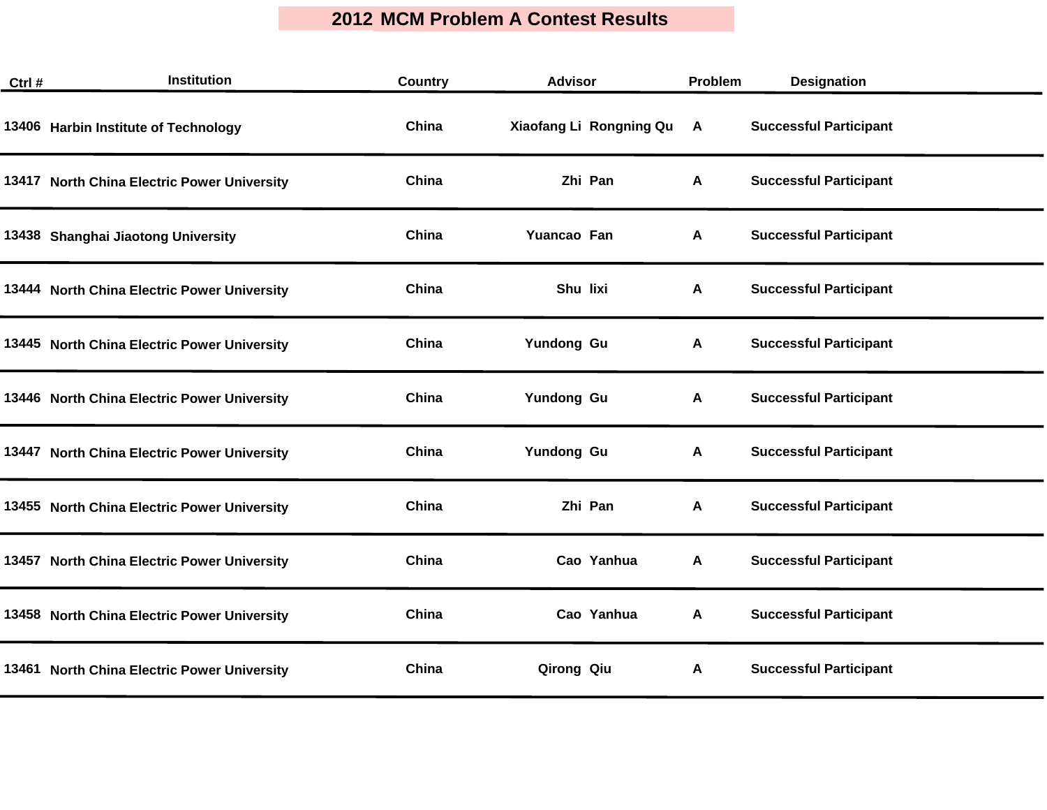| Ctrl # | <b>Institution</b>                          | <b>Country</b> | <b>Advisor</b>          | Problem      | <b>Designation</b>            |  |
|--------|---------------------------------------------|----------------|-------------------------|--------------|-------------------------------|--|
|        | 13406 Harbin Institute of Technology        | China          | Xiaofang Li Rongning Qu | A            | <b>Successful Participant</b> |  |
|        | 13417 North China Electric Power University | China          | Zhi Pan                 | A            | <b>Successful Participant</b> |  |
|        | 13438 Shanghai Jiaotong University          | China          | Yuancao Fan             | A            | <b>Successful Participant</b> |  |
|        | 13444 North China Electric Power University | China          | Shu lixi                | $\mathsf{A}$ | <b>Successful Participant</b> |  |
|        | 13445 North China Electric Power University | China          | <b>Yundong Gu</b>       | $\mathsf{A}$ | <b>Successful Participant</b> |  |
|        | 13446 North China Electric Power University | China          | <b>Yundong Gu</b>       | $\mathsf{A}$ | <b>Successful Participant</b> |  |
|        | 13447 North China Electric Power University | China          | <b>Yundong Gu</b>       | A            | <b>Successful Participant</b> |  |
|        | 13455 North China Electric Power University | China          | Zhi Pan                 | A            | <b>Successful Participant</b> |  |
|        | 13457 North China Electric Power University | China          | Cao Yanhua              | A            | <b>Successful Participant</b> |  |
|        | 13458 North China Electric Power University | China          | Cao Yanhua              | $\mathsf{A}$ | <b>Successful Participant</b> |  |
|        | 13461 North China Electric Power University | China          | Qirong Qiu              | A            | <b>Successful Participant</b> |  |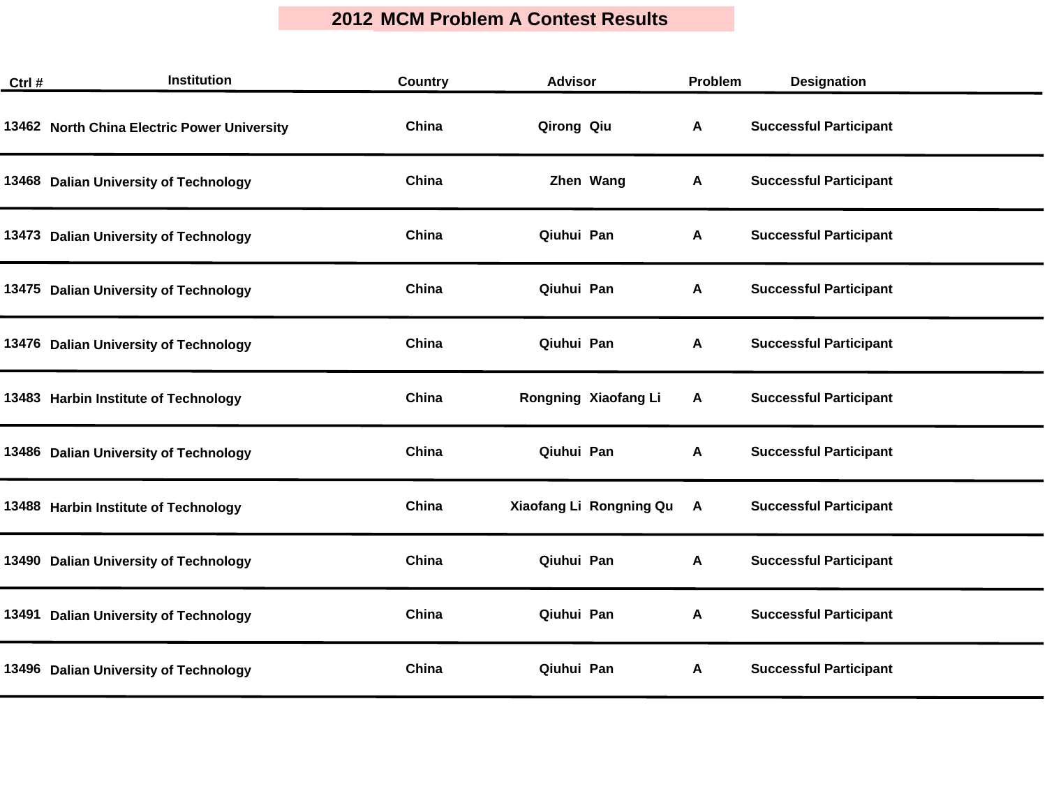| Ctrl # | <b>Institution</b>                          | <b>Country</b> | <b>Advisor</b>          | Problem      | <b>Designation</b>            |
|--------|---------------------------------------------|----------------|-------------------------|--------------|-------------------------------|
|        | 13462 North China Electric Power University | China          | Qirong Qiu              | $\mathsf{A}$ | <b>Successful Participant</b> |
|        | 13468 Dalian University of Technology       | China          | Zhen Wang               | A            | <b>Successful Participant</b> |
|        | 13473 Dalian University of Technology       | China          | Qiuhui Pan              | A            | <b>Successful Participant</b> |
|        | 13475 Dalian University of Technology       | China          | Qiuhui Pan              | A            | <b>Successful Participant</b> |
|        | 13476 Dalian University of Technology       | China          | Qiuhui Pan              | $\mathsf{A}$ | <b>Successful Participant</b> |
|        | 13483 Harbin Institute of Technology        | China          | Rongning Xiaofang Li    | A            | <b>Successful Participant</b> |
|        | 13486 Dalian University of Technology       | China          | Qiuhui Pan              | A            | <b>Successful Participant</b> |
|        | 13488 Harbin Institute of Technology        | China          | Xiaofang Li Rongning Qu | <b>A</b>     | <b>Successful Participant</b> |
|        | 13490 Dalian University of Technology       | China          | Qiuhui Pan              | A            | <b>Successful Participant</b> |
|        | 13491 Dalian University of Technology       | China          | Qiuhui Pan              | A            | <b>Successful Participant</b> |
|        | 13496 Dalian University of Technology       | China          | Qiuhui Pan              | A            | <b>Successful Participant</b> |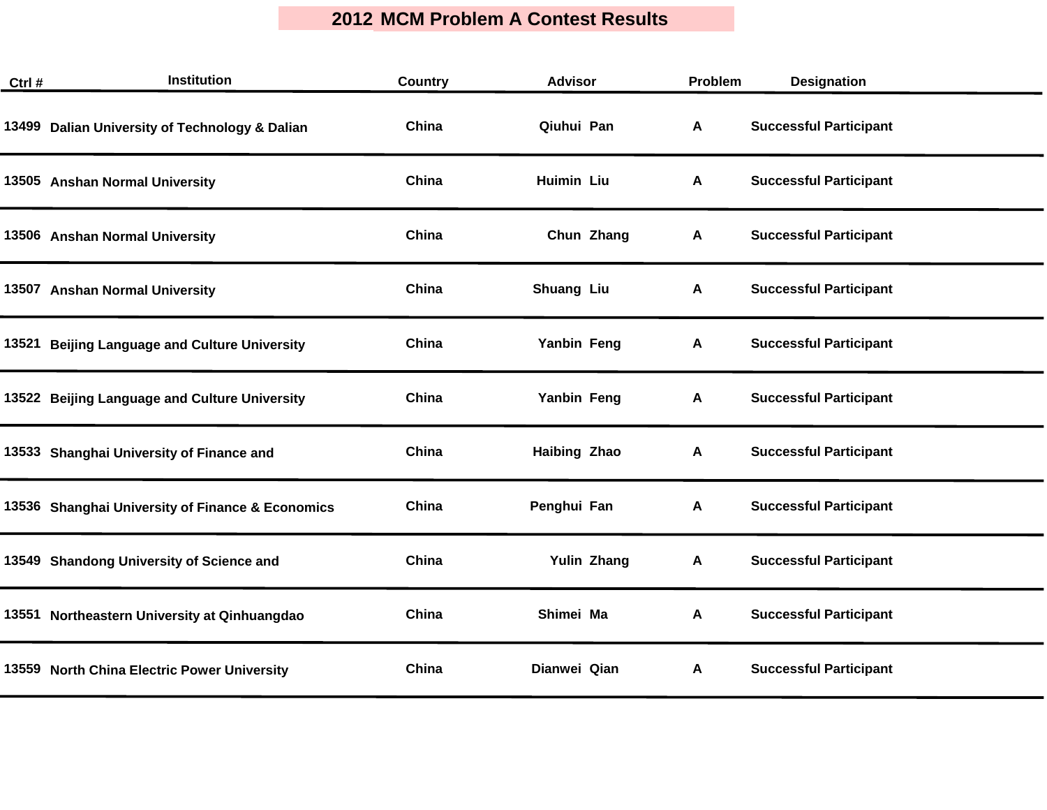| Ctrl # | <b>Institution</b>                               | <b>Country</b> | <b>Advisor</b>    | Problem      | <b>Designation</b>            |
|--------|--------------------------------------------------|----------------|-------------------|--------------|-------------------------------|
|        | 13499 Dalian University of Technology & Dalian   | China          | Qiuhui Pan        | $\mathsf{A}$ | <b>Successful Participant</b> |
|        | 13505 Anshan Normal University                   | China          | <b>Huimin Liu</b> | A            | <b>Successful Participant</b> |
|        | 13506 Anshan Normal University                   | China          | Chun Zhang        | A            | <b>Successful Participant</b> |
|        | 13507 Anshan Normal University                   | China          | Shuang Liu        | $\mathsf{A}$ | <b>Successful Participant</b> |
|        | 13521 Beijing Language and Culture University    | China          | Yanbin Feng       | $\mathsf{A}$ | <b>Successful Participant</b> |
|        | 13522 Beijing Language and Culture University    | China          | Yanbin Feng       | A            | <b>Successful Participant</b> |
|        | 13533 Shanghai University of Finance and         | China          | Haibing Zhao      | A            | <b>Successful Participant</b> |
|        | 13536 Shanghai University of Finance & Economics | China          | Penghui Fan       | $\mathsf{A}$ | <b>Successful Participant</b> |
|        | 13549 Shandong University of Science and         | China          | Yulin Zhang       | A            | <b>Successful Participant</b> |
|        | 13551 Northeastern University at Qinhuangdao     | China          | Shimei Ma         | A            | <b>Successful Participant</b> |
|        | 13559 North China Electric Power University      | China          | Dianwei Qian      | A            | <b>Successful Participant</b> |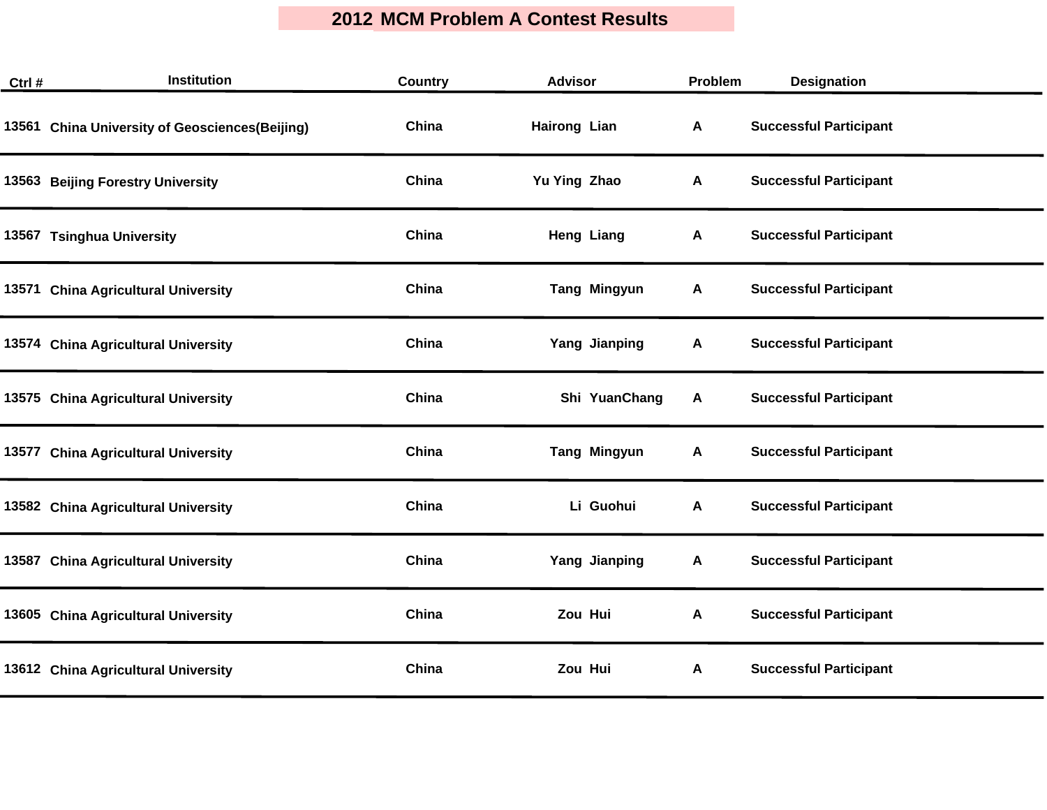| Ctrl # | <b>Institution</b>                             | <b>Country</b> | <b>Advisor</b>      | Problem      | <b>Designation</b>            |
|--------|------------------------------------------------|----------------|---------------------|--------------|-------------------------------|
|        | 13561 China University of Geosciences(Beijing) | China          | Hairong Lian        | $\mathsf{A}$ | <b>Successful Participant</b> |
|        | 13563 Beijing Forestry University              | China          | Yu Ying Zhao        | Α            | <b>Successful Participant</b> |
|        | 13567 Tsinghua University                      | China          | <b>Heng Liang</b>   | Α            | <b>Successful Participant</b> |
|        | 13571 China Agricultural University            | China          | <b>Tang Mingyun</b> | A            | <b>Successful Participant</b> |
|        | 13574 China Agricultural University            | China          | Yang Jianping       | A            | <b>Successful Participant</b> |
|        | 13575 China Agricultural University            | China          | Shi YuanChang       | A            | <b>Successful Participant</b> |
|        | 13577 China Agricultural University            | China          | <b>Tang Mingyun</b> | A            | <b>Successful Participant</b> |
|        | 13582 China Agricultural University            | China          | Li Guohui           | A            | <b>Successful Participant</b> |
|        | 13587 China Agricultural University            | China          | Yang Jianping       | A            | <b>Successful Participant</b> |
|        | 13605 China Agricultural University            | China          | Zou Hui             | A            | <b>Successful Participant</b> |
|        | 13612 China Agricultural University            | China          | Zou Hui             | Α            | <b>Successful Participant</b> |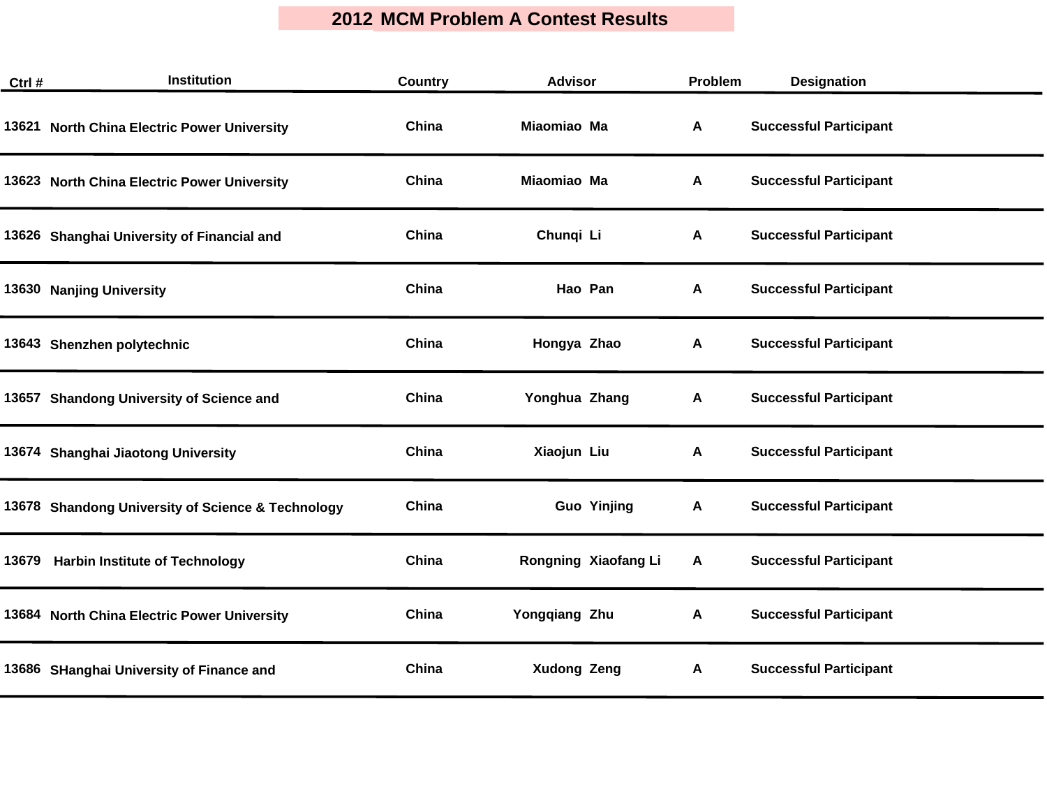| Ctrl # | <b>Institution</b>                                | <b>Country</b> | <b>Advisor</b>       | Problem      | <b>Designation</b>            |  |
|--------|---------------------------------------------------|----------------|----------------------|--------------|-------------------------------|--|
|        | 13621 North China Electric Power University       | China          | Miaomiao Ma          | $\mathsf{A}$ | <b>Successful Participant</b> |  |
|        | 13623 North China Electric Power University       | China          | Miaomiao Ma          | A            | <b>Successful Participant</b> |  |
|        | 13626 Shanghai University of Financial and        | China          | Chungi Li            | A            | <b>Successful Participant</b> |  |
|        | 13630 Nanjing University                          | China          | Hao Pan              | A            | <b>Successful Participant</b> |  |
|        | 13643 Shenzhen polytechnic                        | China          | Hongya Zhao          | $\mathsf{A}$ | <b>Successful Participant</b> |  |
|        | 13657 Shandong University of Science and          | China          | Yonghua Zhang        | A            | <b>Successful Participant</b> |  |
|        | 13674 Shanghai Jiaotong University                | China          | Xiaojun Liu          | Α            | <b>Successful Participant</b> |  |
|        | 13678 Shandong University of Science & Technology | China          | <b>Guo Yinjing</b>   | A            | <b>Successful Participant</b> |  |
|        | 13679 Harbin Institute of Technology              | China          | Rongning Xiaofang Li | A            | <b>Successful Participant</b> |  |
|        | 13684 North China Electric Power University       | China          | Yongqiang Zhu        | A            | <b>Successful Participant</b> |  |
|        | 13686 SHanghai University of Finance and          | China          | Xudong Zeng          | A            | <b>Successful Participant</b> |  |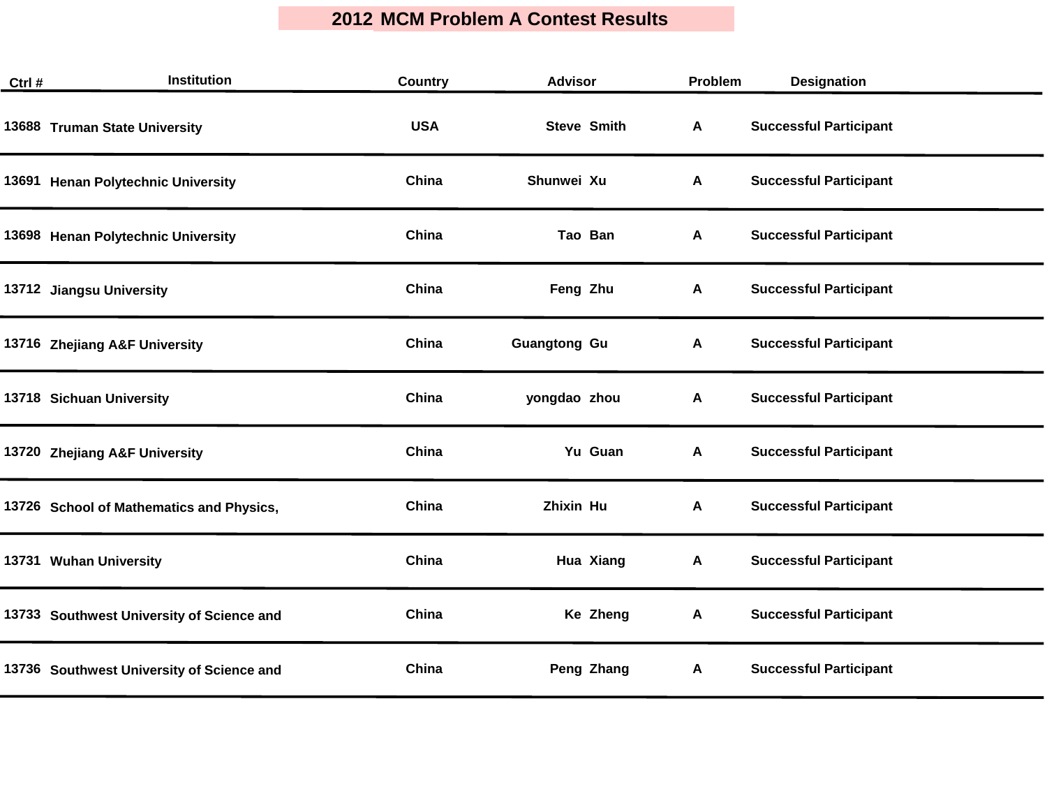| Ctrl # | <b>Institution</b>                        | <b>Country</b> | <b>Advisor</b>      |                    | Problem      | <b>Designation</b>            |  |
|--------|-------------------------------------------|----------------|---------------------|--------------------|--------------|-------------------------------|--|
|        | 13688 Truman State University             | <b>USA</b>     |                     | <b>Steve Smith</b> | $\mathsf{A}$ | <b>Successful Participant</b> |  |
|        | 13691 Henan Polytechnic University        | China          | Shunwei Xu          |                    | A            | <b>Successful Participant</b> |  |
|        | 13698 Henan Polytechnic University        | China          |                     | Tao Ban            | A            | <b>Successful Participant</b> |  |
|        | 13712 Jiangsu University                  | China          | Feng Zhu            |                    | A            | <b>Successful Participant</b> |  |
|        | 13716 Zhejiang A&F University             | China          | <b>Guangtong Gu</b> |                    | $\mathsf{A}$ | <b>Successful Participant</b> |  |
|        | 13718 Sichuan University                  | China          | yongdao zhou        |                    | A            | <b>Successful Participant</b> |  |
|        | 13720 Zhejiang A&F University             | China          |                     | Yu Guan            | A            | <b>Successful Participant</b> |  |
|        | 13726 School of Mathematics and Physics,  | China          | Zhixin Hu           |                    | A            | <b>Successful Participant</b> |  |
|        | 13731 Wuhan University                    | China          |                     | Hua Xiang          | $\mathsf{A}$ | <b>Successful Participant</b> |  |
|        | 13733 Southwest University of Science and | China          |                     | Ke Zheng           | A            | <b>Successful Participant</b> |  |
|        | 13736 Southwest University of Science and | China          |                     | Peng Zhang         | A            | <b>Successful Participant</b> |  |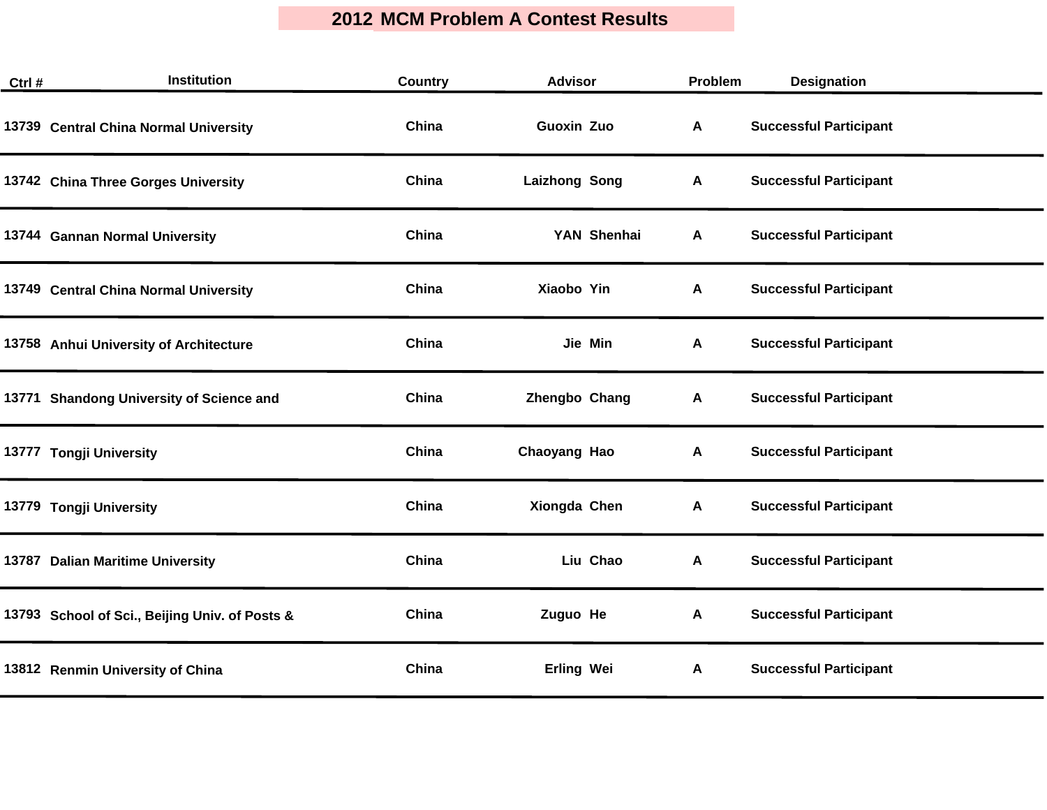| Ctrl # | <b>Institution</b>                             | <b>Country</b> | <b>Advisor</b>    |             | Problem      | <b>Designation</b>            |  |
|--------|------------------------------------------------|----------------|-------------------|-------------|--------------|-------------------------------|--|
|        | 13739 Central China Normal University          | China          | <b>Guoxin Zuo</b> |             | $\mathsf{A}$ | <b>Successful Participant</b> |  |
|        | 13742 China Three Gorges University            | China          | Laizhong Song     |             | A            | <b>Successful Participant</b> |  |
|        | 13744 Gannan Normal University                 | China          |                   | YAN Shenhai | A            | <b>Successful Participant</b> |  |
|        | 13749 Central China Normal University          | China          | Xiaobo Yin        |             | A            | <b>Successful Participant</b> |  |
|        | 13758 Anhui University of Architecture         | China          | Jie Min           |             | $\mathsf{A}$ | <b>Successful Participant</b> |  |
|        | 13771 Shandong University of Science and       | China          | Zhengbo Chang     |             | A            | <b>Successful Participant</b> |  |
|        | 13777 Tongji University                        | China          | Chaoyang Hao      |             | A            | <b>Successful Participant</b> |  |
|        | 13779 Tongji University                        | China          | Xiongda Chen      |             | $\mathsf{A}$ | <b>Successful Participant</b> |  |
|        | 13787 Dalian Maritime University               | China          |                   | Liu Chao    | $\mathsf{A}$ | <b>Successful Participant</b> |  |
|        | 13793 School of Sci., Beijing Univ. of Posts & | China          | Zuguo He          |             | $\mathsf{A}$ | <b>Successful Participant</b> |  |
|        | 13812 Renmin University of China               | China          | <b>Erling Wei</b> |             | Α            | <b>Successful Participant</b> |  |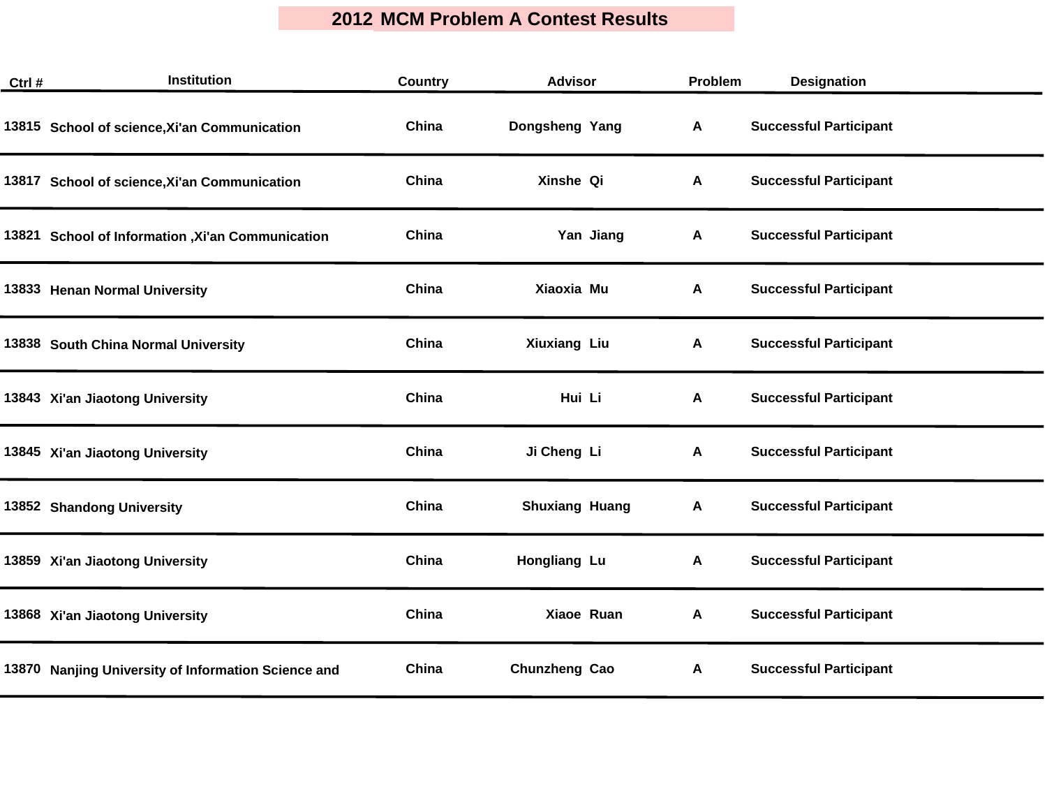| Ctrl # | Institution                                         | <b>Country</b> | <b>Advisor</b>        | Problem      | <b>Designation</b>            |  |
|--------|-----------------------------------------------------|----------------|-----------------------|--------------|-------------------------------|--|
|        | 13815 School of science, Xi'an Communication        | China          | Dongsheng Yang        | $\mathsf{A}$ | <b>Successful Participant</b> |  |
|        | 13817 School of science, Xi'an Communication        | China          | Xinshe Qi             | A            | <b>Successful Participant</b> |  |
|        | 13821 School of Information , Xi'an Communication   | China          | Yan Jiang             | A            | <b>Successful Participant</b> |  |
|        | 13833 Henan Normal University                       | China          | Xiaoxia Mu            | $\mathsf{A}$ | <b>Successful Participant</b> |  |
|        | 13838 South China Normal University                 | China          | Xiuxiang Liu          | $\mathsf{A}$ | <b>Successful Participant</b> |  |
|        | 13843 Xi'an Jiaotong University                     | China          | Hui Li                | A            | <b>Successful Participant</b> |  |
|        | 13845 Xi'an Jiaotong University                     | China          | Ji Cheng Li           | $\mathsf{A}$ | <b>Successful Participant</b> |  |
|        | 13852 Shandong University                           | China          | <b>Shuxiang Huang</b> | A            | <b>Successful Participant</b> |  |
|        | 13859 Xi'an Jiaotong University                     | China          | Hongliang Lu          | $\mathsf{A}$ | <b>Successful Participant</b> |  |
|        | 13868 Xi'an Jiaotong University                     | China          | Xiaoe Ruan            | $\mathsf{A}$ | <b>Successful Participant</b> |  |
|        | 13870 Nanjing University of Information Science and | China          | Chunzheng Cao         | $\mathsf{A}$ | <b>Successful Participant</b> |  |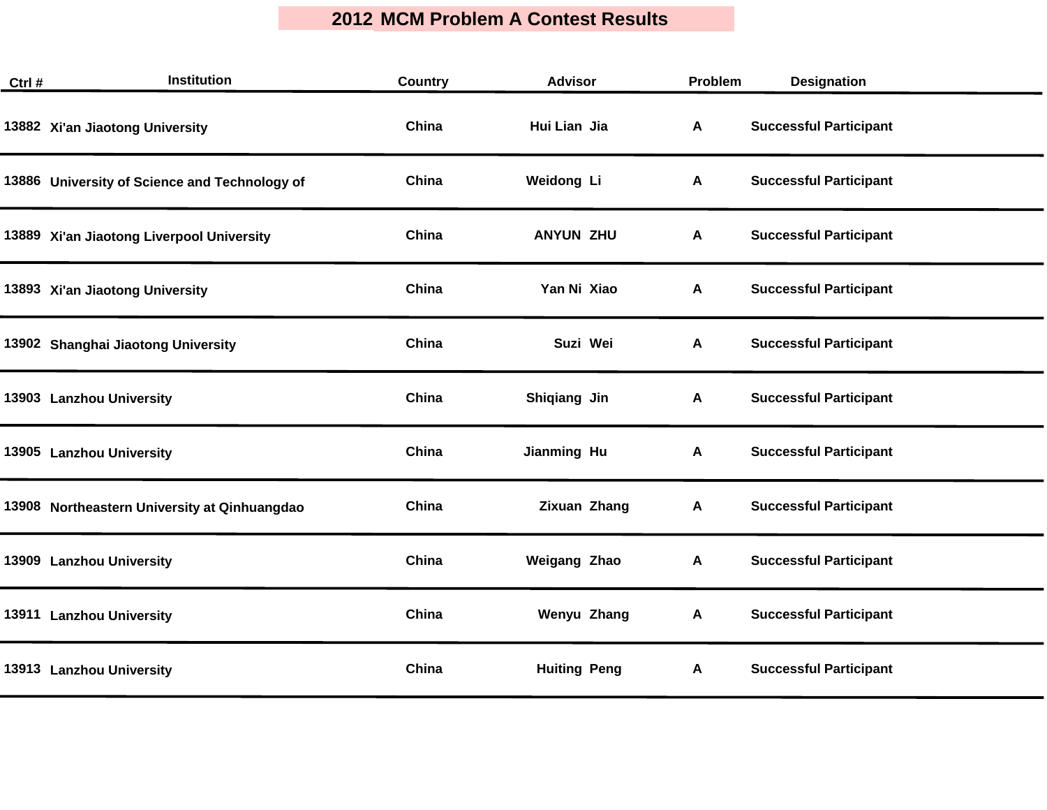| Ctrl # | <b>Institution</b>                            | <b>Country</b> | <b>Advisor</b>      | Problem      | <b>Designation</b>            |  |
|--------|-----------------------------------------------|----------------|---------------------|--------------|-------------------------------|--|
|        | 13882 Xi'an Jiaotong University               | China          | Hui Lian Jia        | $\mathsf{A}$ | <b>Successful Participant</b> |  |
|        | 13886 University of Science and Technology of | China          | Weidong Li          | $\mathsf{A}$ | <b>Successful Participant</b> |  |
|        | 13889 Xi'an Jiaotong Liverpool University     | China          | <b>ANYUN ZHU</b>    | A            | <b>Successful Participant</b> |  |
|        | 13893 Xi'an Jiaotong University               | China          | Yan Ni Xiao         | $\mathsf{A}$ | <b>Successful Participant</b> |  |
|        | 13902 Shanghai Jiaotong University            | China          | Suzi Wei            | $\mathsf{A}$ | <b>Successful Participant</b> |  |
|        | 13903 Lanzhou University                      | China          | Shiqiang Jin        | $\mathsf{A}$ | <b>Successful Participant</b> |  |
|        | 13905 Lanzhou University                      | China          | Jianming Hu         | A            | <b>Successful Participant</b> |  |
|        | 13908 Northeastern University at Qinhuangdao  | China          | Zixuan Zhang        | A            | <b>Successful Participant</b> |  |
|        | 13909 Lanzhou University                      | China          | Weigang Zhao        | $\mathsf{A}$ | <b>Successful Participant</b> |  |
|        | 13911 Lanzhou University                      | China          | Wenyu Zhang         | $\mathsf{A}$ | <b>Successful Participant</b> |  |
|        | 13913 Lanzhou University                      | China          | <b>Huiting Peng</b> | A            | <b>Successful Participant</b> |  |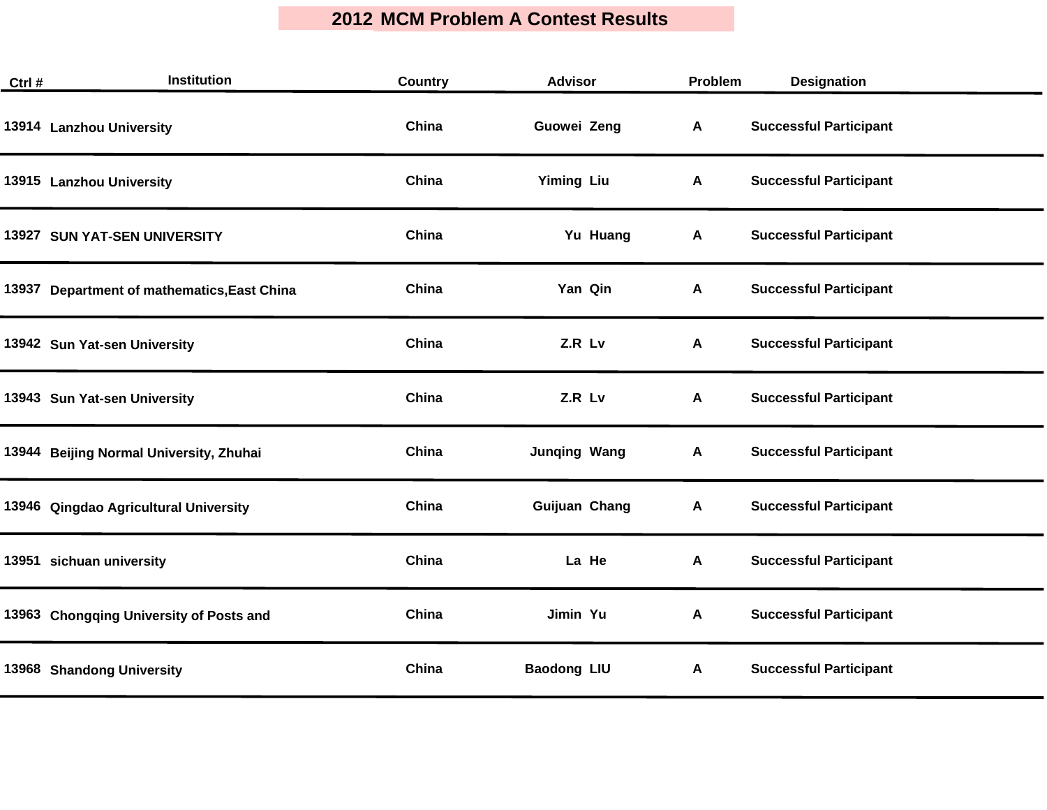| Ctrl # | <b>Institution</b>                          | <b>Country</b> | <b>Advisor</b>      | Problem      | <b>Designation</b>            |  |
|--------|---------------------------------------------|----------------|---------------------|--------------|-------------------------------|--|
|        | 13914 Lanzhou University                    | China          | Guowei Zeng         | $\mathsf{A}$ | <b>Successful Participant</b> |  |
|        | 13915 Lanzhou University                    | China          | <b>Yiming Liu</b>   | A            | <b>Successful Participant</b> |  |
|        | <b>13927 SUN YAT-SEN UNIVERSITY</b>         | China          | Yu Huang            | A            | <b>Successful Participant</b> |  |
|        | 13937 Department of mathematics, East China | China          | Yan Qin             | A            | <b>Successful Participant</b> |  |
|        | 13942 Sun Yat-sen University                | China          | Z.R Lv              | A            | <b>Successful Participant</b> |  |
|        | 13943 Sun Yat-sen University                | China          | Z.R Lv              | A            | <b>Successful Participant</b> |  |
|        | 13944 Beijing Normal University, Zhuhai     | China          | <b>Junqing Wang</b> | A            | <b>Successful Participant</b> |  |
|        | 13946 Qingdao Agricultural University       | China          | Guijuan Chang       | $\mathsf{A}$ | <b>Successful Participant</b> |  |
|        | 13951 sichuan university                    | China          | La He               | A            | <b>Successful Participant</b> |  |
|        | 13963 Chongqing University of Posts and     | China          | Jimin Yu            | A            | <b>Successful Participant</b> |  |
|        | 13968 Shandong University                   | China          | <b>Baodong LIU</b>  | A            | <b>Successful Participant</b> |  |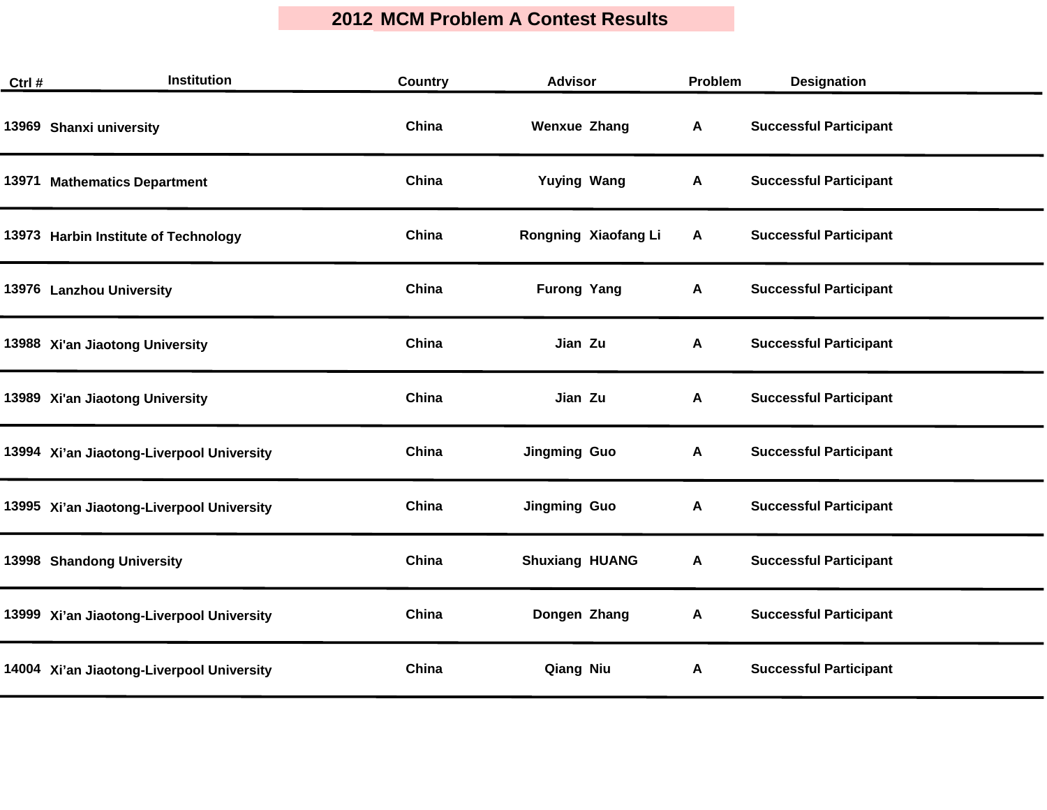| Ctrl # | Institution                               | <b>Country</b> | <b>Advisor</b>        | Problem      | <b>Designation</b>            |
|--------|-------------------------------------------|----------------|-----------------------|--------------|-------------------------------|
|        | 13969 Shanxi university                   | China          | <b>Wenxue Zhang</b>   | $\mathsf{A}$ | <b>Successful Participant</b> |
|        | 13971 Mathematics Department              | China          | <b>Yuying Wang</b>    | A            | <b>Successful Participant</b> |
|        | 13973 Harbin Institute of Technology      | China          | Rongning Xiaofang Li  | A            | <b>Successful Participant</b> |
|        | 13976 Lanzhou University                  | China          | <b>Furong Yang</b>    | $\mathsf{A}$ | <b>Successful Participant</b> |
|        | 13988 Xi'an Jiaotong University           | China          | Jian Zu               | $\mathsf{A}$ | <b>Successful Participant</b> |
|        | 13989 Xi'an Jiaotong University           | China          | Jian Zu               | $\mathsf{A}$ | <b>Successful Participant</b> |
|        | 13994 Xi'an Jiaotong-Liverpool University | China          | <b>Jingming Guo</b>   | A            | <b>Successful Participant</b> |
|        | 13995 Xi'an Jiaotong-Liverpool University | China          | <b>Jingming Guo</b>   | $\mathsf{A}$ | <b>Successful Participant</b> |
|        | 13998 Shandong University                 | China          | <b>Shuxiang HUANG</b> | $\mathsf{A}$ | <b>Successful Participant</b> |
|        | 13999 Xi'an Jiaotong-Liverpool University | China          | Dongen Zhang          | $\mathsf{A}$ | <b>Successful Participant</b> |
|        | 14004 Xi'an Jiaotong-Liverpool University | China          | Qiang Niu             | $\mathsf{A}$ | <b>Successful Participant</b> |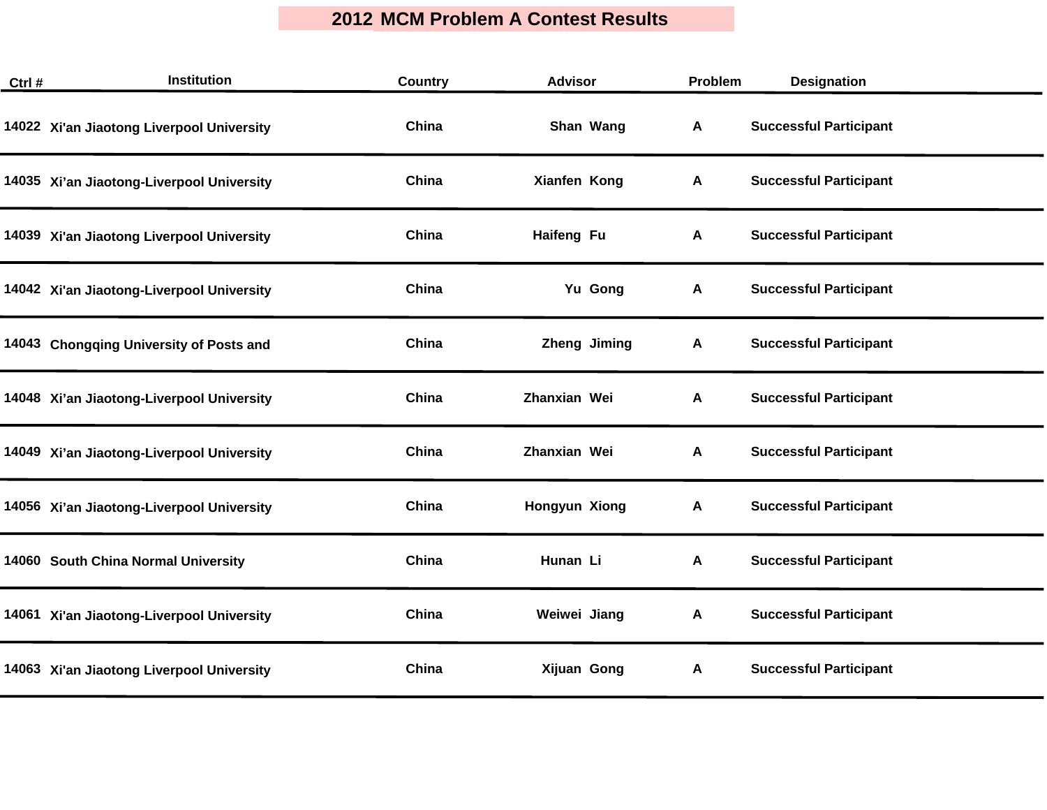| Ctrl # | <b>Institution</b>                        | <b>Country</b> | <b>Advisor</b>       | Problem      | <b>Designation</b>            |
|--------|-------------------------------------------|----------------|----------------------|--------------|-------------------------------|
|        | 14022 Xi'an Jiaotong Liverpool University | China          | Shan Wang            | $\mathsf{A}$ | <b>Successful Participant</b> |
|        | 14035 Xi'an Jiaotong-Liverpool University | China          | <b>Xianfen Kong</b>  | A            | <b>Successful Participant</b> |
|        | 14039 Xi'an Jiaotong Liverpool University | China          | Haifeng Fu           | A            | <b>Successful Participant</b> |
|        | 14042 Xi'an Jiaotong-Liverpool University | China          | Yu Gong              | $\mathsf{A}$ | <b>Successful Participant</b> |
|        | 14043 Chongqing University of Posts and   | China          | Zheng Jiming         | A            | <b>Successful Participant</b> |
|        | 14048 Xi'an Jiaotong-Liverpool University | China          | Zhanxian Wei         | A            | <b>Successful Participant</b> |
|        | 14049 Xi'an Jiaotong-Liverpool University | China          | Zhanxian Wei         | A            | <b>Successful Participant</b> |
|        | 14056 Xi'an Jiaotong-Liverpool University | China          | <b>Hongyun Xiong</b> | $\mathsf{A}$ | <b>Successful Participant</b> |
|        | 14060 South China Normal University       | China          | Hunan Li             | A            | <b>Successful Participant</b> |
|        | 14061 Xi'an Jiaotong-Liverpool University | China          | Weiwei Jiang         | A            | <b>Successful Participant</b> |
|        | 14063 Xi'an Jiaotong Liverpool University | China          | Xijuan Gong          | Α            | <b>Successful Participant</b> |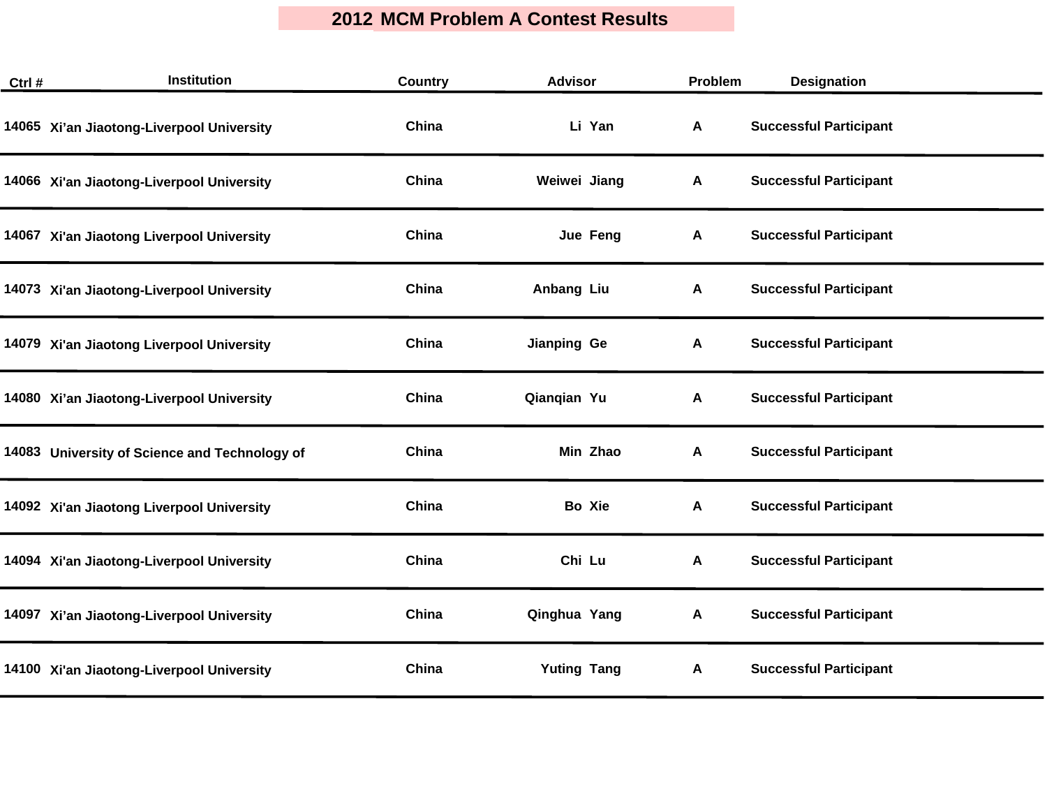| Ctrl # | <b>Institution</b>                            | <b>Country</b> | <b>Advisor</b>     | Problem      | <b>Designation</b>            |
|--------|-----------------------------------------------|----------------|--------------------|--------------|-------------------------------|
|        | 14065 Xi'an Jiaotong-Liverpool University     | China          | Li Yan             | $\mathsf{A}$ | <b>Successful Participant</b> |
|        | 14066 Xi'an Jiaotong-Liverpool University     | China          | Weiwei Jiang       | A            | <b>Successful Participant</b> |
|        | 14067 Xi'an Jiaotong Liverpool University     | China          | Jue Feng           | A            | <b>Successful Participant</b> |
|        | 14073 Xi'an Jiaotong-Liverpool University     | China          | Anbang Liu         | $\mathsf{A}$ | <b>Successful Participant</b> |
|        | 14079 Xi'an Jiaotong Liverpool University     | China          | <b>Jianping Ge</b> | $\mathsf{A}$ | <b>Successful Participant</b> |
|        | 14080 Xi'an Jiaotong-Liverpool University     | China          | Qianqian Yu        | A            | <b>Successful Participant</b> |
|        | 14083 University of Science and Technology of | China          | Min Zhao           | A            | <b>Successful Participant</b> |
|        | 14092 Xi'an Jiaotong Liverpool University     | China          | Bo Xie             | A            | <b>Successful Participant</b> |
|        | 14094 Xi'an Jiaotong-Liverpool University     | China          | Chi Lu             | $\mathsf{A}$ | <b>Successful Participant</b> |
|        | 14097 Xi'an Jiaotong-Liverpool University     | China          | Qinghua Yang       | A            | <b>Successful Participant</b> |
|        | 14100 Xi'an Jiaotong-Liverpool University     | China          | <b>Yuting Tang</b> | A            | <b>Successful Participant</b> |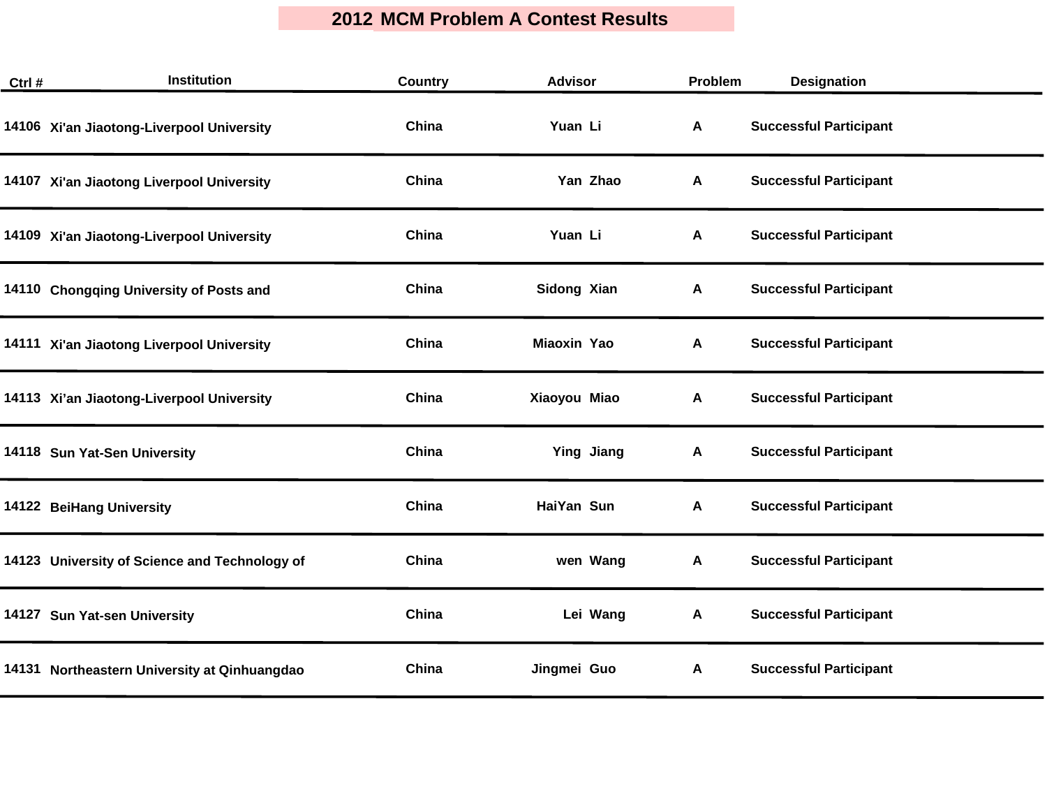| Ctrl # | <b>Institution</b>                            | <b>Country</b> | <b>Advisor</b>    | Problem      | <b>Designation</b>            |
|--------|-----------------------------------------------|----------------|-------------------|--------------|-------------------------------|
|        | 14106 Xi'an Jiaotong-Liverpool University     | China          | Yuan Li           | $\mathsf{A}$ | <b>Successful Participant</b> |
|        | 14107 Xi'an Jiaotong Liverpool University     | China          | Yan Zhao          | A            | <b>Successful Participant</b> |
|        | 14109 Xi'an Jiaotong-Liverpool University     | China          | Yuan Li           | A            | <b>Successful Participant</b> |
|        | 14110 Chongqing University of Posts and       | China          | Sidong Xian       | A            | <b>Successful Participant</b> |
|        | 14111 Xi'an Jiaotong Liverpool University     | China          | Miaoxin Yao       | $\mathsf{A}$ | <b>Successful Participant</b> |
|        | 14113 Xi'an Jiaotong-Liverpool University     | China          | Xiaoyou Miao      | A            | <b>Successful Participant</b> |
|        | 14118 Sun Yat-Sen University                  | China          | <b>Ying Jiang</b> | A            | <b>Successful Participant</b> |
|        | 14122 BeiHang University                      | China          | HaiYan Sun        | A            | <b>Successful Participant</b> |
|        | 14123 University of Science and Technology of | China          | wen Wang          | $\mathsf{A}$ | <b>Successful Participant</b> |
|        | 14127 Sun Yat-sen University                  | China          | Lei Wang          | A            | <b>Successful Participant</b> |
|        | 14131 Northeastern University at Qinhuangdao  | China          | Jingmei Guo       | A            | <b>Successful Participant</b> |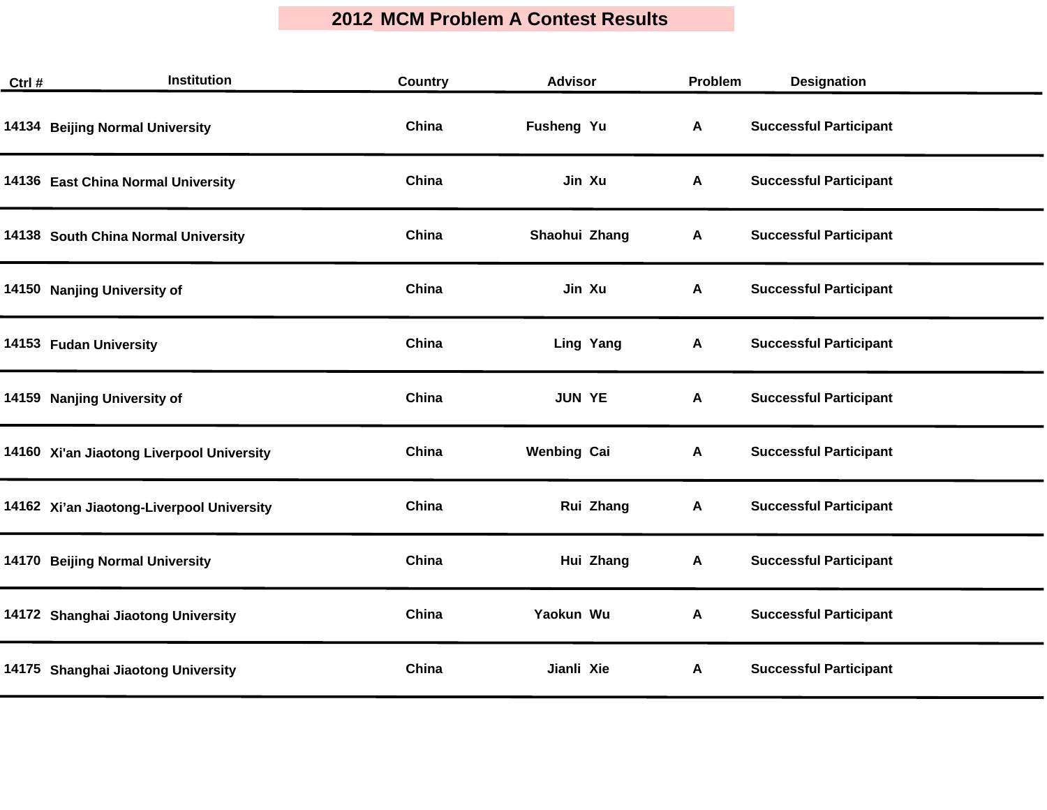| Ctrl # | <b>Institution</b>                        | <b>Country</b> | <b>Advisor</b>     | Problem      | <b>Designation</b>            |  |
|--------|-------------------------------------------|----------------|--------------------|--------------|-------------------------------|--|
|        | 14134 Beijing Normal University           | China          | Fusheng Yu         | $\mathsf{A}$ | <b>Successful Participant</b> |  |
|        | 14136 East China Normal University        | China          | Jin Xu             | A            | <b>Successful Participant</b> |  |
|        | 14138 South China Normal University       | China          | Shaohui Zhang      | A            | <b>Successful Participant</b> |  |
|        | 14150 Nanjing University of               | China          | Jin Xu             | A            | <b>Successful Participant</b> |  |
|        | 14153 Fudan University                    | China          | Ling Yang          | A            | <b>Successful Participant</b> |  |
|        | 14159 Nanjing University of               | China          | <b>JUN YE</b>      | $\mathsf{A}$ | <b>Successful Participant</b> |  |
|        | 14160 Xi'an Jiaotong Liverpool University | China          | <b>Wenbing Cai</b> | A            | <b>Successful Participant</b> |  |
|        | 14162 Xi'an Jiaotong-Liverpool University | China          | Rui Zhang          | A            | <b>Successful Participant</b> |  |
|        | 14170 Beijing Normal University           | China          | Hui Zhang          | $\mathsf{A}$ | <b>Successful Participant</b> |  |
|        | 14172 Shanghai Jiaotong University        | China          | Yaokun Wu          | $\mathsf{A}$ | <b>Successful Participant</b> |  |
|        | 14175 Shanghai Jiaotong University        | China          | Jianli Xie         | $\mathsf{A}$ | <b>Successful Participant</b> |  |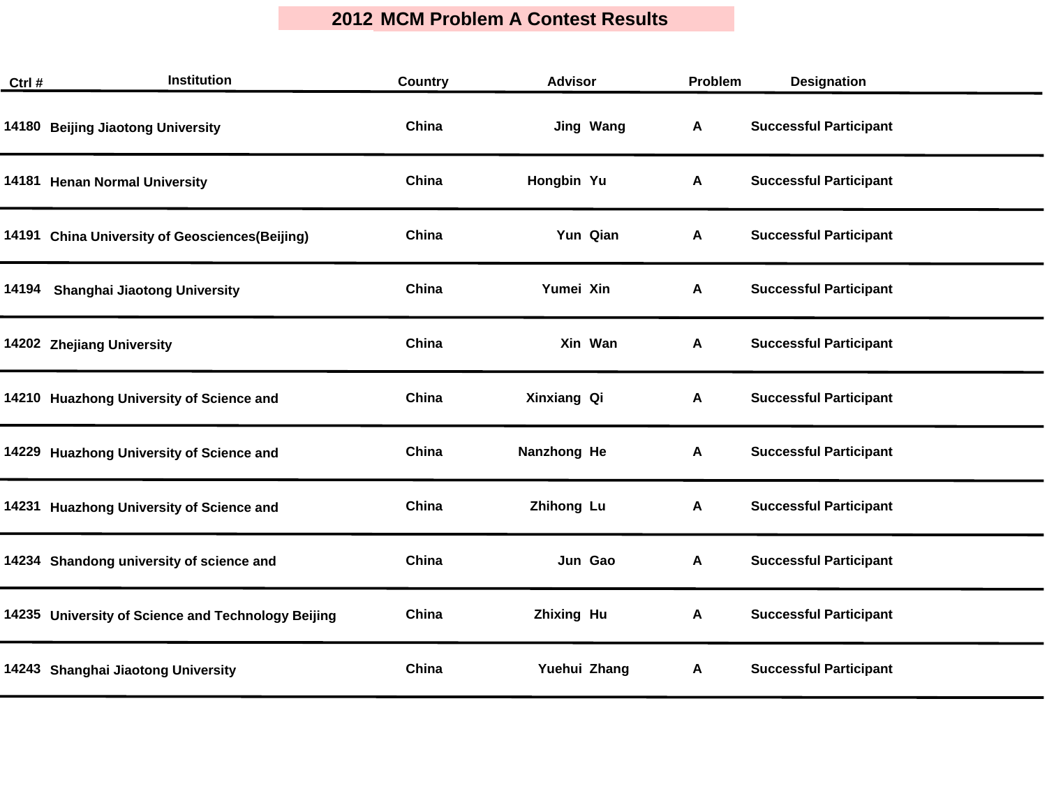| Ctrl # | <b>Institution</b>                                 | <b>Country</b> | <b>Advisor</b> | Problem      | <b>Designation</b>            |  |
|--------|----------------------------------------------------|----------------|----------------|--------------|-------------------------------|--|
|        | 14180 Beijing Jiaotong University                  | China          | Jing Wang      | $\mathsf{A}$ | <b>Successful Participant</b> |  |
|        | 14181 Henan Normal University                      | China          | Hongbin Yu     | A            | <b>Successful Participant</b> |  |
|        | 14191 China University of Geosciences(Beijing)     | China          | Yun Qian       | A            | <b>Successful Participant</b> |  |
| 14194  | <b>Shanghai Jiaotong University</b>                | China          | Yumei Xin      | A            | <b>Successful Participant</b> |  |
|        | 14202 Zhejiang University                          | China          | Xin Wan        | $\mathsf{A}$ | <b>Successful Participant</b> |  |
|        | 14210 Huazhong University of Science and           | China          | Xinxiang Qi    | A            | <b>Successful Participant</b> |  |
|        | 14229 Huazhong University of Science and           | China          | Nanzhong He    | A            | <b>Successful Participant</b> |  |
|        | 14231 Huazhong University of Science and           | China          | Zhihong Lu     | A            | <b>Successful Participant</b> |  |
|        | 14234 Shandong university of science and           | China          | Jun Gao        | $\mathsf{A}$ | <b>Successful Participant</b> |  |
|        | 14235 University of Science and Technology Beijing | China          | Zhixing Hu     | $\mathsf{A}$ | <b>Successful Participant</b> |  |
|        | 14243 Shanghai Jiaotong University                 | China          | Yuehui Zhang   | A            | <b>Successful Participant</b> |  |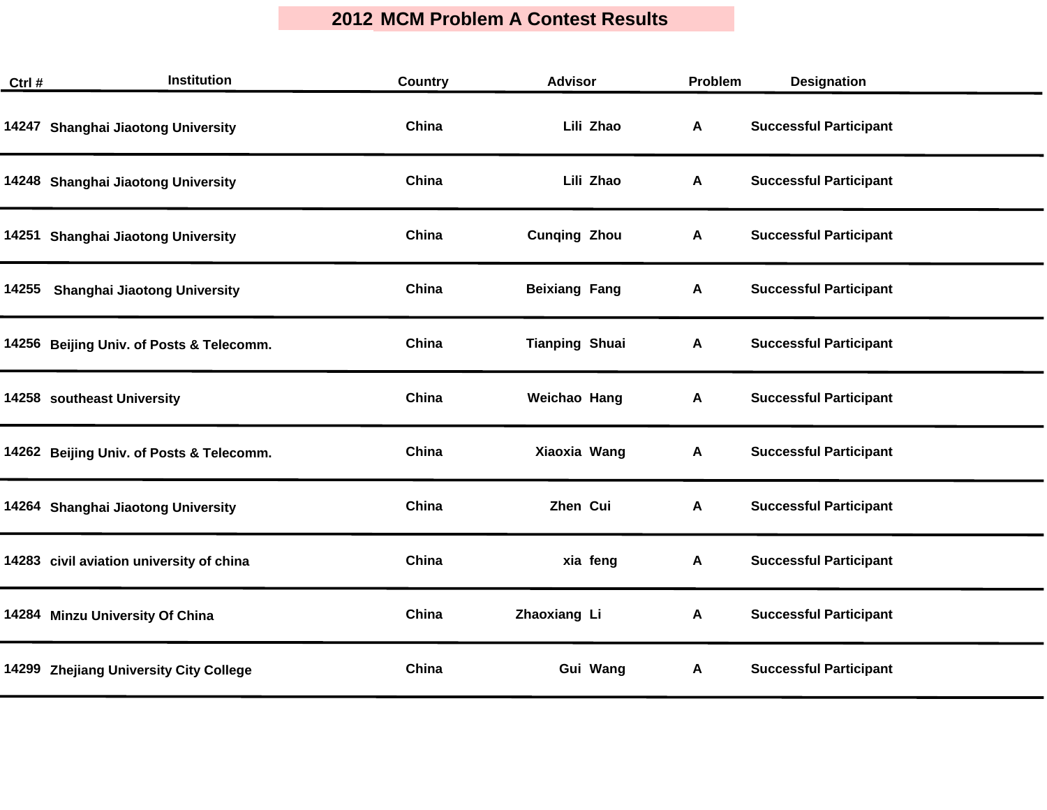| Ctrl # | <b>Institution</b>                       | <b>Country</b> | <b>Advisor</b>        | Problem      | <b>Designation</b>            |  |
|--------|------------------------------------------|----------------|-----------------------|--------------|-------------------------------|--|
|        | 14247 Shanghai Jiaotong University       | China          | Lili Zhao             | $\mathsf{A}$ | <b>Successful Participant</b> |  |
|        | 14248 Shanghai Jiaotong University       | China          | Lili Zhao             | A            | <b>Successful Participant</b> |  |
|        | 14251 Shanghai Jiaotong University       | China          | <b>Cunqing Zhou</b>   | A            | <b>Successful Participant</b> |  |
|        | 14255 Shanghai Jiaotong University       | China          | <b>Beixiang Fang</b>  | A            | <b>Successful Participant</b> |  |
|        | 14256 Beijing Univ. of Posts & Telecomm. | China          | <b>Tianping Shuai</b> | $\mathsf{A}$ | <b>Successful Participant</b> |  |
|        | 14258 southeast University               | China          | Weichao Hang          | A            | <b>Successful Participant</b> |  |
|        | 14262 Beijing Univ. of Posts & Telecomm. | China          | Xiaoxia Wang          | A            | <b>Successful Participant</b> |  |
|        | 14264 Shanghai Jiaotong University       | China          | Zhen Cui              | A            | <b>Successful Participant</b> |  |
|        | 14283 civil aviation university of china | China          | xia feng              | $\mathsf{A}$ | <b>Successful Participant</b> |  |
|        | 14284 Minzu University Of China          | China          | Zhaoxiang Li          | $\mathsf{A}$ | <b>Successful Participant</b> |  |
|        | 14299 Zhejiang University City College   | China          | Gui Wang              | A            | <b>Successful Participant</b> |  |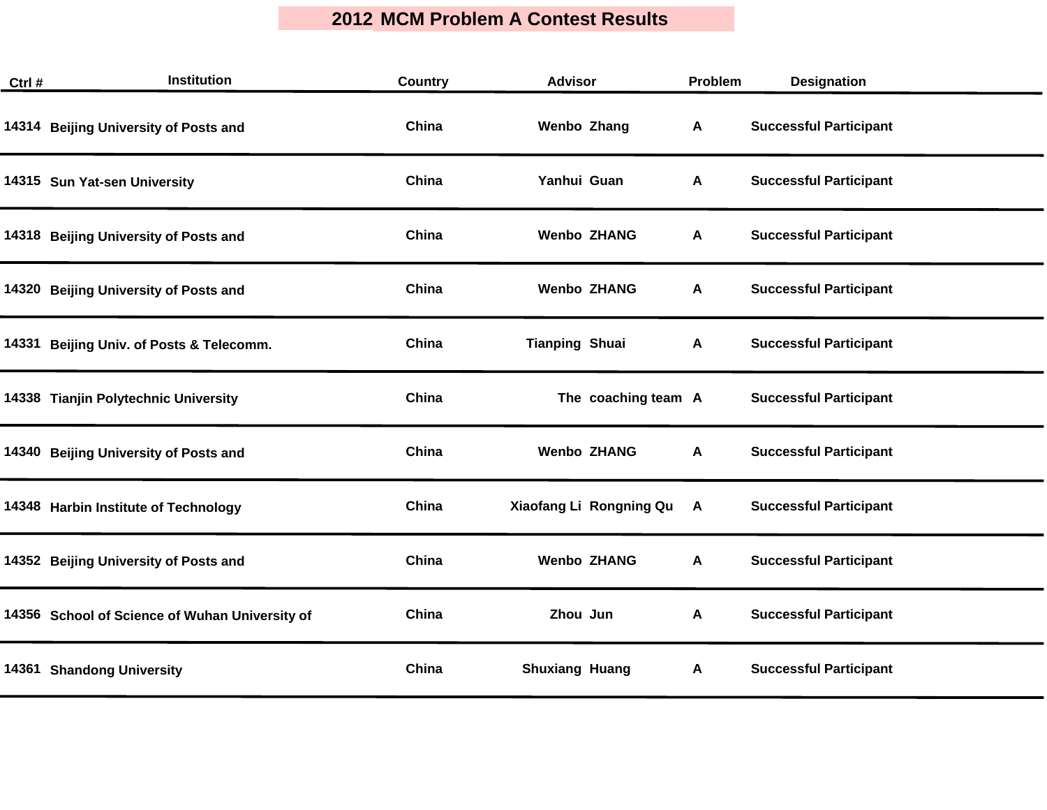| Ctrl # | <b>Institution</b>                             | <b>Country</b> | <b>Advisor</b>          | Problem             | <b>Designation</b>            |  |
|--------|------------------------------------------------|----------------|-------------------------|---------------------|-------------------------------|--|
|        | 14314 Beijing University of Posts and          | China          | <b>Wenbo Zhang</b>      | $\mathsf{A}$        | <b>Successful Participant</b> |  |
|        | 14315 Sun Yat-sen University                   | China          | Yanhui Guan             | A                   | <b>Successful Participant</b> |  |
|        | 14318 Beijing University of Posts and          | China          | <b>Wenbo ZHANG</b>      | A                   | <b>Successful Participant</b> |  |
|        | 14320 Beijing University of Posts and          | China          | <b>Wenbo ZHANG</b>      | A                   | <b>Successful Participant</b> |  |
|        | 14331 Beijing Univ. of Posts & Telecomm.       | China          | <b>Tianping Shuai</b>   | $\mathsf{A}$        | <b>Successful Participant</b> |  |
|        | 14338 Tianjin Polytechnic University           | China          |                         | The coaching team A | <b>Successful Participant</b> |  |
|        | 14340 Beijing University of Posts and          | China          | <b>Wenbo ZHANG</b>      | A                   | <b>Successful Participant</b> |  |
|        | 14348 Harbin Institute of Technology           | China          | Xiaofang Li Rongning Qu | <b>A</b>            | <b>Successful Participant</b> |  |
|        | 14352 Beijing University of Posts and          | China          | <b>Wenbo ZHANG</b>      | $\mathsf{A}$        | <b>Successful Participant</b> |  |
|        | 14356 School of Science of Wuhan University of | China          | Zhou Jun                | $\mathsf{A}$        | <b>Successful Participant</b> |  |
|        | 14361 Shandong University                      | China          | <b>Shuxiang Huang</b>   | A                   | <b>Successful Participant</b> |  |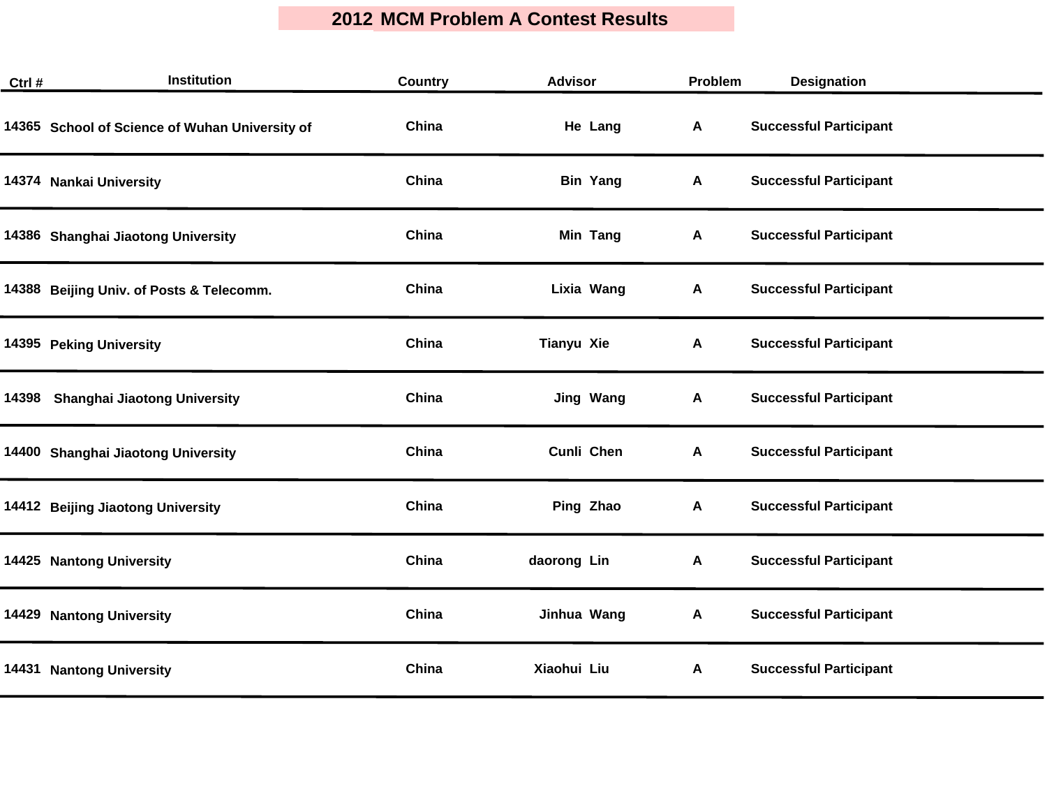| Ctrl # | <b>Institution</b>                             | <b>Country</b> | <b>Advisor</b>    | Problem      | <b>Designation</b>            |  |
|--------|------------------------------------------------|----------------|-------------------|--------------|-------------------------------|--|
|        | 14365 School of Science of Wuhan University of | China          | He Lang           | $\mathsf{A}$ | <b>Successful Participant</b> |  |
|        | 14374 Nankai University                        | China          | <b>Bin Yang</b>   | A            | <b>Successful Participant</b> |  |
|        | 14386 Shanghai Jiaotong University             | China          | Min Tang          | A            | <b>Successful Participant</b> |  |
|        | 14388 Beijing Univ. of Posts & Telecomm.       | China          | Lixia Wang        | A            | <b>Successful Participant</b> |  |
|        | 14395 Peking University                        | China          | <b>Tianyu Xie</b> | $\mathsf{A}$ | <b>Successful Participant</b> |  |
| 14398  | <b>Shanghai Jiaotong University</b>            | China          | Jing Wang         | A            | <b>Successful Participant</b> |  |
|        | 14400 Shanghai Jiaotong University             | China          | Cunli Chen        | A            | <b>Successful Participant</b> |  |
|        | 14412 Beijing Jiaotong University              | China          | Ping Zhao         | $\mathsf{A}$ | <b>Successful Participant</b> |  |
|        | 14425 Nantong University                       | China          | daorong Lin       | A            | <b>Successful Participant</b> |  |
|        | 14429 Nantong University                       | China          | Jinhua Wang       | $\mathsf{A}$ | <b>Successful Participant</b> |  |
|        | 14431 Nantong University                       | China          | Xiaohui Liu       | Α            | <b>Successful Participant</b> |  |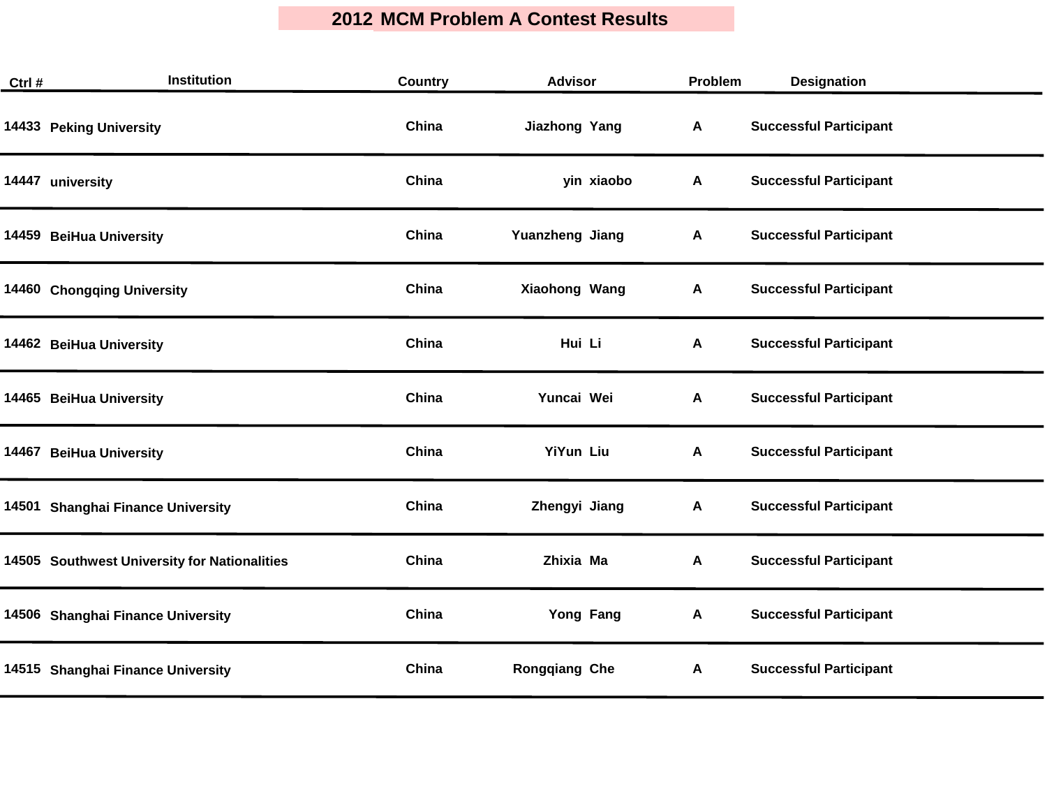| Ctrl # | <b>Institution</b>                           | <b>Country</b> | <b>Advisor</b>  | Problem      | <b>Designation</b>            |  |
|--------|----------------------------------------------|----------------|-----------------|--------------|-------------------------------|--|
|        | 14433 Peking University                      | China          | Jiazhong Yang   | $\mathsf{A}$ | <b>Successful Participant</b> |  |
|        | 14447 university                             | China          | yin xiaobo      | A            | <b>Successful Participant</b> |  |
|        | 14459 BeiHua University                      | China          | Yuanzheng Jiang | A            | <b>Successful Participant</b> |  |
|        | <b>14460 Chongqing University</b>            | China          | Xiaohong Wang   | A            | <b>Successful Participant</b> |  |
|        | 14462 BeiHua University                      | China          | Hui Li          | $\mathsf{A}$ | <b>Successful Participant</b> |  |
|        | 14465 BeiHua University                      | China          | Yuncai Wei      | $\mathsf{A}$ | <b>Successful Participant</b> |  |
|        | 14467 BeiHua University                      | China          | YiYun Liu       | A            | <b>Successful Participant</b> |  |
|        | 14501 Shanghai Finance University            | China          | Zhengyi Jiang   | A            | <b>Successful Participant</b> |  |
|        | 14505 Southwest University for Nationalities | China          | Zhixia Ma       | $\mathsf{A}$ | <b>Successful Participant</b> |  |
|        | 14506 Shanghai Finance University            | China          | Yong Fang       | $\mathsf{A}$ | <b>Successful Participant</b> |  |
|        | 14515 Shanghai Finance University            | China          | Rongqiang Che   | A            | <b>Successful Participant</b> |  |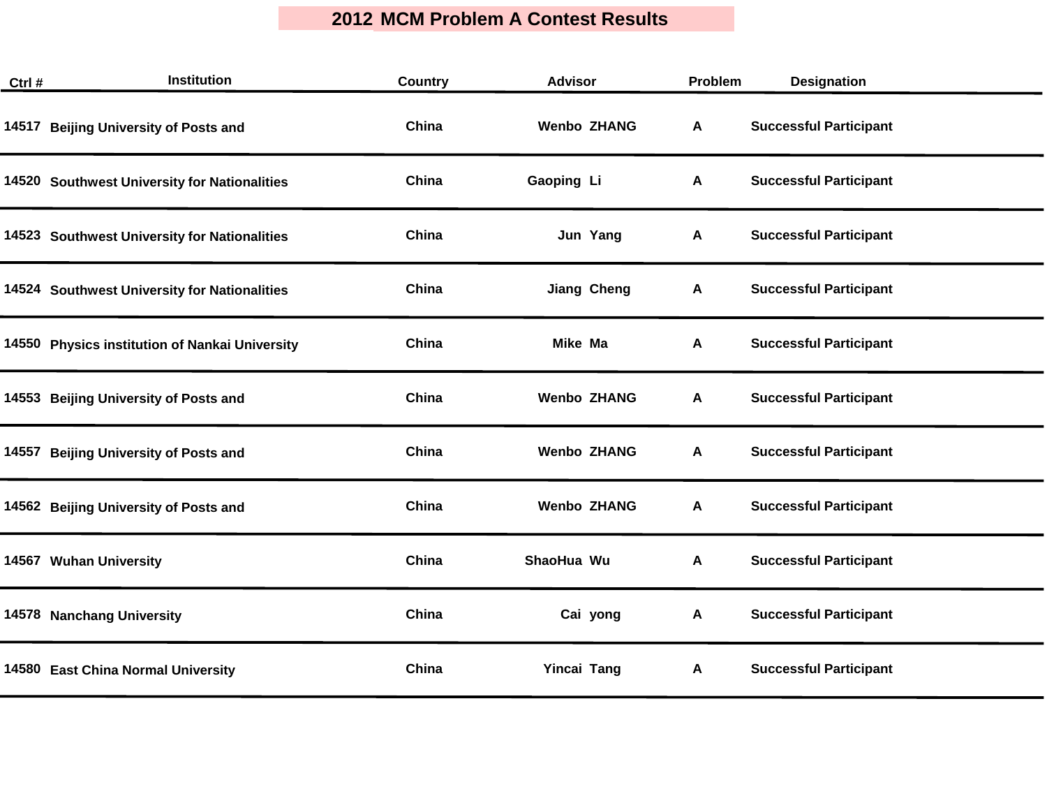| Ctrl # | <b>Institution</b>                             | <b>Country</b> | <b>Advisor</b>     | Problem      | <b>Designation</b>            |  |
|--------|------------------------------------------------|----------------|--------------------|--------------|-------------------------------|--|
|        | 14517 Beijing University of Posts and          | China          | <b>Wenbo ZHANG</b> | $\mathsf{A}$ | <b>Successful Participant</b> |  |
|        | 14520 Southwest University for Nationalities   | China          | Gaoping Li         | A            | <b>Successful Participant</b> |  |
|        | 14523 Southwest University for Nationalities   | China          | Jun Yang           | Α            | <b>Successful Participant</b> |  |
|        | 14524 Southwest University for Nationalities   | China          | <b>Jiang Cheng</b> | A            | <b>Successful Participant</b> |  |
|        | 14550 Physics institution of Nankai University | China          | Mike Ma            | A            | <b>Successful Participant</b> |  |
|        | 14553 Beijing University of Posts and          | China          | <b>Wenbo ZHANG</b> | A            | <b>Successful Participant</b> |  |
| 14557  | <b>Beijing University of Posts and</b>         | China          | <b>Wenbo ZHANG</b> | A            | <b>Successful Participant</b> |  |
|        | 14562 Beijing University of Posts and          | China          | <b>Wenbo ZHANG</b> | A            | <b>Successful Participant</b> |  |
|        | 14567 Wuhan University                         | China          | ShaoHua Wu         | $\mathsf{A}$ | <b>Successful Participant</b> |  |
|        | 14578 Nanchang University                      | China          | Cai yong           | A            | <b>Successful Participant</b> |  |
|        | 14580 East China Normal University             | China          | <b>Yincai Tang</b> | A            | <b>Successful Participant</b> |  |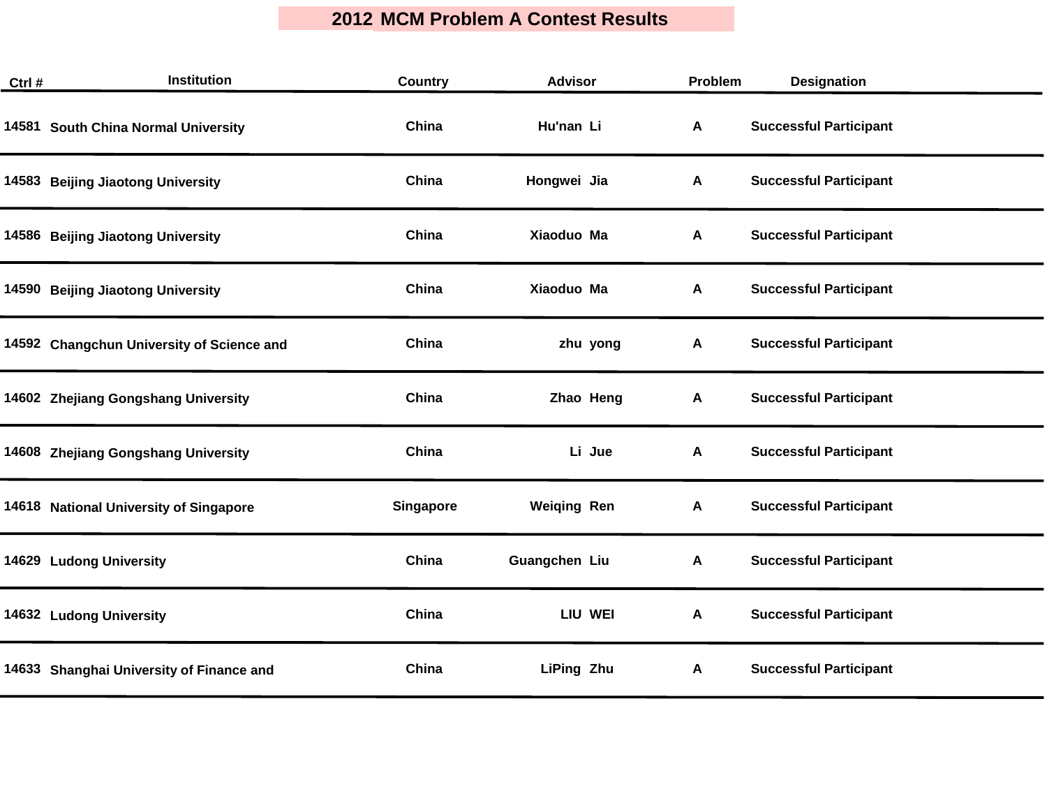| Ctrl # | <b>Institution</b>                        | <b>Country</b>   | <b>Advisor</b>     | Problem      | <b>Designation</b>            |  |
|--------|-------------------------------------------|------------------|--------------------|--------------|-------------------------------|--|
|        | 14581 South China Normal University       | China            | Hu'nan Li          | $\mathsf{A}$ | <b>Successful Participant</b> |  |
|        | 14583 Beijing Jiaotong University         | China            | Hongwei Jia        | $\mathsf{A}$ | <b>Successful Participant</b> |  |
|        | 14586 Beijing Jiaotong University         | China            | Xiaoduo Ma         | $\mathsf{A}$ | <b>Successful Participant</b> |  |
|        | 14590 Beijing Jiaotong University         | China            | Xiaoduo Ma         | $\mathsf{A}$ | <b>Successful Participant</b> |  |
|        | 14592 Changchun University of Science and | China            | zhu yong           | $\mathsf{A}$ | <b>Successful Participant</b> |  |
|        | 14602 Zhejiang Gongshang University       | China            | Zhao Heng          | $\mathsf{A}$ | <b>Successful Participant</b> |  |
|        | 14608 Zhejiang Gongshang University       | China            | Li Jue             | A            | <b>Successful Participant</b> |  |
|        | 14618 National University of Singapore    | <b>Singapore</b> | <b>Weiging Ren</b> | $\mathsf{A}$ | <b>Successful Participant</b> |  |
|        | 14629 Ludong University                   | China            | Guangchen Liu      | $\mathsf{A}$ | <b>Successful Participant</b> |  |
|        | 14632 Ludong University                   | China            | LIU WEI            | $\mathsf{A}$ | <b>Successful Participant</b> |  |
|        | 14633 Shanghai University of Finance and  | China            | LiPing Zhu         | $\mathsf{A}$ | <b>Successful Participant</b> |  |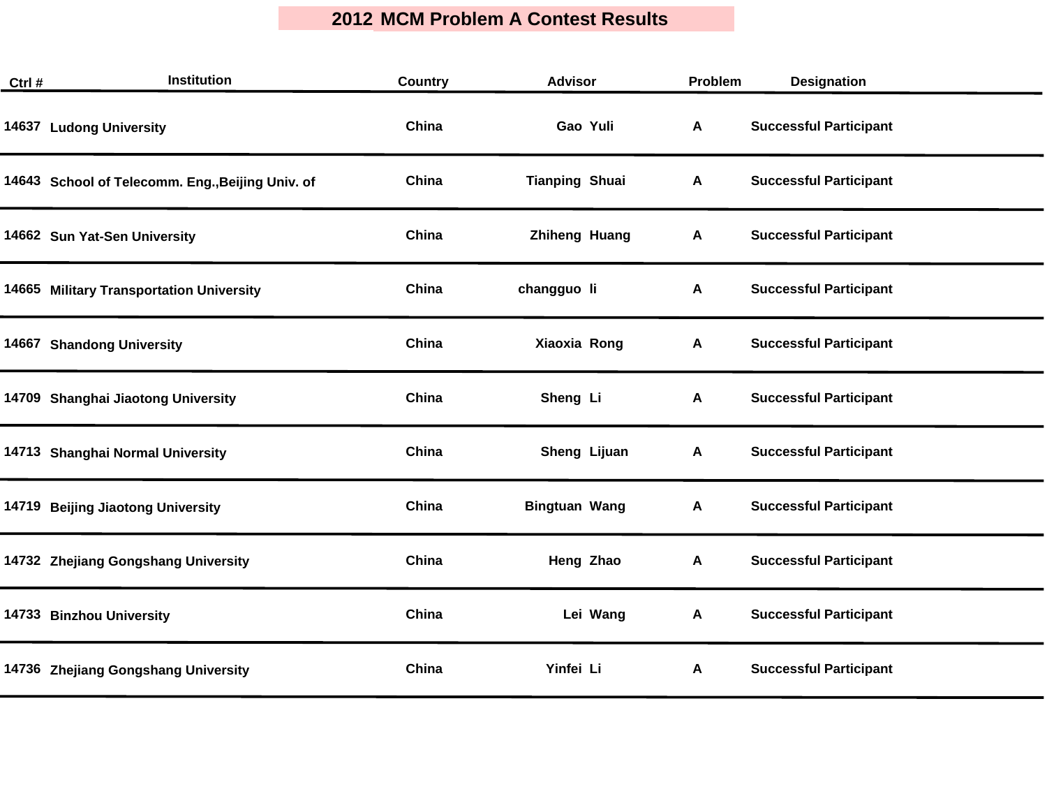| Ctrl # | <b>Institution</b>                               | <b>Country</b> | <b>Advisor</b>        | Problem      | <b>Designation</b>            |
|--------|--------------------------------------------------|----------------|-----------------------|--------------|-------------------------------|
|        | 14637 Ludong University                          | China          | Gao Yuli              | $\mathsf{A}$ | <b>Successful Participant</b> |
|        | 14643 School of Telecomm. Eng., Beijing Univ. of | China          | <b>Tianping Shuai</b> | $\mathsf{A}$ | <b>Successful Participant</b> |
|        | 14662 Sun Yat-Sen University                     | China          | <b>Zhiheng Huang</b>  | $\mathsf{A}$ | <b>Successful Participant</b> |
|        | 14665 Military Transportation University         | China          | changguo li           | $\mathsf{A}$ | <b>Successful Participant</b> |
|        | 14667 Shandong University                        | China          | Xiaoxia Rong          | $\mathsf{A}$ | <b>Successful Participant</b> |
|        | 14709 Shanghai Jiaotong University               | China          | Sheng Li              | $\mathsf{A}$ | <b>Successful Participant</b> |
|        | 14713 Shanghai Normal University                 | China          | Sheng Lijuan          | A            | <b>Successful Participant</b> |
|        | 14719 Beijing Jiaotong University                | China          | <b>Bingtuan Wang</b>  | $\mathsf{A}$ | <b>Successful Participant</b> |
|        | 14732 Zhejiang Gongshang University              | China          | Heng Zhao             | $\mathsf{A}$ | <b>Successful Participant</b> |
|        | 14733 Binzhou University                         | China          | Lei Wang              | $\mathsf{A}$ | <b>Successful Participant</b> |
|        | 14736 Zhejiang Gongshang University              | China          | Yinfei Li             | A            | <b>Successful Participant</b> |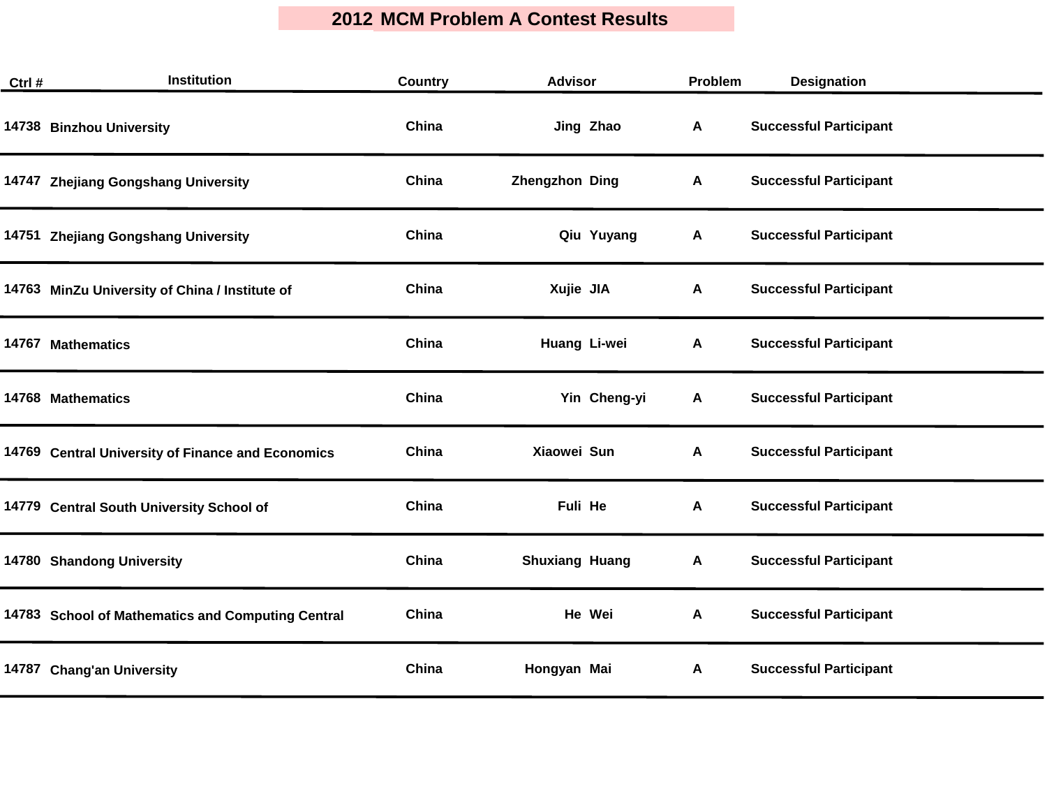| Ctrl # | <b>Institution</b>                                | <b>Country</b> | <b>Advisor</b>        |              | Problem      | <b>Designation</b>            |  |
|--------|---------------------------------------------------|----------------|-----------------------|--------------|--------------|-------------------------------|--|
|        | 14738 Binzhou University                          | China          |                       | Jing Zhao    | $\mathsf{A}$ | <b>Successful Participant</b> |  |
|        | 14747 Zhejiang Gongshang University               | China          | <b>Zhengzhon Ding</b> |              | A            | <b>Successful Participant</b> |  |
|        | 14751 Zhejiang Gongshang University               | China          |                       | Qiu Yuyang   | A            | <b>Successful Participant</b> |  |
|        | 14763 MinZu University of China / Institute of    | China          | Xujie JIA             |              | A            | <b>Successful Participant</b> |  |
|        | 14767 Mathematics                                 | China          | Huang Li-wei          |              | $\mathsf{A}$ | <b>Successful Participant</b> |  |
|        | 14768 Mathematics                                 | China          |                       | Yin Cheng-yi | A            | <b>Successful Participant</b> |  |
|        | 14769 Central University of Finance and Economics | China          | Xiaowei Sun           |              | A            | <b>Successful Participant</b> |  |
|        | 14779 Central South University School of          | China          | Fuli He               |              | $\mathsf{A}$ | <b>Successful Participant</b> |  |
|        | 14780 Shandong University                         | China          | <b>Shuxiang Huang</b> |              | A            | <b>Successful Participant</b> |  |
|        | 14783 School of Mathematics and Computing Central | China          |                       | He Wei       | A            | <b>Successful Participant</b> |  |
|        | 14787 Chang'an University                         | China          | Hongyan Mai           |              | A            | <b>Successful Participant</b> |  |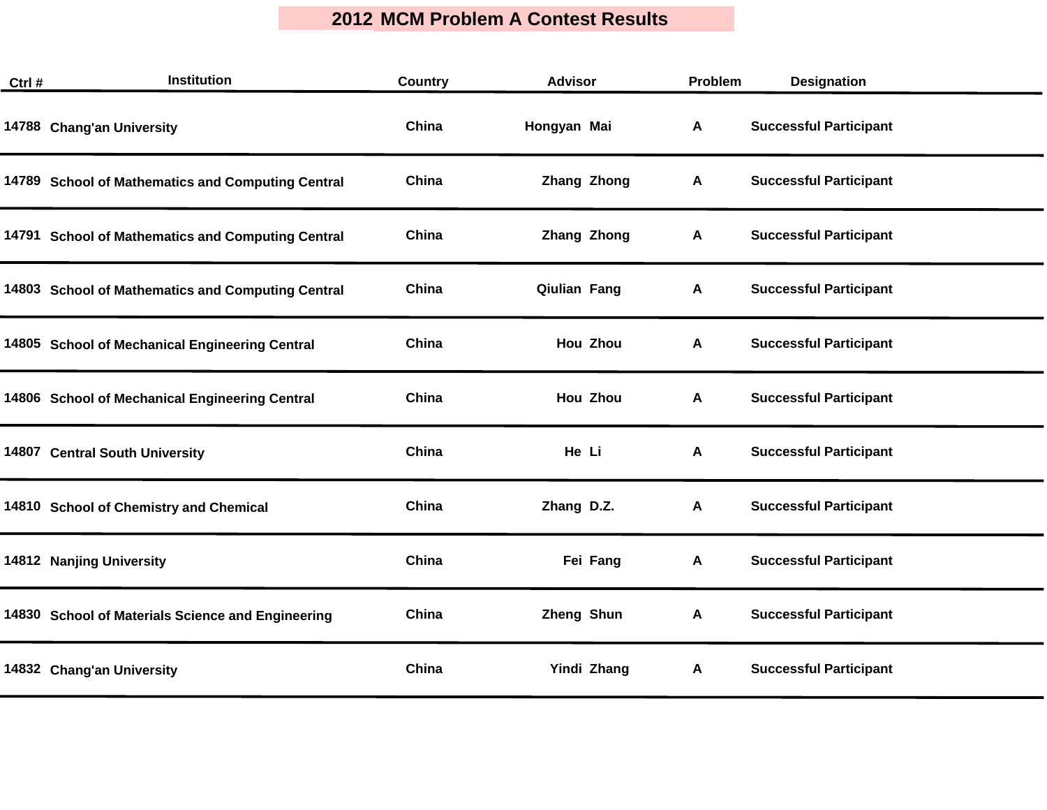| Ctrl # | <b>Institution</b>                                | <b>Country</b> | <b>Advisor</b> | Problem      | <b>Designation</b>            |
|--------|---------------------------------------------------|----------------|----------------|--------------|-------------------------------|
|        | 14788 Chang'an University                         | China          | Hongyan Mai    | $\mathsf{A}$ | <b>Successful Participant</b> |
|        | 14789 School of Mathematics and Computing Central | China          | Zhang Zhong    | A            | <b>Successful Participant</b> |
|        | 14791 School of Mathematics and Computing Central | China          | Zhang Zhong    | A            | <b>Successful Participant</b> |
|        | 14803 School of Mathematics and Computing Central | China          | Qiulian Fang   | $\mathsf{A}$ | <b>Successful Participant</b> |
|        | 14805 School of Mechanical Engineering Central    | China          | Hou Zhou       | $\mathsf{A}$ | <b>Successful Participant</b> |
|        | 14806 School of Mechanical Engineering Central    | China          | Hou Zhou       | $\mathsf{A}$ | <b>Successful Participant</b> |
|        | 14807 Central South University                    | China          | He Li          | A            | <b>Successful Participant</b> |
|        | 14810 School of Chemistry and Chemical            | China          | Zhang D.Z.     | $\mathsf{A}$ | <b>Successful Participant</b> |
|        | 14812 Nanjing University                          | China          | Fei Fang       | $\mathsf{A}$ | <b>Successful Participant</b> |
|        | 14830 School of Materials Science and Engineering | China          | Zheng Shun     | $\mathsf{A}$ | <b>Successful Participant</b> |
|        | 14832 Chang'an University                         | China          | Yindi Zhang    | A            | <b>Successful Participant</b> |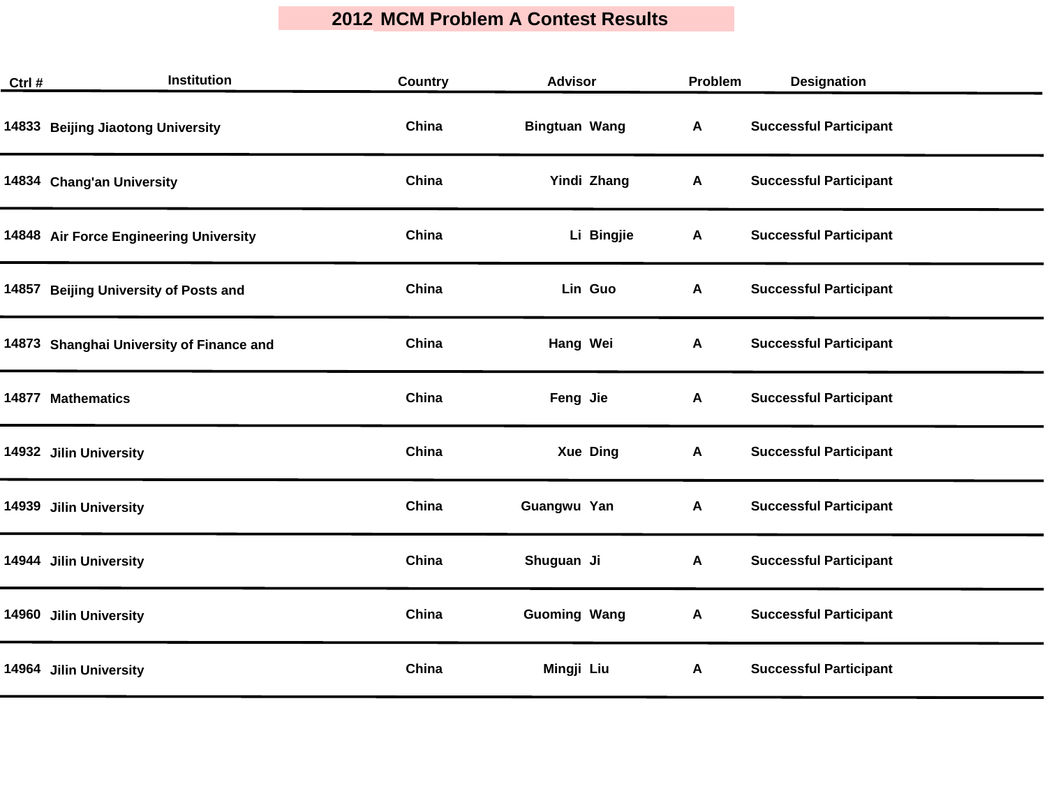| Ctrl # | Institution                              | <b>Country</b> | <b>Advisor</b>       | Problem      | <b>Designation</b>            |  |
|--------|------------------------------------------|----------------|----------------------|--------------|-------------------------------|--|
|        | 14833 Beijing Jiaotong University        | China          | <b>Bingtuan Wang</b> | $\mathsf{A}$ | <b>Successful Participant</b> |  |
|        | 14834 Chang'an University                | China          | Yindi Zhang          | Α            | <b>Successful Participant</b> |  |
|        | 14848 Air Force Engineering University   | China          | Li Bingjie           | Α            | <b>Successful Participant</b> |  |
|        | 14857 Beijing University of Posts and    | China          | Lin Guo              | A            | <b>Successful Participant</b> |  |
|        | 14873 Shanghai University of Finance and | China          | Hang Wei             | $\mathsf{A}$ | <b>Successful Participant</b> |  |
|        | 14877 Mathematics                        | China          | Feng Jie             | A            | <b>Successful Participant</b> |  |
|        | 14932 Jilin University                   | China          | <b>Xue Ding</b>      | A            | <b>Successful Participant</b> |  |
|        | 14939 Jilin University                   | China          | Guangwu Yan          | $\mathsf{A}$ | <b>Successful Participant</b> |  |
|        | 14944 Jilin University                   | China          | Shuguan Ji           | $\mathsf{A}$ | <b>Successful Participant</b> |  |
|        | 14960 Jilin University                   | China          | <b>Guoming Wang</b>  | $\mathsf{A}$ | <b>Successful Participant</b> |  |
|        | 14964 Jilin University                   | China          | Mingji Liu           | $\mathsf{A}$ | <b>Successful Participant</b> |  |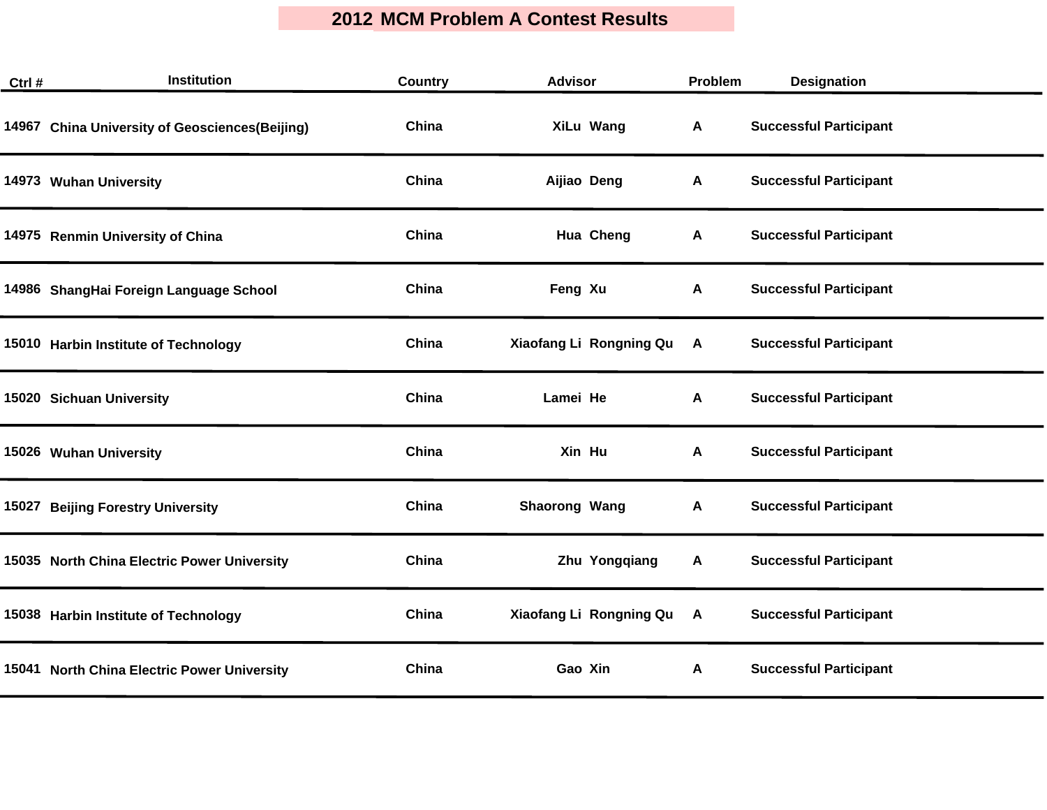| Ctrl # | <b>Institution</b>                             | <b>Country</b> | <b>Advisor</b> |                         | Problem      | <b>Designation</b>            |  |
|--------|------------------------------------------------|----------------|----------------|-------------------------|--------------|-------------------------------|--|
|        | 14967 China University of Geosciences(Beijing) | China          | XiLu Wang      |                         | $\mathsf{A}$ | <b>Successful Participant</b> |  |
|        | 14973 Wuhan University                         | China          | Aijiao Deng    |                         | A            | <b>Successful Participant</b> |  |
|        | 14975 Renmin University of China               | China          |                | Hua Cheng               | A            | <b>Successful Participant</b> |  |
|        | 14986 ShangHai Foreign Language School         | China          | Feng Xu        |                         | $\mathsf{A}$ | <b>Successful Participant</b> |  |
|        | 15010 Harbin Institute of Technology           | China          |                | Xiaofang Li Rongning Qu | A            | <b>Successful Participant</b> |  |
|        | 15020 Sichuan University                       | China          | Lamei He       |                         | A            | <b>Successful Participant</b> |  |
|        | 15026 Wuhan University                         | China          | Xin Hu         |                         | A            | <b>Successful Participant</b> |  |
|        | 15027 Beijing Forestry University              | China          | Shaorong Wang  |                         | A            | <b>Successful Participant</b> |  |
|        | 15035 North China Electric Power University    | China          |                | Zhu Yongqiang           | $\mathsf{A}$ | <b>Successful Participant</b> |  |
|        | 15038 Harbin Institute of Technology           | China          |                | Xiaofang Li Rongning Qu | A            | <b>Successful Participant</b> |  |
|        | 15041 North China Electric Power University    | China          | Gao Xin        |                         | A            | <b>Successful Participant</b> |  |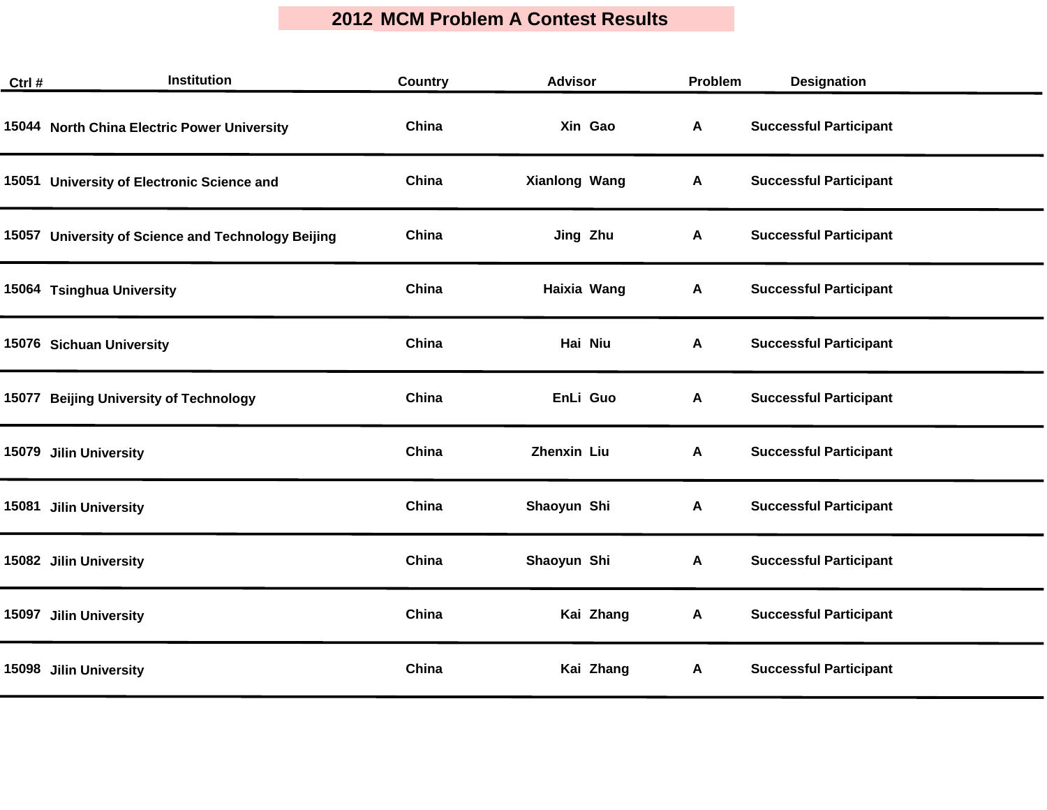| Ctrl # | <b>Institution</b>                                 | <b>Country</b> | <b>Advisor</b> | Problem      | <b>Designation</b>            |  |
|--------|----------------------------------------------------|----------------|----------------|--------------|-------------------------------|--|
|        | 15044 North China Electric Power University        | China          | Xin Gao        | $\mathsf{A}$ | <b>Successful Participant</b> |  |
|        | 15051 University of Electronic Science and         | China          | Xianlong Wang  | A            | <b>Successful Participant</b> |  |
|        | 15057 University of Science and Technology Beijing | China          | Jing Zhu       | A            | <b>Successful Participant</b> |  |
|        | 15064 Tsinghua University                          | China          | Haixia Wang    | A            | <b>Successful Participant</b> |  |
|        | 15076 Sichuan University                           | China          | Hai Niu        | $\mathsf{A}$ | <b>Successful Participant</b> |  |
|        | 15077 Beijing University of Technology             | China          | EnLi Guo       | $\mathsf{A}$ | <b>Successful Participant</b> |  |
|        | 15079 Jilin University                             | China          | Zhenxin Liu    | A            | <b>Successful Participant</b> |  |
|        | 15081 Jilin University                             | China          | Shaoyun Shi    | $\mathsf{A}$ | <b>Successful Participant</b> |  |
|        | 15082 Jilin University                             | China          | Shaoyun Shi    | $\mathsf{A}$ | <b>Successful Participant</b> |  |
|        | 15097 Jilin University                             | China          | Kai Zhang      | $\mathsf{A}$ | <b>Successful Participant</b> |  |
|        | 15098 Jilin University                             | China          | Kai Zhang      | A            | <b>Successful Participant</b> |  |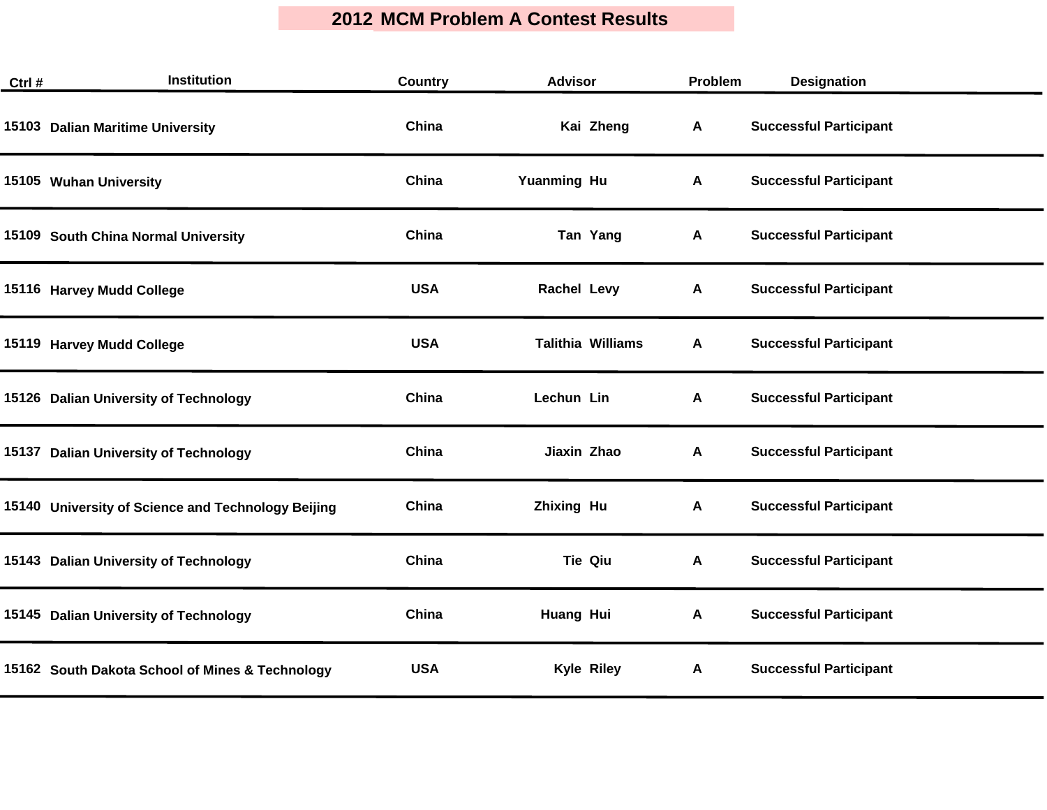r i

| Ctrl # | <b>Institution</b>                                 | <b>Country</b> | <b>Advisor</b>           | Problem      | <b>Designation</b>            |
|--------|----------------------------------------------------|----------------|--------------------------|--------------|-------------------------------|
|        | 15103 Dalian Maritime University                   | China          | Kai Zheng                | A            | <b>Successful Participant</b> |
|        | 15105 Wuhan University                             | China          | <b>Yuanming Hu</b>       | A            | <b>Successful Participant</b> |
|        | 15109 South China Normal University                | China          | Tan Yang                 | A            | <b>Successful Participant</b> |
|        | 15116 Harvey Mudd College                          | <b>USA</b>     | <b>Rachel Levy</b>       | A            | <b>Successful Participant</b> |
|        | 15119 Harvey Mudd College                          | <b>USA</b>     | <b>Talithia Williams</b> | $\mathsf{A}$ | <b>Successful Participant</b> |
|        | 15126 Dalian University of Technology              | China          | Lechun Lin               | $\mathsf{A}$ | <b>Successful Participant</b> |
|        | 15137 Dalian University of Technology              | China          | Jiaxin Zhao              | A            | <b>Successful Participant</b> |
|        | 15140 University of Science and Technology Beijing | China          | Zhixing Hu               | A            | <b>Successful Participant</b> |
|        | 15143 Dalian University of Technology              | China          | <b>Tie Qiu</b>           | A            | <b>Successful Participant</b> |
|        | 15145 Dalian University of Technology              | China          | Huang Hui                | $\mathsf{A}$ | <b>Successful Participant</b> |
|        | 15162 South Dakota School of Mines & Technology    | <b>USA</b>     | <b>Kyle Riley</b>        | A            | <b>Successful Participant</b> |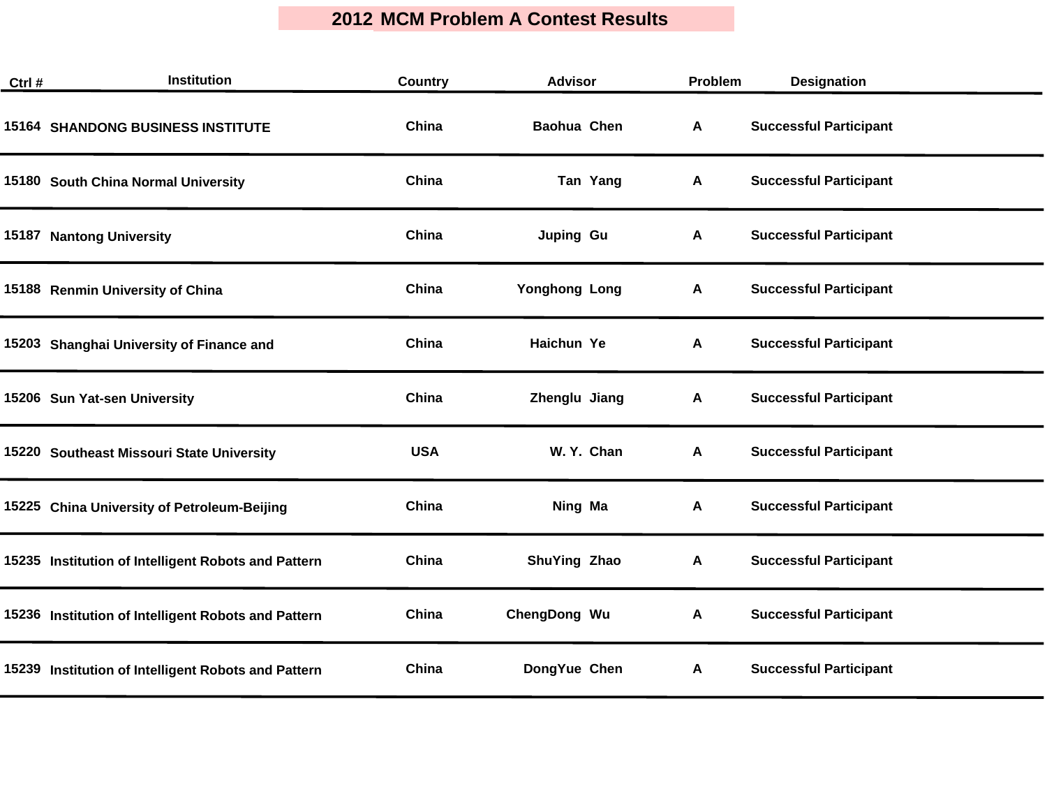| Ctrl # | <b>Institution</b>                                  | <b>Country</b> | <b>Advisor</b>   | Problem      | <b>Designation</b>            |  |
|--------|-----------------------------------------------------|----------------|------------------|--------------|-------------------------------|--|
|        | <b>15164 SHANDONG BUSINESS INSTITUTE</b>            | China          | Baohua Chen      | $\mathsf{A}$ | <b>Successful Participant</b> |  |
|        | 15180 South China Normal University                 | China          | Tan Yang         | A            | <b>Successful Participant</b> |  |
|        | 15187 Nantong University                            | China          | <b>Juping Gu</b> | $\mathsf{A}$ | <b>Successful Participant</b> |  |
|        | 15188 Renmin University of China                    | China          | Yonghong Long    | $\mathsf{A}$ | <b>Successful Participant</b> |  |
|        | 15203 Shanghai University of Finance and            | China          | Haichun Ye       | A            | <b>Successful Participant</b> |  |
|        | 15206 Sun Yat-sen University                        | China          | Zhenglu Jiang    | $\mathsf{A}$ | <b>Successful Participant</b> |  |
|        | 15220 Southeast Missouri State University           | <b>USA</b>     | W. Y. Chan       | A            | <b>Successful Participant</b> |  |
|        | 15225 China University of Petroleum-Beijing         | China          | Ning Ma          | $\mathsf{A}$ | <b>Successful Participant</b> |  |
|        | 15235 Institution of Intelligent Robots and Pattern | China          | ShuYing Zhao     | $\mathsf{A}$ | <b>Successful Participant</b> |  |
|        | 15236 Institution of Intelligent Robots and Pattern | China          | ChengDong Wu     | $\mathsf{A}$ | <b>Successful Participant</b> |  |
|        | 15239 Institution of Intelligent Robots and Pattern | China          | DongYue Chen     | A            | <b>Successful Participant</b> |  |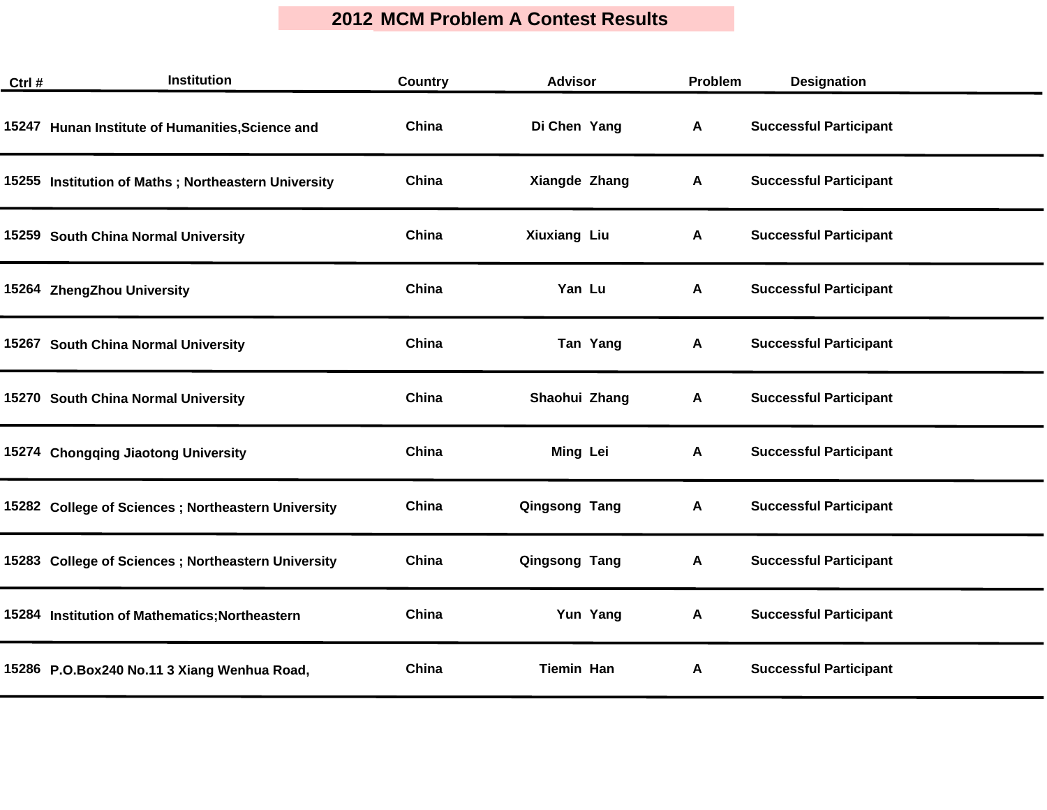| Ctrl # | <b>Institution</b>                                  | <b>Country</b> | <b>Advisor</b>    | Problem      | <b>Designation</b>            |  |
|--------|-----------------------------------------------------|----------------|-------------------|--------------|-------------------------------|--|
|        | 15247 Hunan Institute of Humanities, Science and    | China          | Di Chen Yang      | $\mathsf{A}$ | <b>Successful Participant</b> |  |
|        | 15255 Institution of Maths; Northeastern University | China          | Xiangde Zhang     | A            | <b>Successful Participant</b> |  |
|        | 15259 South China Normal University                 | China          | Xiuxiang Liu      | A            | <b>Successful Participant</b> |  |
|        | 15264 ZhengZhou University                          | China          | Yan Lu            | $\mathsf{A}$ | <b>Successful Participant</b> |  |
|        | 15267 South China Normal University                 | China          | Tan Yang          | $\mathsf{A}$ | <b>Successful Participant</b> |  |
|        | 15270 South China Normal University                 | China          | Shaohui Zhang     | A            | <b>Successful Participant</b> |  |
|        | 15274 Chongqing Jiaotong University                 | China          | Ming Lei          | A            | <b>Successful Participant</b> |  |
|        | 15282 College of Sciences; Northeastern University  | China          | Qingsong Tang     | $\mathsf{A}$ | <b>Successful Participant</b> |  |
|        | 15283 College of Sciences; Northeastern University  | China          | Qingsong Tang     | A            | <b>Successful Participant</b> |  |
|        | 15284 Institution of Mathematics; Northeastern      | China          | Yun Yang          | A            | <b>Successful Participant</b> |  |
|        | 15286 P.O.Box240 No.11 3 Xiang Wenhua Road,         | China          | <b>Tiemin Han</b> | A            | <b>Successful Participant</b> |  |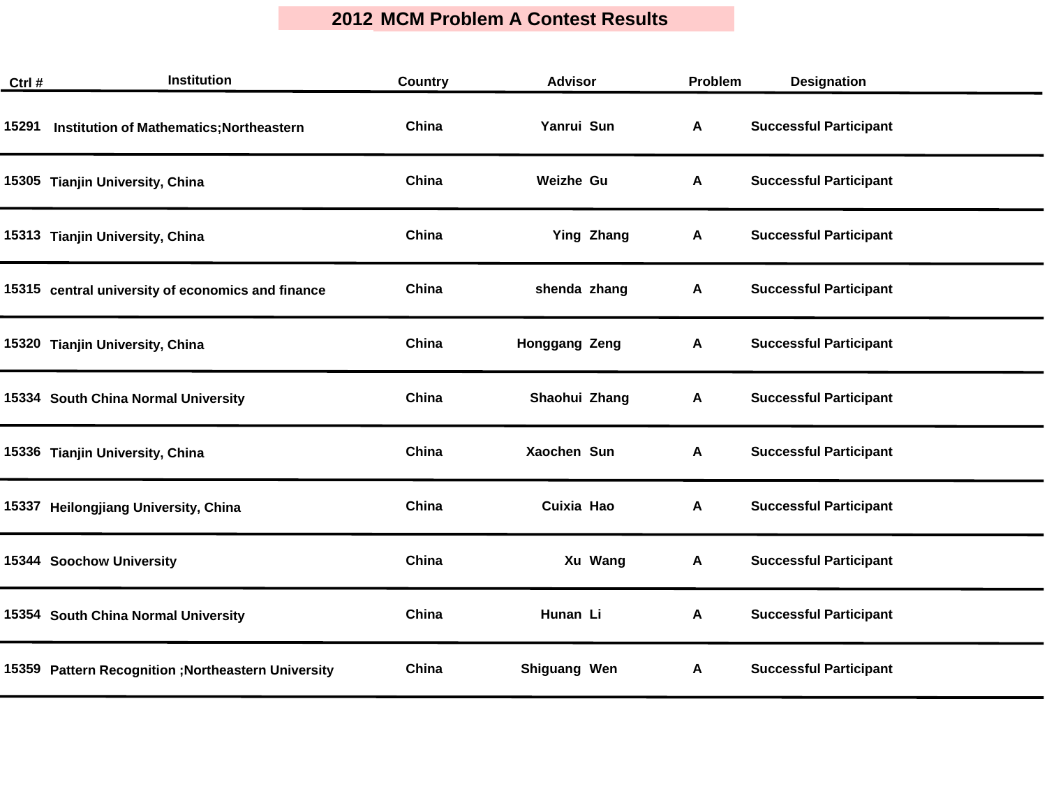| Ctrl # | <b>Institution</b>                                  | <b>Country</b> | <b>Advisor</b>    | Problem      | <b>Designation</b>            |
|--------|-----------------------------------------------------|----------------|-------------------|--------------|-------------------------------|
| 15291  | <b>Institution of Mathematics; Northeastern</b>     | China          | Yanrui Sun        | $\mathsf{A}$ | <b>Successful Participant</b> |
|        | 15305 Tianjin University, China                     | China          | <b>Weizhe Gu</b>  | A            | <b>Successful Participant</b> |
|        | 15313 Tianjin University, China                     | China          | <b>Ying Zhang</b> | $\mathsf{A}$ | <b>Successful Participant</b> |
|        | 15315 central university of economics and finance   | China          | shenda zhang      | A            | <b>Successful Participant</b> |
|        | 15320 Tianjin University, China                     | China          | Honggang Zeng     | $\mathsf{A}$ | <b>Successful Participant</b> |
|        | 15334 South China Normal University                 | China          | Shaohui Zhang     | A            | <b>Successful Participant</b> |
|        | 15336 Tianjin University, China                     | China          | Xaochen Sun       | A            | <b>Successful Participant</b> |
|        | 15337 Heilongjiang University, China                | China          | Cuixia Hao        | $\mathsf{A}$ | <b>Successful Participant</b> |
|        | 15344 Soochow University                            | China          | Xu Wang           | $\mathsf{A}$ | <b>Successful Participant</b> |
|        | 15354 South China Normal University                 | China          | Hunan Li          | A            | <b>Successful Participant</b> |
|        | 15359 Pattern Recognition ; Northeastern University | China          | Shiguang Wen      | $\mathsf{A}$ | <b>Successful Participant</b> |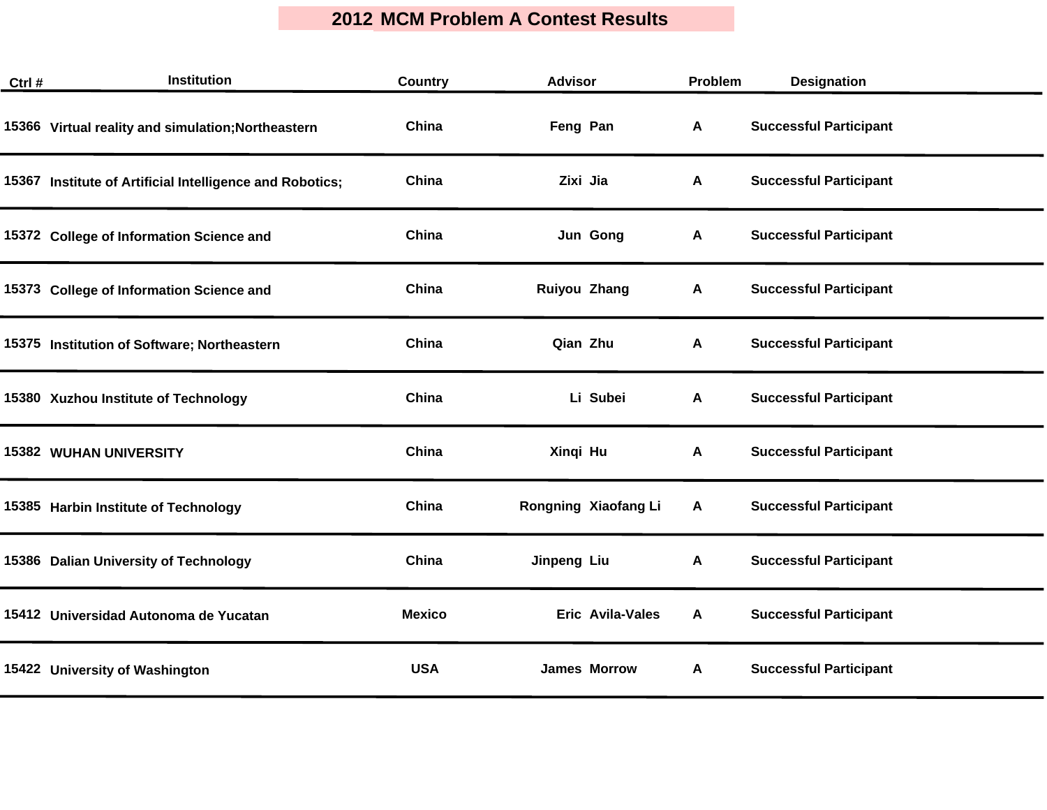| Ctrl # | <b>Institution</b>                                       | <b>Country</b> | <b>Advisor</b>       |                  | Problem      | <b>Designation</b>            |
|--------|----------------------------------------------------------|----------------|----------------------|------------------|--------------|-------------------------------|
|        | 15366 Virtual reality and simulation; Northeastern       | China          | Feng Pan             |                  | $\mathsf{A}$ | <b>Successful Participant</b> |
|        | 15367 Institute of Artificial Intelligence and Robotics; | China          | Zixi Jia             |                  | A            | <b>Successful Participant</b> |
|        | 15372 College of Information Science and                 | China          | Jun Gong             |                  | A            | <b>Successful Participant</b> |
|        | 15373 College of Information Science and                 | China          | Ruiyou Zhang         |                  | A            | <b>Successful Participant</b> |
|        | 15375 Institution of Software; Northeastern              | China          | Qian Zhu             |                  | $\mathsf{A}$ | <b>Successful Participant</b> |
|        | 15380 Xuzhou Institute of Technology                     | China          |                      | Li Subei         | $\mathsf{A}$ | <b>Successful Participant</b> |
|        | <b>15382 WUHAN UNIVERSITY</b>                            | China          | Xingi Hu             |                  | A            | <b>Successful Participant</b> |
|        | 15385 Harbin Institute of Technology                     | China          | Rongning Xiaofang Li |                  | A            | <b>Successful Participant</b> |
|        | 15386 Dalian University of Technology                    | China          | Jinpeng Liu          |                  | $\mathsf{A}$ | <b>Successful Participant</b> |
|        | 15412 Universidad Autonoma de Yucatan                    | <b>Mexico</b>  |                      | Eric Avila-Vales | A            | <b>Successful Participant</b> |
|        | 15422 University of Washington                           | <b>USA</b>     | <b>James Morrow</b>  |                  | A            | <b>Successful Participant</b> |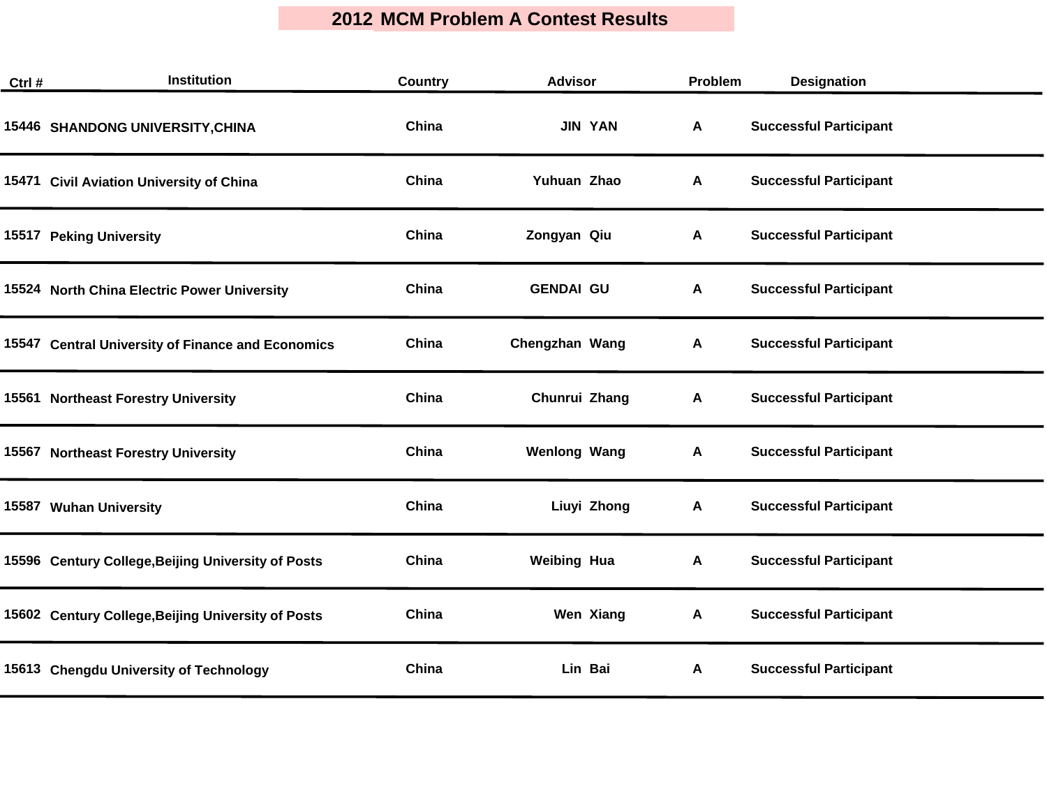| Ctrl # | <b>Institution</b>                                 | <b>Country</b> | <b>Advisor</b>      | Problem      | <b>Designation</b>            |  |
|--------|----------------------------------------------------|----------------|---------------------|--------------|-------------------------------|--|
|        | 15446 SHANDONG UNIVERSITY, CHINA                   | China          | <b>JIN YAN</b>      | $\mathsf{A}$ | <b>Successful Participant</b> |  |
|        | 15471 Civil Aviation University of China           | China          | Yuhuan Zhao         | A            | <b>Successful Participant</b> |  |
|        | <b>15517 Peking University</b>                     | China          | Zongyan Qiu         | $\mathsf{A}$ | <b>Successful Participant</b> |  |
|        | 15524 North China Electric Power University        | China          | <b>GENDAI GU</b>    | $\mathsf{A}$ | <b>Successful Participant</b> |  |
|        | 15547 Central University of Finance and Economics  | China          | Chengzhan Wang      | $\mathsf{A}$ | <b>Successful Participant</b> |  |
|        | 15561 Northeast Forestry University                | China          | Chunrui Zhang       | $\mathsf{A}$ | <b>Successful Participant</b> |  |
|        | 15567 Northeast Forestry University                | China          | <b>Wenlong Wang</b> | A            | <b>Successful Participant</b> |  |
|        | 15587 Wuhan University                             | China          | Liuyi Zhong         | $\mathsf{A}$ | <b>Successful Participant</b> |  |
|        | 15596 Century College, Beijing University of Posts | China          | <b>Weibing Hua</b>  | $\mathbf{A}$ | <b>Successful Participant</b> |  |
|        | 15602 Century College, Beijing University of Posts | China          | Wen Xiang           | $\mathsf{A}$ | <b>Successful Participant</b> |  |
|        | 15613 Chengdu University of Technology             | China          | Lin Bai             | $\mathsf{A}$ | <b>Successful Participant</b> |  |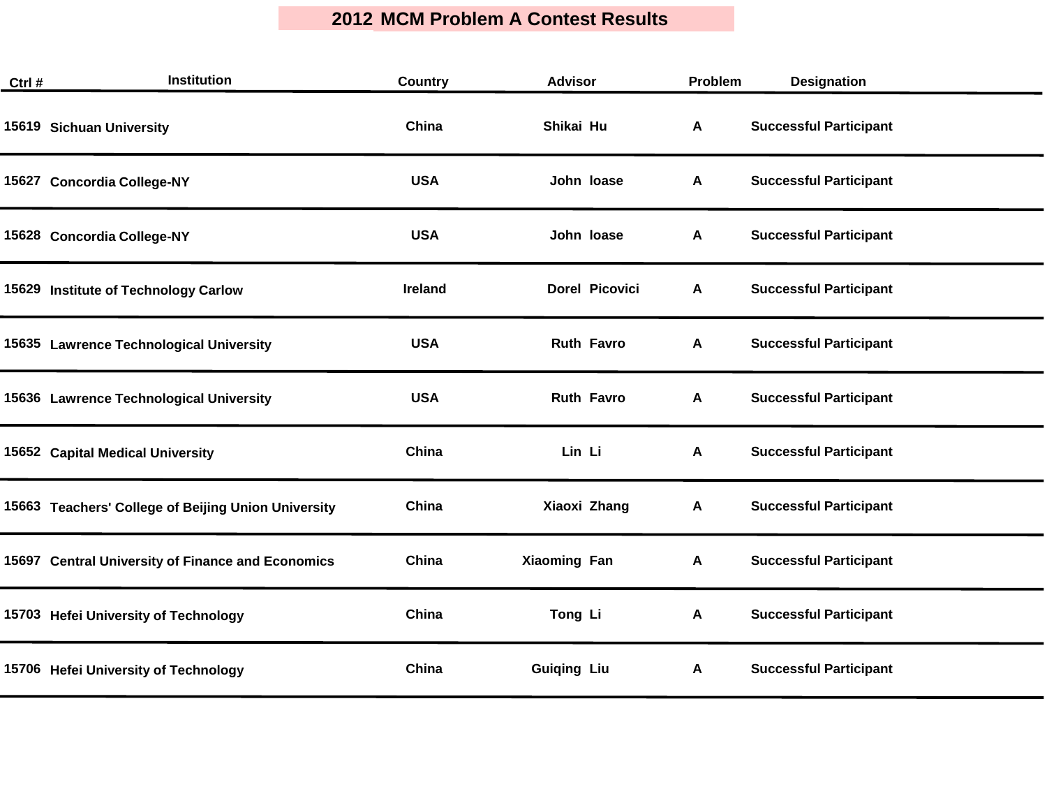r i

| Ctrl # | <b>Institution</b>                                  | <b>Country</b> | <b>Advisor</b>        | Problem      | <b>Designation</b>            |
|--------|-----------------------------------------------------|----------------|-----------------------|--------------|-------------------------------|
|        | 15619 Sichuan University                            | China          | Shikai Hu             | A            | <b>Successful Participant</b> |
|        | 15627 Concordia College-NY                          | <b>USA</b>     | John loase            | A            | <b>Successful Participant</b> |
|        | 15628 Concordia College-NY                          | <b>USA</b>     | John loase            | A            | <b>Successful Participant</b> |
|        | 15629 Institute of Technology Carlow                | <b>Ireland</b> | <b>Dorel Picovici</b> | $\mathsf{A}$ | <b>Successful Participant</b> |
|        | 15635 Lawrence Technological University             | <b>USA</b>     | <b>Ruth Favro</b>     | $\mathsf{A}$ | <b>Successful Participant</b> |
|        | 15636 Lawrence Technological University             | <b>USA</b>     | <b>Ruth Favro</b>     | A            | <b>Successful Participant</b> |
|        | <b>15652 Capital Medical University</b>             | China          | Lin Li                | A            | <b>Successful Participant</b> |
|        | 15663 Teachers' College of Beijing Union University | China          | Xiaoxi Zhang          | A            | <b>Successful Participant</b> |
|        | 15697 Central University of Finance and Economics   | China          | Xiaoming Fan          | $\mathsf{A}$ | <b>Successful Participant</b> |
|        | 15703 Hefei University of Technology                | China          | Tong Li               | $\mathsf{A}$ | <b>Successful Participant</b> |
|        | 15706 Hefei University of Technology                | China          | <b>Guiqing Liu</b>    | A            | <b>Successful Participant</b> |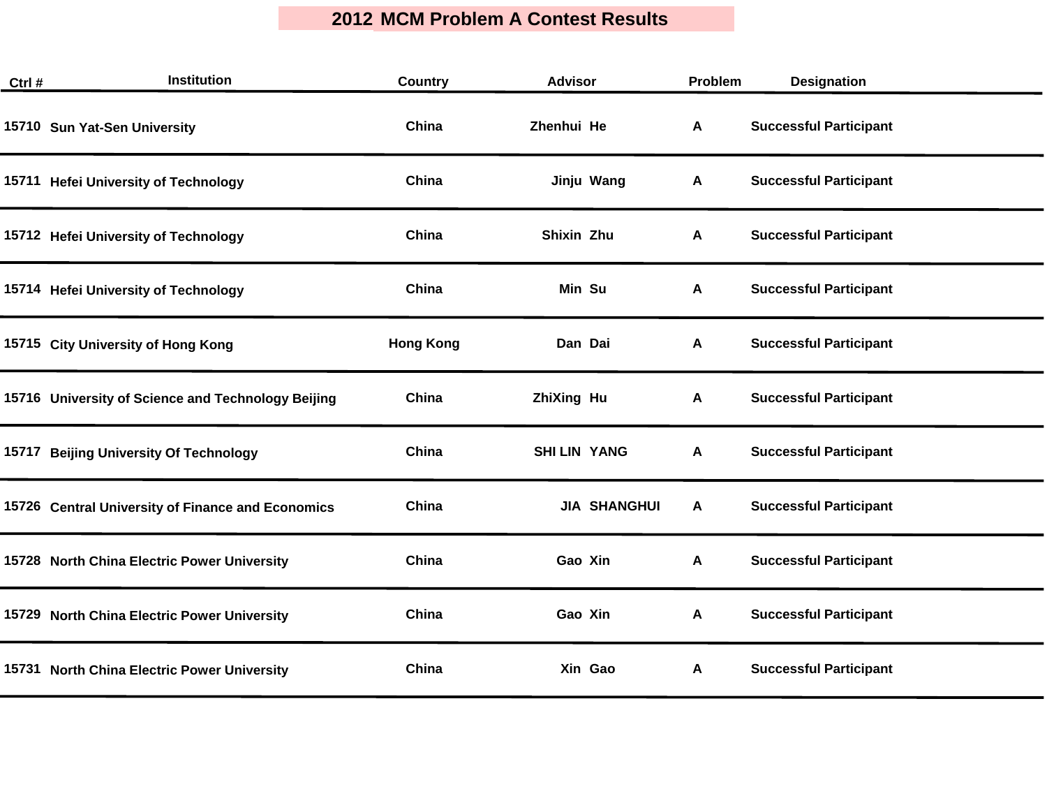r i

| Ctrl # | <b>Institution</b>                                 | <b>Country</b>   | <b>Advisor</b>      | Problem      | <b>Designation</b>            |  |
|--------|----------------------------------------------------|------------------|---------------------|--------------|-------------------------------|--|
|        | 15710 Sun Yat-Sen University                       | China            | Zhenhui He          | $\mathsf{A}$ | <b>Successful Participant</b> |  |
|        | 15711 Hefei University of Technology               | China            | Jinju Wang          | A            | <b>Successful Participant</b> |  |
|        | 15712 Hefei University of Technology               | China            | Shixin Zhu          | A            | <b>Successful Participant</b> |  |
|        | 15714 Hefei University of Technology               | China            | Min Su              | A            | <b>Successful Participant</b> |  |
|        | 15715 City University of Hong Kong                 | <b>Hong Kong</b> | Dan Dai             | $\mathsf{A}$ | <b>Successful Participant</b> |  |
|        | 15716 University of Science and Technology Beijing | China            | ZhiXing Hu          | A            | <b>Successful Participant</b> |  |
|        | 15717 Beijing University Of Technology             | China            | <b>SHI LIN YANG</b> | A            | <b>Successful Participant</b> |  |
|        | 15726 Central University of Finance and Economics  | China            | <b>JIA SHANGHUI</b> | A            | <b>Successful Participant</b> |  |
|        | 15728 North China Electric Power University        | China            | Gao Xin             | A            | <b>Successful Participant</b> |  |
|        | 15729 North China Electric Power University        | China            | Gao Xin             | $\mathsf{A}$ | <b>Successful Participant</b> |  |
|        | 15731 North China Electric Power University        | China            | Xin Gao             | A            | <b>Successful Participant</b> |  |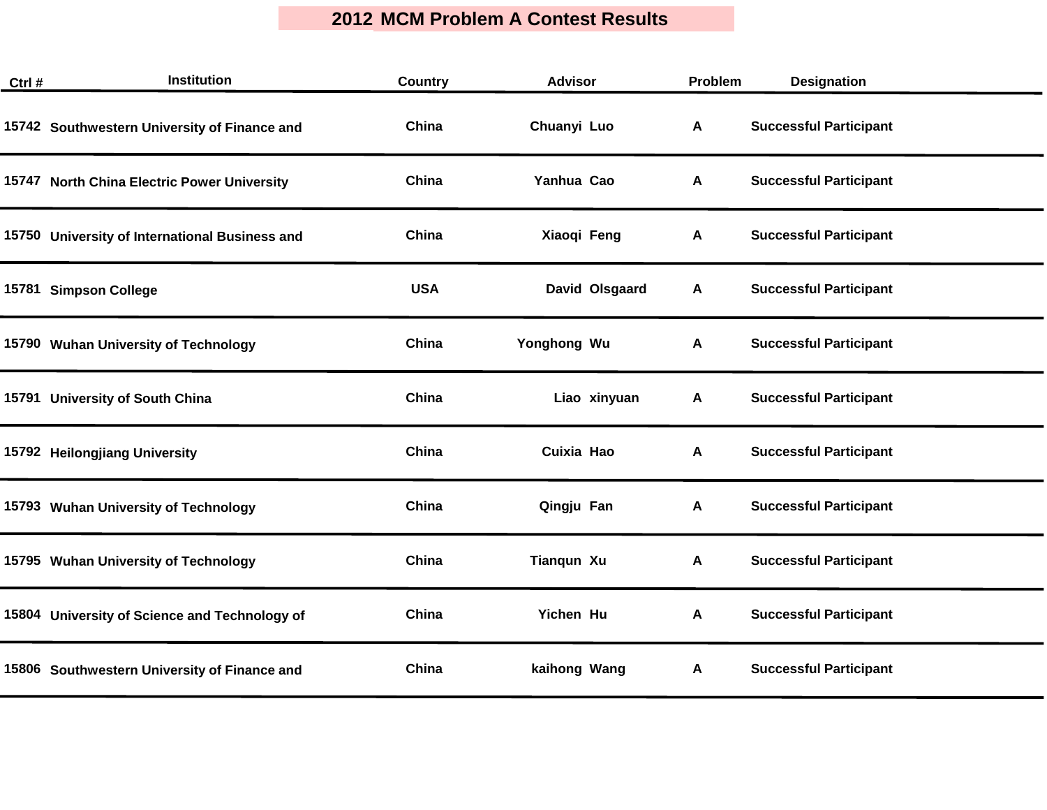| Ctrl # | <b>Institution</b>                             | <b>Country</b> | <b>Advisor</b>    | Problem      | <b>Designation</b>            |
|--------|------------------------------------------------|----------------|-------------------|--------------|-------------------------------|
|        | 15742 Southwestern University of Finance and   | China          | Chuanyi Luo       | $\mathsf{A}$ | <b>Successful Participant</b> |
|        | 15747 North China Electric Power University    | China          | Yanhua Cao        | A            | <b>Successful Participant</b> |
|        | 15750 University of International Business and | China          | Xiaoqi Feng       | A            | <b>Successful Participant</b> |
|        | 15781 Simpson College                          | <b>USA</b>     | David Olsgaard    | A            | <b>Successful Participant</b> |
|        | 15790 Wuhan University of Technology           | China          | Yonghong Wu       | $\mathsf{A}$ | <b>Successful Participant</b> |
|        | 15791 University of South China                | China          | Liao xinyuan      | A            | <b>Successful Participant</b> |
|        | 15792 Heilongjiang University                  | China          | Cuixia Hao        | A            | <b>Successful Participant</b> |
|        | 15793 Wuhan University of Technology           | China          | Qingju Fan        | $\mathsf{A}$ | <b>Successful Participant</b> |
|        | 15795 Wuhan University of Technology           | China          | <b>Tianqun Xu</b> | $\mathsf{A}$ | <b>Successful Participant</b> |
|        | 15804 University of Science and Technology of  | China          | Yichen Hu         | A            | <b>Successful Participant</b> |
|        | 15806 Southwestern University of Finance and   | China          | kaihong Wang      | Α            | <b>Successful Participant</b> |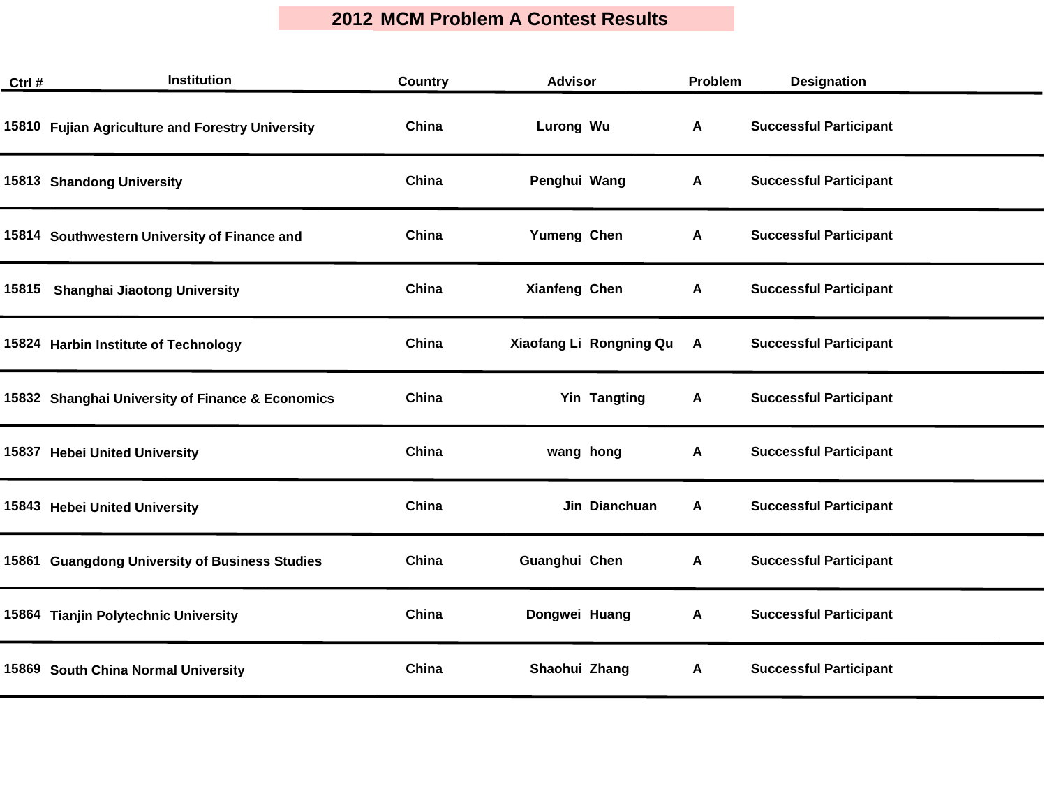| Ctrl # | <b>Institution</b>                               | <b>Country</b> | <b>Advisor</b>       |                         | Problem      | <b>Designation</b>            |  |
|--------|--------------------------------------------------|----------------|----------------------|-------------------------|--------------|-------------------------------|--|
|        | 15810 Fujian Agriculture and Forestry University | China          | Lurong Wu            |                         | $\mathsf{A}$ | <b>Successful Participant</b> |  |
|        | 15813 Shandong University                        | China          | Penghui Wang         |                         | A            | <b>Successful Participant</b> |  |
|        | 15814 Southwestern University of Finance and     | China          | <b>Yumeng Chen</b>   |                         | A            | <b>Successful Participant</b> |  |
|        | 15815 Shanghai Jiaotong University               | China          | <b>Xianfeng Chen</b> |                         | $\mathsf{A}$ | <b>Successful Participant</b> |  |
|        | 15824 Harbin Institute of Technology             | China          |                      | Xiaofang Li Rongning Qu | $\mathbf{A}$ | <b>Successful Participant</b> |  |
|        | 15832 Shanghai University of Finance & Economics | China          |                      | <b>Yin Tangting</b>     | A            | <b>Successful Participant</b> |  |
|        | 15837 Hebei United University                    | China          | wang hong            |                         | A            | <b>Successful Participant</b> |  |
|        | 15843 Hebei United University                    | China          |                      | Jin Dianchuan           | A            | <b>Successful Participant</b> |  |
|        | 15861 Guangdong University of Business Studies   | China          | Guanghui Chen        |                         | $\mathsf{A}$ | <b>Successful Participant</b> |  |
|        | 15864 Tianjin Polytechnic University             | China          | Dongwei Huang        |                         | A            | <b>Successful Participant</b> |  |
|        | 15869 South China Normal University              | China          | Shaohui Zhang        |                         | A            | <b>Successful Participant</b> |  |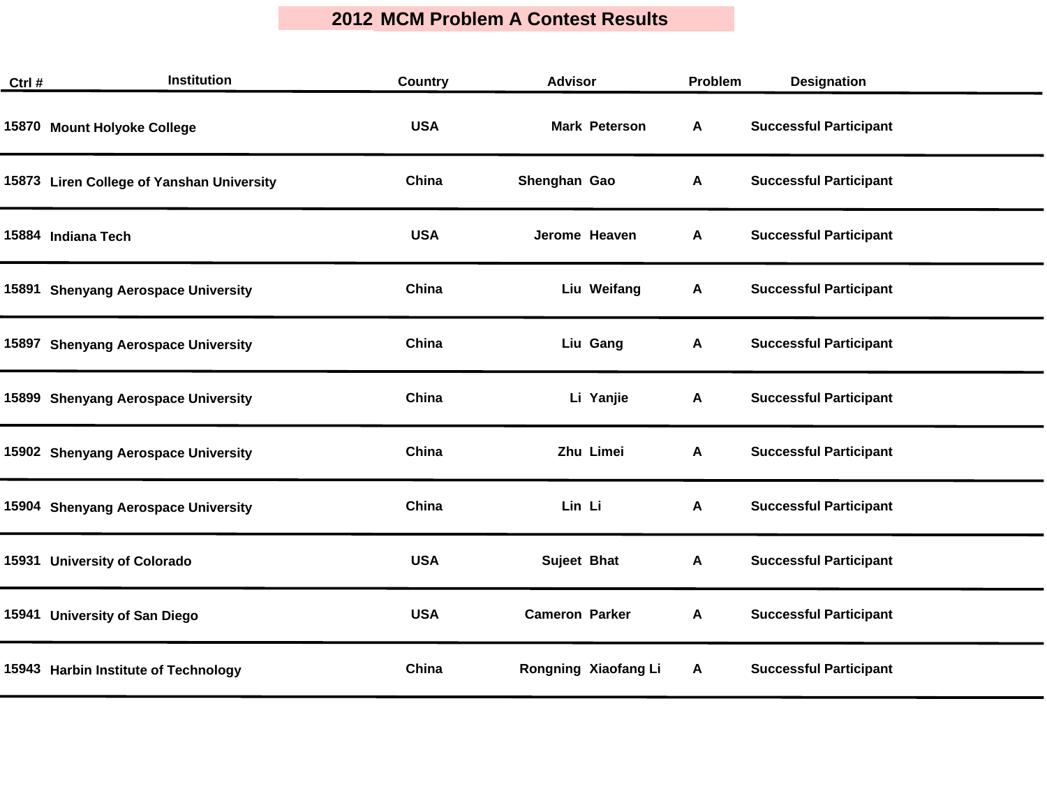| Ctrl # | <b>Institution</b>                        | <b>Country</b> | <b>Advisor</b>        | Problem      | <b>Designation</b>            |
|--------|-------------------------------------------|----------------|-----------------------|--------------|-------------------------------|
|        | 15870 Mount Holyoke College               | <b>USA</b>     | <b>Mark Peterson</b>  | $\mathsf{A}$ | <b>Successful Participant</b> |
|        | 15873 Liren College of Yanshan University | China          | Shenghan Gao          | $\mathsf{A}$ | <b>Successful Participant</b> |
|        | 15884 Indiana Tech                        | <b>USA</b>     | Jerome Heaven         | A            | <b>Successful Participant</b> |
|        | 15891 Shenyang Aerospace University       | China          | Liu Weifang           | A            | <b>Successful Participant</b> |
|        | 15897 Shenyang Aerospace University       | China          | Liu Gang              | $\mathsf{A}$ | <b>Successful Participant</b> |
|        | 15899 Shenyang Aerospace University       | China          | Li Yanjie             | $\mathsf{A}$ | <b>Successful Participant</b> |
|        | 15902 Shenyang Aerospace University       | China          | Zhu Limei             | A            | <b>Successful Participant</b> |
|        | 15904 Shenyang Aerospace University       | China          | Lin Li                | $\mathsf{A}$ | <b>Successful Participant</b> |
|        | 15931 University of Colorado              | <b>USA</b>     | Sujeet Bhat           | $\mathsf{A}$ | <b>Successful Participant</b> |
|        | 15941 University of San Diego             | <b>USA</b>     | <b>Cameron Parker</b> | $\mathsf{A}$ | <b>Successful Participant</b> |
|        | 15943 Harbin Institute of Technology      | China          | Rongning Xiaofang Li  | A            | <b>Successful Participant</b> |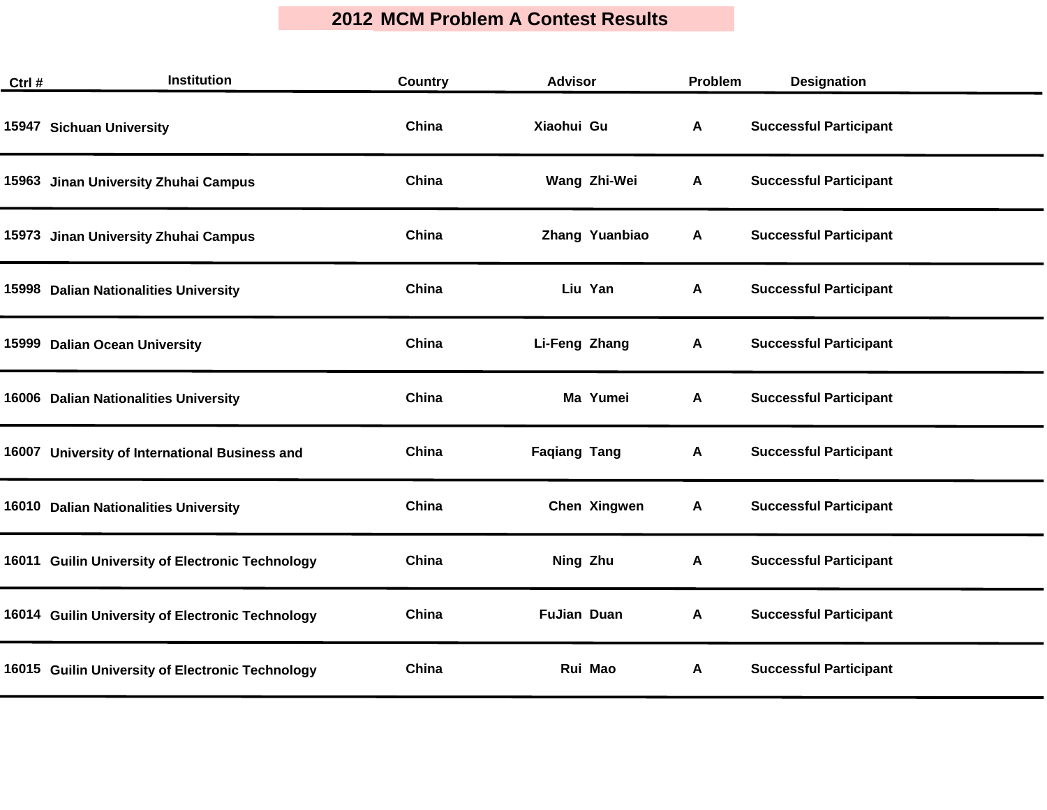r i

| Ctrl # | <b>Institution</b>                               | <b>Country</b> | <b>Advisor</b>      |                | Problem      | <b>Designation</b>            |  |
|--------|--------------------------------------------------|----------------|---------------------|----------------|--------------|-------------------------------|--|
|        | 15947 Sichuan University                         | China          | Xiaohui Gu          |                | $\mathsf{A}$ | <b>Successful Participant</b> |  |
|        | 15963 Jinan University Zhuhai Campus             | China          |                     | Wang Zhi-Wei   | A            | <b>Successful Participant</b> |  |
|        | 15973 Jinan University Zhuhai Campus             | China          |                     | Zhang Yuanbiao | A            | <b>Successful Participant</b> |  |
|        | 15998 Dalian Nationalities University            | China          |                     | Liu Yan        | A            | <b>Successful Participant</b> |  |
|        | 15999 Dalian Ocean University                    | China          | Li-Feng Zhang       |                | A            | <b>Successful Participant</b> |  |
|        | 16006 Dalian Nationalities University            | China          |                     | Ma Yumei       | A            | <b>Successful Participant</b> |  |
|        | 16007 University of International Business and   | China          | <b>Faqiang Tang</b> |                | A            | <b>Successful Participant</b> |  |
|        | 16010 Dalian Nationalities University            | China          |                     | Chen Xingwen   | A            | <b>Successful Participant</b> |  |
|        | 16011 Guilin University of Electronic Technology | China          |                     | Ning Zhu       | $\mathsf{A}$ | <b>Successful Participant</b> |  |
|        | 16014 Guilin University of Electronic Technology | China          | <b>FuJian Duan</b>  |                | A            | <b>Successful Participant</b> |  |
|        | 16015 Guilin University of Electronic Technology | China          |                     | Rui Mao        | A            | <b>Successful Participant</b> |  |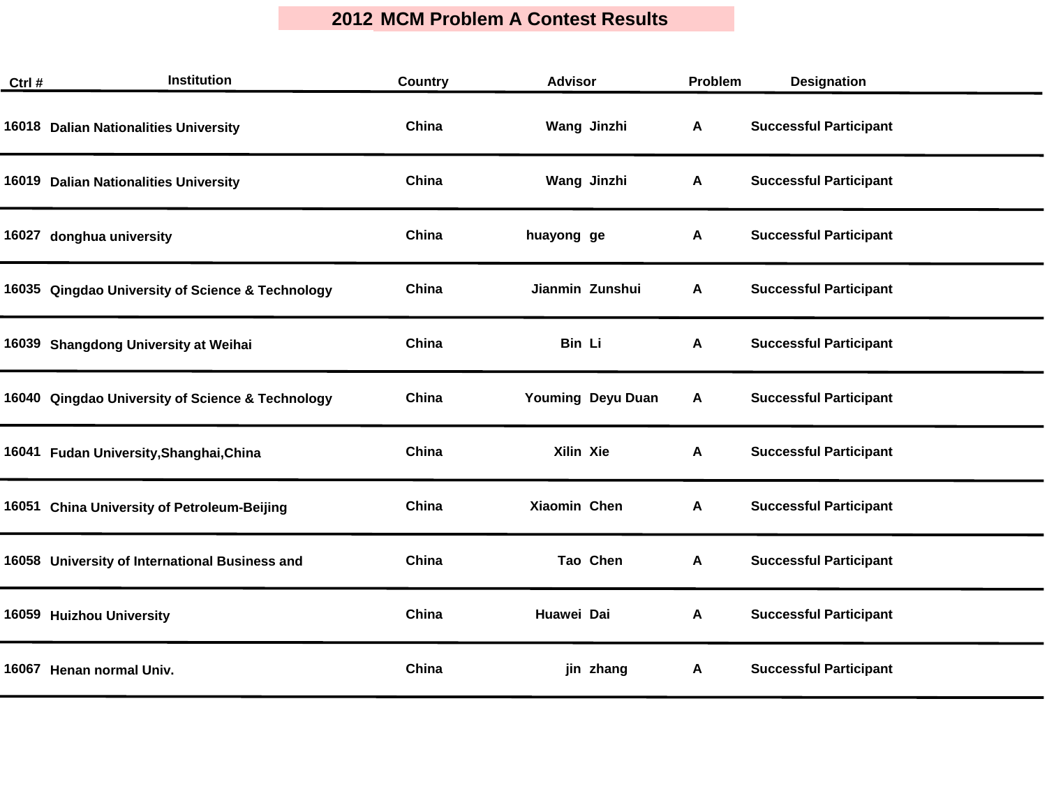| Ctrl # | <b>Institution</b>                               | <b>Country</b> | <b>Advisor</b>      | Problem      | <b>Designation</b>            |  |
|--------|--------------------------------------------------|----------------|---------------------|--------------|-------------------------------|--|
|        | 16018 Dalian Nationalities University            | China          | Wang Jinzhi         | $\mathsf{A}$ | <b>Successful Participant</b> |  |
|        | 16019 Dalian Nationalities University            | China          | Wang Jinzhi         | A            | <b>Successful Participant</b> |  |
|        | 16027 donghua university                         | China          | huayong ge          | A            | <b>Successful Participant</b> |  |
|        | 16035 Qingdao University of Science & Technology | China          | Jianmin Zunshui     | $\mathsf{A}$ | <b>Successful Participant</b> |  |
|        | 16039 Shangdong University at Weihai             | China          | Bin Li              | $\mathsf{A}$ | <b>Successful Participant</b> |  |
|        | 16040 Qingdao University of Science & Technology | China          | Youming Deyu Duan   | A            | <b>Successful Participant</b> |  |
|        | 16041 Fudan University, Shanghai, China          | China          | Xilin Xie           | A            | <b>Successful Participant</b> |  |
|        | 16051 China University of Petroleum-Beijing      | China          | <b>Xiaomin Chen</b> | A            | <b>Successful Participant</b> |  |
|        | 16058 University of International Business and   | China          | Tao Chen            | A            | <b>Successful Participant</b> |  |
|        | 16059 Huizhou University                         | China          | Huawei Dai          | $\mathsf{A}$ | <b>Successful Participant</b> |  |
|        | 16067 Henan normal Univ.                         | China          | jin zhang           | A            | <b>Successful Participant</b> |  |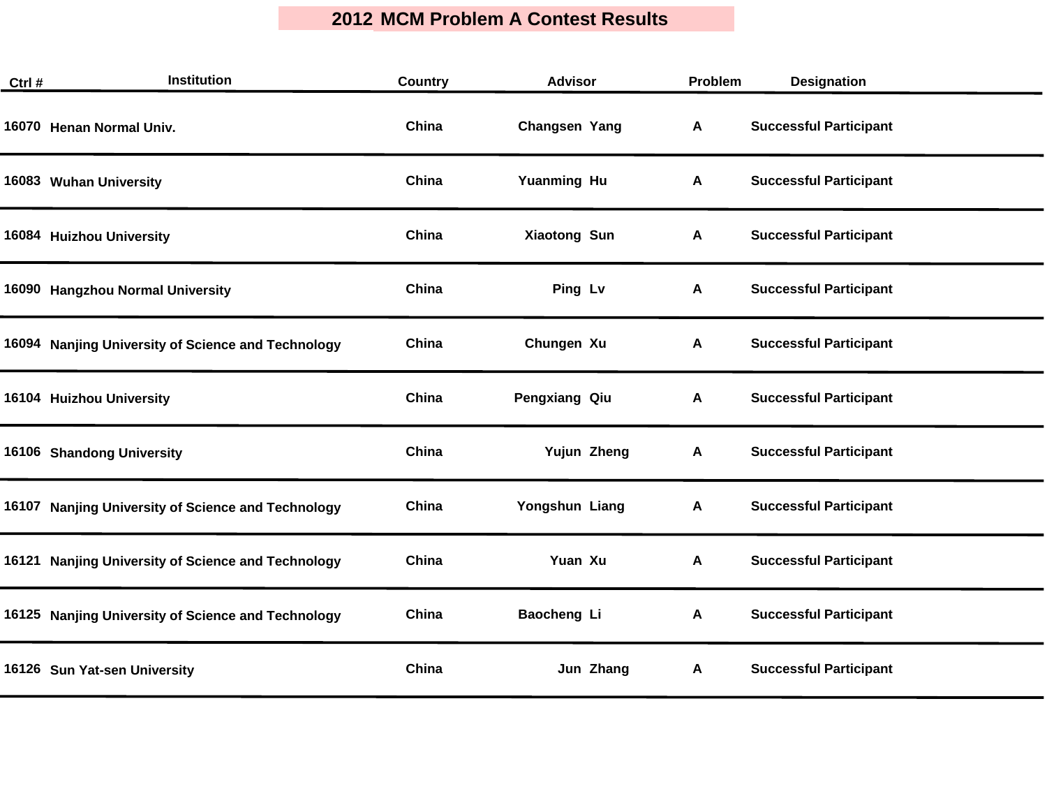| Ctrl # | Institution                                        | <b>Country</b> | <b>Advisor</b>     | Problem      | <b>Designation</b>            |  |
|--------|----------------------------------------------------|----------------|--------------------|--------------|-------------------------------|--|
|        | 16070 Henan Normal Univ.                           | China          | Changsen Yang      | $\mathsf{A}$ | <b>Successful Participant</b> |  |
|        | 16083 Wuhan University                             | China          | <b>Yuanming Hu</b> | A            | <b>Successful Participant</b> |  |
|        | 16084 Huizhou University                           | China          | Xiaotong Sun       | A            | <b>Successful Participant</b> |  |
|        | 16090 Hangzhou Normal University                   | China          | Ping Lv            | $\mathsf{A}$ | <b>Successful Participant</b> |  |
|        | 16094 Nanjing University of Science and Technology | China          | Chungen Xu         | $\mathsf{A}$ | <b>Successful Participant</b> |  |
|        | 16104 Huizhou University                           | China          | Pengxiang Qiu      | $\mathsf{A}$ | <b>Successful Participant</b> |  |
|        | 16106 Shandong University                          | China          | Yujun Zheng        | A            | <b>Successful Participant</b> |  |
|        | 16107 Nanjing University of Science and Technology | China          | Yongshun Liang     | $\mathsf{A}$ | <b>Successful Participant</b> |  |
|        | 16121 Nanjing University of Science and Technology | China          | Yuan Xu            | $\mathsf{A}$ | <b>Successful Participant</b> |  |
|        | 16125 Nanjing University of Science and Technology | China          | Baocheng Li        | $\mathsf{A}$ | <b>Successful Participant</b> |  |
|        | 16126 Sun Yat-sen University                       | China          | Jun Zhang          | A            | <b>Successful Participant</b> |  |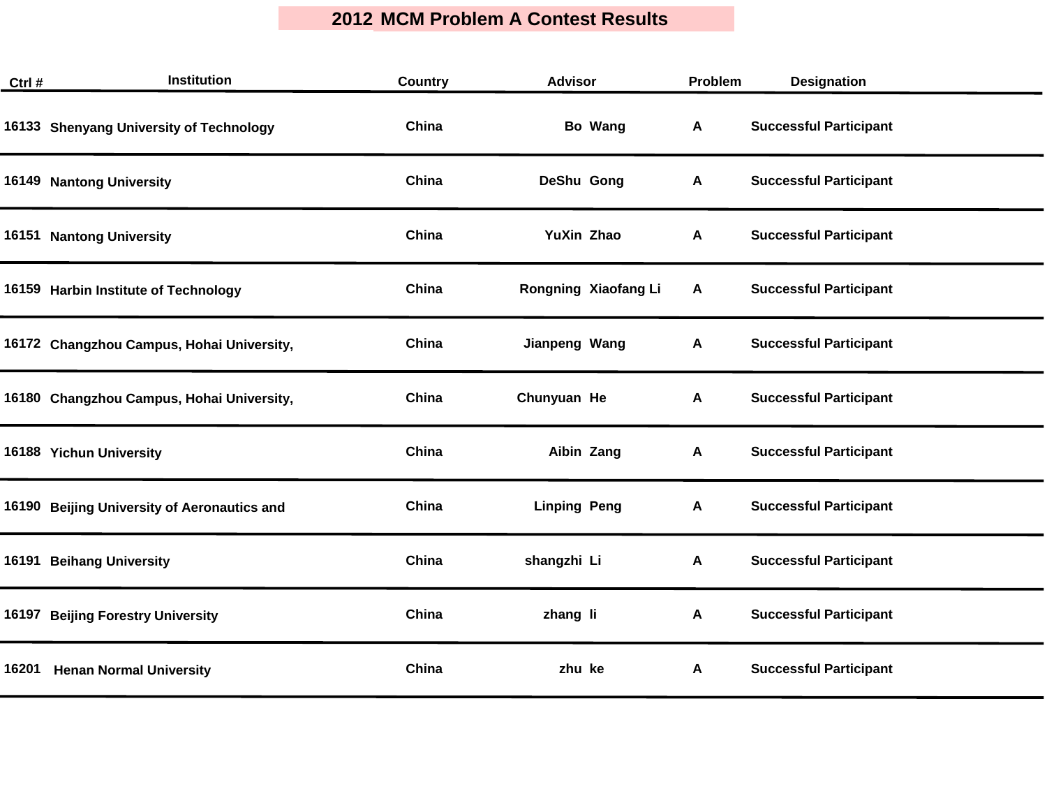| Ctrl # | <b>Institution</b>                          | <b>Country</b> | <b>Advisor</b>       | Problem      | <b>Designation</b>            |
|--------|---------------------------------------------|----------------|----------------------|--------------|-------------------------------|
|        | 16133 Shenyang University of Technology     | China          | Bo Wang              | $\mathsf{A}$ | <b>Successful Participant</b> |
|        | 16149 Nantong University                    | China          | DeShu Gong           | A            | <b>Successful Participant</b> |
|        | 16151 Nantong University                    | China          | YuXin Zhao           | A            | <b>Successful Participant</b> |
|        | 16159 Harbin Institute of Technology        | China          | Rongning Xiaofang Li | $\mathsf{A}$ | <b>Successful Participant</b> |
|        | 16172 Changzhou Campus, Hohai University,   | China          | Jianpeng Wang        | $\mathsf{A}$ | <b>Successful Participant</b> |
|        | 16180 Changzhou Campus, Hohai University,   | China          | Chunyuan He          | A            | <b>Successful Participant</b> |
|        | 16188 Yichun University                     | China          | Aibin Zang           | A            | <b>Successful Participant</b> |
|        | 16190 Beijing University of Aeronautics and | China          | <b>Linping Peng</b>  | $\mathsf{A}$ | <b>Successful Participant</b> |
|        | 16191 Beihang University                    | China          | shangzhi Li          | A            | <b>Successful Participant</b> |
|        | <b>16197 Beijing Forestry University</b>    | China          | zhang li             | A            | <b>Successful Participant</b> |
| 16201  | <b>Henan Normal University</b>              | China          | zhu ke               | Α            | <b>Successful Participant</b> |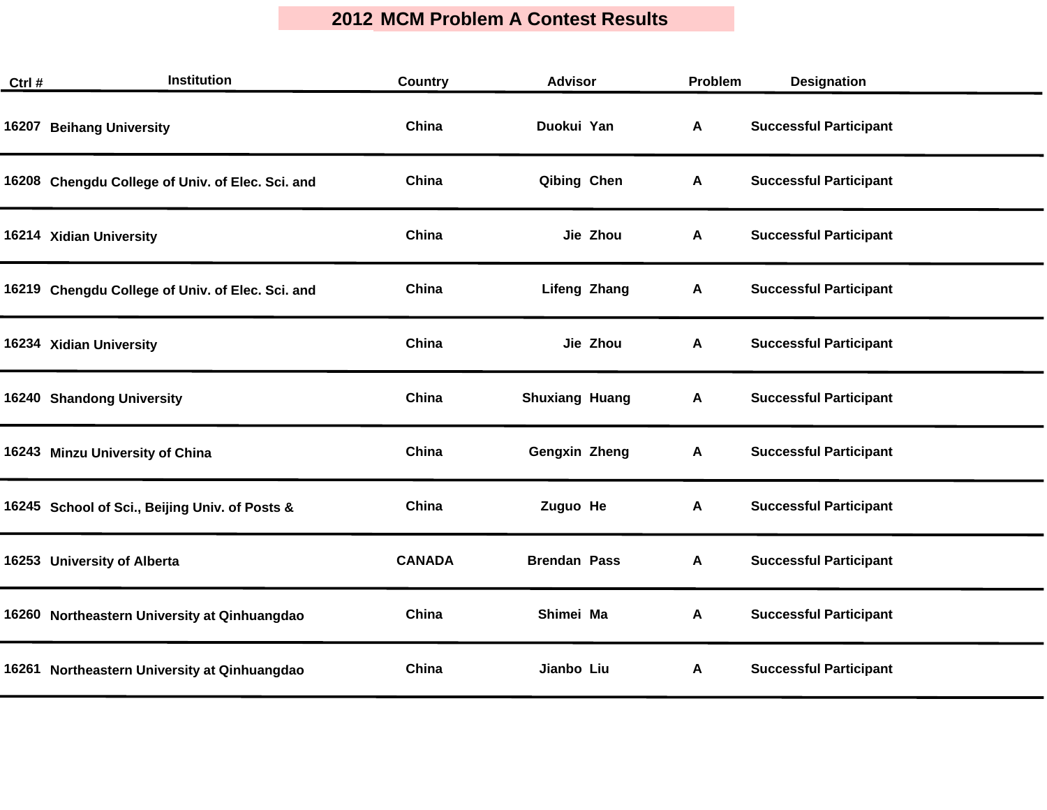| Ctrl # | <b>Institution</b>                               | <b>Country</b> | <b>Advisor</b>        | Problem      | <b>Designation</b>            |  |
|--------|--------------------------------------------------|----------------|-----------------------|--------------|-------------------------------|--|
|        | 16207 Beihang University                         | China          | Duokui Yan            | $\mathsf{A}$ | <b>Successful Participant</b> |  |
|        | 16208 Chengdu College of Univ. of Elec. Sci. and | China          | Qibing Chen           | $\mathsf{A}$ | <b>Successful Participant</b> |  |
|        | 16214 Xidian University                          | China          | Jie Zhou              | $\mathsf{A}$ | <b>Successful Participant</b> |  |
|        | 16219 Chengdu College of Univ. of Elec. Sci. and | China          | <b>Lifeng Zhang</b>   | $\mathsf{A}$ | <b>Successful Participant</b> |  |
|        | 16234 Xidian University                          | China          | Jie Zhou              | $\mathsf{A}$ | <b>Successful Participant</b> |  |
|        | 16240 Shandong University                        | China          | <b>Shuxiang Huang</b> | $\mathsf{A}$ | <b>Successful Participant</b> |  |
|        | 16243 Minzu University of China                  | China          | Gengxin Zheng         | $\mathsf{A}$ | <b>Successful Participant</b> |  |
|        | 16245 School of Sci., Beijing Univ. of Posts &   | China          | Zuguo He              | $\mathsf{A}$ | <b>Successful Participant</b> |  |
|        | 16253 University of Alberta                      | <b>CANADA</b>  | <b>Brendan Pass</b>   | $\mathsf{A}$ | <b>Successful Participant</b> |  |
|        | 16260 Northeastern University at Qinhuangdao     | China          | Shimei Ma             | $\mathsf{A}$ | <b>Successful Participant</b> |  |
|        | 16261 Northeastern University at Qinhuangdao     | China          | Jianbo Liu            | A            | <b>Successful Participant</b> |  |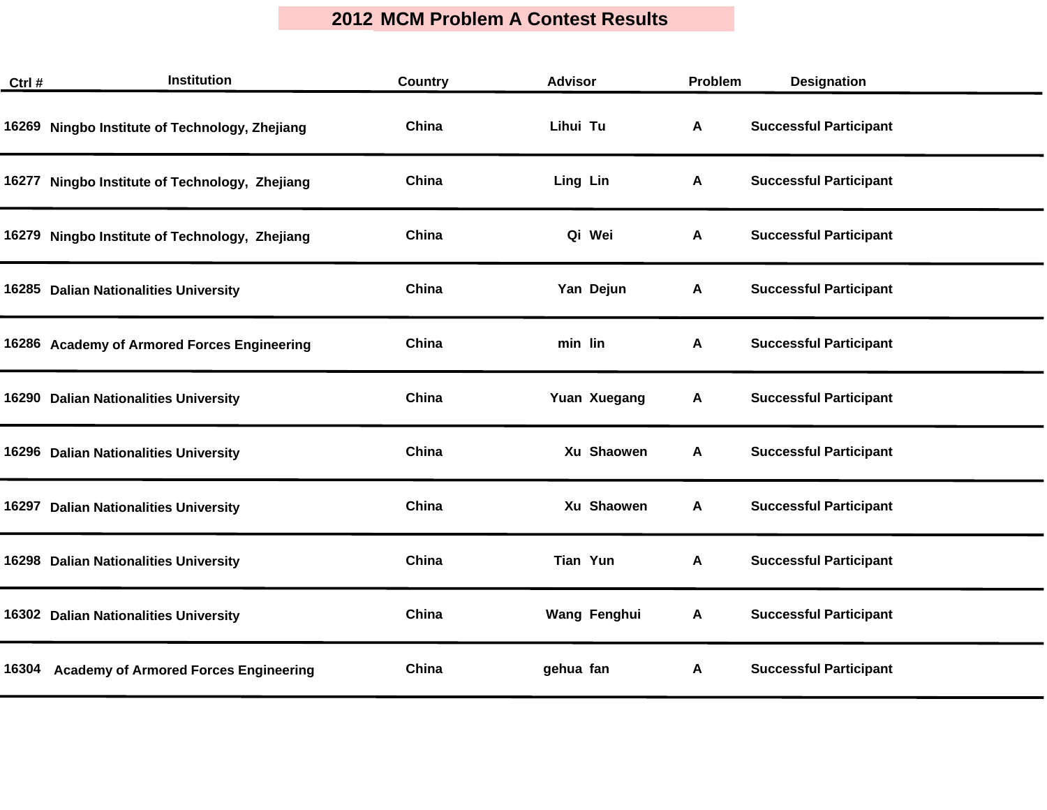| Ctrl # | <b>Institution</b>                             | <b>Country</b> | <b>Advisor</b> | Problem      | <b>Designation</b>            |
|--------|------------------------------------------------|----------------|----------------|--------------|-------------------------------|
|        | 16269 Ningbo Institute of Technology, Zhejiang | China          | Lihui Tu       | $\mathsf{A}$ | <b>Successful Participant</b> |
|        | 16277 Ningbo Institute of Technology, Zhejiang | China          | Ling Lin       | A            | <b>Successful Participant</b> |
|        | 16279 Ningbo Institute of Technology, Zhejiang | China          | Qi Wei         | A            | <b>Successful Participant</b> |
|        | 16285 Dalian Nationalities University          | China          | Yan Dejun      | $\mathsf{A}$ | <b>Successful Participant</b> |
|        | 16286 Academy of Armored Forces Engineering    | China          | min lin        | $\mathsf{A}$ | <b>Successful Participant</b> |
|        | 16290 Dalian Nationalities University          | China          | Yuan Xuegang   | A            | <b>Successful Participant</b> |
|        | 16296 Dalian Nationalities University          | China          | Xu Shaowen     | A            | <b>Successful Participant</b> |
|        | 16297 Dalian Nationalities University          | China          | Xu Shaowen     | A            | <b>Successful Participant</b> |
|        | 16298 Dalian Nationalities University          | China          | Tian Yun       | A            | <b>Successful Participant</b> |
|        | <b>16302 Dalian Nationalities University</b>   | China          | Wang Fenghui   | A            | <b>Successful Participant</b> |
| 16304  | <b>Academy of Armored Forces Engineering</b>   | China          | gehua fan      | A            | <b>Successful Participant</b> |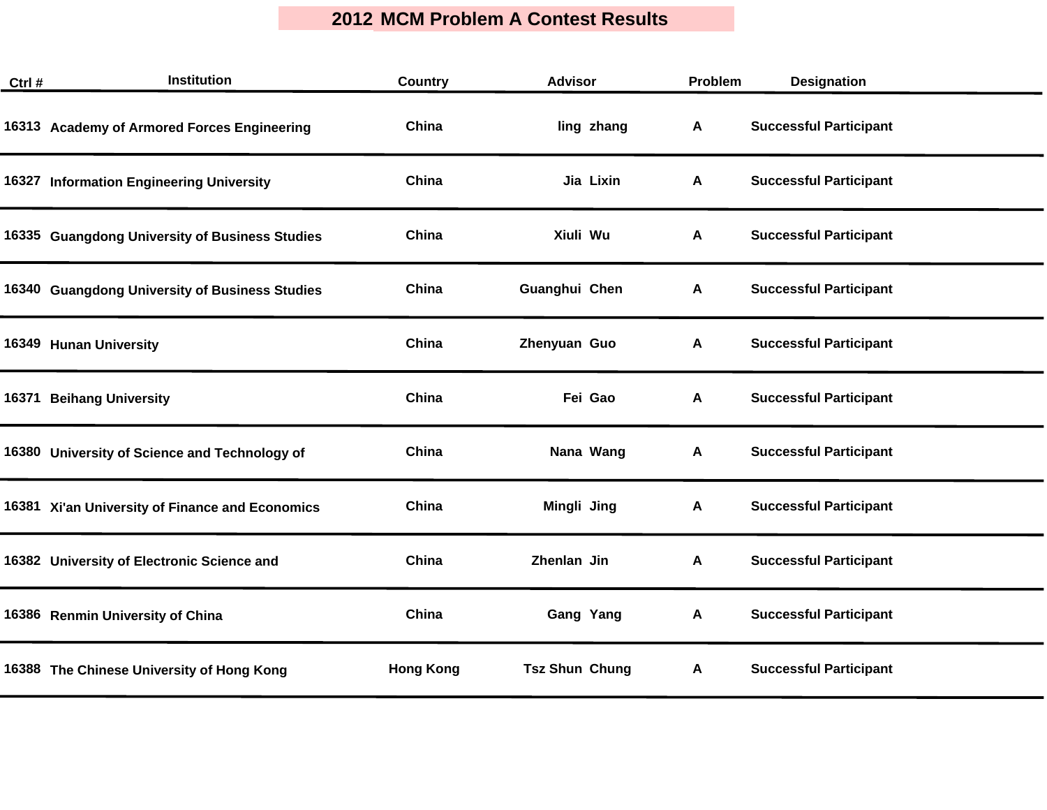| Ctrl # | <b>Institution</b>                              | <b>Country</b>   | <b>Advisor</b>        |            | Problem      | <b>Designation</b>            |  |
|--------|-------------------------------------------------|------------------|-----------------------|------------|--------------|-------------------------------|--|
|        | 16313 Academy of Armored Forces Engineering     | China            |                       | ling zhang | $\mathsf{A}$ | <b>Successful Participant</b> |  |
|        | 16327 Information Engineering University        | China            |                       | Jia Lixin  | A            | <b>Successful Participant</b> |  |
|        | 16335 Guangdong University of Business Studies  | China            | Xiuli Wu              |            | A            | <b>Successful Participant</b> |  |
|        | 16340 Guangdong University of Business Studies  | China            | Guanghui Chen         |            | $\mathsf{A}$ | <b>Successful Participant</b> |  |
|        | 16349 Hunan University                          | China            | Zhenyuan Guo          |            | $\mathsf{A}$ | <b>Successful Participant</b> |  |
|        | 16371 Beihang University                        | China            |                       | Fei Gao    | A            | <b>Successful Participant</b> |  |
|        | 16380 University of Science and Technology of   | China            |                       | Nana Wang  | A            | <b>Successful Participant</b> |  |
|        | 16381 Xi'an University of Finance and Economics | China            | Mingli Jing           |            | A            | <b>Successful Participant</b> |  |
|        | 16382 University of Electronic Science and      | China            | Zhenlan Jin           |            | $\mathsf{A}$ | <b>Successful Participant</b> |  |
|        | 16386 Renmin University of China                | China            | Gang Yang             |            | A            | <b>Successful Participant</b> |  |
|        | 16388 The Chinese University of Hong Kong       | <b>Hong Kong</b> | <b>Tsz Shun Chung</b> |            | A            | <b>Successful Participant</b> |  |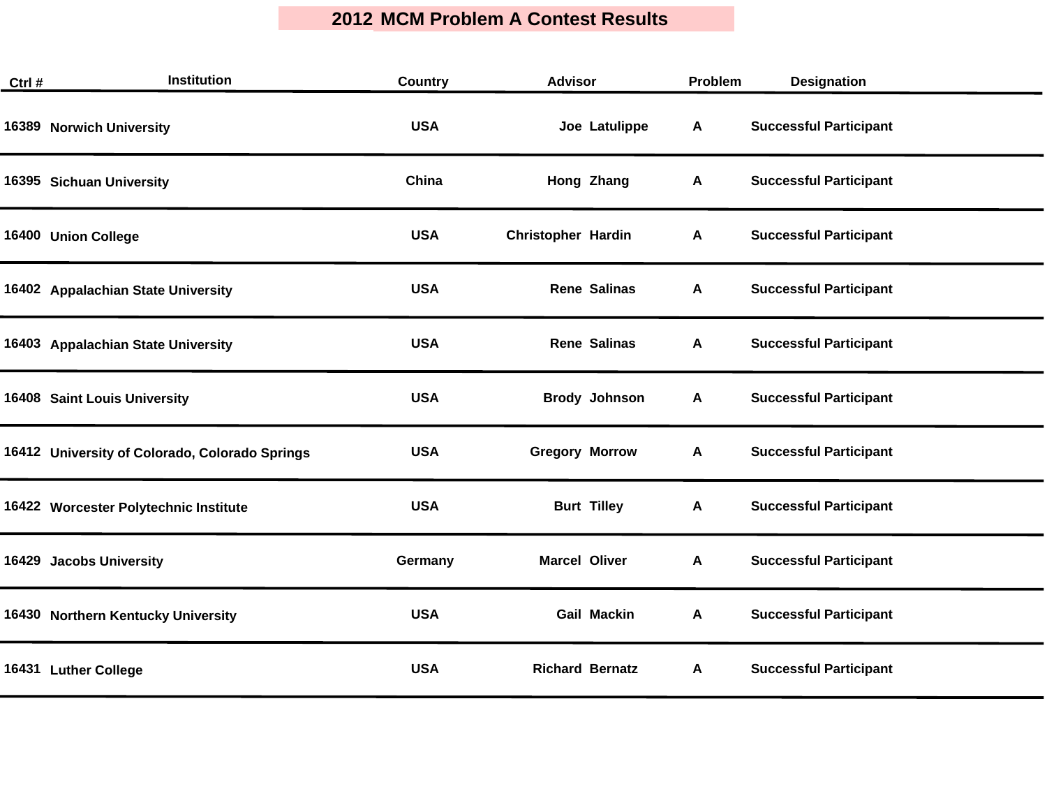| Ctrl # | <b>Institution</b>                             | <b>Country</b> | <b>Advisor</b>            |                      | Problem      | <b>Designation</b>            |
|--------|------------------------------------------------|----------------|---------------------------|----------------------|--------------|-------------------------------|
|        | 16389 Norwich University                       | <b>USA</b>     |                           | Joe Latulippe        | $\mathsf{A}$ | <b>Successful Participant</b> |
|        | 16395 Sichuan University                       | China          |                           | Hong Zhang           | Α            | <b>Successful Participant</b> |
|        | 16400 Union College                            | <b>USA</b>     | <b>Christopher Hardin</b> |                      | A            | <b>Successful Participant</b> |
|        | 16402 Appalachian State University             | <b>USA</b>     |                           | <b>Rene Salinas</b>  | $\mathsf{A}$ | <b>Successful Participant</b> |
|        | 16403 Appalachian State University             | <b>USA</b>     |                           | <b>Rene Salinas</b>  | $\mathsf{A}$ | <b>Successful Participant</b> |
|        | 16408 Saint Louis University                   | <b>USA</b>     |                           | <b>Brody Johnson</b> | $\mathsf{A}$ | <b>Successful Participant</b> |
|        | 16412 University of Colorado, Colorado Springs | <b>USA</b>     | <b>Gregory Morrow</b>     |                      | A            | <b>Successful Participant</b> |
|        | 16422 Worcester Polytechnic Institute          | <b>USA</b>     |                           | <b>Burt Tilley</b>   | $\mathsf{A}$ | <b>Successful Participant</b> |
|        | 16429 Jacobs University                        | Germany        | <b>Marcel Oliver</b>      |                      | $\mathsf{A}$ | <b>Successful Participant</b> |
|        | 16430 Northern Kentucky University             | <b>USA</b>     |                           | <b>Gail Mackin</b>   | A            | <b>Successful Participant</b> |
|        | 16431 Luther College                           | <b>USA</b>     | <b>Richard Bernatz</b>    |                      | A            | <b>Successful Participant</b> |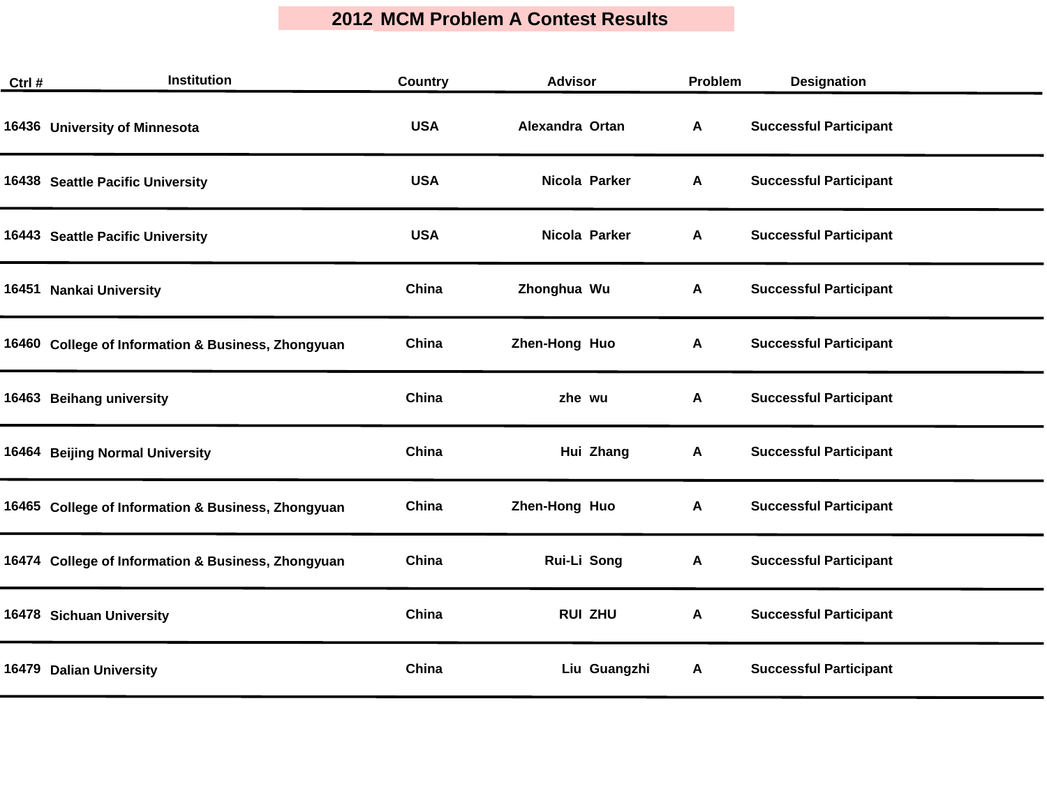| Ctrl # | <b>Institution</b>                                 | <b>Country</b> | <b>Advisor</b>  | Problem      | <b>Designation</b>            |  |
|--------|----------------------------------------------------|----------------|-----------------|--------------|-------------------------------|--|
|        | 16436 University of Minnesota                      | <b>USA</b>     | Alexandra Ortan | $\mathsf{A}$ | <b>Successful Participant</b> |  |
|        | 16438 Seattle Pacific University                   | <b>USA</b>     | Nicola Parker   | A            | <b>Successful Participant</b> |  |
|        | 16443 Seattle Pacific University                   | <b>USA</b>     | Nicola Parker   | A            | <b>Successful Participant</b> |  |
|        | 16451 Nankai University                            | China          | Zhonghua Wu     | $\mathsf{A}$ | <b>Successful Participant</b> |  |
|        | 16460 College of Information & Business, Zhongyuan | China          | Zhen-Hong Huo   | A            | <b>Successful Participant</b> |  |
|        | 16463 Beihang university                           | China          | zhe wu          | $\mathsf{A}$ | <b>Successful Participant</b> |  |
|        | 16464 Beijing Normal University                    | China          | Hui Zhang       | A            | <b>Successful Participant</b> |  |
|        | 16465 College of Information & Business, Zhongyuan | China          | Zhen-Hong Huo   | $\mathsf{A}$ | <b>Successful Participant</b> |  |
|        | 16474 College of Information & Business, Zhongyuan | China          | Rui-Li Song     | $\mathsf{A}$ | <b>Successful Participant</b> |  |
|        | 16478 Sichuan University                           | China          | <b>RUI ZHU</b>  | $\mathsf{A}$ | <b>Successful Participant</b> |  |
|        | 16479 Dalian University                            | China          | Liu Guangzhi    | A            | <b>Successful Participant</b> |  |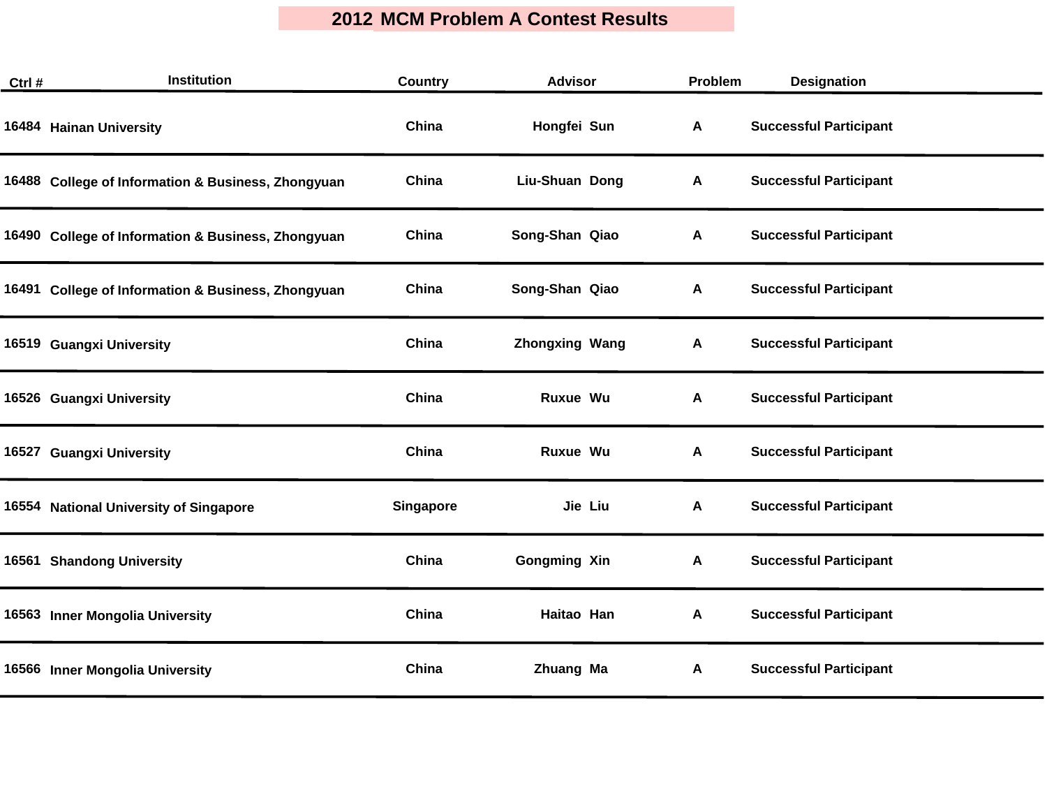| Ctrl # | <b>Institution</b>                                 | <b>Country</b>   | <b>Advisor</b>        | Problem      | <b>Designation</b>            |  |
|--------|----------------------------------------------------|------------------|-----------------------|--------------|-------------------------------|--|
|        | 16484 Hainan University                            | China            | Hongfei Sun           | $\mathsf{A}$ | <b>Successful Participant</b> |  |
|        | 16488 College of Information & Business, Zhongyuan | China            | Liu-Shuan Dong        | A            | <b>Successful Participant</b> |  |
|        | 16490 College of Information & Business, Zhongyuan | China            | Song-Shan Qiao        | $\mathsf{A}$ | <b>Successful Participant</b> |  |
|        | 16491 College of Information & Business, Zhongyuan | China            | Song-Shan Qiao        | $\mathsf{A}$ | <b>Successful Participant</b> |  |
|        | 16519 Guangxi University                           | China            | <b>Zhongxing Wang</b> | $\mathsf{A}$ | <b>Successful Participant</b> |  |
|        | 16526 Guangxi University                           | China            | Ruxue Wu              | A            | <b>Successful Participant</b> |  |
|        | 16527 Guangxi University                           | China            | Ruxue Wu              | $\mathsf{A}$ | <b>Successful Participant</b> |  |
|        | 16554 National University of Singapore             | <b>Singapore</b> | Jie Liu               | $\mathsf{A}$ | <b>Successful Participant</b> |  |
|        | 16561 Shandong University                          | China            | <b>Gongming Xin</b>   | $\mathsf{A}$ | <b>Successful Participant</b> |  |
|        | 16563 Inner Mongolia University                    | China            | Haitao Han            | $\mathsf{A}$ | <b>Successful Participant</b> |  |
|        | 16566 Inner Mongolia University                    | China            | <b>Zhuang Ma</b>      | A            | <b>Successful Participant</b> |  |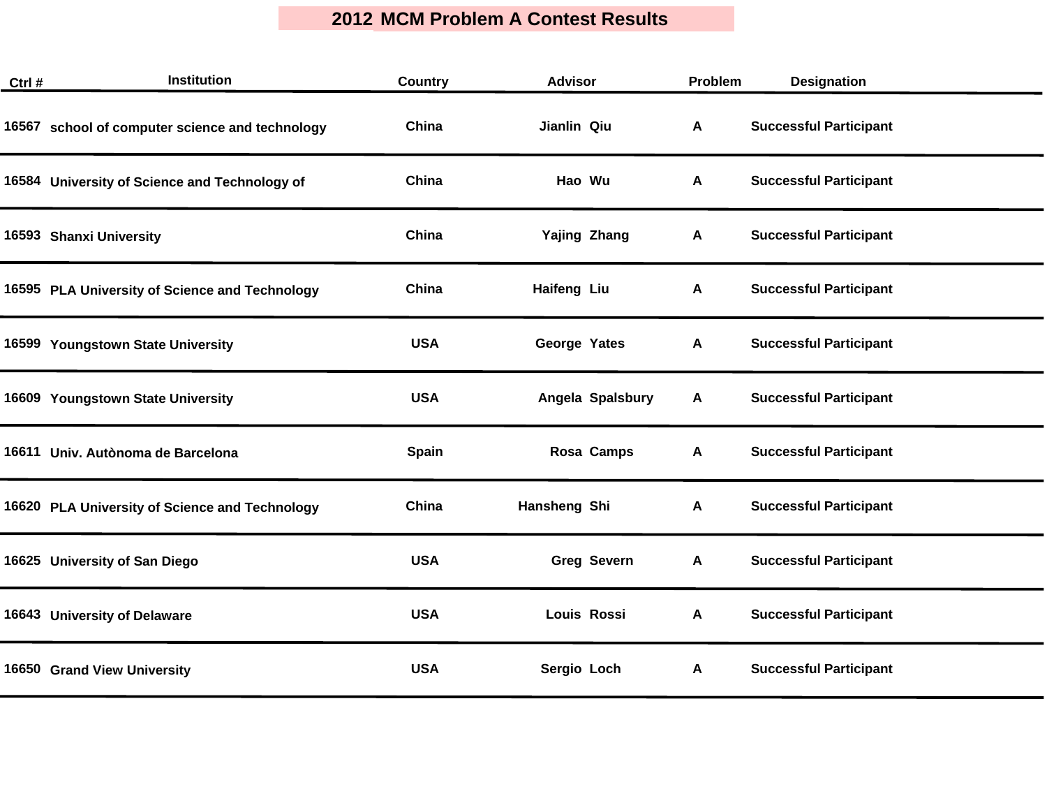| Ctrl # | <b>Institution</b>                              | <b>Country</b> | <b>Advisor</b>     | Problem      | <b>Designation</b>            |
|--------|-------------------------------------------------|----------------|--------------------|--------------|-------------------------------|
|        | 16567 school of computer science and technology | China          | Jianlin Qiu        | $\mathsf{A}$ | <b>Successful Participant</b> |
|        | 16584 University of Science and Technology of   | China          | Hao Wu             | A            | <b>Successful Participant</b> |
|        | 16593 Shanxi University                         | China          | Yajing Zhang       | A            | <b>Successful Participant</b> |
|        | 16595 PLA University of Science and Technology  | China          | Haifeng Liu        | $\mathsf{A}$ | <b>Successful Participant</b> |
|        | 16599 Youngstown State University               | <b>USA</b>     | George Yates       | A            | <b>Successful Participant</b> |
|        | 16609 Youngstown State University               | <b>USA</b>     | Angela Spalsbury   | A            | <b>Successful Participant</b> |
|        | 16611 Univ. Autònoma de Barcelona               | <b>Spain</b>   | Rosa Camps         | A            | <b>Successful Participant</b> |
|        | 16620 PLA University of Science and Technology  | China          | Hansheng Shi       | A            | <b>Successful Participant</b> |
|        | 16625 University of San Diego                   | <b>USA</b>     | <b>Greg Severn</b> | $\mathsf{A}$ | <b>Successful Participant</b> |
|        | 16643 University of Delaware                    | <b>USA</b>     | Louis Rossi        | A            | <b>Successful Participant</b> |
|        | 16650 Grand View University                     | <b>USA</b>     | Sergio Loch        | A            | <b>Successful Participant</b> |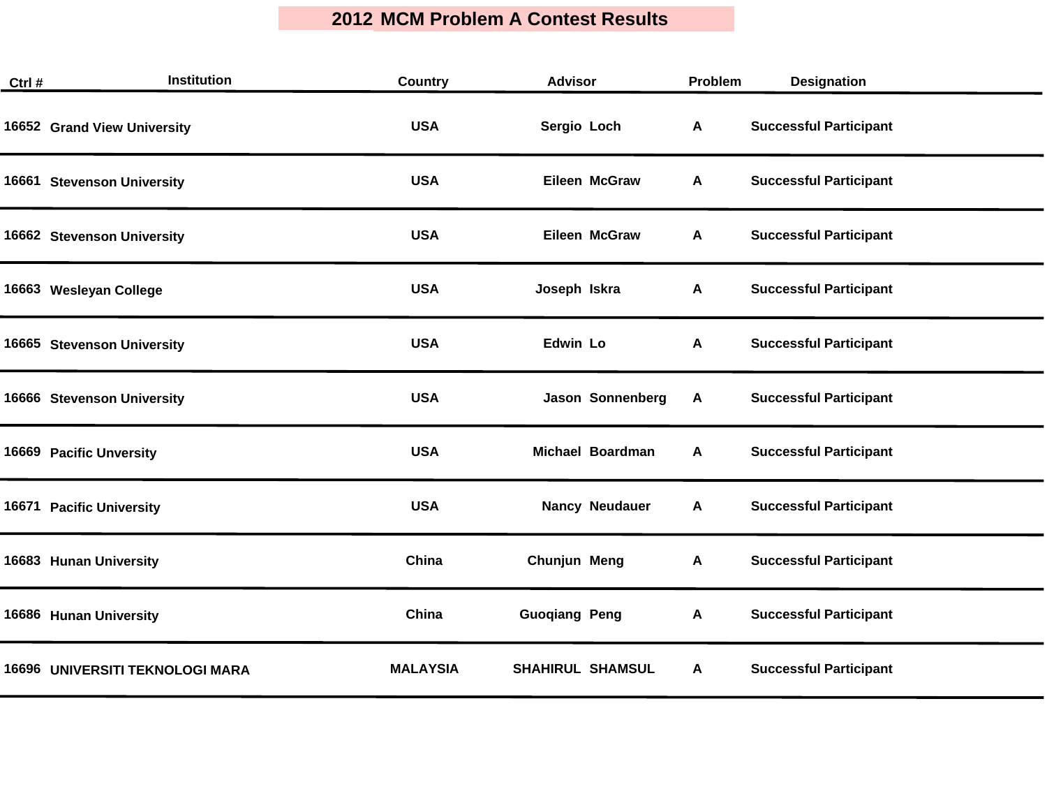r i

| Ctrl # | <b>Institution</b>              | <b>Country</b>  | <b>Advisor</b>        | Problem      | <b>Designation</b>            |  |
|--------|---------------------------------|-----------------|-----------------------|--------------|-------------------------------|--|
|        | 16652 Grand View University     | <b>USA</b>      | Sergio Loch           | $\mathsf{A}$ | <b>Successful Participant</b> |  |
|        | 16661 Stevenson University      | <b>USA</b>      | Eileen McGraw         | A            | <b>Successful Participant</b> |  |
|        | 16662 Stevenson University      | <b>USA</b>      | Eileen McGraw         | A            | <b>Successful Participant</b> |  |
|        | 16663 Wesleyan College          | <b>USA</b>      | Joseph Iskra          | A            | <b>Successful Participant</b> |  |
|        | 16665 Stevenson University      | <b>USA</b>      | Edwin Lo              | $\mathsf{A}$ | <b>Successful Participant</b> |  |
|        | 16666 Stevenson University      | <b>USA</b>      | Jason Sonnenberg      | A            | <b>Successful Participant</b> |  |
|        | 16669 Pacific Unversity         | <b>USA</b>      | Michael Boardman      | A            | <b>Successful Participant</b> |  |
|        | 16671 Pacific University        | <b>USA</b>      | <b>Nancy Neudauer</b> | A            | <b>Successful Participant</b> |  |
|        | 16683 Hunan University          | China           | Chunjun Meng          | A            | <b>Successful Participant</b> |  |
|        | 16686 Hunan University          | China           | <b>Guoqiang Peng</b>  | A            | <b>Successful Participant</b> |  |
|        | 16696 UNIVERSITI TEKNOLOGI MARA | <b>MALAYSIA</b> | SHAHIRUL SHAMSUL      | A            | <b>Successful Participant</b> |  |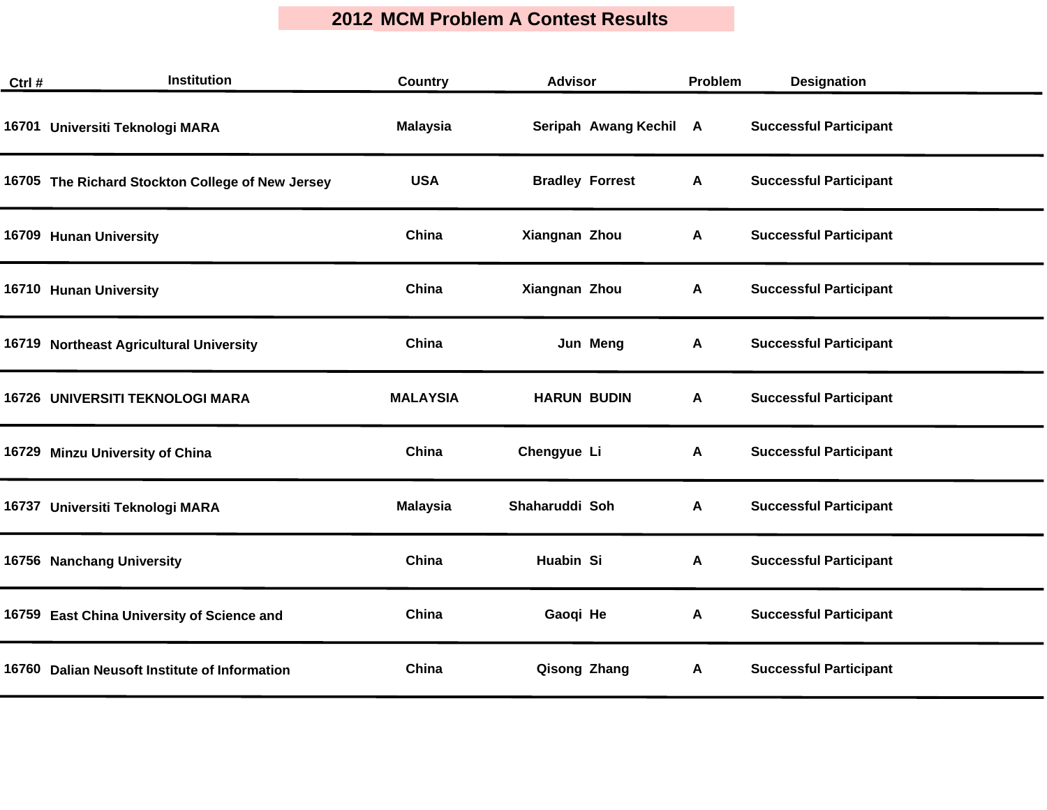| Ctrl # | <b>Institution</b>                               | <b>Country</b>  | <b>Advisor</b>         | Problem      | <b>Designation</b>            |  |
|--------|--------------------------------------------------|-----------------|------------------------|--------------|-------------------------------|--|
|        | 16701 Universiti Teknologi MARA                  | <b>Malaysia</b> | Seripah Awang Kechil A |              | <b>Successful Participant</b> |  |
|        | 16705 The Richard Stockton College of New Jersey | <b>USA</b>      | <b>Bradley Forrest</b> | A            | <b>Successful Participant</b> |  |
|        | 16709 Hunan University                           | China           | Xiangnan Zhou          | A            | <b>Successful Participant</b> |  |
|        | 16710 Hunan University                           | China           | Xiangnan Zhou          | $\mathsf{A}$ | <b>Successful Participant</b> |  |
|        | 16719 Northeast Agricultural University          | China           | Jun Meng               | $\mathsf{A}$ | <b>Successful Participant</b> |  |
|        | 16726 UNIVERSITI TEKNOLOGI MARA                  | <b>MALAYSIA</b> | <b>HARUN BUDIN</b>     | A            | <b>Successful Participant</b> |  |
|        | 16729 Minzu University of China                  | China           | Chengyue Li            | A            | <b>Successful Participant</b> |  |
|        | 16737 Universiti Teknologi MARA                  | <b>Malaysia</b> | Shaharuddi Soh         | A            | <b>Successful Participant</b> |  |
|        | 16756 Nanchang University                        | China           | Huabin Si              | $\mathsf{A}$ | <b>Successful Participant</b> |  |
|        | 16759 East China University of Science and       | China           | Gaoqi He               | A            | <b>Successful Participant</b> |  |
|        | 16760 Dalian Neusoft Institute of Information    | China           | Qisong Zhang           | A            | <b>Successful Participant</b> |  |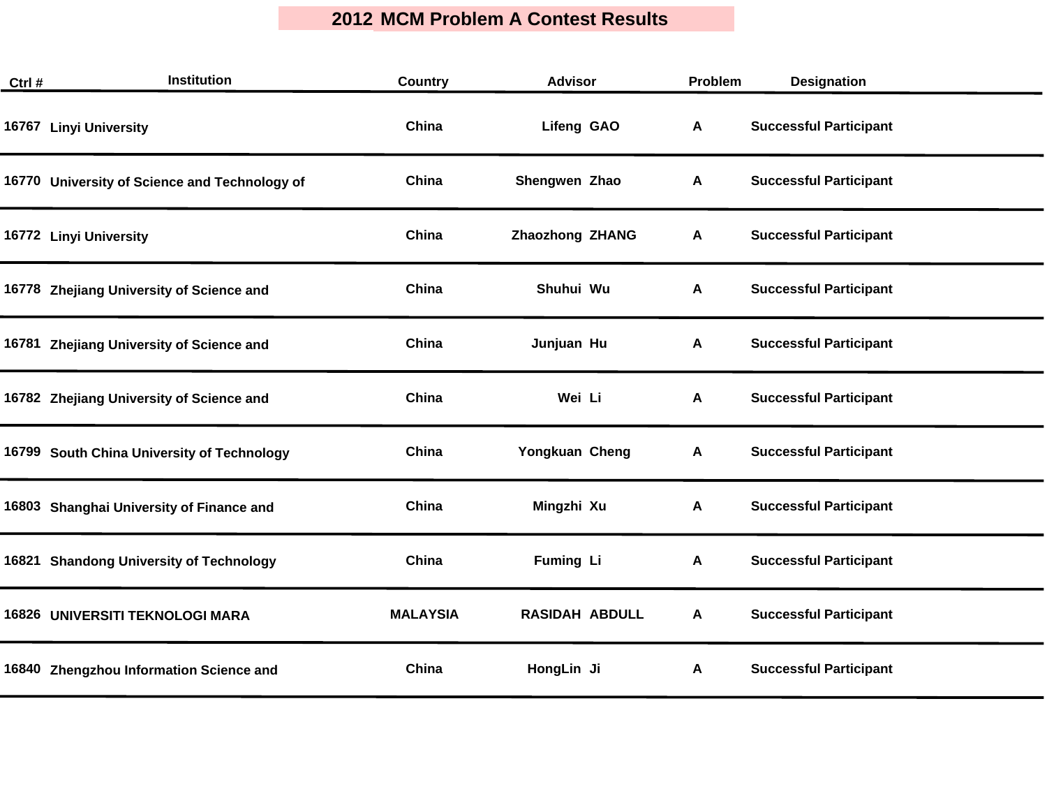| Ctrl # | <b>Institution</b>                            | <b>Country</b>  | <b>Advisor</b>        | Problem      | <b>Designation</b>            |  |
|--------|-----------------------------------------------|-----------------|-----------------------|--------------|-------------------------------|--|
|        | 16767 Linyi University                        | China           | <b>Lifeng GAO</b>     | $\mathsf{A}$ | <b>Successful Participant</b> |  |
|        | 16770 University of Science and Technology of | China           | Shengwen Zhao         | A            | <b>Successful Participant</b> |  |
|        | 16772 Linyi University                        | China           | Zhaozhong ZHANG       | A            | <b>Successful Participant</b> |  |
|        | 16778 Zhejiang University of Science and      | China           | Shuhui Wu             | $\mathsf{A}$ | <b>Successful Participant</b> |  |
|        | 16781 Zhejiang University of Science and      | China           | Junjuan Hu            | $\mathsf{A}$ | <b>Successful Participant</b> |  |
|        | 16782 Zhejiang University of Science and      | China           | Wei Li                | $\mathsf{A}$ | <b>Successful Participant</b> |  |
|        | 16799 South China University of Technology    | China           | Yongkuan Cheng        | A            | <b>Successful Participant</b> |  |
|        | 16803 Shanghai University of Finance and      | China           | Mingzhi Xu            | $\mathsf{A}$ | <b>Successful Participant</b> |  |
|        | 16821 Shandong University of Technology       | China           | <b>Fuming Li</b>      | $\mathsf{A}$ | <b>Successful Participant</b> |  |
|        | <b>16826 UNIVERSITI TEKNOLOGI MARA</b>        | <b>MALAYSIA</b> | <b>RASIDAH ABDULL</b> | $\mathsf{A}$ | <b>Successful Participant</b> |  |
|        | 16840 Zhengzhou Information Science and       | China           | HongLin Ji            | $\mathsf{A}$ | <b>Successful Participant</b> |  |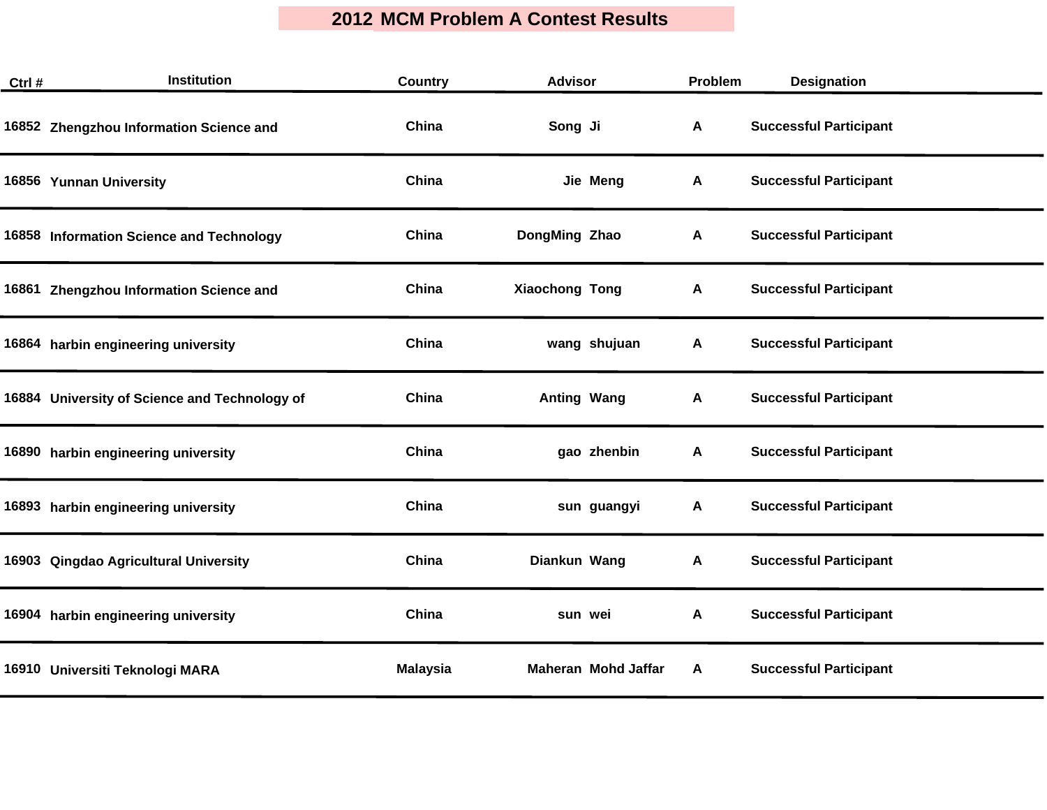| Ctrl # | <b>Institution</b>                            | <b>Country</b>  | <b>Advisor</b>        |                            | Problem      | <b>Designation</b>            |
|--------|-----------------------------------------------|-----------------|-----------------------|----------------------------|--------------|-------------------------------|
|        | 16852 Zhengzhou Information Science and       | China           | Song Ji               |                            | $\mathsf{A}$ | <b>Successful Participant</b> |
|        | 16856 Yunnan University                       | China           |                       | Jie Meng                   | A            | <b>Successful Participant</b> |
|        | 16858 Information Science and Technology      | China           | DongMing Zhao         |                            | A            | <b>Successful Participant</b> |
|        | 16861 Zhengzhou Information Science and       | China           | <b>Xiaochong Tong</b> |                            | A            | <b>Successful Participant</b> |
|        | 16864 harbin engineering university           | China           |                       | wang shujuan               | A            | <b>Successful Participant</b> |
|        | 16884 University of Science and Technology of | China           | <b>Anting Wang</b>    |                            | A            | <b>Successful Participant</b> |
|        | 16890 harbin engineering university           | China           |                       | gao zhenbin                | A            | <b>Successful Participant</b> |
|        | 16893 harbin engineering university           | China           |                       | sun guangyi                | $\mathsf{A}$ | <b>Successful Participant</b> |
|        | 16903 Qingdao Agricultural University         | China           | Diankun Wang          |                            | $\mathsf{A}$ | <b>Successful Participant</b> |
|        | 16904 harbin engineering university           | China           | sun wei               |                            | A            | <b>Successful Participant</b> |
|        | 16910 Universiti Teknologi MARA               | <b>Malaysia</b> |                       | <b>Maheran Mohd Jaffar</b> | A            | <b>Successful Participant</b> |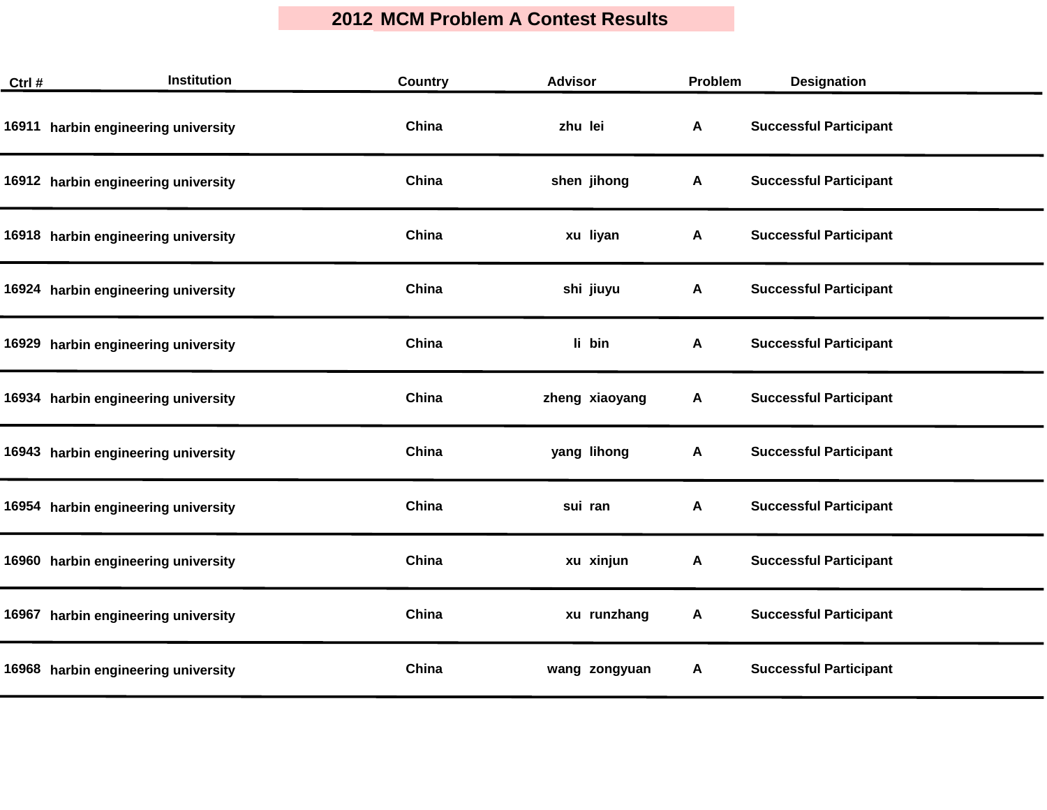| Ctrl # | <b>Institution</b>                  | <b>Country</b> | <b>Advisor</b> | Problem      | <b>Designation</b>            |
|--------|-------------------------------------|----------------|----------------|--------------|-------------------------------|
|        | 16911 harbin engineering university | China          | zhu lei        | $\mathsf{A}$ | <b>Successful Participant</b> |
|        | 16912 harbin engineering university | China          | shen jihong    | A            | <b>Successful Participant</b> |
|        | 16918 harbin engineering university | China          | xu liyan       | $\mathsf{A}$ | <b>Successful Participant</b> |
|        | 16924 harbin engineering university | China          | shi jiuyu      | A            | <b>Successful Participant</b> |
|        | 16929 harbin engineering university | China          | li bin         | $\mathsf{A}$ | <b>Successful Participant</b> |
|        | 16934 harbin engineering university | China          | zheng xiaoyang | $\mathsf{A}$ | <b>Successful Participant</b> |
|        | 16943 harbin engineering university | China          | yang lihong    | A            | <b>Successful Participant</b> |
|        | 16954 harbin engineering university | China          | sui ran        | $\mathsf{A}$ | <b>Successful Participant</b> |
|        | 16960 harbin engineering university | China          | xu xinjun      | $\mathsf{A}$ | <b>Successful Participant</b> |
|        | 16967 harbin engineering university | China          | xu runzhang    | $\mathsf{A}$ | <b>Successful Participant</b> |
|        | 16968 harbin engineering university | China          | wang zongyuan  | A            | <b>Successful Participant</b> |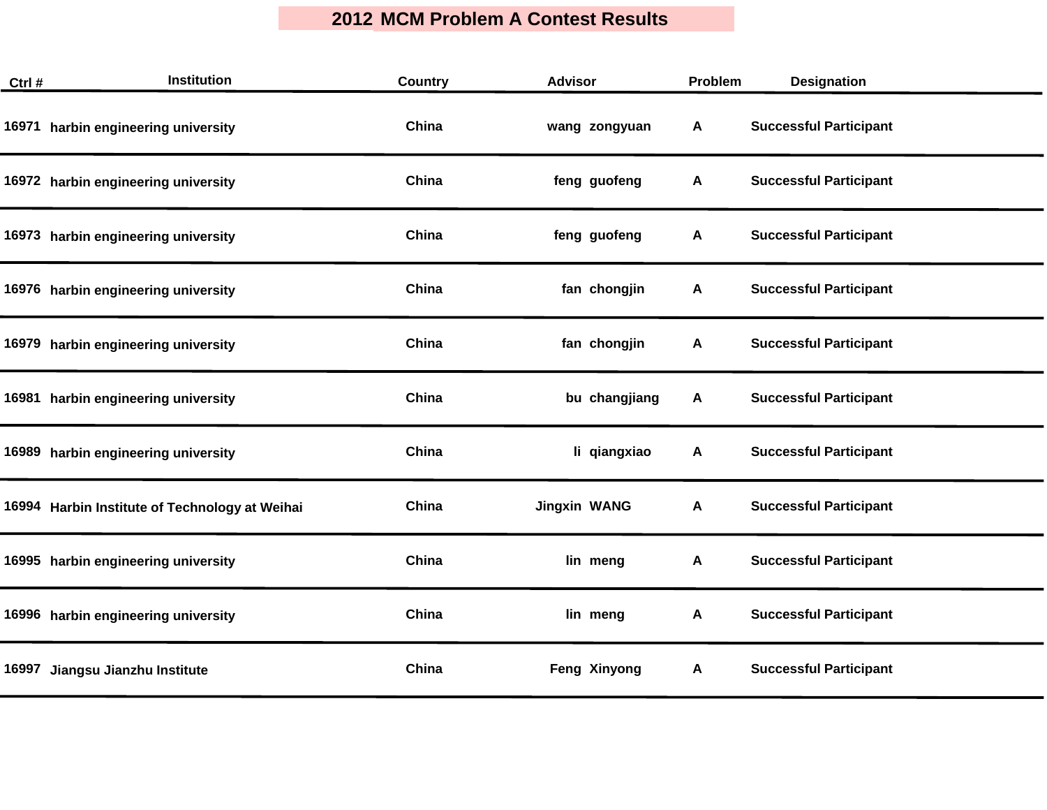| Ctrl # | <b>Institution</b>                             | <b>Country</b> | <b>Advisor</b>      | Problem      | <b>Designation</b>            |
|--------|------------------------------------------------|----------------|---------------------|--------------|-------------------------------|
|        | 16971 harbin engineering university            | China          | wang zongyuan       | $\mathsf{A}$ | <b>Successful Participant</b> |
|        | 16972 harbin engineering university            | China          | feng guofeng        | A            | <b>Successful Participant</b> |
|        | 16973 harbin engineering university            | China          | feng guofeng        | A            | <b>Successful Participant</b> |
|        | 16976 harbin engineering university            | China          | fan chongjin        | A            | <b>Successful Participant</b> |
|        | 16979 harbin engineering university            | China          | fan chongjin        | $\mathsf{A}$ | <b>Successful Participant</b> |
|        | 16981 harbin engineering university            | China          | bu changjiang       | A            | <b>Successful Participant</b> |
|        | 16989 harbin engineering university            | China          | li qiangxiao        | A            | <b>Successful Participant</b> |
|        | 16994 Harbin Institute of Technology at Weihai | China          | <b>Jingxin WANG</b> | $\mathsf{A}$ | <b>Successful Participant</b> |
|        | 16995 harbin engineering university            | China          | lin meng            | A            | <b>Successful Participant</b> |
|        | 16996 harbin engineering university            | China          | lin meng            | A            | <b>Successful Participant</b> |
| 16997  | Jiangsu Jianzhu Institute                      | China          | Feng Xinyong        | Α            | <b>Successful Participant</b> |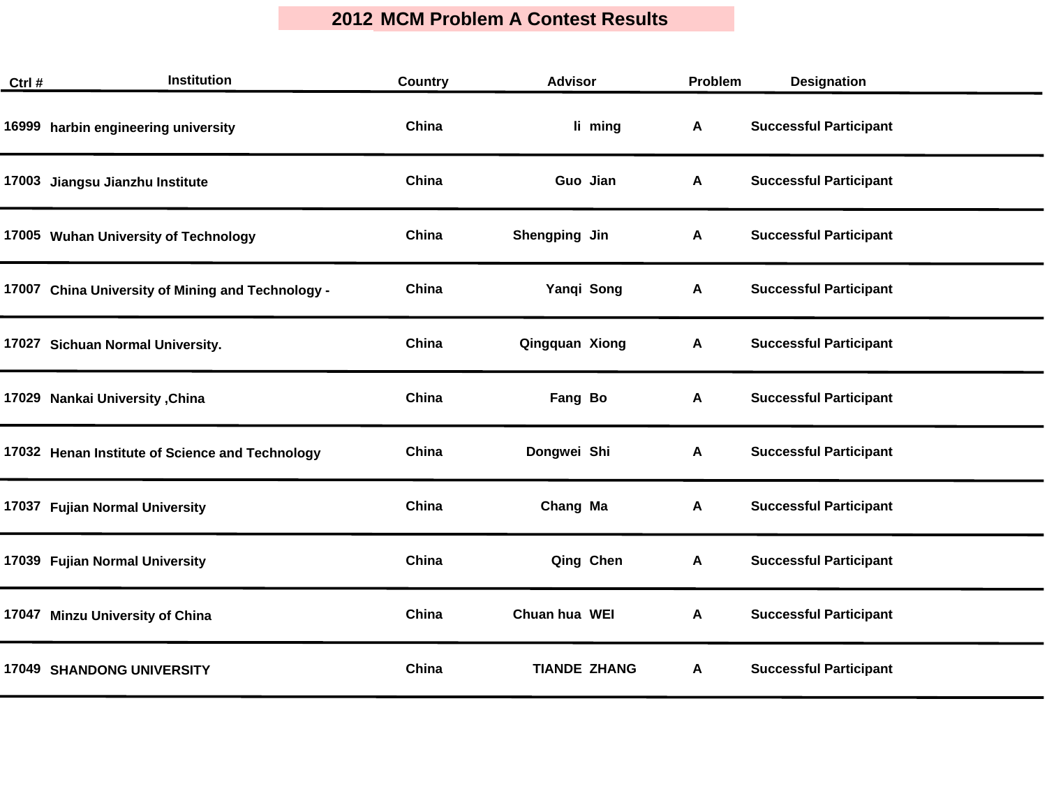| Ctrl # | Institution                                       | <b>Country</b> | <b>Advisor</b>      | Problem                 | <b>Designation</b>            |  |
|--------|---------------------------------------------------|----------------|---------------------|-------------------------|-------------------------------|--|
|        | 16999 harbin engineering university               | China          |                     | li ming<br>$\mathsf{A}$ | <b>Successful Participant</b> |  |
|        | 17003 Jiangsu Jianzhu Institute                   | China          | Guo Jian            | A                       | <b>Successful Participant</b> |  |
|        | 17005 Wuhan University of Technology              | China          | Shengping Jin       | A                       | <b>Successful Participant</b> |  |
|        | 17007 China University of Mining and Technology - | China          | Yanqi Song          | A                       | <b>Successful Participant</b> |  |
|        | 17027 Sichuan Normal University.                  | China          | Qingquan Xiong      | $\mathsf{A}$            | <b>Successful Participant</b> |  |
|        | 17029 Nankai University, China                    | China          | Fang Bo             | $\mathsf{A}$            | <b>Successful Participant</b> |  |
|        | 17032 Henan Institute of Science and Technology   | China          | Dongwei Shi         | $\mathsf{A}$            | <b>Successful Participant</b> |  |
|        | 17037 Fujian Normal University                    | China          | Chang Ma            | $\mathsf{A}$            | <b>Successful Participant</b> |  |
|        | 17039 Fujian Normal University                    | China          | Qing Chen           | $\mathsf{A}$            | <b>Successful Participant</b> |  |
|        | 17047 Minzu University of China                   | China          | Chuan hua WEI       | $\mathsf{A}$            | <b>Successful Participant</b> |  |
|        | <b>17049 SHANDONG UNIVERSITY</b>                  | China          | <b>TIANDE ZHANG</b> | A                       | <b>Successful Participant</b> |  |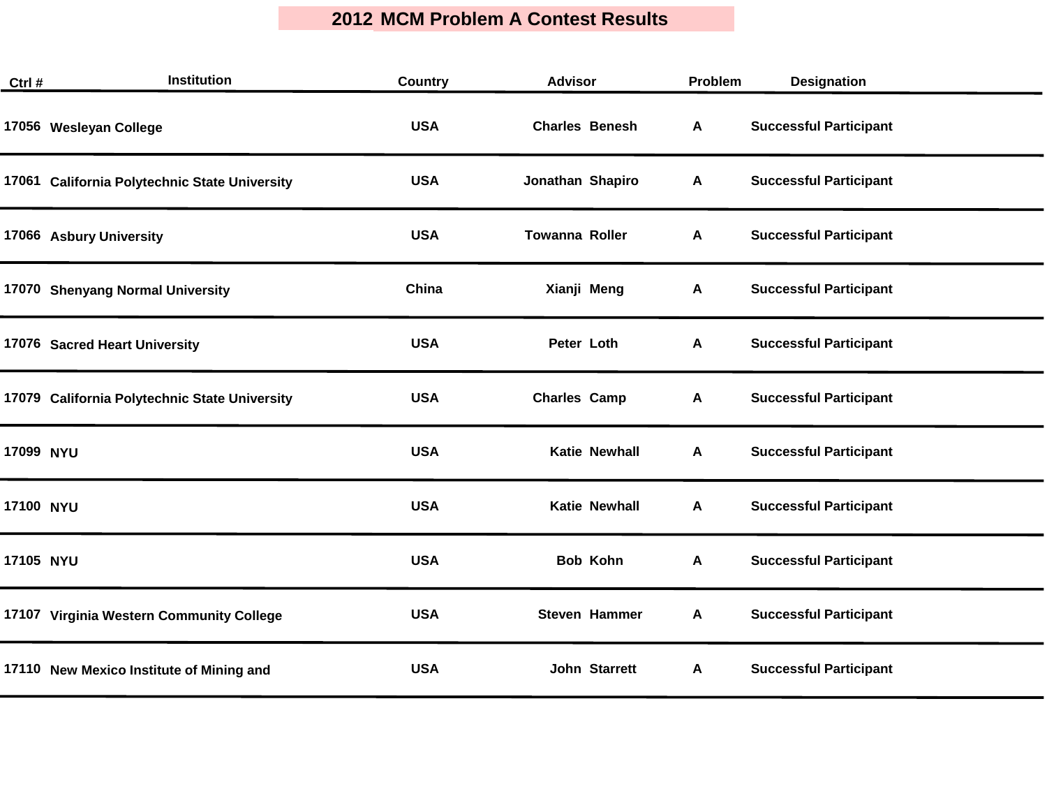| Ctrl #    | <b>Institution</b>                            | <b>Country</b> | <b>Advisor</b>        | Problem      | <b>Designation</b>            |
|-----------|-----------------------------------------------|----------------|-----------------------|--------------|-------------------------------|
|           | 17056 Wesleyan College                        | <b>USA</b>     | <b>Charles Benesh</b> | $\mathsf{A}$ | <b>Successful Participant</b> |
|           | 17061 California Polytechnic State University | <b>USA</b>     | Jonathan Shapiro      | A            | <b>Successful Participant</b> |
|           | 17066 Asbury University                       | <b>USA</b>     | <b>Towanna Roller</b> | A            | <b>Successful Participant</b> |
|           | 17070 Shenyang Normal University              | China          | Xianji Meng           | A            | <b>Successful Participant</b> |
|           | 17076 Sacred Heart University                 | <b>USA</b>     | Peter Loth            | $\mathsf{A}$ | <b>Successful Participant</b> |
|           | 17079 California Polytechnic State University | <b>USA</b>     | <b>Charles Camp</b>   | $\mathsf{A}$ | <b>Successful Participant</b> |
| 17099 NYU |                                               | <b>USA</b>     | <b>Katie Newhall</b>  | A            | <b>Successful Participant</b> |
| 17100 NYU |                                               | <b>USA</b>     | <b>Katie Newhall</b>  | A            | <b>Successful Participant</b> |
| 17105 NYU |                                               | <b>USA</b>     | Bob Kohn              | $\mathsf{A}$ | <b>Successful Participant</b> |
|           | 17107 Virginia Western Community College      | <b>USA</b>     | <b>Steven Hammer</b>  | A            | <b>Successful Participant</b> |
|           | 17110 New Mexico Institute of Mining and      | <b>USA</b>     | John Starrett         | A            | <b>Successful Participant</b> |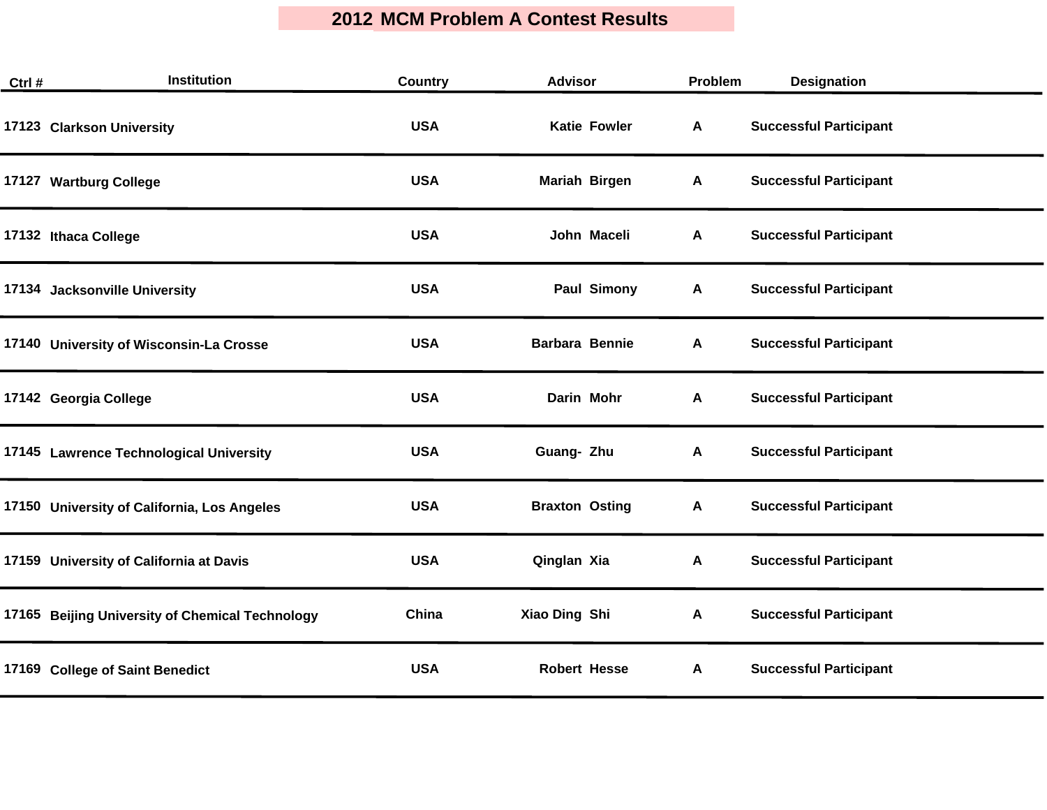| Ctrl # | <b>Institution</b>                              | <b>Country</b> | <b>Advisor</b>        | Problem      | <b>Designation</b>            |  |
|--------|-------------------------------------------------|----------------|-----------------------|--------------|-------------------------------|--|
|        | 17123 Clarkson University                       | <b>USA</b>     | <b>Katie Fowler</b>   | $\mathsf{A}$ | <b>Successful Participant</b> |  |
|        | 17127 Wartburg College                          | <b>USA</b>     | Mariah Birgen         | Α            | <b>Successful Participant</b> |  |
|        | 17132 Ithaca College                            | <b>USA</b>     | John Maceli           | A            | <b>Successful Participant</b> |  |
|        | 17134 Jacksonville University                   | <b>USA</b>     | <b>Paul Simony</b>    | $\mathsf{A}$ | <b>Successful Participant</b> |  |
|        | 17140 University of Wisconsin-La Crosse         | <b>USA</b>     | <b>Barbara Bennie</b> | A            | <b>Successful Participant</b> |  |
|        | 17142 Georgia College                           | <b>USA</b>     | Darin Mohr            | A            | <b>Successful Participant</b> |  |
|        | 17145 Lawrence Technological University         | <b>USA</b>     | Guang- Zhu            | A            | <b>Successful Participant</b> |  |
|        | 17150 University of California, Los Angeles     | <b>USA</b>     | <b>Braxton Osting</b> | $\mathsf{A}$ | <b>Successful Participant</b> |  |
|        | 17159 University of California at Davis         | <b>USA</b>     | Qinglan Xia           | $\mathsf{A}$ | <b>Successful Participant</b> |  |
|        | 17165 Beijing University of Chemical Technology | China          | Xiao Ding Shi         | A            | <b>Successful Participant</b> |  |
|        | 17169 College of Saint Benedict                 | <b>USA</b>     | <b>Robert Hesse</b>   | A            | <b>Successful Participant</b> |  |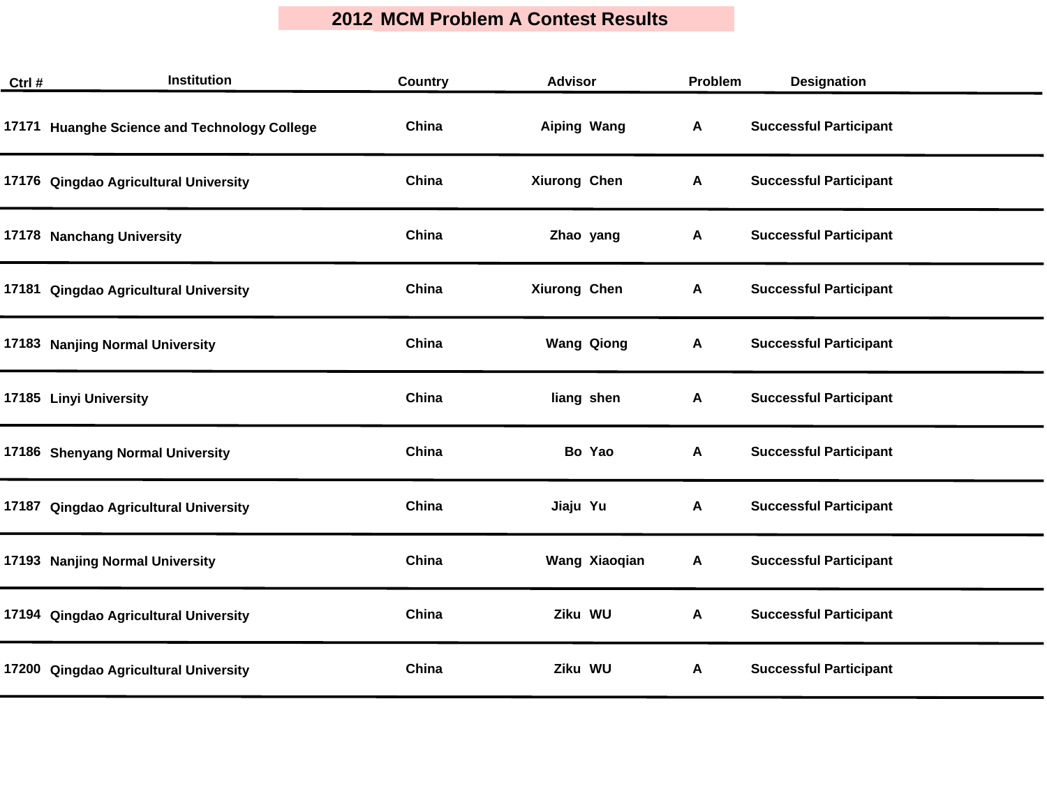| Ctrl # | <b>Institution</b>                           | <b>Country</b> | <b>Advisor</b>    | Problem      | <b>Designation</b>            |  |
|--------|----------------------------------------------|----------------|-------------------|--------------|-------------------------------|--|
|        | 17171 Huanghe Science and Technology College | China          | Aiping Wang       | $\mathsf{A}$ | <b>Successful Participant</b> |  |
|        | 17176 Qingdao Agricultural University        | China          | Xiurong Chen      | A            | <b>Successful Participant</b> |  |
|        | 17178 Nanchang University                    | China          | Zhao yang         | A            | <b>Successful Participant</b> |  |
|        | 17181 Qingdao Agricultural University        | China          | Xiurong Chen      | A            | <b>Successful Participant</b> |  |
|        | 17183 Nanjing Normal University              | China          | <b>Wang Qiong</b> | $\mathsf{A}$ | <b>Successful Participant</b> |  |
|        | 17185 Linyi University                       | China          | liang shen        | A            | <b>Successful Participant</b> |  |
|        | 17186 Shenyang Normal University             | China          | Bo Yao            | A            | <b>Successful Participant</b> |  |
|        | 17187 Qingdao Agricultural University        | China          | Jiaju Yu          | $\mathsf{A}$ | <b>Successful Participant</b> |  |
|        | 17193 Nanjing Normal University              | China          | Wang Xiaoqian     | A            | <b>Successful Participant</b> |  |
|        | 17194 Qingdao Agricultural University        | China          | Ziku WU           | $\mathsf{A}$ | <b>Successful Participant</b> |  |
|        | 17200 Qingdao Agricultural University        | China          | Ziku WU           | Α            | <b>Successful Participant</b> |  |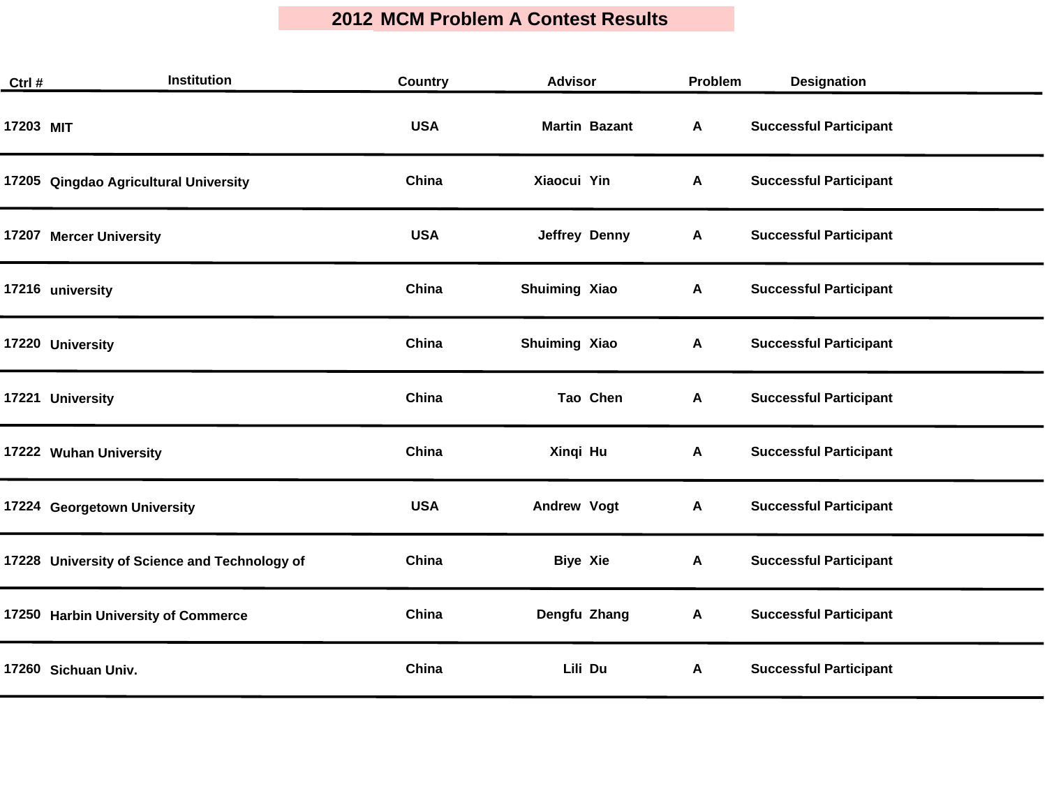| Ctrl #    | <b>Institution</b>                            | <b>Country</b> | <b>Advisor</b>       | Problem      | <b>Designation</b>            |
|-----------|-----------------------------------------------|----------------|----------------------|--------------|-------------------------------|
| 17203 MIT |                                               | <b>USA</b>     | <b>Martin Bazant</b> | $\mathsf{A}$ | <b>Successful Participant</b> |
|           | 17205 Qingdao Agricultural University         | China          | Xiaocui Yin          | A            | <b>Successful Participant</b> |
|           | 17207 Mercer University                       | <b>USA</b>     | <b>Jeffrey Denny</b> | $\mathsf{A}$ | <b>Successful Participant</b> |
|           | 17216 university                              | China          | Shuiming Xiao        | $\mathsf{A}$ | <b>Successful Participant</b> |
|           | 17220 University                              | China          | <b>Shuiming Xiao</b> | $\mathsf{A}$ | <b>Successful Participant</b> |
|           | 17221 University                              | China          | Tao Chen             | $\mathsf{A}$ | <b>Successful Participant</b> |
|           | 17222 Wuhan University                        | China          | Xinqi Hu             | A            | <b>Successful Participant</b> |
|           | 17224 Georgetown University                   | <b>USA</b>     | Andrew Vogt          | $\mathsf{A}$ | <b>Successful Participant</b> |
|           | 17228 University of Science and Technology of | China          | <b>Biye Xie</b>      | $\mathsf{A}$ | <b>Successful Participant</b> |
|           | 17250 Harbin University of Commerce           | China          | Dengfu Zhang         | $\mathsf{A}$ | <b>Successful Participant</b> |
|           | 17260 Sichuan Univ.                           | China          | Lili Du              | $\mathsf{A}$ | <b>Successful Participant</b> |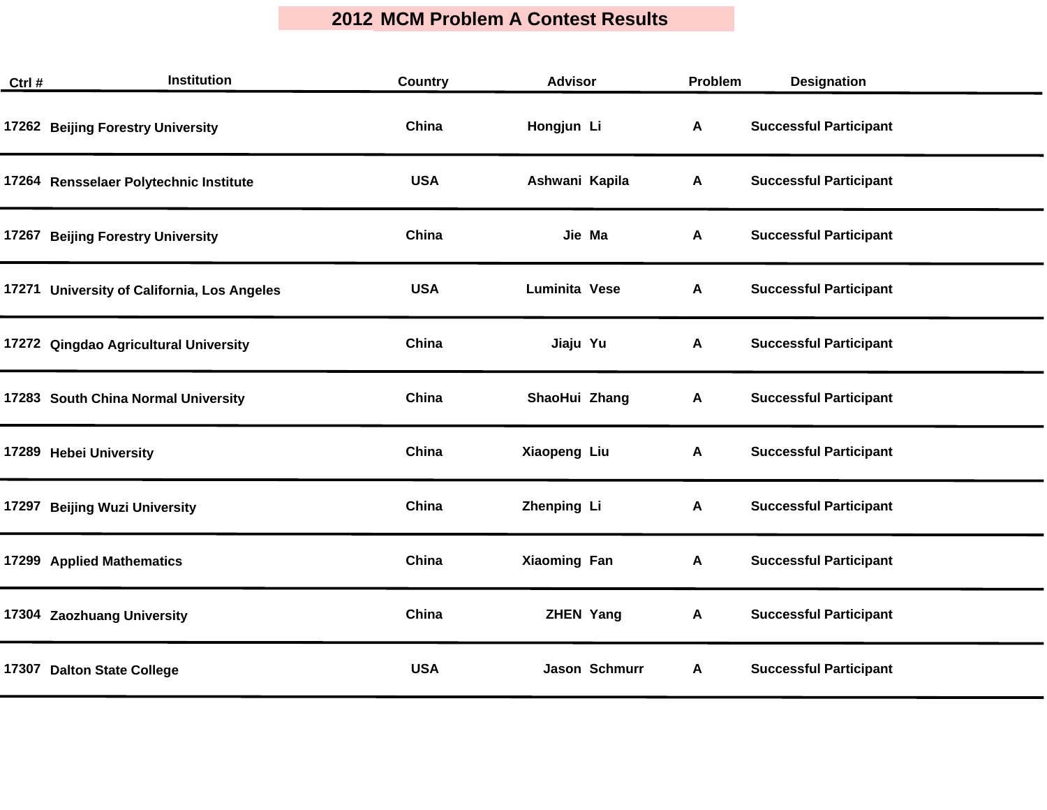| Ctrl # | <b>Institution</b>                          | <b>Country</b> | <b>Advisor</b>       | Problem      | <b>Designation</b>            |  |
|--------|---------------------------------------------|----------------|----------------------|--------------|-------------------------------|--|
|        | 17262 Beijing Forestry University           | China          | Hongjun Li           | $\mathsf{A}$ | <b>Successful Participant</b> |  |
|        | 17264 Rensselaer Polytechnic Institute      | <b>USA</b>     | Ashwani Kapila       | $\mathsf{A}$ | <b>Successful Participant</b> |  |
|        | 17267 Beijing Forestry University           | China          | Jie Ma               | $\mathsf{A}$ | <b>Successful Participant</b> |  |
|        | 17271 University of California, Los Angeles | <b>USA</b>     | <b>Luminita Vese</b> | $\mathsf{A}$ | <b>Successful Participant</b> |  |
|        | 17272 Qingdao Agricultural University       | China          | Jiaju Yu             | $\mathsf{A}$ | <b>Successful Participant</b> |  |
|        | 17283 South China Normal University         | China          | ShaoHui Zhang        | $\mathsf{A}$ | <b>Successful Participant</b> |  |
|        | 17289 Hebei University                      | China          | Xiaopeng Liu         | A            | <b>Successful Participant</b> |  |
|        | 17297 Beijing Wuzi University               | China          | Zhenping Li          | A            | <b>Successful Participant</b> |  |
|        | 17299 Applied Mathematics                   | China          | Xiaoming Fan         | $\mathsf{A}$ | <b>Successful Participant</b> |  |
|        | 17304 Zaozhuang University                  | China          | <b>ZHEN Yang</b>     | $\mathsf{A}$ | <b>Successful Participant</b> |  |
|        | 17307 Dalton State College                  | <b>USA</b>     | Jason Schmurr        | $\mathsf{A}$ | <b>Successful Participant</b> |  |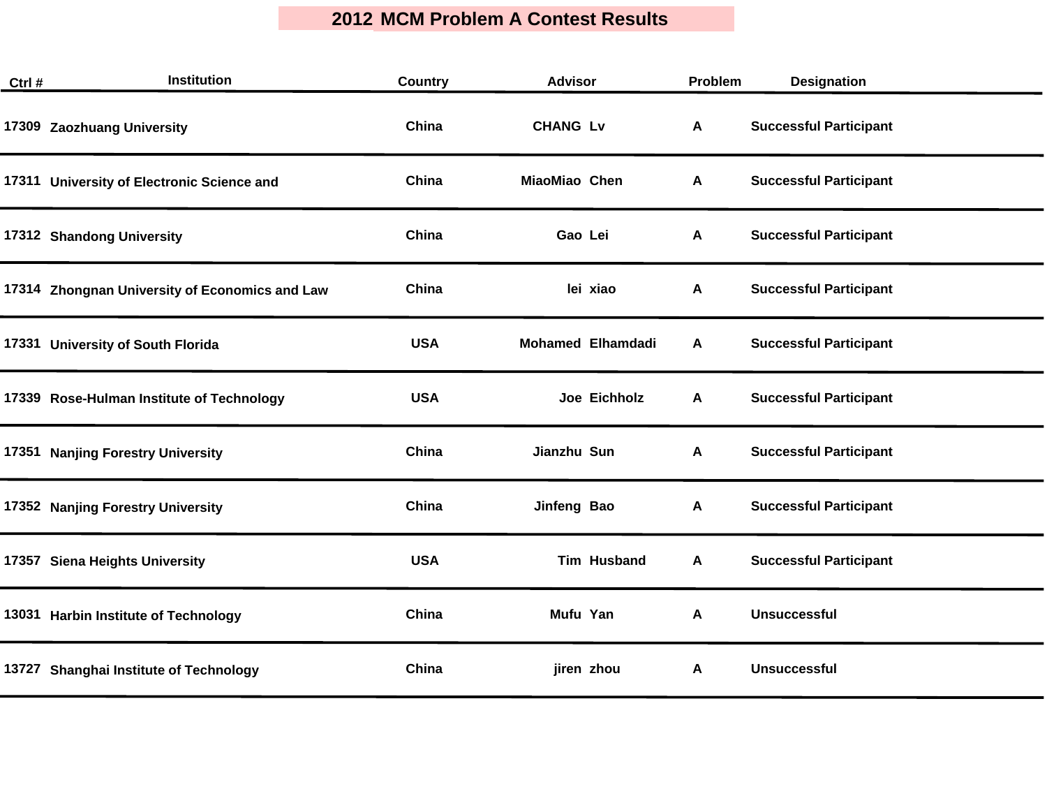## **MCM Problem A Contest Results 2012**

| Ctrl # | <b>Institution</b>                             | <b>Country</b> | <b>Advisor</b>           | Problem      | <b>Designation</b>            |
|--------|------------------------------------------------|----------------|--------------------------|--------------|-------------------------------|
|        | 17309 Zaozhuang University                     | China          | <b>CHANG Lv</b>          | $\mathsf{A}$ | <b>Successful Participant</b> |
|        | 17311 University of Electronic Science and     | China          | MiaoMiao Chen            | A            | <b>Successful Participant</b> |
|        | 17312 Shandong University                      | China          | Gao Lei                  | A            | <b>Successful Participant</b> |
|        | 17314 Zhongnan University of Economics and Law | China          | lei xiao                 | $\mathsf{A}$ | <b>Successful Participant</b> |
|        | 17331 University of South Florida              | <b>USA</b>     | <b>Mohamed Elhamdadi</b> | A            | <b>Successful Participant</b> |
|        | 17339 Rose-Hulman Institute of Technology      | <b>USA</b>     | Joe Eichholz             | $\mathsf{A}$ | <b>Successful Participant</b> |
|        | 17351 Nanjing Forestry University              | China          | Jianzhu Sun              | A            | <b>Successful Participant</b> |
|        | 17352 Nanjing Forestry University              | China          | Jinfeng Bao              | $\mathsf{A}$ | <b>Successful Participant</b> |
|        | 17357 Siena Heights University                 | <b>USA</b>     | <b>Tim Husband</b>       | $\mathsf{A}$ | <b>Successful Participant</b> |
|        | 13031 Harbin Institute of Technology           | China          | Mufu Yan                 | A            | <b>Unsuccessful</b>           |
|        | 13727 Shanghai Institute of Technology         | China          | jiren zhou               | A            | <b>Unsuccessful</b>           |